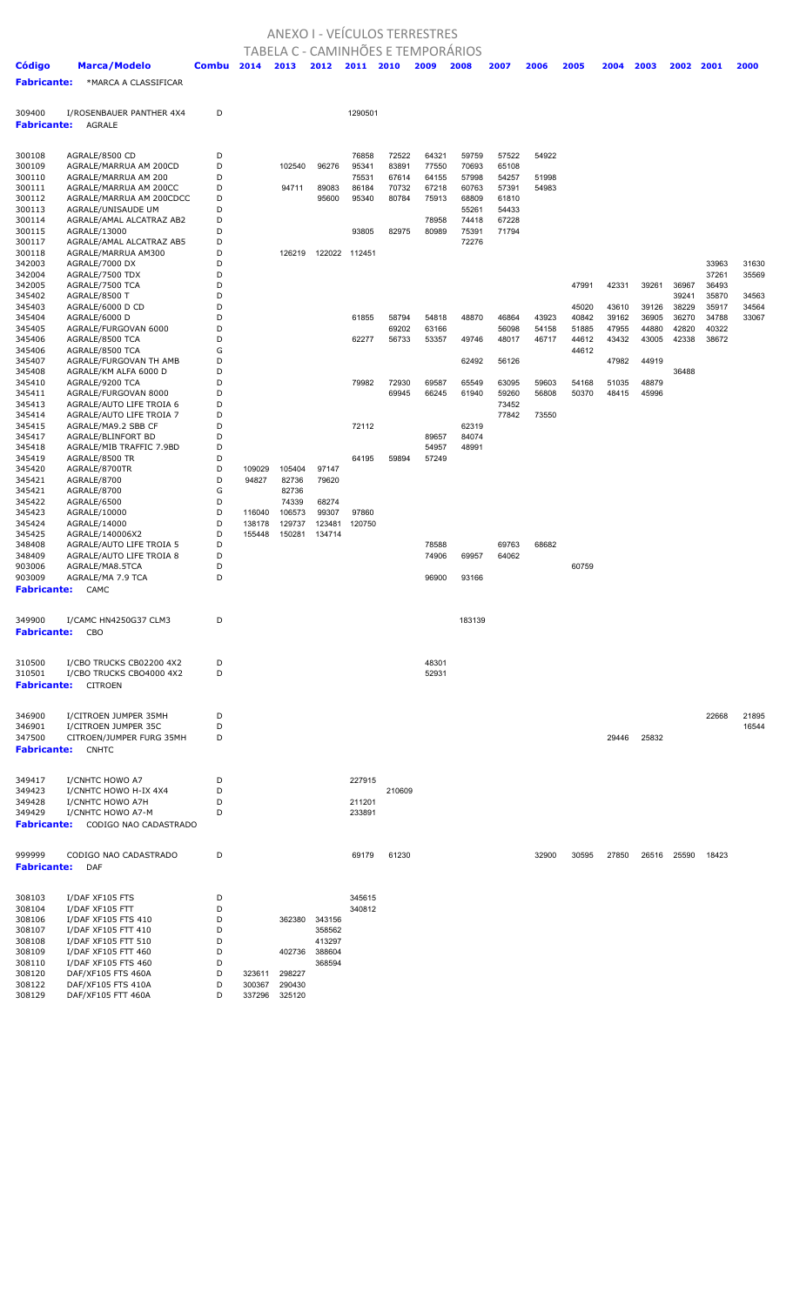## ANEXO I - VEÍCULOS TERRESTRES

|                              |                                                |        |        | TABELA C - CAMINHÕES E TEMPORÁRIOS |                  |                  |                |                |                |                |                |                |                |                |                |                |       |
|------------------------------|------------------------------------------------|--------|--------|------------------------------------|------------------|------------------|----------------|----------------|----------------|----------------|----------------|----------------|----------------|----------------|----------------|----------------|-------|
| <b>Código</b>                | Marca/Modelo                                   | Combu  | 2014   | 2013                               | 2012             | 2011             | 2010           | 2009           | 2008           | 2007           | 2006           | 2005           | 2004           | 2003           | 2002           | 2001           | 2000  |
| <b>Fabricante:</b>           | *MARCA A CLASSIFICAR                           |        |        |                                    |                  |                  |                |                |                |                |                |                |                |                |                |                |       |
|                              |                                                |        |        |                                    |                  |                  |                |                |                |                |                |                |                |                |                |                |       |
|                              |                                                |        |        |                                    |                  |                  |                |                |                |                |                |                |                |                |                |                |       |
| 309400<br><b>Fabricante:</b> | I/ROSENBAUER PANTHER 4X4<br>AGRALE             | D      |        |                                    |                  | 1290501          |                |                |                |                |                |                |                |                |                |                |       |
|                              |                                                |        |        |                                    |                  |                  |                |                |                |                |                |                |                |                |                |                |       |
|                              |                                                |        |        |                                    |                  |                  |                |                |                |                |                |                |                |                |                |                |       |
| 300108                       | AGRALE/8500 CD                                 | D      |        |                                    |                  | 76858            | 72522          | 64321          | 59759          | 57522          | 54922          |                |                |                |                |                |       |
| 300109<br>300110             | AGRALE/MARRUA AM 200CD<br>AGRALE/MARRUA AM 200 | D<br>D |        | 102540                             | 96276            | 95341<br>75531   | 83891<br>67614 | 77550<br>64155 | 70693<br>57998 | 65108<br>54257 | 51998          |                |                |                |                |                |       |
| 300111                       | AGRALE/MARRUA AM 200CC                         | D      |        | 94711                              | 89083            | 86184            | 70732          | 67218          | 60763          | 57391          | 54983          |                |                |                |                |                |       |
| 300112                       | AGRALE/MARRUA AM 200CDCC                       | D      |        |                                    | 95600            | 95340            | 80784          | 75913          | 68809          | 61810          |                |                |                |                |                |                |       |
| 300113                       | AGRALE/UNISAUDE UM                             | D      |        |                                    |                  |                  |                |                | 55261          | 54433          |                |                |                |                |                |                |       |
| 300114<br>300115             | AGRALE/AMAL ALCATRAZ AB2<br>AGRALE/13000       | D<br>D |        |                                    |                  | 93805            | 82975          | 78958<br>80989 | 74418<br>75391 | 67228<br>71794 |                |                |                |                |                |                |       |
| 300117                       | AGRALE/AMAL ALCATRAZ AB5                       | D      |        |                                    |                  |                  |                |                | 72276          |                |                |                |                |                |                |                |       |
| 300118                       | AGRALE/MARRUA AM300                            | D      |        | 126219                             |                  | 122022 112451    |                |                |                |                |                |                |                |                |                |                |       |
| 342003                       | AGRALE/7000 DX                                 | D      |        |                                    |                  |                  |                |                |                |                |                |                |                |                |                | 33963          | 31630 |
| 342004<br>342005             | AGRALE/7500 TDX<br>AGRALE/7500 TCA             | D<br>D |        |                                    |                  |                  |                |                |                |                |                | 47991          | 42331          | 39261          | 36967          | 37261<br>36493 | 35569 |
| 345402                       | AGRALE/8500 T                                  | D      |        |                                    |                  |                  |                |                |                |                |                |                |                |                | 39241          | 35870          | 34563 |
| 345403                       | AGRALE/6000 D CD                               | D      |        |                                    |                  |                  |                |                |                |                |                | 45020          | 43610          | 39126          | 38229          | 35917          | 34564 |
| 345404                       | AGRALE/6000 D                                  | D      |        |                                    |                  | 61855            | 58794          | 54818          | 48870          | 46864          | 43923          | 40842          | 39162          | 36905          | 36270          | 34788          | 33067 |
| 345405<br>345406             | AGRALE/FURGOVAN 6000<br>AGRALE/8500 TCA        | D<br>D |        |                                    |                  | 62277            | 69202<br>56733 | 63166<br>53357 | 49746          | 56098<br>48017 | 54158<br>46717 | 51885<br>44612 | 47955<br>43432 | 44880<br>43005 | 42820<br>42338 | 40322<br>38672 |       |
| 345406                       | AGRALE/8500 TCA                                | G      |        |                                    |                  |                  |                |                |                |                |                | 44612          |                |                |                |                |       |
| 345407                       | AGRALE/FURGOVAN TH AMB                         | D      |        |                                    |                  |                  |                |                | 62492          | 56126          |                |                | 47982          | 44919          |                |                |       |
| 345408                       | AGRALE/KM ALFA 6000 D                          | D      |        |                                    |                  |                  |                |                |                |                |                |                |                |                | 36488          |                |       |
| 345410<br>345411             | AGRALE/9200 TCA<br>AGRALE/FURGOVAN 8000        | D<br>D |        |                                    |                  | 79982            | 72930<br>69945 | 69587<br>66245 | 65549<br>61940 | 63095<br>59260 | 59603<br>56808 | 54168<br>50370 | 51035<br>48415 | 48879<br>45996 |                |                |       |
| 345413                       | AGRALE/AUTO LIFE TROIA 6                       | D      |        |                                    |                  |                  |                |                |                | 73452          |                |                |                |                |                |                |       |
| 345414                       | AGRALE/AUTO LIFE TROIA 7                       | D      |        |                                    |                  |                  |                |                |                | 77842          | 73550          |                |                |                |                |                |       |
| 345415                       | AGRALE/MA9.2 SBB CF                            | D      |        |                                    |                  | 72112            |                |                | 62319          |                |                |                |                |                |                |                |       |
| 345417<br>345418             | AGRALE/BLINFORT BD<br>AGRALE/MIB TRAFFIC 7.9BD | D<br>D |        |                                    |                  |                  |                | 89657<br>54957 | 84074<br>48991 |                |                |                |                |                |                |                |       |
| 345419                       | AGRALE/8500 TR                                 | D      |        |                                    |                  | 64195            | 59894          | 57249          |                |                |                |                |                |                |                |                |       |
| 345420                       | AGRALE/8700TR                                  | D      | 109029 | 105404                             | 97147            |                  |                |                |                |                |                |                |                |                |                |                |       |
| 345421                       | AGRALE/8700                                    | D      | 94827  | 82736                              | 79620            |                  |                |                |                |                |                |                |                |                |                |                |       |
| 345421<br>345422             | AGRALE/8700<br>AGRALE/6500                     | G<br>D |        | 82736<br>74339                     | 68274            |                  |                |                |                |                |                |                |                |                |                |                |       |
| 345423                       | AGRALE/10000                                   | D      | 116040 | 106573                             | 99307            | 97860            |                |                |                |                |                |                |                |                |                |                |       |
| 345424                       | AGRALE/14000                                   | D      | 138178 | 129737                             | 123481           | 120750           |                |                |                |                |                |                |                |                |                |                |       |
| 345425                       | AGRALE/140006X2                                | D      | 155448 | 150281                             | 134714           |                  |                |                |                |                |                |                |                |                |                |                |       |
| 348408<br>348409             | AGRALE/AUTO LIFE TROIA 5                       | D<br>D |        |                                    |                  |                  |                | 78588          | 69957          | 69763          | 68682          |                |                |                |                |                |       |
| 903006                       | AGRALE/AUTO LIFE TROIA 8<br>AGRALE/MA8.5TCA    | D      |        |                                    |                  |                  |                | 74906          |                | 64062          |                | 60759          |                |                |                |                |       |
| 903009                       | AGRALE/MA 7.9 TCA                              | D      |        |                                    |                  |                  |                | 96900          | 93166          |                |                |                |                |                |                |                |       |
| <b>Fabricante:</b>           | CAMC                                           |        |        |                                    |                  |                  |                |                |                |                |                |                |                |                |                |                |       |
|                              |                                                |        |        |                                    |                  |                  |                |                |                |                |                |                |                |                |                |                |       |
| 349900                       | I/CAMC HN4250G37 CLM3                          | D      |        |                                    |                  |                  |                |                | 183139         |                |                |                |                |                |                |                |       |
| <b>Fabricante:</b>           | CBO                                            |        |        |                                    |                  |                  |                |                |                |                |                |                |                |                |                |                |       |
|                              |                                                |        |        |                                    |                  |                  |                |                |                |                |                |                |                |                |                |                |       |
| 310500                       | I/CBO TRUCKS CB02200 4X2                       | D      |        |                                    |                  |                  |                | 48301          |                |                |                |                |                |                |                |                |       |
| 310501                       | I/CBO TRUCKS CBO4000 4X2                       | D      |        |                                    |                  |                  |                | 52931          |                |                |                |                |                |                |                |                |       |
| <b>Fabricante:</b>           | CITROEN                                        |        |        |                                    |                  |                  |                |                |                |                |                |                |                |                |                |                |       |
|                              |                                                |        |        |                                    |                  |                  |                |                |                |                |                |                |                |                |                |                |       |
| 346900                       | I/CITROEN JUMPER 35MH                          | D      |        |                                    |                  |                  |                |                |                |                |                |                |                |                |                | 22668          | 21895 |
| 346901                       | I/CITROEN JUMPER 35C                           | D      |        |                                    |                  |                  |                |                |                |                |                |                |                |                |                |                | 16544 |
| 347500                       | CITROEN/JUMPER FURG 35MH                       | D      |        |                                    |                  |                  |                |                |                |                |                |                | 29446          | 25832          |                |                |       |
| <b>Fabricante:</b>           | <b>CNHTC</b>                                   |        |        |                                    |                  |                  |                |                |                |                |                |                |                |                |                |                |       |
|                              |                                                |        |        |                                    |                  |                  |                |                |                |                |                |                |                |                |                |                |       |
| 349417                       | I/CNHTC HOWO A7                                | D      |        |                                    |                  | 227915           |                |                |                |                |                |                |                |                |                |                |       |
| 349423<br>349428             | I/CNHTC HOWO H-IX 4X4<br>I/CNHTC HOWO A7H      | D<br>D |        |                                    |                  | 211201           | 210609         |                |                |                |                |                |                |                |                |                |       |
| 349429                       | I/CNHTC HOWO A7-M                              | D      |        |                                    |                  | 233891           |                |                |                |                |                |                |                |                |                |                |       |
| <b>Fabricante:</b>           | CODIGO NAO CADASTRADO                          |        |        |                                    |                  |                  |                |                |                |                |                |                |                |                |                |                |       |
|                              |                                                |        |        |                                    |                  |                  |                |                |                |                |                |                |                |                |                |                |       |
| 999999                       | CODIGO NAO CADASTRADO                          | D      |        |                                    |                  | 69179            | 61230          |                |                |                | 32900          | 30595          | 27850          | 26516          | 25590          | 18423          |       |
| <b>Fabricante:</b>           | <b>DAF</b>                                     |        |        |                                    |                  |                  |                |                |                |                |                |                |                |                |                |                |       |
|                              |                                                |        |        |                                    |                  |                  |                |                |                |                |                |                |                |                |                |                |       |
|                              | I/DAF XF105 FTS                                |        |        |                                    |                  |                  |                |                |                |                |                |                |                |                |                |                |       |
| 308103<br>308104             | I/DAF XF105 FTT                                | D<br>D |        |                                    |                  | 345615<br>340812 |                |                |                |                |                |                |                |                |                |                |       |
| 308106                       | I/DAF XF105 FTS 410                            | D      |        | 362380                             | 343156           |                  |                |                |                |                |                |                |                |                |                |                |       |
| 308107                       | I/DAF XF105 FTT 410                            | D      |        |                                    | 358562           |                  |                |                |                |                |                |                |                |                |                |                |       |
| 308108                       | I/DAF XF105 FTT 510                            | D<br>D |        |                                    | 413297           |                  |                |                |                |                |                |                |                |                |                |                |       |
| 308109<br>308110             | I/DAF XF105 FTT 460<br>I/DAF XF105 FTS 460     | D      |        | 402736                             | 388604<br>368594 |                  |                |                |                |                |                |                |                |                |                |                |       |
| 308120                       | DAF/XF105 FTS 460A                             | D      | 323611 | 298227                             |                  |                  |                |                |                |                |                |                |                |                |                |                |       |
| 308122                       | DAF/XF105 FTS 410A                             | D      | 300367 | 290430                             |                  |                  |                |                |                |                |                |                |                |                |                |                |       |

DAF/XF105 FTT 460A D 337296 325120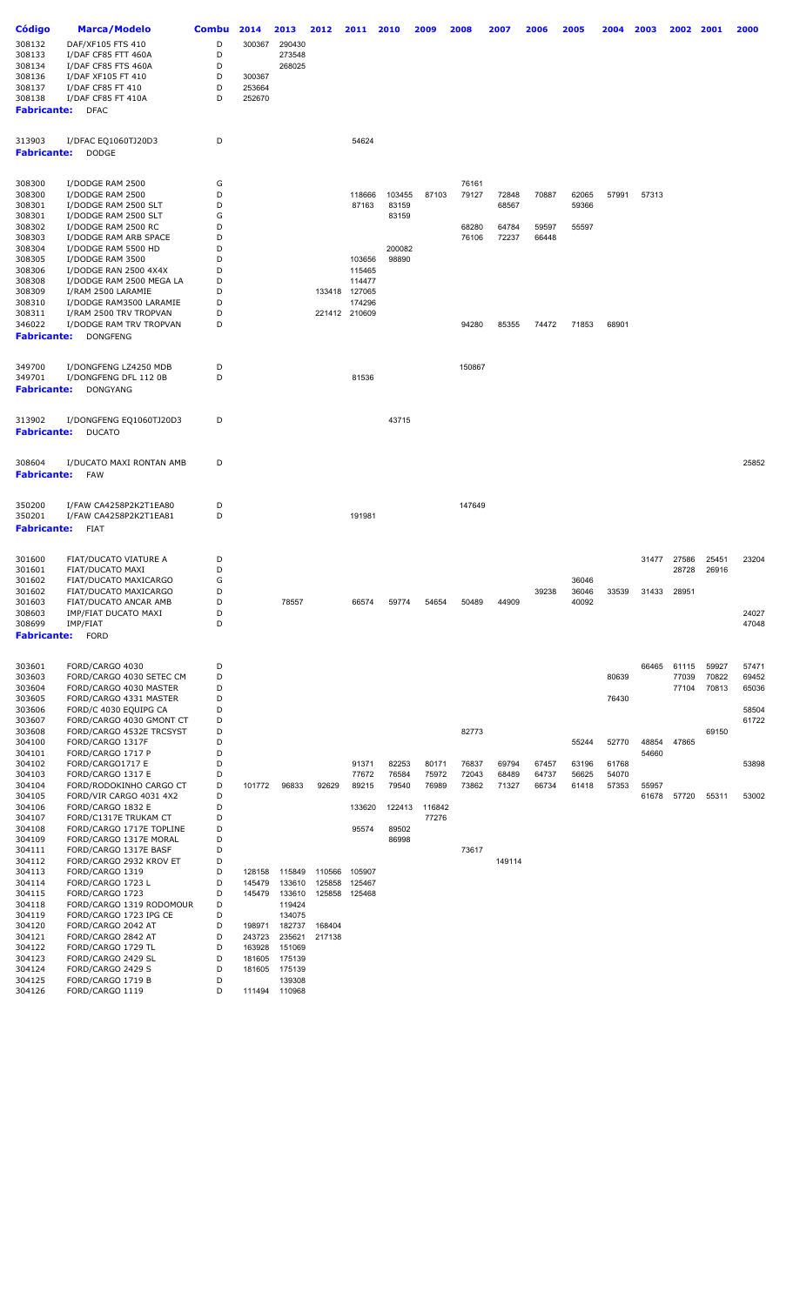| Código             | Marca/Modelo                                       | <b>Combu</b> | 2014             | 2013             | 2012   | 2011          | 2010            | 2009   | 2008   | 2007   | 2006  | 2005  | 2004  | 2003  | 2002  | 2001  | 2000  |
|--------------------|----------------------------------------------------|--------------|------------------|------------------|--------|---------------|-----------------|--------|--------|--------|-------|-------|-------|-------|-------|-------|-------|
|                    |                                                    |              |                  |                  |        |               |                 |        |        |        |       |       |       |       |       |       |       |
| 308132             | DAF/XF105 FTS 410                                  | D            | 300367           | 290430           |        |               |                 |        |        |        |       |       |       |       |       |       |       |
| 308133             | I/DAF CF85 FTT 460A                                | D            |                  | 273548           |        |               |                 |        |        |        |       |       |       |       |       |       |       |
| 308134             | I/DAF CF85 FTS 460A                                | D<br>D       |                  | 268025           |        |               |                 |        |        |        |       |       |       |       |       |       |       |
| 308136<br>308137   | I/DAF XF105 FT 410<br>I/DAF CF85 FT 410            | D            | 300367<br>253664 |                  |        |               |                 |        |        |        |       |       |       |       |       |       |       |
| 308138             | I/DAF CF85 FT 410A                                 | D            | 252670           |                  |        |               |                 |        |        |        |       |       |       |       |       |       |       |
| <b>Fabricante:</b> | <b>DFAC</b>                                        |              |                  |                  |        |               |                 |        |        |        |       |       |       |       |       |       |       |
|                    |                                                    |              |                  |                  |        |               |                 |        |        |        |       |       |       |       |       |       |       |
| 313903             | I/DFAC EQ1060TJ20D3                                | D            |                  |                  |        | 54624         |                 |        |        |        |       |       |       |       |       |       |       |
| <b>Fabricante:</b> | <b>DODGE</b>                                       |              |                  |                  |        |               |                 |        |        |        |       |       |       |       |       |       |       |
|                    |                                                    |              |                  |                  |        |               |                 |        |        |        |       |       |       |       |       |       |       |
| 308300             | I/DODGE RAM 2500                                   | G            |                  |                  |        |               |                 |        | 76161  |        |       |       |       |       |       |       |       |
| 308300             | I/DODGE RAM 2500                                   | D            |                  |                  |        | 118666        | 103455          | 87103  | 79127  | 72848  | 70887 | 62065 | 57991 | 57313 |       |       |       |
| 308301             | I/DODGE RAM 2500 SLT                               | D            |                  |                  |        | 87163         | 83159           |        |        | 68567  |       | 59366 |       |       |       |       |       |
| 308301             | I/DODGE RAM 2500 SLT                               | G            |                  |                  |        |               | 83159           |        |        |        |       |       |       |       |       |       |       |
| 308302             | I/DODGE RAM 2500 RC                                | D            |                  |                  |        |               |                 |        | 68280  | 64784  | 59597 | 55597 |       |       |       |       |       |
| 308303             | I/DODGE RAM ARB SPACE                              | D            |                  |                  |        |               |                 |        | 76106  | 72237  | 66448 |       |       |       |       |       |       |
| 308304<br>308305   | I/DODGE RAM 5500 HD<br>I/DODGE RAM 3500            | D<br>D       |                  |                  |        | 103656        | 200082<br>98890 |        |        |        |       |       |       |       |       |       |       |
| 308306             | I/DODGE RAN 2500 4X4X                              | D            |                  |                  |        | 115465        |                 |        |        |        |       |       |       |       |       |       |       |
| 308308             | I/DODGE RAM 2500 MEGA LA                           | D            |                  |                  |        | 114477        |                 |        |        |        |       |       |       |       |       |       |       |
| 308309             | I/RAM 2500 LARAMIE                                 | D            |                  |                  |        | 133418 127065 |                 |        |        |        |       |       |       |       |       |       |       |
| 308310             | I/DODGE RAM3500 LARAMIE                            | D            |                  |                  |        | 174296        |                 |        |        |        |       |       |       |       |       |       |       |
| 308311             | I/RAM 2500 TRV TROPVAN                             | D            |                  |                  |        | 221412 210609 |                 |        |        |        |       |       |       |       |       |       |       |
| 346022             | I/DODGE RAM TRV TROPVAN                            | D            |                  |                  |        |               |                 |        | 94280  | 85355  | 74472 | 71853 | 68901 |       |       |       |       |
| <b>Fabricante:</b> | <b>DONGFENG</b>                                    |              |                  |                  |        |               |                 |        |        |        |       |       |       |       |       |       |       |
|                    |                                                    |              |                  |                  |        |               |                 |        |        |        |       |       |       |       |       |       |       |
| 349700             | I/DONGFENG LZ4250 MDB                              | D            |                  |                  |        |               |                 |        | 150867 |        |       |       |       |       |       |       |       |
| 349701             | I/DONGFENG DFL 112 0B                              | D            |                  |                  |        | 81536         |                 |        |        |        |       |       |       |       |       |       |       |
| <b>Fabricante:</b> | <b>DONGYANG</b>                                    |              |                  |                  |        |               |                 |        |        |        |       |       |       |       |       |       |       |
|                    |                                                    |              |                  |                  |        |               |                 |        |        |        |       |       |       |       |       |       |       |
| 313902             | I/DONGFENG EQ1060TJ20D3                            | D            |                  |                  |        |               | 43715           |        |        |        |       |       |       |       |       |       |       |
| <b>Fabricante:</b> | <b>DUCATO</b>                                      |              |                  |                  |        |               |                 |        |        |        |       |       |       |       |       |       |       |
|                    |                                                    |              |                  |                  |        |               |                 |        |        |        |       |       |       |       |       |       |       |
| 308604             | I/DUCATO MAXI RONTAN AMB                           | D            |                  |                  |        |               |                 |        |        |        |       |       |       |       |       |       | 25852 |
| <b>Fabricante:</b> | FAW                                                |              |                  |                  |        |               |                 |        |        |        |       |       |       |       |       |       |       |
|                    |                                                    |              |                  |                  |        |               |                 |        |        |        |       |       |       |       |       |       |       |
| 350200             | I/FAW CA4258P2K2T1EA80                             | D            |                  |                  |        |               |                 |        | 147649 |        |       |       |       |       |       |       |       |
| 350201             | I/FAW CA4258P2K2T1EA81                             | D            |                  |                  |        | 191981        |                 |        |        |        |       |       |       |       |       |       |       |
| <b>Fabricante:</b> | FIAT                                               |              |                  |                  |        |               |                 |        |        |        |       |       |       |       |       |       |       |
|                    |                                                    |              |                  |                  |        |               |                 |        |        |        |       |       |       |       |       |       |       |
| 301600             | FIAT/DUCATO VIATURE A                              | D            |                  |                  |        |               |                 |        |        |        |       |       |       | 31477 | 27586 | 25451 | 23204 |
| 301601<br>301602   | FIAT/DUCATO MAXI<br>FIAT/DUCATO MAXICARGO          | D<br>G       |                  |                  |        |               |                 |        |        |        |       | 36046 |       |       | 28728 | 26916 |       |
| 301602             | FIAT/DUCATO MAXICARGO                              | D            |                  |                  |        |               |                 |        |        |        | 39238 | 36046 | 33539 | 31433 | 28951 |       |       |
| 301603             | FIAT/DUCATO ANCAR AMB                              |              |                  | 78557            |        | 66574         | 59774           | 54654  | 50489  | 44909  |       | 40092 |       |       |       |       |       |
| 308603             | IMP/FIAT DUCATO MAXI                               | D            |                  |                  |        |               |                 |        |        |        |       |       |       |       |       |       | 24027 |
| 308699             | IMP/FIAT                                           | D            |                  |                  |        |               |                 |        |        |        |       |       |       |       |       |       | 47048 |
| <b>Fabricante:</b> | <b>FORD</b>                                        |              |                  |                  |        |               |                 |        |        |        |       |       |       |       |       |       |       |
|                    |                                                    |              |                  |                  |        |               |                 |        |        |        |       |       |       |       |       |       |       |
| 303601             | FORD/CARGO 4030                                    | D            |                  |                  |        |               |                 |        |        |        |       |       |       | 66465 | 61115 | 59927 | 57471 |
| 303603             | FORD/CARGO 4030 SETEC CM                           | D            |                  |                  |        |               |                 |        |        |        |       |       | 80639 |       | 77039 | 70822 | 69452 |
| 303604             | FORD/CARGO 4030 MASTER                             | D            |                  |                  |        |               |                 |        |        |        |       |       |       |       | 77104 | 70813 | 65036 |
| 303605<br>303606   | FORD/CARGO 4331 MASTER<br>FORD/C 4030 EQUIPG CA    | D<br>D       |                  |                  |        |               |                 |        |        |        |       |       | 76430 |       |       |       | 58504 |
| 303607             | FORD/CARGO 4030 GMONT CT                           | D            |                  |                  |        |               |                 |        |        |        |       |       |       |       |       |       | 61722 |
| 303608             | FORD/CARGO 4532E TRCSYST                           | D            |                  |                  |        |               |                 |        | 82773  |        |       |       |       |       |       | 69150 |       |
| 304100             | FORD/CARGO 1317F                                   | D            |                  |                  |        |               |                 |        |        |        |       | 55244 | 52770 | 48854 | 47865 |       |       |
| 304101             | FORD/CARGO 1717 P                                  | D            |                  |                  |        |               |                 |        |        |        |       |       |       | 54660 |       |       |       |
| 304102             | FORD/CARGO1717 E                                   | D            |                  |                  |        | 91371         | 82253           | 80171  | 76837  | 69794  | 67457 | 63196 | 61768 |       |       |       | 53898 |
| 304103             | FORD/CARGO 1317 E                                  | D            |                  |                  |        | 77672         | 76584           | 75972  | 72043  | 68489  | 64737 | 56625 | 54070 |       |       |       |       |
| 304104<br>304105   | FORD/RODOKINHO CARGO CT<br>FORD/VIR CARGO 4031 4X2 | D<br>D       | 101772           | 96833            | 92629  | 89215         | 79540           | 76989  | 73862  | 71327  | 66734 | 61418 | 57353 | 55957 |       |       |       |
| 304106             | FORD/CARGO 1832 E                                  | D            |                  |                  |        | 133620        | 122413          | 116842 |        |        |       |       |       | 61678 | 57720 | 55311 | 53002 |
| 304107             | FORD/C1317E TRUKAM CT                              | D            |                  |                  |        |               |                 | 77276  |        |        |       |       |       |       |       |       |       |
| 304108             | FORD/CARGO 1717E TOPLINE                           | D            |                  |                  |        | 95574         | 89502           |        |        |        |       |       |       |       |       |       |       |
| 304109             | FORD/CARGO 1317E MORAL                             | D            |                  |                  |        |               | 86998           |        |        |        |       |       |       |       |       |       |       |
| 304111             | FORD/CARGO 1317E BASF                              | D            |                  |                  |        |               |                 |        | 73617  |        |       |       |       |       |       |       |       |
| 304112             | FORD/CARGO 2932 KROV ET                            | D            |                  |                  |        |               |                 |        |        | 149114 |       |       |       |       |       |       |       |
| 304113             | FORD/CARGO 1319                                    | D            | 128158           | 115849           | 110566 | 105907        |                 |        |        |        |       |       |       |       |       |       |       |
| 304114             | FORD/CARGO 1723 L                                  | D            | 145479           | 133610           | 125858 | 125467        |                 |        |        |        |       |       |       |       |       |       |       |
| 304115<br>304118   | FORD/CARGO 1723<br>FORD/CARGO 1319 RODOMOUR        | D<br>D       | 145479           | 133610<br>119424 | 125858 | 125468        |                 |        |        |        |       |       |       |       |       |       |       |
| 304119             | FORD/CARGO 1723 IPG CE                             | D            |                  | 134075           |        |               |                 |        |        |        |       |       |       |       |       |       |       |
| 304120             | FORD/CARGO 2042 AT                                 | D            | 198971           | 182737           | 168404 |               |                 |        |        |        |       |       |       |       |       |       |       |
| 304121             | FORD/CARGO 2842 AT                                 | D            | 243723           | 235621           | 217138 |               |                 |        |        |        |       |       |       |       |       |       |       |
| 304122             | FORD/CARGO 1729 TL                                 | D            | 163928           | 151069           |        |               |                 |        |        |        |       |       |       |       |       |       |       |
| 304123             | FORD/CARGO 2429 SL                                 | D            | 181605           | 175139           |        |               |                 |        |        |        |       |       |       |       |       |       |       |
| 304124             | FORD/CARGO 2429 S                                  | D            | 181605           | 175139           |        |               |                 |        |        |        |       |       |       |       |       |       |       |
| 304125<br>304126   | FORD/CARGO 1719 B<br>FORD/CARGO 1119               | D<br>D       | 111494           | 139308<br>110968 |        |               |                 |        |        |        |       |       |       |       |       |       |       |
|                    |                                                    |              |                  |                  |        |               |                 |        |        |        |       |       |       |       |       |       |       |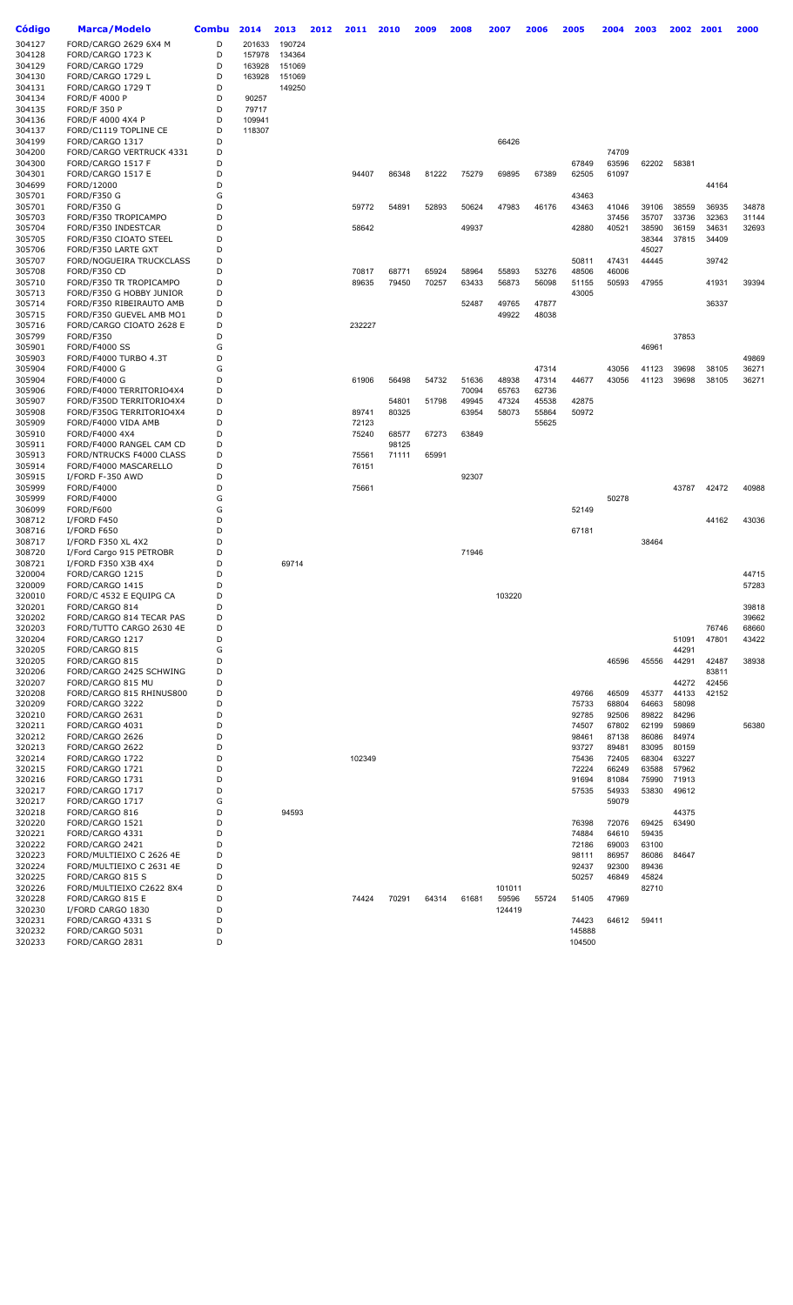| Código           | <b>Marca/Modelo</b>                                  | <b>Combu</b> | 2014   | 2013   | 2012 | 2011   | 2010  | 2009  | 2008  | 2007   | 2006  | 2005   | 2004           | 2003        | 2002           | 2001           | 2000  |
|------------------|------------------------------------------------------|--------------|--------|--------|------|--------|-------|-------|-------|--------|-------|--------|----------------|-------------|----------------|----------------|-------|
| 304127           | FORD/CARGO 2629 6X4 M                                | D            | 201633 | 190724 |      |        |       |       |       |        |       |        |                |             |                |                |       |
| 304128           | FORD/CARGO 1723 K                                    | D            | 157978 | 134364 |      |        |       |       |       |        |       |        |                |             |                |                |       |
| 304129           | FORD/CARGO 1729                                      | D            | 163928 | 151069 |      |        |       |       |       |        |       |        |                |             |                |                |       |
| 304130           | FORD/CARGO 1729 L                                    | D            | 163928 | 151069 |      |        |       |       |       |        |       |        |                |             |                |                |       |
| 304131           | FORD/CARGO 1729 T                                    | D            |        | 149250 |      |        |       |       |       |        |       |        |                |             |                |                |       |
| 304134           | <b>FORD/F 4000 P</b>                                 | D            | 90257  |        |      |        |       |       |       |        |       |        |                |             |                |                |       |
| 304135           | <b>FORD/F 350 P</b>                                  | D            | 79717  |        |      |        |       |       |       |        |       |        |                |             |                |                |       |
| 304136           | FORD/F 4000 4X4 P                                    | D            | 109941 |        |      |        |       |       |       |        |       |        |                |             |                |                |       |
| 304137           | FORD/C1119 TOPLINE CE                                | D            | 118307 |        |      |        |       |       |       |        |       |        |                |             |                |                |       |
| 304199           | FORD/CARGO 1317                                      | D            |        |        |      |        |       |       |       | 66426  |       |        |                |             |                |                |       |
| 304200           | FORD/CARGO VERTRUCK 4331                             | D            |        |        |      |        |       |       |       |        |       |        | 74709          |             |                |                |       |
| 304300           | FORD/CARGO 1517 F                                    | D            |        |        |      |        |       |       |       |        |       | 67849  | 63596          | 62202 58381 |                |                |       |
| 304301           | FORD/CARGO 1517 E                                    | D            |        |        |      | 94407  | 86348 | 81222 | 75279 | 69895  | 67389 | 62505  | 61097          |             |                |                |       |
| 304699           | FORD/12000                                           | D            |        |        |      |        |       |       |       |        |       |        |                |             |                | 44164          |       |
| 305701           | FORD/F350 G                                          | G            |        |        |      |        |       |       |       |        |       | 43463  |                |             |                |                |       |
| 305701           | FORD/F350 G                                          | D            |        |        |      | 59772  | 54891 | 52893 | 50624 | 47983  | 46176 | 43463  | 41046          | 39106       | 38559          | 36935          | 34878 |
| 305703           | FORD/F350 TROPICAMPO                                 | D            |        |        |      |        |       |       |       |        |       |        | 37456          | 35707       | 33736          | 32363          | 31144 |
| 305704           | FORD/F350 INDESTCAR                                  | D            |        |        |      | 58642  |       |       | 49937 |        |       | 42880  | 40521          | 38590       | 36159          | 34631          | 32693 |
| 305705           | FORD/F350 CIOATO STEEL                               | D            |        |        |      |        |       |       |       |        |       |        |                | 38344       | 37815          | 34409          |       |
| 305706           | FORD/F350 LARTE GXT                                  | D            |        |        |      |        |       |       |       |        |       |        |                | 45027       |                |                |       |
| 305707           | FORD/NOGUEIRA TRUCKCLASS                             | D<br>D       |        |        |      |        |       |       |       |        |       | 50811  | 47431<br>46006 | 44445       |                | 39742          |       |
| 305708           | FORD/F350 CD                                         |              |        |        |      | 70817  | 68771 | 65924 | 58964 | 55893  | 53276 | 48506  |                |             |                |                |       |
| 305710           | FORD/F350 TR TROPICAMPO                              | D<br>D       |        |        |      | 89635  | 79450 | 70257 | 63433 | 56873  | 56098 | 51155  | 50593          | 47955       |                | 41931          | 39394 |
| 305713<br>305714 | FORD/F350 G HOBBY JUNIOR<br>FORD/F350 RIBEIRAUTO AMB | D            |        |        |      |        |       |       | 52487 | 49765  | 47877 | 43005  |                |             |                | 36337          |       |
| 305715           |                                                      | D            |        |        |      |        |       |       |       | 49922  | 48038 |        |                |             |                |                |       |
| 305716           | FORD/F350 GUEVEL AMB MO1<br>FORD/CARGO CIOATO 2628 E | D            |        |        |      | 232227 |       |       |       |        |       |        |                |             |                |                |       |
| 305799           | FORD/F350                                            | D            |        |        |      |        |       |       |       |        |       |        |                |             | 37853          |                |       |
| 305901           | <b>FORD/F4000 SS</b>                                 | G            |        |        |      |        |       |       |       |        |       |        |                | 46961       |                |                |       |
| 305903           | FORD/F4000 TURBO 4.3T                                | D            |        |        |      |        |       |       |       |        |       |        |                |             |                |                | 49869 |
| 305904           | <b>FORD/F4000 G</b>                                  | G            |        |        |      |        |       |       |       |        | 47314 |        | 43056          | 41123       | 39698          | 38105          | 36271 |
| 305904           | <b>FORD/F4000 G</b>                                  | D            |        |        |      | 61906  | 56498 | 54732 | 51636 | 48938  | 47314 | 44677  | 43056          | 41123       | 39698          | 38105          | 36271 |
| 305906           | FORD/F4000 TERRITORIO4X4                             | D            |        |        |      |        |       |       | 70094 | 65763  | 62736 |        |                |             |                |                |       |
| 305907           | FORD/F350D TERRITORIO4X4                             | D            |        |        |      |        | 54801 | 51798 | 49945 | 47324  | 45538 | 42875  |                |             |                |                |       |
| 305908           | FORD/F350G TERRITORIO4X4                             | D            |        |        |      | 89741  | 80325 |       | 63954 | 58073  | 55864 | 50972  |                |             |                |                |       |
| 305909           | FORD/F4000 VIDA AMB                                  | D            |        |        |      | 72123  |       |       |       |        | 55625 |        |                |             |                |                |       |
| 305910           | FORD/F4000 4X4                                       | D            |        |        |      | 75240  | 68577 | 67273 | 63849 |        |       |        |                |             |                |                |       |
| 305911           | FORD/F4000 RANGEL CAM CD                             | D            |        |        |      |        | 98125 |       |       |        |       |        |                |             |                |                |       |
| 305913           | FORD/NTRUCKS F4000 CLASS                             | D            |        |        |      | 75561  | 71111 | 65991 |       |        |       |        |                |             |                |                |       |
| 305914           | FORD/F4000 MASCARELLO                                | D            |        |        |      | 76151  |       |       |       |        |       |        |                |             |                |                |       |
| 305915           | I/FORD F-350 AWD                                     | D            |        |        |      |        |       |       | 92307 |        |       |        |                |             |                |                |       |
| 305999           | FORD/F4000                                           | D            |        |        |      | 75661  |       |       |       |        |       |        |                |             | 43787          | 42472          | 40988 |
| 305999           | FORD/F4000                                           | G            |        |        |      |        |       |       |       |        |       |        | 50278          |             |                |                |       |
| 306099           | FORD/F600                                            | G            |        |        |      |        |       |       |       |        |       | 52149  |                |             |                |                |       |
| 308712           | I/FORD F450                                          | D            |        |        |      |        |       |       |       |        |       |        |                |             |                | 44162          | 43036 |
| 308716           | I/FORD F650                                          | D            |        |        |      |        |       |       |       |        |       | 67181  |                |             |                |                |       |
| 308717           | I/FORD F350 XL 4X2                                   | D            |        |        |      |        |       |       |       |        |       |        |                | 38464       |                |                |       |
| 308720           | I/Ford Cargo 915 PETROBR                             | D            |        |        |      |        |       |       | 71946 |        |       |        |                |             |                |                |       |
| 308721           | I/FORD F350 X3B 4X4                                  | D            |        | 69714  |      |        |       |       |       |        |       |        |                |             |                |                |       |
| 320004           | FORD/CARGO 1215                                      | D            |        |        |      |        |       |       |       |        |       |        |                |             |                |                | 44715 |
| 320009           | FORD/CARGO 1415                                      | D            |        |        |      |        |       |       |       |        |       |        |                |             |                |                | 57283 |
| 320010           | FORD/C 4532 E EQUIPG CA                              | D            |        |        |      |        |       |       |       | 103220 |       |        |                |             |                |                |       |
| 320201           | FORD/CARGO 814                                       | D            |        |        |      |        |       |       |       |        |       |        |                |             |                |                | 39818 |
| 320202           | FORD/CARGO 814 TECAR PAS                             | D            |        |        |      |        |       |       |       |        |       |        |                |             |                |                | 39662 |
| 320203           | FORD/TUTTO CARGO 2630 4E                             | D            |        |        |      |        |       |       |       |        |       |        |                |             |                | 76746          | 68660 |
| 320204           | FORD/CARGO 1217                                      | D            |        |        |      |        |       |       |       |        |       |        |                |             | 51091          | 47801          | 43422 |
| 320205           | FORD/CARGO 815                                       | G            |        |        |      |        |       |       |       |        |       |        |                |             | 44291          |                |       |
| 320205           | FORD/CARGO 815                                       | D            |        |        |      |        |       |       |       |        |       |        | 46596          | 45556       | 44291          | 42487          | 38938 |
| 320206           | FORD/CARGO 2425 SCHWING<br>FORD/CARGO 815 MU         | D<br>D       |        |        |      |        |       |       |       |        |       |        |                |             |                | 83811          |       |
| 320207<br>320208 | FORD/CARGO 815 RHINUS800                             | D            |        |        |      |        |       |       |       |        |       | 49766  | 46509          | 45377       | 44272<br>44133 | 42456<br>42152 |       |
| 320209           | FORD/CARGO 3222                                      | D            |        |        |      |        |       |       |       |        |       | 75733  | 68804          | 64663       | 58098          |                |       |
| 320210           | FORD/CARGO 2631                                      | D            |        |        |      |        |       |       |       |        |       | 92785  | 92506          | 89822       | 84296          |                |       |
| 320211           | FORD/CARGO 4031                                      | D            |        |        |      |        |       |       |       |        |       | 74507  | 67802          | 62199       | 59869          |                | 56380 |
| 320212           | FORD/CARGO 2626                                      | D            |        |        |      |        |       |       |       |        |       | 98461  | 87138          | 86086       | 84974          |                |       |
| 320213           | FORD/CARGO 2622                                      | D            |        |        |      |        |       |       |       |        |       | 93727  | 89481          | 83095       | 80159          |                |       |
| 320214           | FORD/CARGO 1722                                      | D            |        |        |      | 102349 |       |       |       |        |       | 75436  | 72405          | 68304       | 63227          |                |       |
| 320215           | FORD/CARGO 1721                                      | D            |        |        |      |        |       |       |       |        |       | 72224  | 66249          | 63588       | 57962          |                |       |
| 320216           | FORD/CARGO 1731                                      | D            |        |        |      |        |       |       |       |        |       | 91694  | 81084          | 75990       | 71913          |                |       |
| 320217           | FORD/CARGO 1717                                      | D            |        |        |      |        |       |       |       |        |       | 57535  | 54933          | 53830       | 49612          |                |       |
| 320217           | FORD/CARGO 1717                                      | G            |        |        |      |        |       |       |       |        |       |        | 59079          |             |                |                |       |
| 320218           | FORD/CARGO 816                                       | D            |        | 94593  |      |        |       |       |       |        |       |        |                |             | 44375          |                |       |
| 320220           | FORD/CARGO 1521                                      | D            |        |        |      |        |       |       |       |        |       | 76398  | 72076          | 69425       | 63490          |                |       |
| 320221           | FORD/CARGO 4331                                      | D            |        |        |      |        |       |       |       |        |       | 74884  | 64610          | 59435       |                |                |       |
| 320222           | FORD/CARGO 2421                                      | D            |        |        |      |        |       |       |       |        |       | 72186  | 69003          | 63100       |                |                |       |
| 320223           | FORD/MULTIEIXO C 2626 4E                             | D            |        |        |      |        |       |       |       |        |       | 98111  | 86957          | 86086       | 84647          |                |       |
| 320224           | FORD/MULTIEIXO C 2631 4E                             | D            |        |        |      |        |       |       |       |        |       | 92437  | 92300          | 89436       |                |                |       |
| 320225           | FORD/CARGO 815 S                                     | D            |        |        |      |        |       |       |       |        |       | 50257  | 46849          | 45824       |                |                |       |
| 320226           | FORD/MULTIEIXO C2622 8X4                             | D            |        |        |      |        |       |       |       | 101011 |       |        |                | 82710       |                |                |       |
| 320228           | FORD/CARGO 815 E                                     | D            |        |        |      | 74424  | 70291 | 64314 | 61681 | 59596  | 55724 | 51405  | 47969          |             |                |                |       |
| 320230           | I/FORD CARGO 1830                                    | D            |        |        |      |        |       |       |       | 124419 |       |        |                |             |                |                |       |
| 320231           | FORD/CARGO 4331 S                                    | D            |        |        |      |        |       |       |       |        |       | 74423  | 64612          | 59411       |                |                |       |
| 320232           | FORD/CARGO 5031                                      | D            |        |        |      |        |       |       |       |        |       | 145888 |                |             |                |                |       |
| 320233           | FORD/CARGO 2831                                      | D            |        |        |      |        |       |       |       |        |       | 104500 |                |             |                |                |       |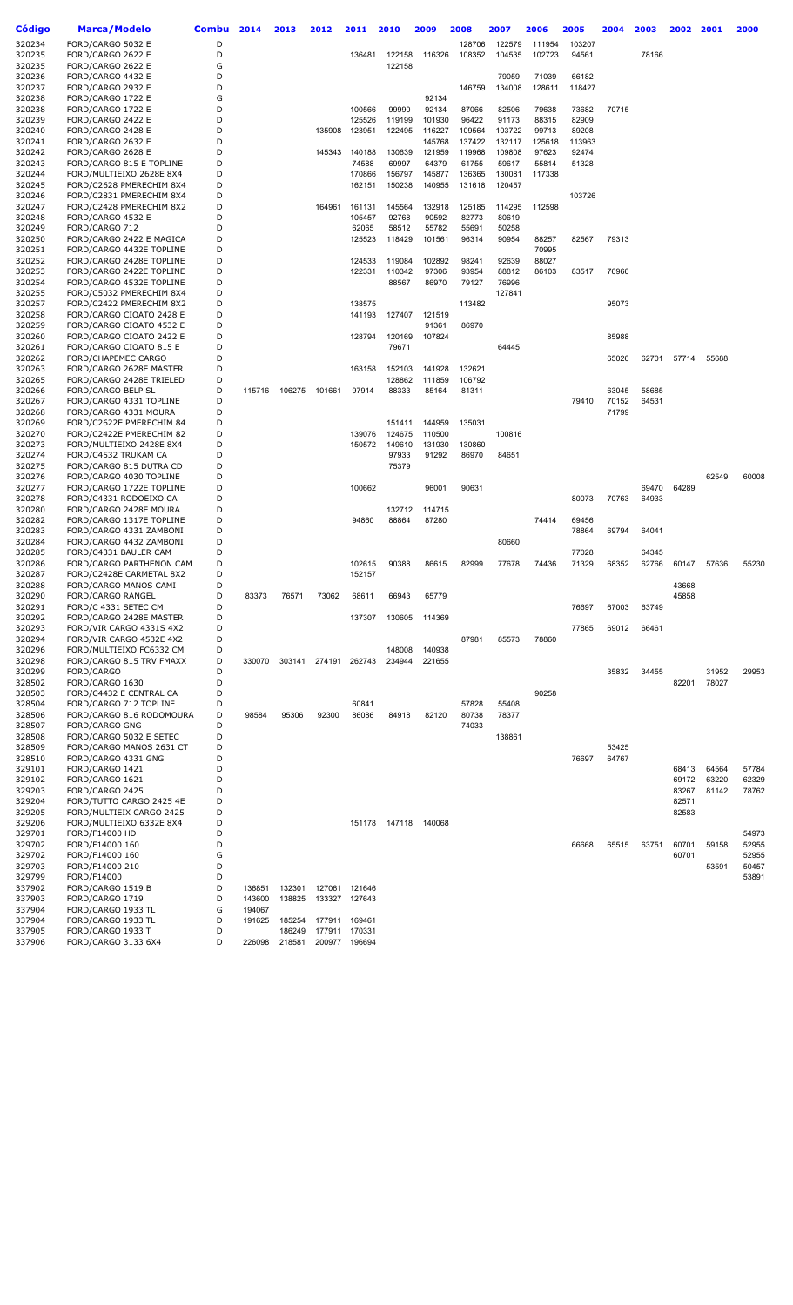| Código           | Marca/Modelo                  | <b>Combu</b> | 2014   | 2013   | 2012   | 2011          | 2010          | 2009   | 2008   | 2007   | 2006   | 2005   | 2004  | 2003  | 2002  | 2001           | 2000  |
|------------------|-------------------------------|--------------|--------|--------|--------|---------------|---------------|--------|--------|--------|--------|--------|-------|-------|-------|----------------|-------|
| 320234           | FORD/CARGO 5032 E             | D            |        |        |        |               |               |        | 128706 | 122579 | 111954 | 103207 |       |       |       |                |       |
| 320235           | FORD/CARGO 2622 E             | D            |        |        |        | 136481        | 122158        | 116326 | 108352 | 104535 | 102723 | 94561  |       | 78166 |       |                |       |
| 320235           | FORD/CARGO 2622 E             | G            |        |        |        |               | 122158        |        |        |        |        |        |       |       |       |                |       |
| 320236           | FORD/CARGO 4432 E             | D            |        |        |        |               |               |        |        | 79059  | 71039  | 66182  |       |       |       |                |       |
| 320237           | FORD/CARGO 2932 E             | D            |        |        |        |               |               |        | 146759 | 134008 | 128611 | 118427 |       |       |       |                |       |
| 320238           | FORD/CARGO 1722 E             | G            |        |        |        |               |               | 92134  |        |        |        |        |       |       |       |                |       |
| 320238           | FORD/CARGO 1722 E             | D            |        |        |        | 100566        | 99990         | 92134  | 87066  | 82506  | 79638  | 73682  | 70715 |       |       |                |       |
| 320239           | FORD/CARGO 2422 E             | D            |        |        |        | 125526        | 119199        | 101930 | 96422  | 91173  | 88315  | 82909  |       |       |       |                |       |
| 320240           | FORD/CARGO 2428 E             | D            |        |        | 135908 | 123951        | 122495        | 116227 | 109564 | 103722 | 99713  | 89208  |       |       |       |                |       |
| 320241           | FORD/CARGO 2632 E             | D            |        |        |        |               |               | 145768 | 137422 | 132117 | 125618 | 113963 |       |       |       |                |       |
| 320242           | FORD/CARGO 2628 E             | D            |        |        | 145343 | 140188        | 130639        | 121959 | 119968 | 109808 | 97623  | 92474  |       |       |       |                |       |
| 320243           | FORD/CARGO 815 E TOPLINE      | D            |        |        |        | 74588         | 69997         | 64379  | 61755  | 59617  | 55814  | 51328  |       |       |       |                |       |
| 320244           | FORD/MULTIEIXO 2628E 8X4      | D            |        |        |        | 170866        | 156797        | 145877 | 136365 | 130081 | 117338 |        |       |       |       |                |       |
| 320245           | FORD/C2628 PMERECHIM 8X4      | D            |        |        |        | 162151        | 150238        | 140955 | 131618 | 120457 |        |        |       |       |       |                |       |
| 320246           | FORD/C2831 PMERECHIM 8X4      | D            |        |        |        |               |               |        |        |        |        | 103726 |       |       |       |                |       |
| 320247           | FORD/C2428 PMERECHIM 8X2      | D            |        |        | 164961 | 161131        | 145564        | 132918 | 125185 | 114295 | 112598 |        |       |       |       |                |       |
| 320248           | FORD/CARGO 4532 E             | D            |        |        |        | 105457        | 92768         | 90592  | 82773  | 80619  |        |        |       |       |       |                |       |
| 320249           | FORD/CARGO 712                | D            |        |        |        | 62065         | 58512         | 55782  | 55691  | 50258  |        |        |       |       |       |                |       |
| 320250           | FORD/CARGO 2422 E MAGICA      | D            |        |        |        | 125523        | 118429        | 101561 | 96314  | 90954  | 88257  | 82567  | 79313 |       |       |                |       |
| 320251           | FORD/CARGO 4432E TOPLINE      | D            |        |        |        |               |               |        |        |        | 70995  |        |       |       |       |                |       |
| 320252           | FORD/CARGO 2428E TOPLINE      | D            |        |        |        | 124533        | 119084        | 102892 | 98241  | 92639  | 88027  |        |       |       |       |                |       |
| 320253           | FORD/CARGO 2422E TOPLINE      | D            |        |        |        | 122331        | 110342        | 97306  | 93954  | 88812  | 86103  | 83517  | 76966 |       |       |                |       |
| 320254           | FORD/CARGO 4532E TOPLINE      | D            |        |        |        |               | 88567         | 86970  | 79127  | 76996  |        |        |       |       |       |                |       |
| 320255           | FORD/C5032 PMERECHIM 8X4      | D            |        |        |        |               |               |        |        | 127841 |        |        |       |       |       |                |       |
| 320257           | FORD/C2422 PMERECHIM 8X2      | D            |        |        |        | 138575        |               |        | 113482 |        |        |        | 95073 |       |       |                |       |
| 320258           | FORD/CARGO CIOATO 2428 E      | D            |        |        |        | 141193        | 127407        | 121519 |        |        |        |        |       |       |       |                |       |
| 320259           | FORD/CARGO CIOATO 4532 E      | D            |        |        |        |               |               | 91361  | 86970  |        |        |        |       |       |       |                |       |
| 320260           | FORD/CARGO CIOATO 2422 E      | D            |        |        |        | 128794        | 120169        | 107824 |        |        |        |        | 85988 |       |       |                |       |
| 320261           | FORD/CARGO CIOATO 815 E       | D            |        |        |        |               | 79671         |        |        | 64445  |        |        |       |       |       |                |       |
| 320262           | <b>FORD/CHAPEMEC CARGO</b>    | D            |        |        |        |               |               |        |        |        |        |        | 65026 | 62701 | 57714 | 55688          |       |
| 320263           | FORD/CARGO 2628E MASTER       | D            |        |        |        | 163158        | 152103        | 141928 | 132621 |        |        |        |       |       |       |                |       |
| 320265           | FORD/CARGO 2428E TRIELED      | D            |        |        |        |               | 128862        | 111859 | 106792 |        |        |        |       |       |       |                |       |
| 320266           | FORD/CARGO BELP SL            | D            | 115716 | 106275 | 101661 | 97914         | 88333         | 85164  | 81311  |        |        |        | 63045 | 58685 |       |                |       |
| 320267           | FORD/CARGO 4331 TOPLINE       | D            |        |        |        |               |               |        |        |        |        | 79410  | 70152 | 64531 |       |                |       |
| 320268           | FORD/CARGO 4331 MOURA         | D            |        |        |        |               |               |        |        |        |        |        | 71799 |       |       |                |       |
| 320269           | FORD/C2622E PMERECHIM 84      | D            |        |        |        |               | 151411        | 144959 | 135031 |        |        |        |       |       |       |                |       |
| 320270           | FORD/C2422E PMERECHIM 82      | D            |        |        |        | 139076        | 124675        | 110500 |        | 100816 |        |        |       |       |       |                |       |
| 320273           | FORD/MULTIEIXO 2428E 8X4      | D            |        |        |        | 150572        | 149610        | 131930 | 130860 |        |        |        |       |       |       |                |       |
| 320274           | FORD/C4532 TRUKAM CA          | D            |        |        |        |               | 97933         | 91292  | 86970  | 84651  |        |        |       |       |       |                |       |
| 320275           | FORD/CARGO 815 DUTRA CD       | D            |        |        |        |               | 75379         |        |        |        |        |        |       |       |       |                |       |
| 320276           | FORD/CARGO 4030 TOPLINE       | D            |        |        |        |               |               |        |        |        |        |        |       |       |       | 62549          | 60008 |
| 320277           | FORD/CARGO 1722E TOPLINE      | D            |        |        |        | 100662        |               | 96001  | 90631  |        |        |        |       | 69470 | 64289 |                |       |
| 320278           | FORD/C4331 RODOEIXO CA        | D            |        |        |        |               |               |        |        |        |        | 80073  | 70763 | 64933 |       |                |       |
| 320280           | FORD/CARGO 2428E MOURA        | D            |        |        |        |               | 132712        | 114715 |        |        |        |        |       |       |       |                |       |
| 320282           | FORD/CARGO 1317E TOPLINE      | D            |        |        |        | 94860         | 88864         | 87280  |        |        | 74414  | 69456  |       |       |       |                |       |
| 320283           | FORD/CARGO 4331 ZAMBONI       | D            |        |        |        |               |               |        |        |        |        | 78864  | 69794 | 64041 |       |                |       |
| 320284           | FORD/CARGO 4432 ZAMBONI       | D            |        |        |        |               |               |        |        | 80660  |        |        |       |       |       |                |       |
| 320285           | FORD/C4331 BAULER CAM         | D            |        |        |        |               |               |        |        |        |        | 77028  |       | 64345 |       |                |       |
| 320286           | FORD/CARGO PARTHENON CAM      | D            |        |        |        | 102615        | 90388         | 86615  | 82999  | 77678  | 74436  | 71329  | 68352 | 62766 | 60147 | 57636          | 55230 |
| 320287           | FORD/C2428E CARMETAL 8X2      | D            |        |        |        | 152157        |               |        |        |        |        |        |       |       |       |                |       |
| 320288           | FORD/CARGO MANOS CAMI         | D<br>D       |        |        |        |               |               |        |        |        |        |        |       |       | 43668 |                |       |
| 320290           | FORD/CARGO RANGEL             |              | 83373  | 76571  | 73062  | 68611         | 66943         | 65779  |        |        |        |        |       |       | 45858 |                |       |
| 320291           | FORD/C 4331 SETEC CM          | D            |        |        |        |               |               |        |        |        |        | 76697  | 67003 | 63749 |       |                |       |
| 320292           | FORD/CARGO 2428E MASTER       | D            |        |        |        | 137307        | 130605        | 114369 |        |        |        |        |       |       |       |                |       |
| 320293           | FORD/VIR CARGO 4331S 4X2      | D            |        |        |        |               |               |        |        |        |        | 77865  | 69012 | 66461 |       |                |       |
| 320294           | FORD/VIR CARGO 4532E 4X2      | D            |        |        |        |               |               |        | 87981  | 85573  | 78860  |        |       |       |       |                |       |
| 320296           | FORD/MULTIEIXO FC6332 CM      | D            |        |        |        |               | 148008        | 140938 |        |        |        |        |       |       |       |                |       |
| 320298           | FORD/CARGO 815 TRV FMAXX      | D<br>D       | 330070 | 303141 |        | 274191 262743 | 234944        | 221655 |        |        |        |        |       |       |       |                |       |
| 320299<br>328502 | FORD/CARGO<br>FORD/CARGO 1630 | D            |        |        |        |               |               |        |        |        |        |        | 35832 | 34455 | 82201 | 31952<br>78027 | 29953 |
|                  | FORD/C4432 E CENTRAL CA       | D            |        |        |        |               |               |        |        |        | 90258  |        |       |       |       |                |       |
| 328503<br>328504 | FORD/CARGO 712 TOPLINE        | D            |        |        |        | 60841         |               |        | 57828  | 55408  |        |        |       |       |       |                |       |
| 328506           | FORD/CARGO 816 RODOMOURA      | D            | 98584  | 95306  | 92300  | 86086         | 84918         | 82120  | 80738  | 78377  |        |        |       |       |       |                |       |
| 328507           | <b>FORD/CARGO GNG</b>         | D            |        |        |        |               |               |        | 74033  |        |        |        |       |       |       |                |       |
| 328508           | FORD/CARGO 5032 E SETEC       | D            |        |        |        |               |               |        |        | 138861 |        |        |       |       |       |                |       |
| 328509           | FORD/CARGO MANOS 2631 CT      | D            |        |        |        |               |               |        |        |        |        |        | 53425 |       |       |                |       |
| 328510           | FORD/CARGO 4331 GNG           | D            |        |        |        |               |               |        |        |        |        | 76697  | 64767 |       |       |                |       |
| 329101           | FORD/CARGO 1421               | D            |        |        |        |               |               |        |        |        |        |        |       |       | 68413 | 64564          | 57784 |
| 329102           | FORD/CARGO 1621               | D            |        |        |        |               |               |        |        |        |        |        |       |       | 69172 | 63220          | 62329 |
| 329203           | FORD/CARGO 2425               | D            |        |        |        |               |               |        |        |        |        |        |       |       | 83267 | 81142          | 78762 |
| 329204           | FORD/TUTTO CARGO 2425 4E      | D            |        |        |        |               |               |        |        |        |        |        |       |       | 82571 |                |       |
| 329205           | FORD/MULTIEIX CARGO 2425      | D            |        |        |        |               |               |        |        |        |        |        |       |       | 82583 |                |       |
| 329206           | FORD/MULTIEIXO 6332E 8X4      | D            |        |        |        |               | 151178 147118 | 140068 |        |        |        |        |       |       |       |                |       |
| 329701           | FORD/F14000 HD                | D            |        |        |        |               |               |        |        |        |        |        |       |       |       |                | 54973 |
| 329702           | FORD/F14000 160               | D            |        |        |        |               |               |        |        |        |        | 66668  | 65515 | 63751 | 60701 | 59158          | 52955 |
| 329702           | FORD/F14000 160               | G            |        |        |        |               |               |        |        |        |        |        |       |       | 60701 |                | 52955 |
| 329703           | FORD/F14000 210               | D            |        |        |        |               |               |        |        |        |        |        |       |       |       | 53591          | 50457 |
| 329799           | FORD/F14000                   | D            |        |        |        |               |               |        |        |        |        |        |       |       |       |                | 53891 |
| 337902           | FORD/CARGO 1519 B             | D            | 136851 | 132301 | 127061 | 121646        |               |        |        |        |        |        |       |       |       |                |       |
| 337903           | FORD/CARGO 1719               | D            | 143600 | 138825 |        | 133327 127643 |               |        |        |        |        |        |       |       |       |                |       |
| 337904           | FORD/CARGO 1933 TL            | G            | 194067 |        |        |               |               |        |        |        |        |        |       |       |       |                |       |
| 337904           | FORD/CARGO 1933 TL            | D            | 191625 | 185254 | 177911 | 169461        |               |        |        |        |        |        |       |       |       |                |       |
| 337905           | FORD/CARGO 1933 T             | D            |        | 186249 | 177911 | 170331        |               |        |        |        |        |        |       |       |       |                |       |
| 337906           | FORD/CARGO 3133 6X4           | D            | 226098 | 218581 |        | 200977 196694 |               |        |        |        |        |        |       |       |       |                |       |
|                  |                               |              |        |        |        |               |               |        |        |        |        |        |       |       |       |                |       |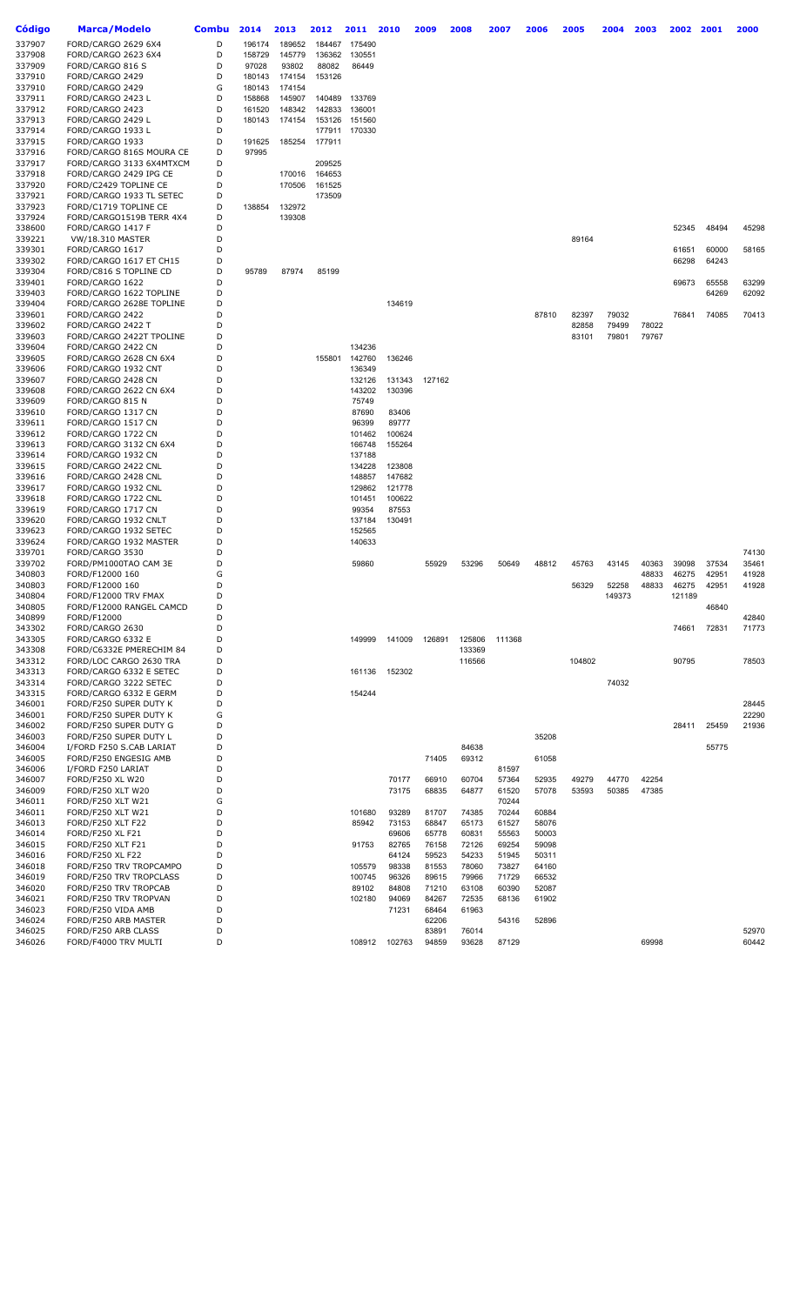| Código           | Marca/Modelo                                       | Combu  | 2014   | 2013   | 2012   | 2011   | 2010   | 2009   | 2008   | 2007   | 2006  | 2005   | 2004   | 2003  | 2002   | 2001  | 2000  |
|------------------|----------------------------------------------------|--------|--------|--------|--------|--------|--------|--------|--------|--------|-------|--------|--------|-------|--------|-------|-------|
| 337907           | FORD/CARGO 2629 6X4                                | D      | 196174 | 189652 | 184467 | 175490 |        |        |        |        |       |        |        |       |        |       |       |
| 337908           | FORD/CARGO 2623 6X4                                | D      | 158729 | 145779 | 136362 | 130551 |        |        |        |        |       |        |        |       |        |       |       |
| 337909           | FORD/CARGO 816 S                                   | D      | 97028  | 93802  | 88082  | 86449  |        |        |        |        |       |        |        |       |        |       |       |
| 337910           | FORD/CARGO 2429                                    | D      | 180143 | 174154 | 153126 |        |        |        |        |        |       |        |        |       |        |       |       |
| 337910           | FORD/CARGO 2429                                    | G      | 180143 | 174154 |        |        |        |        |        |        |       |        |        |       |        |       |       |
| 337911           | FORD/CARGO 2423 L                                  | D      | 158868 | 145907 | 140489 | 133769 |        |        |        |        |       |        |        |       |        |       |       |
| 337912           | FORD/CARGO 2423                                    | D      | 161520 | 148342 | 142833 | 136001 |        |        |        |        |       |        |        |       |        |       |       |
| 337913           | FORD/CARGO 2429 L                                  | D      | 180143 | 174154 | 153126 | 151560 |        |        |        |        |       |        |        |       |        |       |       |
| 337914           | FORD/CARGO 1933 L                                  | D      |        |        | 177911 | 170330 |        |        |        |        |       |        |        |       |        |       |       |
| 337915           | FORD/CARGO 1933                                    | D      | 191625 | 185254 | 177911 |        |        |        |        |        |       |        |        |       |        |       |       |
| 337916           | FORD/CARGO 816S MOURA CE                           | D      | 97995  |        |        |        |        |        |        |        |       |        |        |       |        |       |       |
| 337917           | FORD/CARGO 3133 6X4MTXCM                           | D      |        |        | 209525 |        |        |        |        |        |       |        |        |       |        |       |       |
| 337918           | FORD/CARGO 2429 IPG CE                             | D      |        | 170016 | 164653 |        |        |        |        |        |       |        |        |       |        |       |       |
| 337920           | FORD/C2429 TOPLINE CE                              | D      |        | 170506 | 161525 |        |        |        |        |        |       |        |        |       |        |       |       |
| 337921           | FORD/CARGO 1933 TL SETEC                           | D      |        |        | 173509 |        |        |        |        |        |       |        |        |       |        |       |       |
| 337923           | FORD/C1719 TOPLINE CE                              | D      | 138854 | 132972 |        |        |        |        |        |        |       |        |        |       |        |       |       |
| 337924           | FORD/CARGO1519B TERR 4X4                           | D      |        | 139308 |        |        |        |        |        |        |       |        |        |       |        |       |       |
| 338600           | FORD/CARGO 1417 F                                  | D      |        |        |        |        |        |        |        |        |       |        |        |       | 52345  | 48494 | 45298 |
| 339221           | <b>VW/18.310 MASTER</b>                            | D      |        |        |        |        |        |        |        |        |       | 89164  |        |       |        |       |       |
| 339301           | FORD/CARGO 1617                                    | D      |        |        |        |        |        |        |        |        |       |        |        |       | 61651  | 60000 | 58165 |
| 339302           | FORD/CARGO 1617 ET CH15                            | D      |        |        |        |        |        |        |        |        |       |        |        |       | 66298  | 64243 |       |
| 339304           | FORD/C816 S TOPLINE CD                             | D      | 95789  | 87974  | 85199  |        |        |        |        |        |       |        |        |       |        |       |       |
| 339401           | FORD/CARGO 1622                                    | D      |        |        |        |        |        |        |        |        |       |        |        |       | 69673  | 65558 | 63299 |
| 339403           | FORD/CARGO 1622 TOPLINE                            | D      |        |        |        |        |        |        |        |        |       |        |        |       |        | 64269 | 62092 |
| 339404           | FORD/CARGO 2628E TOPLINE                           | D      |        |        |        |        | 134619 |        |        |        |       |        |        |       |        |       |       |
| 339601           | FORD/CARGO 2422                                    | D      |        |        |        |        |        |        |        |        | 87810 | 82397  | 79032  |       | 76841  | 74085 | 70413 |
| 339602           | FORD/CARGO 2422 T                                  | D      |        |        |        |        |        |        |        |        |       | 82858  | 79499  | 78022 |        |       |       |
| 339603           | FORD/CARGO 2422T TPOLINE                           | D      |        |        |        |        |        |        |        |        |       | 83101  | 79801  | 79767 |        |       |       |
| 339604           | FORD/CARGO 2422 CN                                 | D      |        |        |        | 134236 |        |        |        |        |       |        |        |       |        |       |       |
| 339605           | FORD/CARGO 2628 CN 6X4                             | D      |        |        | 155801 | 142760 | 136246 |        |        |        |       |        |        |       |        |       |       |
| 339606           | FORD/CARGO 1932 CNT                                | D      |        |        |        | 136349 |        |        |        |        |       |        |        |       |        |       |       |
| 339607           | FORD/CARGO 2428 CN                                 | D      |        |        |        | 132126 | 131343 | 127162 |        |        |       |        |        |       |        |       |       |
| 339608           | FORD/CARGO 2622 CN 6X4                             | D      |        |        |        | 143202 | 130396 |        |        |        |       |        |        |       |        |       |       |
| 339609           | FORD/CARGO 815 N                                   | D      |        |        |        | 75749  |        |        |        |        |       |        |        |       |        |       |       |
| 339610           | FORD/CARGO 1317 CN                                 | D      |        |        |        | 87690  | 83406  |        |        |        |       |        |        |       |        |       |       |
| 339611           | FORD/CARGO 1517 CN                                 | D      |        |        |        | 96399  | 89777  |        |        |        |       |        |        |       |        |       |       |
| 339612           | FORD/CARGO 1722 CN                                 | D      |        |        |        | 101462 | 100624 |        |        |        |       |        |        |       |        |       |       |
| 339613           | FORD/CARGO 3132 CN 6X4                             | D      |        |        |        | 166748 | 155264 |        |        |        |       |        |        |       |        |       |       |
| 339614           | FORD/CARGO 1932 CN                                 | D      |        |        |        | 137188 |        |        |        |        |       |        |        |       |        |       |       |
| 339615           | FORD/CARGO 2422 CNL                                | D      |        |        |        | 134228 | 123808 |        |        |        |       |        |        |       |        |       |       |
| 339616           | FORD/CARGO 2428 CNL                                | D      |        |        |        | 148857 | 147682 |        |        |        |       |        |        |       |        |       |       |
| 339617           | FORD/CARGO 1932 CNL                                | D      |        |        |        | 129862 | 121778 |        |        |        |       |        |        |       |        |       |       |
| 339618           | FORD/CARGO 1722 CNL                                | D      |        |        |        | 101451 | 100622 |        |        |        |       |        |        |       |        |       |       |
| 339619           | FORD/CARGO 1717 CN                                 | D      |        |        |        | 99354  | 87553  |        |        |        |       |        |        |       |        |       |       |
| 339620           | FORD/CARGO 1932 CNLT                               | D      |        |        |        | 137184 | 130491 |        |        |        |       |        |        |       |        |       |       |
| 339623           | FORD/CARGO 1932 SETEC                              | D      |        |        |        | 152565 |        |        |        |        |       |        |        |       |        |       |       |
| 339624           | FORD/CARGO 1932 MASTER                             | D      |        |        |        | 140633 |        |        |        |        |       |        |        |       |        |       |       |
| 339701           | FORD/CARGO 3530                                    | D      |        |        |        |        |        |        |        |        |       |        |        |       |        |       | 74130 |
| 339702           | FORD/PM1000TAO CAM 3E                              | D      |        |        |        | 59860  |        | 55929  | 53296  | 50649  | 48812 | 45763  | 43145  | 40363 | 39098  | 37534 | 35461 |
| 340803           | FORD/F12000 160                                    | G      |        |        |        |        |        |        |        |        |       |        |        | 48833 | 46275  | 42951 | 41928 |
| 340803           | FORD/F12000 160                                    | D      |        |        |        |        |        |        |        |        |       | 56329  | 52258  | 48833 | 46275  | 42951 | 41928 |
| 340804           | FORD/F12000 TRV FMAX                               | D      |        |        |        |        |        |        |        |        |       |        | 149373 |       | 121189 |       |       |
| 340805           | FORD/F12000 RANGEL CAMCD                           | D      |        |        |        |        |        |        |        |        |       |        |        |       |        | 46840 |       |
| 340899           | FORD/F12000                                        | D      |        |        |        |        |        |        |        |        |       |        |        |       |        |       | 42840 |
| 343302           | FORD/CARGO 2630                                    | D      |        |        |        |        |        |        |        |        |       |        |        |       | 74661  | 72831 | 71773 |
| 343305           | FORD/CARGO 6332 E                                  | D<br>D |        |        |        | 149999 | 141009 | 126891 | 125806 | 111368 |       |        |        |       |        |       |       |
| 343308           | FORD/C6332E PMERECHIM 84                           |        |        |        |        |        |        |        | 133369 |        |       |        |        |       |        |       |       |
| 343312<br>343313 | FORD/LOC CARGO 2630 TRA<br>FORD/CARGO 6332 E SETEC | D<br>D |        |        |        |        |        |        | 116566 |        |       | 104802 |        |       | 90795  |       | 78503 |
| 343314           | FORD/CARGO 3222 SETEC                              | D      |        |        |        | 161136 | 152302 |        |        |        |       |        | 74032  |       |        |       |       |
| 343315           | FORD/CARGO 6332 E GERM                             | D      |        |        |        | 154244 |        |        |        |        |       |        |        |       |        |       |       |
| 346001           | FORD/F250 SUPER DUTY K                             | D      |        |        |        |        |        |        |        |        |       |        |        |       |        |       | 28445 |
| 346001           | FORD/F250 SUPER DUTY K                             | G      |        |        |        |        |        |        |        |        |       |        |        |       |        |       | 22290 |
| 346002           | FORD/F250 SUPER DUTY G                             | D      |        |        |        |        |        |        |        |        |       |        |        |       | 28411  | 25459 | 21936 |
| 346003           | FORD/F250 SUPER DUTY L                             | D      |        |        |        |        |        |        |        |        | 35208 |        |        |       |        |       |       |
| 346004           | I/FORD F250 S.CAB LARIAT                           | D      |        |        |        |        |        |        | 84638  |        |       |        |        |       |        | 55775 |       |
| 346005           | FORD/F250 ENGESIG AMB                              | D      |        |        |        |        |        | 71405  | 69312  |        | 61058 |        |        |       |        |       |       |
| 346006           | I/FORD F250 LARIAT                                 | D      |        |        |        |        |        |        |        | 81597  |       |        |        |       |        |       |       |
| 346007           | FORD/F250 XL W20                                   | D      |        |        |        |        | 70177  | 66910  | 60704  | 57364  | 52935 | 49279  | 44770  | 42254 |        |       |       |
| 346009           | FORD/F250 XLT W20                                  | D      |        |        |        |        | 73175  | 68835  | 64877  | 61520  | 57078 | 53593  | 50385  | 47385 |        |       |       |
| 346011           | FORD/F250 XLT W21                                  | G      |        |        |        |        |        |        |        | 70244  |       |        |        |       |        |       |       |
| 346011           | FORD/F250 XLT W21                                  | D      |        |        |        | 101680 | 93289  | 81707  | 74385  | 70244  | 60884 |        |        |       |        |       |       |
| 346013           | FORD/F250 XLT F22                                  | D      |        |        |        | 85942  | 73153  | 68847  | 65173  | 61527  | 58076 |        |        |       |        |       |       |
| 346014           | FORD/F250 XL F21                                   | D      |        |        |        |        | 69606  | 65778  | 60831  | 55563  | 50003 |        |        |       |        |       |       |
| 346015           | FORD/F250 XLT F21                                  | D      |        |        |        | 91753  | 82765  | 76158  | 72126  | 69254  | 59098 |        |        |       |        |       |       |
| 346016           | FORD/F250 XL F22                                   | D      |        |        |        |        | 64124  | 59523  | 54233  | 51945  | 50311 |        |        |       |        |       |       |
| 346018           | FORD/F250 TRV TROPCAMPO                            | D      |        |        |        | 105579 | 98338  | 81553  | 78060  | 73827  | 64160 |        |        |       |        |       |       |
| 346019           | FORD/F250 TRV TROPCLASS                            | D      |        |        |        | 100745 | 96326  | 89615  | 79966  | 71729  | 66532 |        |        |       |        |       |       |
| 346020           | FORD/F250 TRV TROPCAB                              | D      |        |        |        | 89102  | 84808  | 71210  | 63108  | 60390  | 52087 |        |        |       |        |       |       |
| 346021           | FORD/F250 TRV TROPVAN                              | D      |        |        |        | 102180 | 94069  | 84267  | 72535  | 68136  | 61902 |        |        |       |        |       |       |
| 346023           | FORD/F250 VIDA AMB                                 | D      |        |        |        |        | 71231  | 68464  | 61963  |        |       |        |        |       |        |       |       |
| 346024           | FORD/F250 ARB MASTER                               | D      |        |        |        |        |        | 62206  |        | 54316  | 52896 |        |        |       |        |       |       |
| 346025           | FORD/F250 ARB CLASS                                | D      |        |        |        |        |        | 83891  | 76014  |        |       |        |        |       |        |       | 52970 |
| 346026           | FORD/F4000 TRV MULTI                               | D      |        |        |        | 108912 | 102763 | 94859  | 93628  | 87129  |       |        |        | 69998 |        |       | 60442 |
|                  |                                                    |        |        |        |        |        |        |        |        |        |       |        |        |       |        |       |       |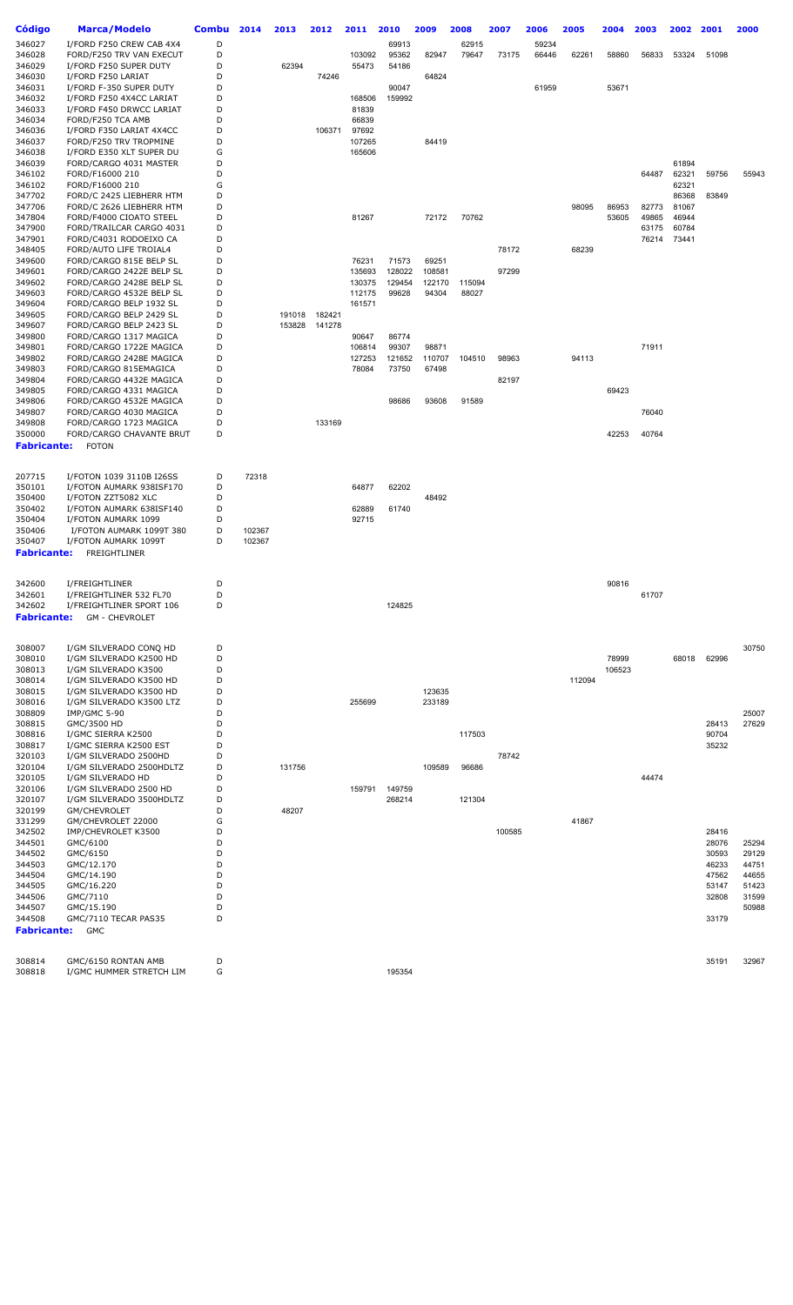| Código                | Marca/Modelo                                       | <b>Combu</b> | 2014   | 2013             | 2012             | 2011   | 2010             | 2009   | 2008           | 2007   | 2006           | 2005   | 2004   | 2003  | 2002           | 2001  | 2000  |
|-----------------------|----------------------------------------------------|--------------|--------|------------------|------------------|--------|------------------|--------|----------------|--------|----------------|--------|--------|-------|----------------|-------|-------|
| 346027                | I/FORD F250 CREW CAB 4X4                           | D            |        |                  |                  |        |                  |        |                |        |                |        |        |       |                |       |       |
| 346028                | FORD/F250 TRV VAN EXECUT                           | D            |        |                  |                  | 103092 | 69913<br>95362   | 82947  | 62915<br>79647 | 73175  | 59234<br>66446 | 62261  | 58860  | 56833 | 53324          | 51098 |       |
| 346029                | I/FORD F250 SUPER DUTY                             | D            |        | 62394            |                  | 55473  | 54186            |        |                |        |                |        |        |       |                |       |       |
| 346030                | I/FORD F250 LARIAT                                 | D            |        |                  | 74246            |        |                  | 64824  |                |        |                |        |        |       |                |       |       |
| 346031                | I/FORD F-350 SUPER DUTY                            | D            |        |                  |                  |        | 90047            |        |                |        | 61959          |        | 53671  |       |                |       |       |
| 346032                | I/FORD F250 4X4CC LARIAT                           | D            |        |                  |                  | 168506 | 159992           |        |                |        |                |        |        |       |                |       |       |
| 346033                | I/FORD F450 DRWCC LARIAT                           | D            |        |                  |                  | 81839  |                  |        |                |        |                |        |        |       |                |       |       |
| 346034                | FORD/F250 TCA AMB                                  | D            |        |                  |                  | 66839  |                  |        |                |        |                |        |        |       |                |       |       |
| 346036                | I/FORD F350 LARIAT 4X4CC                           | D            |        |                  | 106371           | 97692  |                  |        |                |        |                |        |        |       |                |       |       |
| 346037                | FORD/F250 TRV TROPMINE                             | D            |        |                  |                  | 107265 |                  | 84419  |                |        |                |        |        |       |                |       |       |
| 346038                | I/FORD E350 XLT SUPER DU                           | G            |        |                  |                  | 165606 |                  |        |                |        |                |        |        |       |                |       |       |
| 346039                | FORD/CARGO 4031 MASTER                             | D            |        |                  |                  |        |                  |        |                |        |                |        |        |       | 61894          |       |       |
| 346102<br>346102      | FORD/F16000 210                                    | D<br>G       |        |                  |                  |        |                  |        |                |        |                |        |        | 64487 | 62321          | 59756 | 55943 |
| 347702                | FORD/F16000 210<br>FORD/C 2425 LIEBHERR HTM        | D            |        |                  |                  |        |                  |        |                |        |                |        |        |       | 62321<br>86368 | 83849 |       |
| 347706                | FORD/C 2626 LIEBHERR HTM                           | D            |        |                  |                  |        |                  |        |                |        |                | 98095  | 86953  | 82773 | 81067          |       |       |
| 347804                | FORD/F4000 CIOATO STEEL                            | D            |        |                  |                  | 81267  |                  | 72172  | 70762          |        |                |        | 53605  | 49865 | 46944          |       |       |
| 347900                | FORD/TRAILCAR CARGO 4031                           | D            |        |                  |                  |        |                  |        |                |        |                |        |        | 63175 | 60784          |       |       |
| 347901                | FORD/C4031 RODOEIXO CA                             | D            |        |                  |                  |        |                  |        |                |        |                |        |        | 76214 | 73441          |       |       |
| 348405                | FORD/AUTO LIFE TROIAL4                             | D            |        |                  |                  |        |                  |        |                | 78172  |                | 68239  |        |       |                |       |       |
| 349600                | FORD/CARGO 815E BELP SL                            | D            |        |                  |                  | 76231  | 71573            | 69251  |                |        |                |        |        |       |                |       |       |
| 349601                | FORD/CARGO 2422E BELP SL                           | D            |        |                  |                  | 135693 | 128022           | 108581 |                | 97299  |                |        |        |       |                |       |       |
| 349602                | FORD/CARGO 2428E BELP SL                           | D            |        |                  |                  | 130375 | 129454           | 122170 | 115094         |        |                |        |        |       |                |       |       |
| 349603                | FORD/CARGO 4532E BELP SL                           | D            |        |                  |                  | 112175 | 99628            | 94304  | 88027          |        |                |        |        |       |                |       |       |
| 349604                | FORD/CARGO BELP 1932 SL                            | D<br>D       |        |                  |                  | 161571 |                  |        |                |        |                |        |        |       |                |       |       |
| 349605<br>349607      | FORD/CARGO BELP 2429 SL<br>FORD/CARGO BELP 2423 SL | D            |        | 191018<br>153828 | 182421<br>141278 |        |                  |        |                |        |                |        |        |       |                |       |       |
| 349800                | FORD/CARGO 1317 MAGICA                             | D            |        |                  |                  | 90647  | 86774            |        |                |        |                |        |        |       |                |       |       |
| 349801                | FORD/CARGO 1722E MAGICA                            | D            |        |                  |                  | 106814 | 99307            | 98871  |                |        |                |        |        | 71911 |                |       |       |
| 349802                | FORD/CARGO 2428E MAGICA                            | D            |        |                  |                  | 127253 | 121652           | 110707 | 104510         | 98963  |                | 94113  |        |       |                |       |       |
| 349803                | FORD/CARGO 815EMAGICA                              | D            |        |                  |                  | 78084  | 73750            | 67498  |                |        |                |        |        |       |                |       |       |
| 349804                | FORD/CARGO 4432E MAGICA                            | D            |        |                  |                  |        |                  |        |                | 82197  |                |        |        |       |                |       |       |
| 349805                | FORD/CARGO 4331 MAGICA                             | D            |        |                  |                  |        |                  |        |                |        |                |        | 69423  |       |                |       |       |
| 349806                | FORD/CARGO 4532E MAGICA                            | D            |        |                  |                  |        | 98686            | 93608  | 91589          |        |                |        |        |       |                |       |       |
| 349807                | FORD/CARGO 4030 MAGICA                             | D            |        |                  |                  |        |                  |        |                |        |                |        |        | 76040 |                |       |       |
| 349808                | FORD/CARGO 1723 MAGICA                             | D            |        |                  | 133169           |        |                  |        |                |        |                |        |        |       |                |       |       |
| 350000                | FORD/CARGO CHAVANTE BRUT                           | D            |        |                  |                  |        |                  |        |                |        |                |        | 42253  | 40764 |                |       |       |
| Fabricante:           | <b>FOTON</b>                                       |              |        |                  |                  |        |                  |        |                |        |                |        |        |       |                |       |       |
|                       |                                                    |              |        |                  |                  |        |                  |        |                |        |                |        |        |       |                |       |       |
| 207715                | I/FOTON 1039 3110B I26SS                           | D            | 72318  |                  |                  |        |                  |        |                |        |                |        |        |       |                |       |       |
| 350101                | I/FOTON AUMARK 938ISF170                           | D            |        |                  |                  | 64877  | 62202            |        |                |        |                |        |        |       |                |       |       |
| 350400                | I/FOTON ZZT5082 XLC                                | D            |        |                  |                  |        |                  | 48492  |                |        |                |        |        |       |                |       |       |
| 350402                | I/FOTON AUMARK 638ISF140                           | D            |        |                  |                  | 62889  | 61740            |        |                |        |                |        |        |       |                |       |       |
| 350404                | I/FOTON AUMARK 1099                                | D            |        |                  |                  | 92715  |                  |        |                |        |                |        |        |       |                |       |       |
| 350406                | I/FOTON AUMARK 1099T 380                           | D            | 102367 |                  |                  |        |                  |        |                |        |                |        |        |       |                |       |       |
| 350407                | I/FOTON AUMARK 1099T                               | D            | 102367 |                  |                  |        |                  |        |                |        |                |        |        |       |                |       |       |
| Fabricante:           | FREIGHTLINER                                       |              |        |                  |                  |        |                  |        |                |        |                |        |        |       |                |       |       |
|                       |                                                    |              |        |                  |                  |        |                  |        |                |        |                |        |        |       |                |       |       |
| 342600                | I/FREIGHTLINER                                     | D            |        |                  |                  |        |                  |        |                |        |                |        | 90816  |       |                |       |       |
| 342601                | I/FREIGHTLINER 532 FL70                            | D            |        |                  |                  |        |                  |        |                |        |                |        |        | 61707 |                |       |       |
| 342602                | I/FREIGHTLINER SPORT 106                           | D            |        |                  |                  |        | 124825           |        |                |        |                |        |        |       |                |       |       |
| Fabricante:           | <b>GM - CHEVROLET</b>                              |              |        |                  |                  |        |                  |        |                |        |                |        |        |       |                |       |       |
|                       |                                                    |              |        |                  |                  |        |                  |        |                |        |                |        |        |       |                |       |       |
| 308007                | I/GM SILVERADO CONQ HD                             | D            |        |                  |                  |        |                  |        |                |        |                |        |        |       |                |       | 30750 |
| 308010                | I/GM SILVERADO K2500 HD                            | D            |        |                  |                  |        |                  |        |                |        |                |        | 78999  |       | 68018          | 62996 |       |
| 308013                | I/GM SILVERADO K3500                               | D            |        |                  |                  |        |                  |        |                |        |                |        | 106523 |       |                |       |       |
| 308014                | I/GM SILVERADO K3500 HD                            | D            |        |                  |                  |        |                  |        |                |        |                | 112094 |        |       |                |       |       |
| 308015                | I/GM SILVERADO K3500 HD                            | D            |        |                  |                  |        |                  | 123635 |                |        |                |        |        |       |                |       |       |
| 308016                | I/GM SILVERADO K3500 LTZ                           | D            |        |                  |                  | 255699 |                  | 233189 |                |        |                |        |        |       |                |       |       |
| 308809                | <b>IMP/GMC 5-90</b>                                | D            |        |                  |                  |        |                  |        |                |        |                |        |        |       |                |       | 25007 |
| 308815                | GMC/3500 HD                                        | D            |        |                  |                  |        |                  |        |                |        |                |        |        |       |                | 28413 | 27629 |
| 308816                | I/GMC SIERRA K2500                                 | D            |        |                  |                  |        |                  |        | 117503         |        |                |        |        |       |                | 90704 |       |
| 308817                | I/GMC SIERRA K2500 EST                             | D            |        |                  |                  |        |                  |        |                |        |                |        |        |       |                | 35232 |       |
| 320103                | I/GM SILVERADO 2500HD                              | D            |        |                  |                  |        |                  |        |                | 78742  |                |        |        |       |                |       |       |
| 320104                | I/GM SILVERADO 2500HDLTZ                           | D            |        | 131756           |                  |        |                  | 109589 | 96686          |        |                |        |        |       |                |       |       |
| 320105                | I/GM SILVERADO HD                                  | D<br>D       |        |                  |                  |        |                  |        |                |        |                |        |        | 44474 |                |       |       |
| 320106<br>320107      | I/GM SILVERADO 2500 HD<br>I/GM SILVERADO 3500HDLTZ | D            |        |                  |                  | 159791 | 149759<br>268214 |        | 121304         |        |                |        |        |       |                |       |       |
| 320199                | GM/CHEVROLET                                       | D            |        | 48207            |                  |        |                  |        |                |        |                |        |        |       |                |       |       |
| 331299                | GM/CHEVROLET 22000                                 | G            |        |                  |                  |        |                  |        |                |        |                | 41867  |        |       |                |       |       |
| 342502                | IMP/CHEVROLET K3500                                | D            |        |                  |                  |        |                  |        |                | 100585 |                |        |        |       |                | 28416 |       |
| 344501                | GMC/6100                                           | D            |        |                  |                  |        |                  |        |                |        |                |        |        |       |                | 28076 | 25294 |
| 344502                | GMC/6150                                           | D            |        |                  |                  |        |                  |        |                |        |                |        |        |       |                | 30593 | 29129 |
| 344503                | GMC/12.170                                         | D            |        |                  |                  |        |                  |        |                |        |                |        |        |       |                | 46233 | 44751 |
| 344504                | GMC/14.190                                         | D            |        |                  |                  |        |                  |        |                |        |                |        |        |       |                | 47562 | 44655 |
| 344505                | GMC/16.220                                         | D            |        |                  |                  |        |                  |        |                |        |                |        |        |       |                | 53147 | 51423 |
| 344506                | GMC/7110                                           | D            |        |                  |                  |        |                  |        |                |        |                |        |        |       |                | 32808 | 31599 |
| 344507                | GMC/15.190                                         | D<br>D       |        |                  |                  |        |                  |        |                |        |                |        |        |       |                |       | 50988 |
| 344508<br>Fabricante: | GMC/7110 TECAR PAS35<br>GMC                        |              |        |                  |                  |        |                  |        |                |        |                |        |        |       |                | 33179 |       |
|                       |                                                    |              |        |                  |                  |        |                  |        |                |        |                |        |        |       |                |       |       |
|                       |                                                    |              |        |                  |                  |        |                  |        |                |        |                |        |        |       |                |       |       |
| 308814                | GMC/6150 RONTAN AMB                                | D            |        |                  |                  |        |                  |        |                |        |                |        |        |       |                | 35191 | 32967 |
| 308818                | I/GMC HUMMER STRETCH LIM                           | G            |        |                  |                  |        | 195354           |        |                |        |                |        |        |       |                |       |       |
|                       |                                                    |              |        |                  |                  |        |                  |        |                |        |                |        |        |       |                |       |       |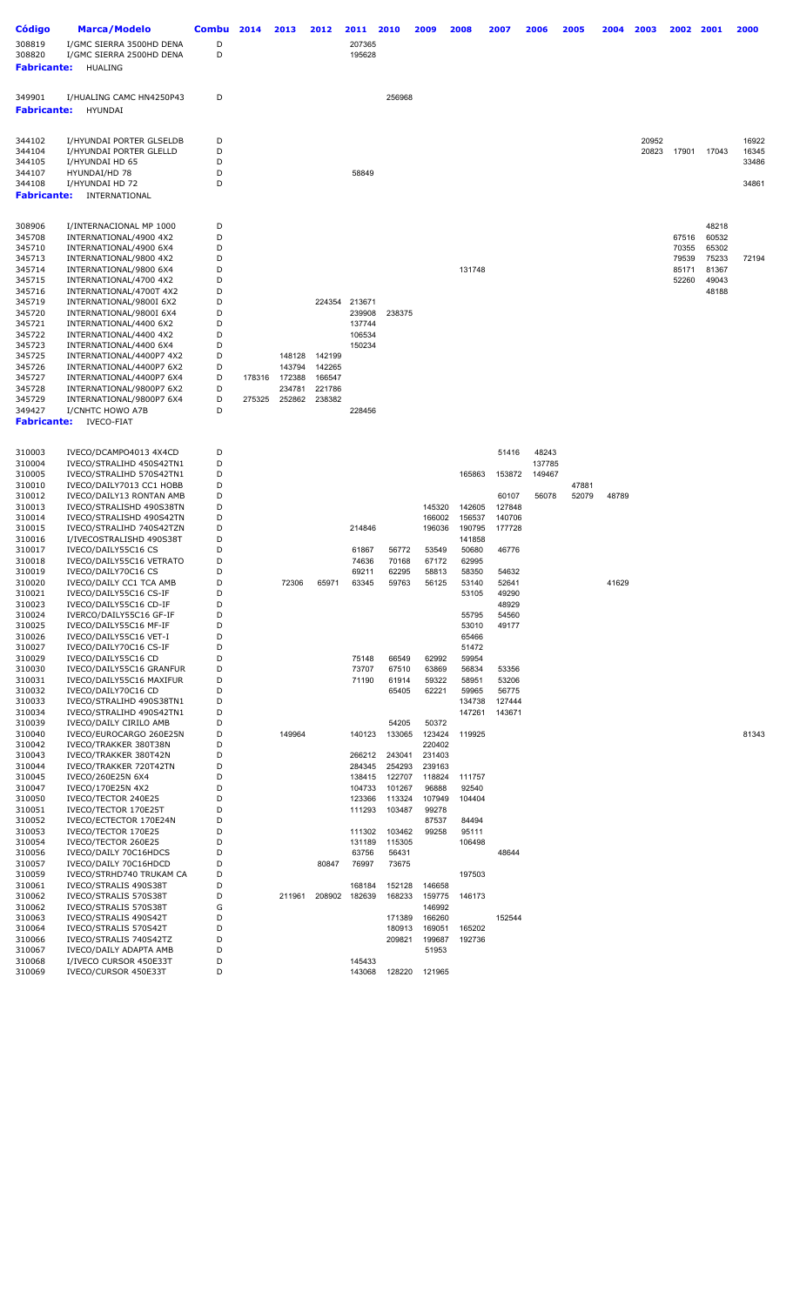| Código                                 | Marca/Modelo                                                           | Combu  | 2014   | 2013             | 2012             | 2011             | 2010             | 2009             | 2008            | 2007            | 2006            | 2005  | 2004  | 2003  | 2002           | 2001           | 2000           |
|----------------------------------------|------------------------------------------------------------------------|--------|--------|------------------|------------------|------------------|------------------|------------------|-----------------|-----------------|-----------------|-------|-------|-------|----------------|----------------|----------------|
| 308819<br>308820<br><b>Fabricante:</b> | I/GMC SIERRA 3500HD DENA<br>I/GMC SIERRA 2500HD DENA<br><b>HUALING</b> | D<br>D |        |                  |                  | 207365<br>195628 |                  |                  |                 |                 |                 |       |       |       |                |                |                |
|                                        |                                                                        |        |        |                  |                  |                  |                  |                  |                 |                 |                 |       |       |       |                |                |                |
| 349901<br><b>Fabricante:</b>           | I/HUALING CAMC HN4250P43<br>HYUNDAI                                    | D      |        |                  |                  |                  | 256968           |                  |                 |                 |                 |       |       |       |                |                |                |
| 344102                                 | I/HYUNDAI PORTER GLSELDB                                               | D      |        |                  |                  |                  |                  |                  |                 |                 |                 |       |       | 20952 |                |                | 16922          |
| 344104<br>344105                       | I/HYUNDAI PORTER GLELLD<br>I/HYUNDAI HD 65                             | D<br>D |        |                  |                  |                  |                  |                  |                 |                 |                 |       |       | 20823 | 17901          | 17043          | 16345<br>33486 |
| 344107                                 | HYUNDAI/HD 78                                                          | D      |        |                  |                  | 58849            |                  |                  |                 |                 |                 |       |       |       |                |                |                |
| 344108                                 | I/HYUNDAI HD 72                                                        | D      |        |                  |                  |                  |                  |                  |                 |                 |                 |       |       |       |                |                | 34861          |
| <b>Fabricante:</b>                     | INTERNATIONAL                                                          |        |        |                  |                  |                  |                  |                  |                 |                 |                 |       |       |       |                |                |                |
| 308906                                 | I/INTERNACIONAL MP 1000                                                | D      |        |                  |                  |                  |                  |                  |                 |                 |                 |       |       |       |                | 48218          |                |
| 345708                                 | INTERNATIONAL/4900 4X2                                                 | D<br>D |        |                  |                  |                  |                  |                  |                 |                 |                 |       |       |       | 67516<br>70355 | 60532<br>65302 |                |
| 345710<br>345713                       | INTERNATIONAL/4900 6X4<br>INTERNATIONAL/9800 4X2                       | D      |        |                  |                  |                  |                  |                  |                 |                 |                 |       |       |       | 79539          | 75233          | 72194          |
| 345714                                 | INTERNATIONAL/9800 6X4                                                 | D      |        |                  |                  |                  |                  |                  | 131748          |                 |                 |       |       |       | 85171          | 81367          |                |
| 345715                                 | INTERNATIONAL/4700 4X2                                                 | D      |        |                  |                  |                  |                  |                  |                 |                 |                 |       |       |       | 52260          | 49043          |                |
| 345716<br>345719                       | INTERNATIONAL/4700T 4X2                                                | D<br>D |        |                  | 224354           | 213671           |                  |                  |                 |                 |                 |       |       |       |                | 48188          |                |
| 345720                                 | INTERNATIONAL/9800I 6X2<br>INTERNATIONAL/9800I 6X4                     | D      |        |                  |                  | 239908           | 238375           |                  |                 |                 |                 |       |       |       |                |                |                |
| 345721                                 | INTERNATIONAL/4400 6X2                                                 | D      |        |                  |                  | 137744           |                  |                  |                 |                 |                 |       |       |       |                |                |                |
| 345722                                 | INTERNATIONAL/4400 4X2                                                 | D      |        |                  |                  | 106534           |                  |                  |                 |                 |                 |       |       |       |                |                |                |
| 345723                                 | INTERNATIONAL/4400 6X4                                                 | D      |        |                  |                  | 150234           |                  |                  |                 |                 |                 |       |       |       |                |                |                |
| 345725<br>345726                       | INTERNATIONAL/4400P7 4X2<br>INTERNATIONAL/4400P7 6X2                   | D<br>D |        | 148128<br>143794 | 142199<br>142265 |                  |                  |                  |                 |                 |                 |       |       |       |                |                |                |
| 345727                                 | INTERNATIONAL/4400P7 6X4                                               | D      | 178316 | 172388           | 166547           |                  |                  |                  |                 |                 |                 |       |       |       |                |                |                |
| 345728                                 | INTERNATIONAL/9800P7 6X2                                               | D      |        | 234781           | 221786           |                  |                  |                  |                 |                 |                 |       |       |       |                |                |                |
| 345729                                 | INTERNATIONAL/9800P7 6X4                                               | D      | 275325 | 252862           | 238382           |                  |                  |                  |                 |                 |                 |       |       |       |                |                |                |
| 349427<br><b>Fabricante:</b>           | I/CNHTC HOWO A7B<br><b>IVECO-FIAT</b>                                  | D      |        |                  |                  | 228456           |                  |                  |                 |                 |                 |       |       |       |                |                |                |
|                                        |                                                                        | D      |        |                  |                  |                  |                  |                  |                 | 51416           |                 |       |       |       |                |                |                |
| 310003<br>310004                       | IVECO/DCAMPO4013 4X4CD<br>IVECO/STRALIHD 450S42TN1                     | D      |        |                  |                  |                  |                  |                  |                 |                 | 48243<br>137785 |       |       |       |                |                |                |
| 310005                                 | IVECO/STRALIHD 570S42TN1                                               | D      |        |                  |                  |                  |                  |                  | 165863          | 153872          | 149467          |       |       |       |                |                |                |
| 310010                                 | IVECO/DAILY7013 CC1 HOBB                                               | D      |        |                  |                  |                  |                  |                  |                 |                 |                 | 47881 |       |       |                |                |                |
| 310012<br>310013                       | IVECO/DAILY13 RONTAN AMB<br>IVECO/STRALISHD 490S38TN                   | D<br>D |        |                  |                  |                  |                  | 145320           | 142605          | 60107<br>127848 | 56078           | 52079 | 48789 |       |                |                |                |
| 310014                                 | IVECO/STRALISHD 490S42TN                                               | D      |        |                  |                  |                  |                  | 166002           | 156537          | 140706          |                 |       |       |       |                |                |                |
| 310015                                 | IVECO/STRALIHD 740S42TZN                                               | D      |        |                  |                  | 214846           |                  | 196036           | 190795          | 177728          |                 |       |       |       |                |                |                |
| 310016                                 | I/IVECOSTRALISHD 490S38T                                               | D      |        |                  |                  |                  |                  |                  | 141858          |                 |                 |       |       |       |                |                |                |
| 310017                                 | IVECO/DAILY55C16 CS                                                    | D      |        |                  |                  | 61867            | 56772            | 53549            | 50680           | 46776           |                 |       |       |       |                |                |                |
| 310018<br>310019                       | IVECO/DAILY55C16 VETRATO<br>IVECO/DAILY70C16 CS                        | D<br>D |        |                  |                  | 74636<br>69211   | 70168<br>62295   | 67172<br>58813   | 62995<br>58350  | 54632           |                 |       |       |       |                |                |                |
| 310020                                 | IVECO/DAILY CC1 TCA AMB                                                | D      |        | 72306            | 65971            | 63345            | 59763            | 56125            | 53140           | 52641           |                 |       | 41629 |       |                |                |                |
| 310021                                 | IVECO/DAILY55C16 CS-IF                                                 | D      |        |                  |                  |                  |                  |                  | 53105           | 49290           |                 |       |       |       |                |                |                |
| 310023                                 | IVECO/DAILY55C16 CD-IF                                                 | D<br>D |        |                  |                  |                  |                  |                  |                 | 48929           |                 |       |       |       |                |                |                |
| 310024<br>310025                       | IVERCO/DAILY55C16 GF-IF<br>IVECO/DAILY55C16 MF-IF                      | D      |        |                  |                  |                  |                  |                  | 55795<br>53010  | 54560<br>49177  |                 |       |       |       |                |                |                |
| 310026                                 | IVECO/DAILY55C16 VET-I                                                 | D      |        |                  |                  |                  |                  |                  | 65466           |                 |                 |       |       |       |                |                |                |
| 310027                                 | IVECO/DAILY70C16 CS-IF                                                 | D      |        |                  |                  |                  |                  |                  | 51472           |                 |                 |       |       |       |                |                |                |
| 310029                                 | IVECO/DAILY55C16 CD                                                    | D      |        |                  |                  | 75148            | 66549            | 62992            | 59954           |                 |                 |       |       |       |                |                |                |
| 310030<br>310031                       | IVECO/DAILY55C16 GRANFUR<br>IVECO/DAILY55C16 MAXIFUR                   | D<br>D |        |                  |                  | 73707<br>71190   | 67510<br>61914   | 63869<br>59322   | 56834<br>58951  | 53356<br>53206  |                 |       |       |       |                |                |                |
| 310032                                 | IVECO/DAILY70C16 CD                                                    | D      |        |                  |                  |                  | 65405            | 62221            | 59965           | 56775           |                 |       |       |       |                |                |                |
| 310033                                 | IVECO/STRALIHD 490S38TN1                                               | D      |        |                  |                  |                  |                  |                  | 134738          | 127444          |                 |       |       |       |                |                |                |
| 310034                                 | IVECO/STRALIHD 490S42TN1                                               | D      |        |                  |                  |                  |                  |                  | 147261          | 143671          |                 |       |       |       |                |                |                |
| 310039<br>310040                       | IVECO/DAILY CIRILO AMB<br>IVECO/EUROCARGO 260E25N                      | D<br>D |        | 149964           |                  | 140123           | 54205<br>133065  | 50372<br>123424  | 119925          |                 |                 |       |       |       |                |                | 81343          |
| 310042                                 | IVECO/TRAKKER 380T38N                                                  | D      |        |                  |                  |                  |                  | 220402           |                 |                 |                 |       |       |       |                |                |                |
| 310043                                 | IVECO/TRAKKER 380T42N                                                  | D      |        |                  |                  | 266212           | 243041           | 231403           |                 |                 |                 |       |       |       |                |                |                |
| 310044                                 | IVECO/TRAKKER 720T42TN                                                 | D      |        |                  |                  | 284345           | 254293           | 239163           |                 |                 |                 |       |       |       |                |                |                |
| 310045<br>310047                       | IVECO/260E25N 6X4<br>IVECO/170E25N 4X2                                 | D<br>D |        |                  |                  | 138415<br>104733 | 122707<br>101267 | 118824<br>96888  | 111757<br>92540 |                 |                 |       |       |       |                |                |                |
| 310050                                 | IVECO/TECTOR 240E25                                                    | D      |        |                  |                  | 123366           | 113324           | 107949           | 104404          |                 |                 |       |       |       |                |                |                |
| 310051                                 | IVECO/TECTOR 170E25T                                                   | D      |        |                  |                  | 111293           | 103487           | 99278            |                 |                 |                 |       |       |       |                |                |                |
| 310052                                 | IVECO/ECTECTOR 170E24N                                                 | D      |        |                  |                  |                  |                  | 87537            | 84494           |                 |                 |       |       |       |                |                |                |
| 310053                                 | IVECO/TECTOR 170E25                                                    | D      |        |                  |                  | 111302           | 103462           | 99258            | 95111           |                 |                 |       |       |       |                |                |                |
| 310054<br>310056                       | IVECO/TECTOR 260E25<br>IVECO/DAILY 70C16HDCS                           | D<br>D |        |                  |                  | 131189<br>63756  | 115305<br>56431  |                  | 106498          | 48644           |                 |       |       |       |                |                |                |
| 310057                                 | IVECO/DAILY 70C16HDCD                                                  | D      |        |                  | 80847            | 76997            | 73675            |                  |                 |                 |                 |       |       |       |                |                |                |
| 310059                                 | IVECO/STRHD740 TRUKAM CA                                               | D      |        |                  |                  |                  |                  |                  | 197503          |                 |                 |       |       |       |                |                |                |
| 310061                                 | IVECO/STRALIS 490S38T                                                  | D      |        |                  |                  | 168184           | 152128           | 146658           |                 |                 |                 |       |       |       |                |                |                |
| 310062                                 | IVECO/STRALIS 570S38T                                                  | D      |        | 211961           | 208902           | 182639           | 168233           | 159775           | 146173          |                 |                 |       |       |       |                |                |                |
| 310062<br>310063                       | IVECO/STRALIS 570S38T<br>IVECO/STRALIS 490S42T                         | G<br>D |        |                  |                  |                  | 171389           | 146992<br>166260 |                 | 152544          |                 |       |       |       |                |                |                |
| 310064                                 | IVECO/STRALIS 570S42T                                                  | D      |        |                  |                  |                  | 180913           | 169051           | 165202          |                 |                 |       |       |       |                |                |                |
| 310066                                 | IVECO/STRALIS 740S42TZ                                                 | D      |        |                  |                  |                  | 209821           | 199687           | 192736          |                 |                 |       |       |       |                |                |                |
| 310067                                 | IVECO/DAILY ADAPTA AMB                                                 | D      |        |                  |                  |                  |                  | 51953            |                 |                 |                 |       |       |       |                |                |                |
| 310068<br>310069                       | I/IVECO CURSOR 450E33T<br>IVECO/CURSOR 450E33T                         | D<br>D |        |                  |                  | 145433<br>143068 | 128220           | 121965           |                 |                 |                 |       |       |       |                |                |                |
|                                        |                                                                        |        |        |                  |                  |                  |                  |                  |                 |                 |                 |       |       |       |                |                |                |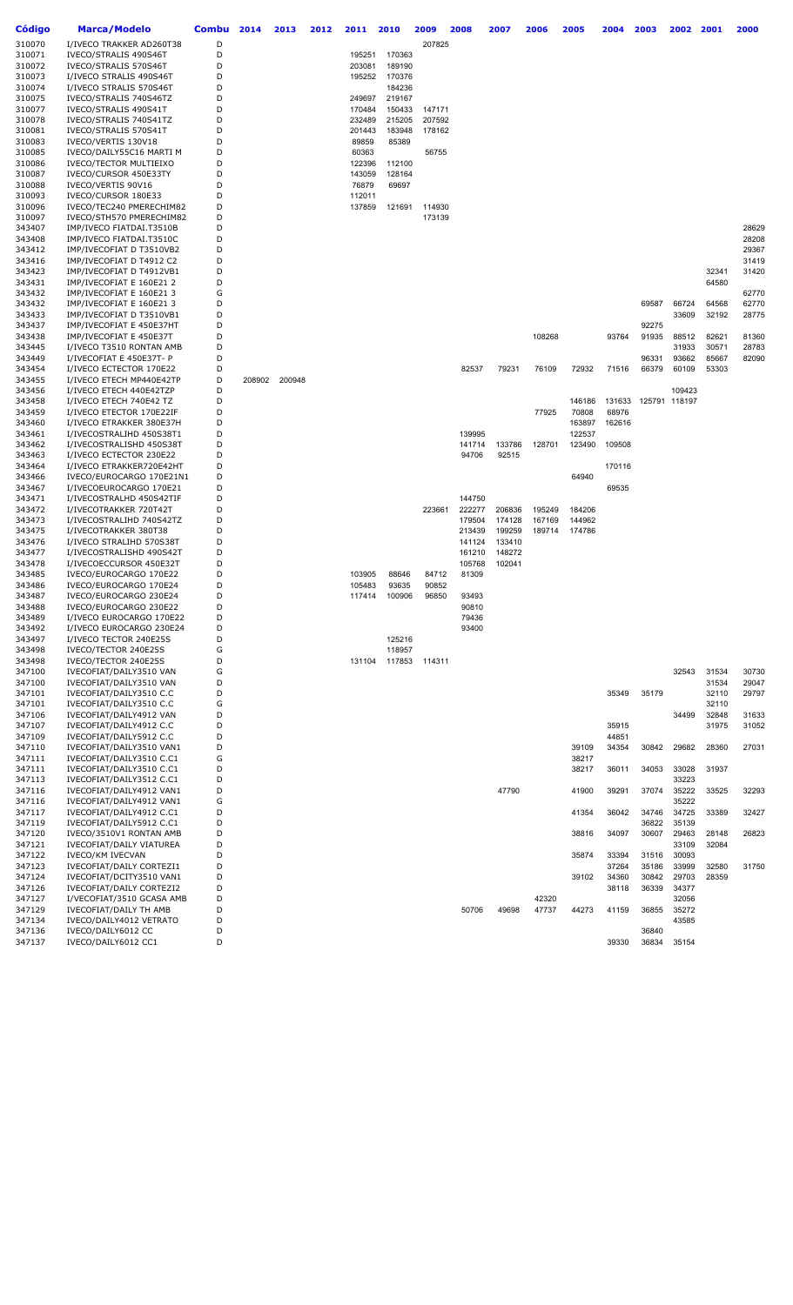| Código           | <b>Marca/Modelo</b>                                  | Combu  | 2014   | 2013   | 2012 | 2011             | 2010             | 2009             | 2008   | 2007   | 2006   | 2005   | 2004   | 2003           | 2002           | 2001           | 2000  |
|------------------|------------------------------------------------------|--------|--------|--------|------|------------------|------------------|------------------|--------|--------|--------|--------|--------|----------------|----------------|----------------|-------|
| 310070           | I/IVECO TRAKKER AD260T38                             | D      |        |        |      |                  |                  | 207825           |        |        |        |        |        |                |                |                |       |
| 310071           | IVECO/STRALIS 490S46T                                | D      |        |        |      | 195251           | 170363           |                  |        |        |        |        |        |                |                |                |       |
| 310072           | IVECO/STRALIS 570S46T                                | D      |        |        |      | 203081           | 189190           |                  |        |        |        |        |        |                |                |                |       |
| 310073           | I/IVECO STRALIS 490S46T                              | D      |        |        |      | 195252           | 170376           |                  |        |        |        |        |        |                |                |                |       |
| 310074           | I/IVECO STRALIS 570S46T                              | D      |        |        |      |                  | 184236           |                  |        |        |        |        |        |                |                |                |       |
| 310075           | IVECO/STRALIS 740S46TZ<br>IVECO/STRALIS 490S41T      | D<br>D |        |        |      | 249697           | 219167           |                  |        |        |        |        |        |                |                |                |       |
| 310077<br>310078 | IVECO/STRALIS 740S41TZ                               | D      |        |        |      | 170484<br>232489 | 150433<br>215205 | 147171<br>207592 |        |        |        |        |        |                |                |                |       |
| 310081           | IVECO/STRALIS 570S41T                                | D      |        |        |      | 201443           | 183948           | 178162           |        |        |        |        |        |                |                |                |       |
| 310083           | IVECO/VERTIS 130V18                                  | D      |        |        |      | 89859            | 85389            |                  |        |        |        |        |        |                |                |                |       |
| 310085           | IVECO/DAILY55C16 MARTI M                             | D      |        |        |      | 60363            |                  | 56755            |        |        |        |        |        |                |                |                |       |
| 310086           | <b>IVECO/TECTOR MULTIEIXO</b>                        | D      |        |        |      | 122396           | 112100           |                  |        |        |        |        |        |                |                |                |       |
| 310087           | IVECO/CURSOR 450E33TY                                | D      |        |        |      | 143059           | 128164           |                  |        |        |        |        |        |                |                |                |       |
| 310088           | IVECO/VERTIS 90V16                                   | D      |        |        |      | 76879            | 69697            |                  |        |        |        |        |        |                |                |                |       |
| 310093           | IVECO/CURSOR 180E33                                  | D      |        |        |      | 112011           |                  |                  |        |        |        |        |        |                |                |                |       |
| 310096           | IVECO/TEC240 PMERECHIM82                             | D      |        |        |      | 137859           | 121691           | 114930           |        |        |        |        |        |                |                |                |       |
| 310097<br>343407 | IVECO/STH570 PMERECHIM82                             | D<br>D |        |        |      |                  |                  | 173139           |        |        |        |        |        |                |                |                | 28629 |
| 343408           | IMP/IVECO FIATDAI.T3510B<br>IMP/IVECO FIATDAI.T3510C | D      |        |        |      |                  |                  |                  |        |        |        |        |        |                |                |                | 28208 |
| 343412           | IMP/IVECOFIAT D T3510VB2                             | D      |        |        |      |                  |                  |                  |        |        |        |        |        |                |                |                | 29367 |
| 343416           | IMP/IVECOFIAT D T4912 C2                             | D      |        |        |      |                  |                  |                  |        |        |        |        |        |                |                |                | 31419 |
| 343423           | IMP/IVECOFIAT D T4912VB1                             | D      |        |        |      |                  |                  |                  |        |        |        |        |        |                |                | 32341          | 31420 |
| 343431           | IMP/IVECOFIAT E 160E21 2                             | D      |        |        |      |                  |                  |                  |        |        |        |        |        |                |                | 64580          |       |
| 343432           | IMP/IVECOFIAT E 160E21 3                             | G      |        |        |      |                  |                  |                  |        |        |        |        |        |                |                |                | 62770 |
| 343432           | IMP/IVECOFIAT E 160E21 3                             | D      |        |        |      |                  |                  |                  |        |        |        |        |        | 69587          | 66724          | 64568          | 62770 |
| 343433           | IMP/IVECOFIAT D T3510VB1                             | D      |        |        |      |                  |                  |                  |        |        |        |        |        |                | 33609          | 32192          | 28775 |
| 343437           | IMP/IVECOFIAT E 450E37HT                             | D      |        |        |      |                  |                  |                  |        |        |        |        |        | 92275          |                |                |       |
| 343438           | IMP/IVECOFIAT E 450E37T                              | D      |        |        |      |                  |                  |                  |        |        | 108268 |        | 93764  | 91935          | 88512          | 82621          | 81360 |
| 343445           | I/IVECO T3510 RONTAN AMB<br>I/IVECOFIAT E 450E37T- P | D<br>D |        |        |      |                  |                  |                  |        |        |        |        |        | 96331          | 31933          | 30571<br>85667 | 28783 |
| 343449<br>343454 | I/IVECO ECTECTOR 170E22                              | D      |        |        |      |                  |                  |                  | 82537  | 79231  | 76109  | 72932  | 71516  | 66379          | 93662<br>60109 | 53303          | 82090 |
| 343455           | I/IVECO ETECH MP440E42TP                             | D      | 208902 | 200948 |      |                  |                  |                  |        |        |        |        |        |                |                |                |       |
| 343456           | I/IVECO ETECH 440E42TZP                              | D      |        |        |      |                  |                  |                  |        |        |        |        |        |                | 109423         |                |       |
| 343458           | I/IVECO ETECH 740E42 TZ                              | D      |        |        |      |                  |                  |                  |        |        |        | 146186 | 131633 | 125791 118197  |                |                |       |
| 343459           | I/IVECO ETECTOR 170E22IF                             | D      |        |        |      |                  |                  |                  |        |        | 77925  | 70808  | 68976  |                |                |                |       |
| 343460           | I/IVECO ETRAKKER 380E37H                             | D      |        |        |      |                  |                  |                  |        |        |        | 163897 | 162616 |                |                |                |       |
| 343461           | I/IVECOSTRALIHD 450S38T1                             | D      |        |        |      |                  |                  |                  | 139995 |        |        | 122537 |        |                |                |                |       |
| 343462           | I/IVECOSTRALISHD 450S38T                             | D      |        |        |      |                  |                  |                  | 141714 | 133786 | 128701 | 123490 | 109508 |                |                |                |       |
| 343463           | I/IVECO ECTECTOR 230E22                              | D      |        |        |      |                  |                  |                  | 94706  | 92515  |        |        |        |                |                |                |       |
| 343464           | I/IVECO ETRAKKER720E42HT                             | D      |        |        |      |                  |                  |                  |        |        |        |        | 170116 |                |                |                |       |
| 343466<br>343467 | IVECO/EUROCARGO 170E21N1<br>I/IVECOEUROCARGO 170E21  | D<br>D |        |        |      |                  |                  |                  |        |        |        | 64940  | 69535  |                |                |                |       |
| 343471           | I/IVECOSTRALHD 450S42TIF                             | D      |        |        |      |                  |                  |                  | 144750 |        |        |        |        |                |                |                |       |
| 343472           | I/IVECOTRAKKER 720T42T                               | D      |        |        |      |                  |                  | 223661           | 222277 | 206836 | 195249 | 184206 |        |                |                |                |       |
| 343473           | I/IVECOSTRALIHD 740S42TZ                             | D      |        |        |      |                  |                  |                  | 179504 | 174128 | 167169 | 144962 |        |                |                |                |       |
| 343475           | I/IVECOTRAKKER 380T38                                | D      |        |        |      |                  |                  |                  | 213439 | 199259 | 189714 | 174786 |        |                |                |                |       |
| 343476           | I/IVECO STRALIHD 570S38T                             | D      |        |        |      |                  |                  |                  | 141124 | 133410 |        |        |        |                |                |                |       |
| 343477           | I/IVECOSTRALISHD 490S42T                             | D      |        |        |      |                  |                  |                  | 161210 | 148272 |        |        |        |                |                |                |       |
| 343478           | I/IVECOECCURSOR 450E32T                              | D      |        |        |      |                  |                  |                  | 105768 | 102041 |        |        |        |                |                |                |       |
| 343485           | IVECO/EUROCARGO 170E22                               | D      |        |        |      | 103905           | 88646            | 84712            | 81309  |        |        |        |        |                |                |                |       |
| 343486<br>343487 | IVECO/EUROCARGO 170E24<br>IVECO/EUROCARGO 230E24     | D<br>D |        |        |      | 105483<br>117414 | 93635<br>100906  | 90852<br>96850   | 93493  |        |        |        |        |                |                |                |       |
| 343488           | IVECO/EUROCARGO 230E22                               | D      |        |        |      |                  |                  |                  | 90810  |        |        |        |        |                |                |                |       |
| 343489           | I/IVECO EUROCARGO 170E22                             | D      |        |        |      |                  |                  |                  | 79436  |        |        |        |        |                |                |                |       |
| 343492           | I/IVECO EUROCARGO 230E24                             | D      |        |        |      |                  |                  |                  | 93400  |        |        |        |        |                |                |                |       |
| 343497           | I/IVECO TECTOR 240E25S                               | D      |        |        |      |                  | 125216           |                  |        |        |        |        |        |                |                |                |       |
| 343498           | IVECO/TECTOR 240E25S                                 | G      |        |        |      |                  | 118957           |                  |        |        |        |        |        |                |                |                |       |
| 343498           | IVECO/TECTOR 240E25S                                 | D      |        |        |      | 131104           | 117853           | 114311           |        |        |        |        |        |                |                |                |       |
| 347100           | IVECOFIAT/DAILY3510 VAN                              | G      |        |        |      |                  |                  |                  |        |        |        |        |        |                | 32543          | 31534          | 30730 |
| 347100           | IVECOFIAT/DAILY3510 VAN                              | D      |        |        |      |                  |                  |                  |        |        |        |        |        |                |                | 31534          | 29047 |
| 347101<br>347101 | IVECOFIAT/DAILY3510 C.C<br>IVECOFIAT/DAILY3510 C.C   | D<br>G |        |        |      |                  |                  |                  |        |        |        |        | 35349  | 35179          |                | 32110<br>32110 | 29797 |
| 347106           | IVECOFIAT/DAILY4912 VAN                              | D      |        |        |      |                  |                  |                  |        |        |        |        |        |                | 34499          | 32848          | 31633 |
| 347107           | IVECOFIAT/DAILY4912 C.C                              | D      |        |        |      |                  |                  |                  |        |        |        |        | 35915  |                |                | 31975          | 31052 |
| 347109           | IVECOFIAT/DAILY5912 C.C                              | D      |        |        |      |                  |                  |                  |        |        |        |        | 44851  |                |                |                |       |
| 347110           | IVECOFIAT/DAILY3510 VAN1                             | D      |        |        |      |                  |                  |                  |        |        |        | 39109  | 34354  | 30842          | 29682          | 28360          | 27031 |
| 347111           | IVECOFIAT/DAILY3510 C.C1                             | G      |        |        |      |                  |                  |                  |        |        |        | 38217  |        |                |                |                |       |
| 347111           | IVECOFIAT/DAILY3510 C.C1                             | D      |        |        |      |                  |                  |                  |        |        |        | 38217  | 36011  | 34053          | 33028          | 31937          |       |
| 347113           | IVECOFIAT/DAILY3512 C.C1                             | D      |        |        |      |                  |                  |                  |        |        |        |        |        |                | 33223          |                |       |
| 347116           | IVECOFIAT/DAILY4912 VAN1                             | D      |        |        |      |                  |                  |                  |        | 47790  |        | 41900  | 39291  | 37074          | 35222          | 33525          | 32293 |
| 347116           | IVECOFIAT/DAILY4912 VAN1                             | G      |        |        |      |                  |                  |                  |        |        |        |        |        |                | 35222          |                |       |
| 347117           | IVECOFIAT/DAILY4912 C.C1                             | D      |        |        |      |                  |                  |                  |        |        |        | 41354  | 36042  | 34746          | 34725          | 33389          | 32427 |
| 347119<br>347120 | IVECOFIAT/DAILY5912 C.C1<br>IVECO/3510V1 RONTAN AMB  | D<br>D |        |        |      |                  |                  |                  |        |        |        | 38816  | 34097  | 36822<br>30607 | 35139<br>29463 | 28148          | 26823 |
| 347121           | IVECOFIAT/DAILY VIATUREA                             | D      |        |        |      |                  |                  |                  |        |        |        |        |        |                | 33109          | 32084          |       |
| 347122           | <b>IVECO/KM IVECVAN</b>                              | D      |        |        |      |                  |                  |                  |        |        |        | 35874  | 33394  | 31516          | 30093          |                |       |
| 347123           | IVECOFIAT/DAILY CORTEZI1                             | D      |        |        |      |                  |                  |                  |        |        |        |        | 37264  | 35186          | 33999          | 32580          | 31750 |
| 347124           | IVECOFIAT/DCITY3510 VAN1                             | D      |        |        |      |                  |                  |                  |        |        |        | 39102  | 34360  | 30842          | 29703          | 28359          |       |
| 347126           | IVECOFIAT/DAILY CORTEZI2                             | D      |        |        |      |                  |                  |                  |        |        |        |        | 38118  | 36339          | 34377          |                |       |
| 347127           | I/VECOFIAT/3510 GCASA AMB                            | D      |        |        |      |                  |                  |                  |        |        | 42320  |        |        |                | 32056          |                |       |
| 347129           | IVECOFIAT/DAILY TH AMB                               | D      |        |        |      |                  |                  |                  | 50706  | 49698  | 47737  | 44273  | 41159  | 36855          | 35272          |                |       |
| 347134           | IVECO/DAILY4012 VETRATO                              | D      |        |        |      |                  |                  |                  |        |        |        |        |        |                | 43585          |                |       |
| 347136           | IVECO/DAILY6012 CC                                   | D      |        |        |      |                  |                  |                  |        |        |        |        |        | 36840          |                |                |       |
| 347137           | IVECO/DAILY6012 CC1                                  | D      |        |        |      |                  |                  |                  |        |        |        |        | 39330  | 36834          | 35154          |                |       |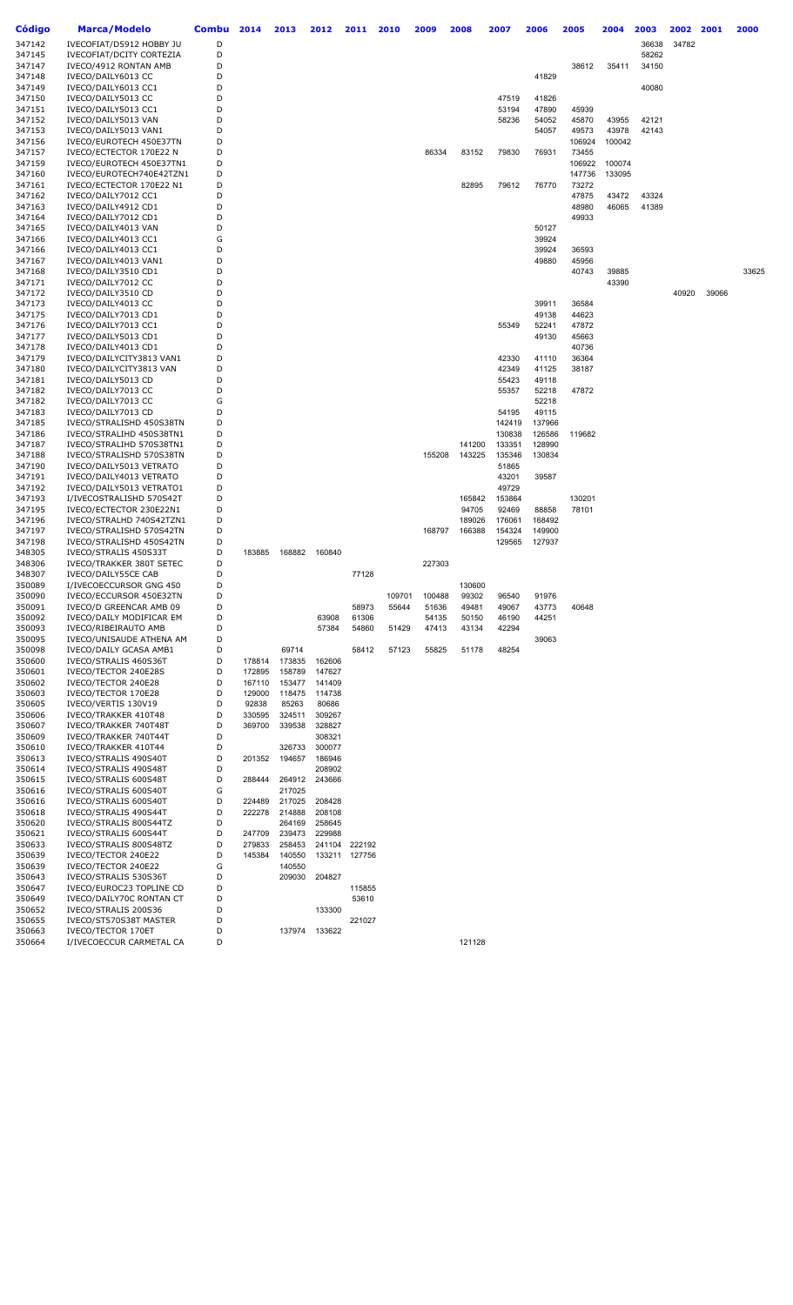| Código           | <b>Marca/Modelo</b>                           | <b>Combu</b> | 2014             | 2013             | 2012             | 2011          | 2010   | 2009   | 2008   | 2007 |        | 2006   | 2005   | 2004   | 2003  | 2002  | 2001  | 2000  |
|------------------|-----------------------------------------------|--------------|------------------|------------------|------------------|---------------|--------|--------|--------|------|--------|--------|--------|--------|-------|-------|-------|-------|
| 347142           | IVECOFIAT/D5912 HOBBY JU                      | D            |                  |                  |                  |               |        |        |        |      |        |        |        |        | 36638 | 34782 |       |       |
| 347145           | IVECOFIAT/DCITY CORTEZIA                      | D            |                  |                  |                  |               |        |        |        |      |        |        |        |        | 58262 |       |       |       |
| 347147           | IVECO/4912 RONTAN AMB                         | D            |                  |                  |                  |               |        |        |        |      |        |        | 38612  | 35411  | 34150 |       |       |       |
| 347148           | IVECO/DAILY6013 CC                            | D            |                  |                  |                  |               |        |        |        |      |        | 41829  |        |        |       |       |       |       |
| 347149           | IVECO/DAILY6013 CC1                           | D            |                  |                  |                  |               |        |        |        |      |        |        |        |        | 40080 |       |       |       |
| 347150           | IVECO/DAILY5013 CC                            | D            |                  |                  |                  |               |        |        |        |      | 47519  | 41826  |        |        |       |       |       |       |
| 347151           | IVECO/DAILY5013 CC1                           | D            |                  |                  |                  |               |        |        |        |      | 53194  | 47890  | 45939  |        |       |       |       |       |
| 347152           | IVECO/DAILY5013 VAN                           | D            |                  |                  |                  |               |        |        |        |      | 58236  | 54052  | 45870  | 43955  | 42121 |       |       |       |
| 347153           | IVECO/DAILY5013 VAN1                          | D            |                  |                  |                  |               |        |        |        |      |        | 54057  | 49573  | 43978  | 42143 |       |       |       |
| 347156           | IVECO/EUROTECH 450E37TN                       | D            |                  |                  |                  |               |        |        |        |      |        |        | 106924 | 100042 |       |       |       |       |
| 347157           | IVECO/ECTECTOR 170E22 N                       | D            |                  |                  |                  |               |        | 86334  | 83152  |      | 79830  | 76931  | 73455  |        |       |       |       |       |
| 347159           | IVECO/EUROTECH 450E37TN1                      | D            |                  |                  |                  |               |        |        |        |      |        |        | 106922 | 100074 |       |       |       |       |
| 347160           | IVECO/EUROTECH740E42TZN1                      | D            |                  |                  |                  |               |        |        |        |      |        |        | 147736 | 133095 |       |       |       |       |
| 347161           | IVECO/ECTECTOR 170E22 N1                      | D            |                  |                  |                  |               |        |        | 82895  |      | 79612  | 76770  | 73272  |        |       |       |       |       |
| 347162           | IVECO/DAILY7012 CC1                           | D            |                  |                  |                  |               |        |        |        |      |        |        | 47875  | 43472  | 43324 |       |       |       |
| 347163           | IVECO/DAILY4912 CD1                           | D            |                  |                  |                  |               |        |        |        |      |        |        | 48980  | 46065  | 41389 |       |       |       |
| 347164           | IVECO/DAILY7012 CD1                           | D            |                  |                  |                  |               |        |        |        |      |        |        | 49933  |        |       |       |       |       |
| 347165           | IVECO/DAILY4013 VAN                           | D            |                  |                  |                  |               |        |        |        |      |        | 50127  |        |        |       |       |       |       |
| 347166           | IVECO/DAILY4013 CC1                           | G            |                  |                  |                  |               |        |        |        |      |        | 39924  |        |        |       |       |       |       |
| 347166           | IVECO/DAILY4013 CC1                           | D            |                  |                  |                  |               |        |        |        |      |        | 39924  | 36593  |        |       |       |       |       |
| 347167           | IVECO/DAILY4013 VAN1                          | D            |                  |                  |                  |               |        |        |        |      |        | 49880  | 45956  |        |       |       |       |       |
| 347168           | IVECO/DAILY3510 CD1                           | D            |                  |                  |                  |               |        |        |        |      |        |        | 40743  | 39885  |       |       |       | 33625 |
| 347171           | IVECO/DAILY7012 CC                            | D            |                  |                  |                  |               |        |        |        |      |        |        |        | 43390  |       |       |       |       |
| 347172           | IVECO/DAILY3510 CD                            | D            |                  |                  |                  |               |        |        |        |      |        |        |        |        |       | 40920 | 39066 |       |
| 347173           | IVECO/DAILY4013 CC                            | D            |                  |                  |                  |               |        |        |        |      |        | 39911  | 36584  |        |       |       |       |       |
| 347175           | IVECO/DAILY7013 CD1                           | D            |                  |                  |                  |               |        |        |        |      |        | 49138  | 44623  |        |       |       |       |       |
| 347176           | IVECO/DAILY7013 CC1                           | D            |                  |                  |                  |               |        |        |        |      | 55349  | 52241  | 47872  |        |       |       |       |       |
| 347177           | IVECO/DAILY5013 CD1                           | D            |                  |                  |                  |               |        |        |        |      |        | 49130  | 45663  |        |       |       |       |       |
| 347178           | IVECO/DAILY4013 CD1                           | D            |                  |                  |                  |               |        |        |        |      |        |        | 40736  |        |       |       |       |       |
| 347179           | IVECO/DAILYCITY3813 VAN1                      | D            |                  |                  |                  |               |        |        |        |      | 42330  | 41110  | 36364  |        |       |       |       |       |
| 347180           | IVECO/DAILYCITY3813 VAN                       | D            |                  |                  |                  |               |        |        |        |      | 42349  | 41125  | 38187  |        |       |       |       |       |
| 347181           | IVECO/DAILY5013 CD                            | D            |                  |                  |                  |               |        |        |        |      | 55423  | 49118  |        |        |       |       |       |       |
| 347182           | IVECO/DAILY7013 CC                            | D            |                  |                  |                  |               |        |        |        |      | 55357  | 52218  | 47872  |        |       |       |       |       |
| 347182           | IVECO/DAILY7013 CC                            | G            |                  |                  |                  |               |        |        |        |      |        | 52218  |        |        |       |       |       |       |
| 347183           | IVECO/DAILY7013 CD                            | D            |                  |                  |                  |               |        |        |        |      | 54195  | 49115  |        |        |       |       |       |       |
| 347185           | IVECO/STRALISHD 450S38TN                      | D            |                  |                  |                  |               |        |        |        |      | 142419 | 137966 |        |        |       |       |       |       |
| 347186           | IVECO/STRALIHD 450S38TN1                      | D            |                  |                  |                  |               |        |        |        |      | 130838 | 126586 | 119682 |        |       |       |       |       |
| 347187           | IVECO/STRALIHD 570S38TN1                      | D            |                  |                  |                  |               |        |        | 141200 |      | 133351 | 128990 |        |        |       |       |       |       |
| 347188           | IVECO/STRALISHD 570S38TN                      | D            |                  |                  |                  |               |        | 155208 | 143225 |      | 135346 | 130834 |        |        |       |       |       |       |
| 347190           | IVECO/DAILY5013 VETRATO                       | D            |                  |                  |                  |               |        |        |        |      | 51865  |        |        |        |       |       |       |       |
| 347191           | IVECO/DAILY4013 VETRATO                       | D            |                  |                  |                  |               |        |        |        |      | 43201  | 39587  |        |        |       |       |       |       |
| 347192           | IVECO/DAILY5013 VETRATO1                      | D            |                  |                  |                  |               |        |        |        |      | 49729  |        |        |        |       |       |       |       |
| 347193           | I/IVECOSTRALISHD 570S42T                      | D            |                  |                  |                  |               |        |        | 165842 |      | 153864 |        | 130201 |        |       |       |       |       |
| 347195           | IVECO/ECTECTOR 230E22N1                       | D            |                  |                  |                  |               |        |        | 94705  |      | 92469  | 88858  | 78101  |        |       |       |       |       |
| 347196           | IVECO/STRALHD 740S42TZN1                      | D            |                  |                  |                  |               |        |        | 189026 |      | 176061 | 168492 |        |        |       |       |       |       |
| 347197           | IVECO/STRALISHD 570S42TN                      | D            |                  |                  |                  |               |        | 168797 | 166388 |      | 154324 | 149900 |        |        |       |       |       |       |
| 347198           | IVECO/STRALISHD 450S42TN                      | D            |                  |                  |                  |               |        |        |        |      | 129565 | 127937 |        |        |       |       |       |       |
| 348305           | IVECO/STRALIS 450S33T                         | D            | 183885           | 168882           | 160840           |               |        |        |        |      |        |        |        |        |       |       |       |       |
| 348306           | IVECO/TRAKKER 380T SETEC                      | D            |                  |                  |                  |               |        | 227303 |        |      |        |        |        |        |       |       |       |       |
| 348307           | IVECO/DAILY55CE CAB                           | D            |                  |                  |                  | 77128         |        |        |        |      |        |        |        |        |       |       |       |       |
| 350089           | I/IVECOECCURSOR GNG 450                       | D            |                  |                  |                  |               |        |        | 130600 |      |        |        |        |        |       |       |       |       |
| 350090           | IVECO/ECCURSOR 450E32TN                       | D            |                  |                  |                  |               | 109701 | 100488 | 99302  |      | 96540  | 91976  |        |        |       |       |       |       |
| 350091           | IVECO/D GREENCAR AMB 09                       | D            |                  |                  |                  | 58973         | 55644  | 51636  | 49481  |      | 49067  | 43773  | 40648  |        |       |       |       |       |
| 350092           | IVECO/DAILY MODIFICAR EM                      | D            |                  |                  | 63908            | 61306         |        | 54135  | 50150  |      | 46190  | 44251  |        |        |       |       |       |       |
| 350093           | IVECO/RIBEIRAUTO AMB                          | D            |                  |                  | 57384            | 54860         | 51429  | 47413  | 43134  |      | 42294  |        |        |        |       |       |       |       |
| 350095           | IVECO/UNISAUDE ATHENA AM                      | D            |                  |                  |                  |               |        |        |        |      |        | 39063  |        |        |       |       |       |       |
| 350098           | IVECO/DAILY GCASA AMB1                        | D<br>D       |                  | 69714            |                  | 58412         | 57123  | 55825  | 51178  |      | 48254  |        |        |        |       |       |       |       |
| 350600<br>350601 | IVECO/STRALIS 460S36T<br>IVECO/TECTOR 240E28S | D            | 178814<br>172895 | 173835<br>158789 | 162606<br>147627 |               |        |        |        |      |        |        |        |        |       |       |       |       |
| 350602           | IVECO/TECTOR 240E28                           | D            | 167110           | 153477           | 141409           |               |        |        |        |      |        |        |        |        |       |       |       |       |
| 350603           | IVECO/TECTOR 170E28                           | D            | 129000           | 118475           | 114738           |               |        |        |        |      |        |        |        |        |       |       |       |       |
| 350605           | IVECO/VERTIS 130V19                           | D            | 92838            | 85263            | 80686            |               |        |        |        |      |        |        |        |        |       |       |       |       |
| 350606           | IVECO/TRAKKER 410T48                          | D            | 330595           | 324511           | 309267           |               |        |        |        |      |        |        |        |        |       |       |       |       |
| 350607           | IVECO/TRAKKER 740T48T                         | D            | 369700           | 339538           | 328827           |               |        |        |        |      |        |        |        |        |       |       |       |       |
| 350609           | IVECO/TRAKKER 740T44T                         | D            |                  |                  | 308321           |               |        |        |        |      |        |        |        |        |       |       |       |       |
| 350610           | IVECO/TRAKKER 410T44                          | D            |                  | 326733           | 300077           |               |        |        |        |      |        |        |        |        |       |       |       |       |
| 350613           | IVECO/STRALIS 490S40T                         | D            | 201352           | 194657           | 186946           |               |        |        |        |      |        |        |        |        |       |       |       |       |
| 350614           | IVECO/STRALIS 490S48T                         | D            |                  |                  | 208902           |               |        |        |        |      |        |        |        |        |       |       |       |       |
| 350615           | IVECO/STRALIS 600S48T                         | D            | 288444           | 264912           | 243666           |               |        |        |        |      |        |        |        |        |       |       |       |       |
| 350616           | IVECO/STRALIS 600S40T                         | G            |                  | 217025           |                  |               |        |        |        |      |        |        |        |        |       |       |       |       |
| 350616           | IVECO/STRALIS 600S40T                         | D            | 224489           | 217025           | 208428           |               |        |        |        |      |        |        |        |        |       |       |       |       |
| 350618           | IVECO/STRALIS 490S44T                         | D            | 222278           | 214888           | 208108           |               |        |        |        |      |        |        |        |        |       |       |       |       |
| 350620           | IVECO/STRALIS 800S44TZ                        | D            |                  | 264169           | 258645           |               |        |        |        |      |        |        |        |        |       |       |       |       |
| 350621           | IVECO/STRALIS 600S44T                         | D            | 247709           | 239473           | 229988           |               |        |        |        |      |        |        |        |        |       |       |       |       |
| 350633           | IVECO/STRALIS 800S48TZ                        | D            | 279833           | 258453           |                  | 241104 222192 |        |        |        |      |        |        |        |        |       |       |       |       |
| 350639           | IVECO/TECTOR 240E22                           | D            | 145384           | 140550           |                  | 133211 127756 |        |        |        |      |        |        |        |        |       |       |       |       |
| 350639           | IVECO/TECTOR 240E22                           | G            |                  | 140550           |                  |               |        |        |        |      |        |        |        |        |       |       |       |       |
| 350643           | IVECO/STRALIS 530S36T                         | D            |                  | 209030           | 204827           |               |        |        |        |      |        |        |        |        |       |       |       |       |
| 350647           | IVECO/EUROC23 TOPLINE CD                      | D            |                  |                  |                  | 115855        |        |        |        |      |        |        |        |        |       |       |       |       |
| 350649           | IVECO/DAILY70C RONTAN CT                      | D            |                  |                  |                  | 53610         |        |        |        |      |        |        |        |        |       |       |       |       |
| 350652           | IVECO/STRALIS 200S36                          | D            |                  |                  | 133300           |               |        |        |        |      |        |        |        |        |       |       |       |       |
| 350655           | IVECO/ST570S38T MASTER                        | D            |                  |                  |                  | 221027        |        |        |        |      |        |        |        |        |       |       |       |       |
| 350663           | IVECO/TECTOR 170ET                            | D            |                  | 137974           | 133622           |               |        |        |        |      |        |        |        |        |       |       |       |       |
| 350664           | I/IVECOECCUR CARMETAL CA                      | D            |                  |                  |                  |               |        |        | 121128 |      |        |        |        |        |       |       |       |       |
|                  |                                               |              |                  |                  |                  |               |        |        |        |      |        |        |        |        |       |       |       |       |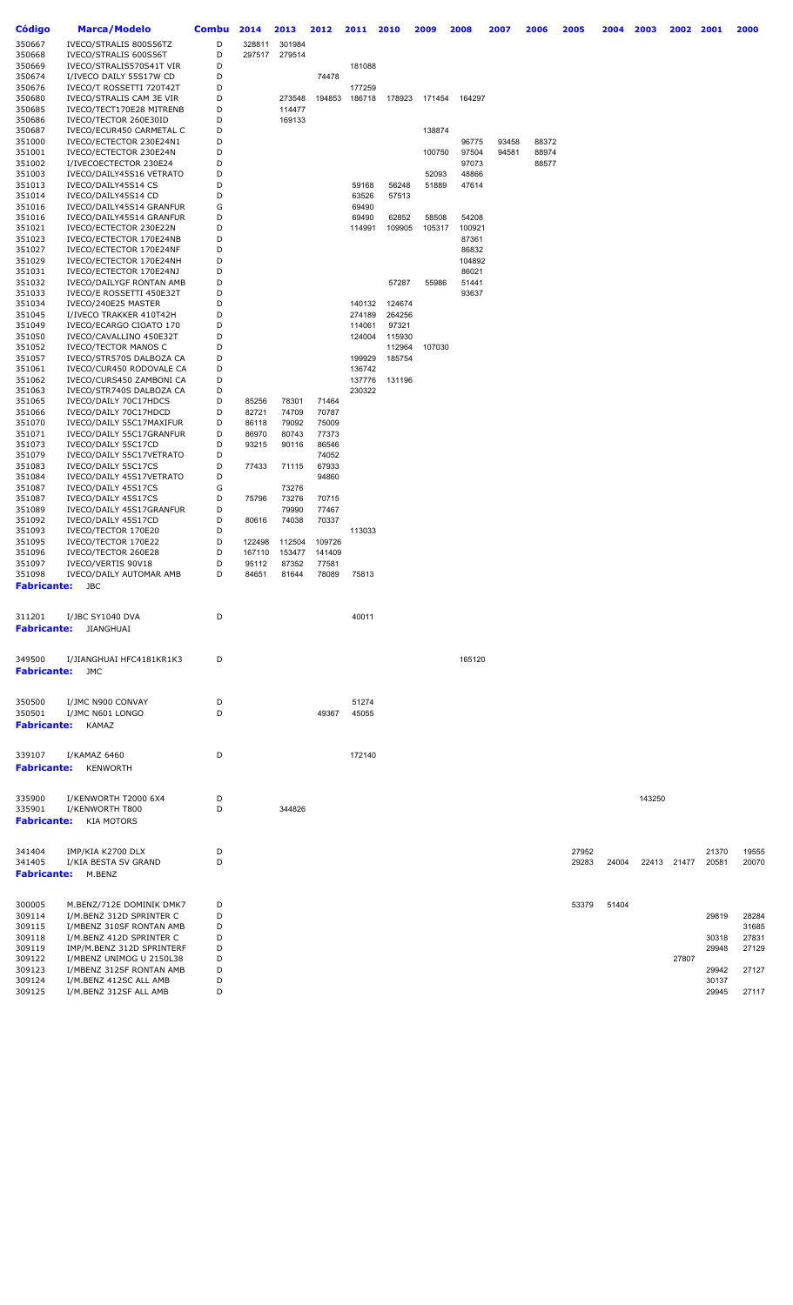| <b>Código</b>      | <b>Marca/Modelo</b>                                   | <b>Combu</b> | 2014            | 2013             | 2012            | 2011             | 2010   | 2009   | 2008           | 2007  | 2006  | 2005  | 2004  | 2003   | 2002        | 2001           | 2000           |
|--------------------|-------------------------------------------------------|--------------|-----------------|------------------|-----------------|------------------|--------|--------|----------------|-------|-------|-------|-------|--------|-------------|----------------|----------------|
| 350667             | IVECO/STRALIS 800S56TZ                                | D            | 328811          | 301984           |                 |                  |        |        |                |       |       |       |       |        |             |                |                |
| 350668             | IVECO/STRALIS 600S56T                                 | D            | 297517          | 279514           |                 |                  |        |        |                |       |       |       |       |        |             |                |                |
| 350669             | IVECO/STRALIS570S41T VIR                              | D            |                 |                  |                 | 181088           |        |        |                |       |       |       |       |        |             |                |                |
| 350674             | I/IVECO DAILY 55S17W CD                               | D            |                 |                  | 74478           |                  |        |        |                |       |       |       |       |        |             |                |                |
| 350676             | IVECO/T ROSSETTI 720T42T                              | D            |                 |                  |                 | 177259           |        |        |                |       |       |       |       |        |             |                |                |
| 350680<br>350685   | IVECO/STRALIS CAM 3E VIR<br>IVECO/TECT170E28 MITRENB  | D<br>D       |                 | 273548<br>114477 | 194853          | 186718           | 178923 | 171454 | 164297         |       |       |       |       |        |             |                |                |
| 350686             | IVECO/TECTOR 260E30ID                                 | D            |                 | 169133           |                 |                  |        |        |                |       |       |       |       |        |             |                |                |
| 350687             | IVECO/ECUR450 CARMETAL C                              | D            |                 |                  |                 |                  |        | 138874 |                |       |       |       |       |        |             |                |                |
| 351000             | IVECO/ECTECTOR 230E24N1                               | D            |                 |                  |                 |                  |        |        | 96775          | 93458 | 88372 |       |       |        |             |                |                |
| 351001             | IVECO/ECTECTOR 230E24N                                | D            |                 |                  |                 |                  |        | 100750 | 97504          | 94581 | 88974 |       |       |        |             |                |                |
| 351002             | I/IVECOECTECTOR 230E24                                | D            |                 |                  |                 |                  |        |        | 97073          |       | 88577 |       |       |        |             |                |                |
| 351003             | IVECO/DAILY45S16 VETRATO                              | D            |                 |                  |                 |                  |        | 52093  | 48866          |       |       |       |       |        |             |                |                |
| 351013<br>351014   | IVECO/DAILY45S14 CS                                   | D            |                 |                  |                 | 59168            | 56248  | 51889  | 47614          |       |       |       |       |        |             |                |                |
| 351016             | IVECO/DAILY45S14 CD<br>IVECO/DAILY45S14 GRANFUR       | D<br>G       |                 |                  |                 | 63526<br>69490   | 57513  |        |                |       |       |       |       |        |             |                |                |
| 351016             | IVECO/DAILY45S14 GRANFUR                              | D            |                 |                  |                 | 69490            | 62852  | 58508  | 54208          |       |       |       |       |        |             |                |                |
| 351021             | IVECO/ECTECTOR 230E22N                                | D            |                 |                  |                 | 114991           | 109905 | 105317 | 100921         |       |       |       |       |        |             |                |                |
| 351023             | IVECO/ECTECTOR 170E24NB                               | D            |                 |                  |                 |                  |        |        | 87361          |       |       |       |       |        |             |                |                |
| 351027             | IVECO/ECTECTOR 170E24NF                               | D            |                 |                  |                 |                  |        |        | 86832          |       |       |       |       |        |             |                |                |
| 351029             | IVECO/ECTECTOR 170E24NH                               | D            |                 |                  |                 |                  |        |        | 104892         |       |       |       |       |        |             |                |                |
| 351031             | IVECO/ECTECTOR 170E24NJ                               | D            |                 |                  |                 |                  |        |        | 86021          |       |       |       |       |        |             |                |                |
| 351032<br>351033   | IVECO/DAILYGF RONTAN AMB<br>IVECO/E ROSSETTI 450E32T  | D<br>D       |                 |                  |                 |                  | 57287  | 55986  | 51441<br>93637 |       |       |       |       |        |             |                |                |
| 351034             | IVECO/240E25 MASTER                                   | D            |                 |                  |                 | 140132           | 124674 |        |                |       |       |       |       |        |             |                |                |
| 351045             | I/IVECO TRAKKER 410T42H                               | D            |                 |                  |                 | 274189           | 264256 |        |                |       |       |       |       |        |             |                |                |
| 351049             | IVECO/ECARGO CIOATO 170                               | D            |                 |                  |                 | 114061           | 97321  |        |                |       |       |       |       |        |             |                |                |
| 351050             | IVECO/CAVALLINO 450E32T                               | D            |                 |                  |                 | 124004           | 115930 |        |                |       |       |       |       |        |             |                |                |
| 351052             | <b>IVECO/TECTOR MANOS C</b>                           | D            |                 |                  |                 |                  | 112964 | 107030 |                |       |       |       |       |        |             |                |                |
| 351057             | IVECO/STR570S DALBOZA CA                              | D            |                 |                  |                 | 199929           | 185754 |        |                |       |       |       |       |        |             |                |                |
| 351061<br>351062   | IVECO/CUR450 RODOVALE CA<br>IVECO/CURS450 ZAMBONI CA  | D<br>D       |                 |                  |                 | 136742<br>137776 | 131196 |        |                |       |       |       |       |        |             |                |                |
| 351063             | IVECO/STR740S DALBOZA CA                              | D            |                 |                  |                 | 230322           |        |        |                |       |       |       |       |        |             |                |                |
| 351065             | IVECO/DAILY 70C17HDCS                                 | D            | 85256           | 78301            | 71464           |                  |        |        |                |       |       |       |       |        |             |                |                |
| 351066             | IVECO/DAILY 70C17HDCD                                 | D            | 82721           | 74709            | 70787           |                  |        |        |                |       |       |       |       |        |             |                |                |
| 351070             | IVECO/DAILY 55C17MAXIFUR                              | D            | 86118           | 79092            | 75009           |                  |        |        |                |       |       |       |       |        |             |                |                |
| 351071             | IVECO/DAILY 55C17GRANFUR                              | D            | 86970           | 80743            | 77373           |                  |        |        |                |       |       |       |       |        |             |                |                |
| 351073             | IVECO/DAILY 55C17CD                                   | D            | 93215           | 90116            | 86546           |                  |        |        |                |       |       |       |       |        |             |                |                |
| 351079             | IVECO/DAILY 55C17VETRATO                              | D<br>D       | 77433           |                  | 74052           |                  |        |        |                |       |       |       |       |        |             |                |                |
| 351083<br>351084   | IVECO/DAILY 55C17CS<br>IVECO/DAILY 45S17VETRATO       | D            |                 | 71115            | 67933<br>94860  |                  |        |        |                |       |       |       |       |        |             |                |                |
| 351087             | IVECO/DAILY 45S17CS                                   | G            |                 | 73276            |                 |                  |        |        |                |       |       |       |       |        |             |                |                |
| 351087             | IVECO/DAILY 45S17CS                                   | D            | 75796           | 73276            | 70715           |                  |        |        |                |       |       |       |       |        |             |                |                |
| 351089             | IVECO/DAILY 45S17GRANFUR                              | D            |                 | 79990            | 77467           |                  |        |        |                |       |       |       |       |        |             |                |                |
| 351092             | IVECO/DAILY 45S17CD                                   | D            | 80616           | 74038            | 70337           |                  |        |        |                |       |       |       |       |        |             |                |                |
| 351093             | IVECO/TECTOR 170E20                                   | D            |                 |                  |                 | 113033           |        |        |                |       |       |       |       |        |             |                |                |
| 351095             | IVECO/TECTOR 170E22                                   | D            | 122498          | 112504           | 109726          |                  |        |        |                |       |       |       |       |        |             |                |                |
| 351096<br>351097   | IVECO/TECTOR 260E28<br>IVECO/VERTIS 90V18             | D<br>D       | 167110<br>95112 | 153477<br>87352  | 141409<br>77581 |                  |        |        |                |       |       |       |       |        |             |                |                |
| 351098             | IVECO/DAILY AUTOMAR AMB                               | D            | 84651           | 81644            | 78089           | 75813            |        |        |                |       |       |       |       |        |             |                |                |
| <b>Fabricante:</b> | JBC                                                   |              |                 |                  |                 |                  |        |        |                |       |       |       |       |        |             |                |                |
|                    |                                                       |              |                 |                  |                 |                  |        |        |                |       |       |       |       |        |             |                |                |
| 311201             | I/JBC SY1040 DVA                                      | D            |                 |                  |                 | 40011            |        |        |                |       |       |       |       |        |             |                |                |
| <b>Fabricante:</b> | JIANGHUAI                                             |              |                 |                  |                 |                  |        |        |                |       |       |       |       |        |             |                |                |
|                    |                                                       |              |                 |                  |                 |                  |        |        |                |       |       |       |       |        |             |                |                |
|                    |                                                       |              |                 |                  |                 |                  |        |        |                |       |       |       |       |        |             |                |                |
| 349500             | I/JIANGHUAI HFC4181KR1K3                              | D            |                 |                  |                 |                  |        |        | 165120         |       |       |       |       |        |             |                |                |
| <b>Fabricante:</b> | JMC                                                   |              |                 |                  |                 |                  |        |        |                |       |       |       |       |        |             |                |                |
|                    |                                                       |              |                 |                  |                 |                  |        |        |                |       |       |       |       |        |             |                |                |
| 350500             | I/JMC N900 CONVAY                                     | D            |                 |                  |                 | 51274            |        |        |                |       |       |       |       |        |             |                |                |
| 350501             | I/JMC N601 LONGO                                      | D            |                 |                  | 49367           | 45055            |        |        |                |       |       |       |       |        |             |                |                |
| <b>Fabricante:</b> | KAMAZ                                                 |              |                 |                  |                 |                  |        |        |                |       |       |       |       |        |             |                |                |
|                    |                                                       |              |                 |                  |                 |                  |        |        |                |       |       |       |       |        |             |                |                |
| 339107             | I/KAMAZ 6460                                          | D            |                 |                  |                 | 172140           |        |        |                |       |       |       |       |        |             |                |                |
| <b>Fabricante:</b> | <b>KENWORTH</b>                                       |              |                 |                  |                 |                  |        |        |                |       |       |       |       |        |             |                |                |
|                    |                                                       |              |                 |                  |                 |                  |        |        |                |       |       |       |       |        |             |                |                |
|                    |                                                       |              |                 |                  |                 |                  |        |        |                |       |       |       |       |        |             |                |                |
| 335900<br>335901   | I/KENWORTH T2000 6X4<br>I/KENWORTH T800               | D<br>D       |                 | 344826           |                 |                  |        |        |                |       |       |       |       | 143250 |             |                |                |
| <b>Fabricante:</b> | <b>KIA MOTORS</b>                                     |              |                 |                  |                 |                  |        |        |                |       |       |       |       |        |             |                |                |
|                    |                                                       |              |                 |                  |                 |                  |        |        |                |       |       |       |       |        |             |                |                |
|                    |                                                       |              |                 |                  |                 |                  |        |        |                |       |       |       |       |        |             |                |                |
| 341404             | IMP/KIA K2700 DLX                                     | D            |                 |                  |                 |                  |        |        |                |       |       | 27952 |       |        |             | 21370          | 19555          |
| 341405             | I/KIA BESTA SV GRAND                                  | D            |                 |                  |                 |                  |        |        |                |       |       | 29283 | 24004 |        | 22413 21477 | 20581          | 20070          |
| <b>Fabricante:</b> | M.BENZ                                                |              |                 |                  |                 |                  |        |        |                |       |       |       |       |        |             |                |                |
|                    |                                                       |              |                 |                  |                 |                  |        |        |                |       |       |       |       |        |             |                |                |
| 300005             | M.BENZ/712E DOMINIK DMK7                              | D            |                 |                  |                 |                  |        |        |                |       |       | 53379 | 51404 |        |             |                |                |
| 309114             | I/M.BENZ 312D SPRINTER C                              | D            |                 |                  |                 |                  |        |        |                |       |       |       |       |        |             | 29819          | 28284          |
| 309115             | I/MBENZ 310SF RONTAN AMB                              | D            |                 |                  |                 |                  |        |        |                |       |       |       |       |        |             |                | 31685          |
| 309118<br>309119   | I/M.BENZ 412D SPRINTER C<br>IMP/M.BENZ 312D SPRINTERF | D<br>D       |                 |                  |                 |                  |        |        |                |       |       |       |       |        |             | 30318<br>29948 | 27831<br>27129 |
| 309122             | I/MBENZ UNIMOG U 2150L38                              | D            |                 |                  |                 |                  |        |        |                |       |       |       |       |        | 27807       |                |                |
| 309123             | I/MBENZ 312SF RONTAN AMB                              | D            |                 |                  |                 |                  |        |        |                |       |       |       |       |        |             | 29942          | 27127          |
| 309124             | I/M.BENZ 412SC ALL AMB                                | D            |                 |                  |                 |                  |        |        |                |       |       |       |       |        |             | 30137          |                |
| 309125             | I/M.BENZ 312SF ALL AMB                                | D            |                 |                  |                 |                  |        |        |                |       |       |       |       |        |             | 29945          | 27117          |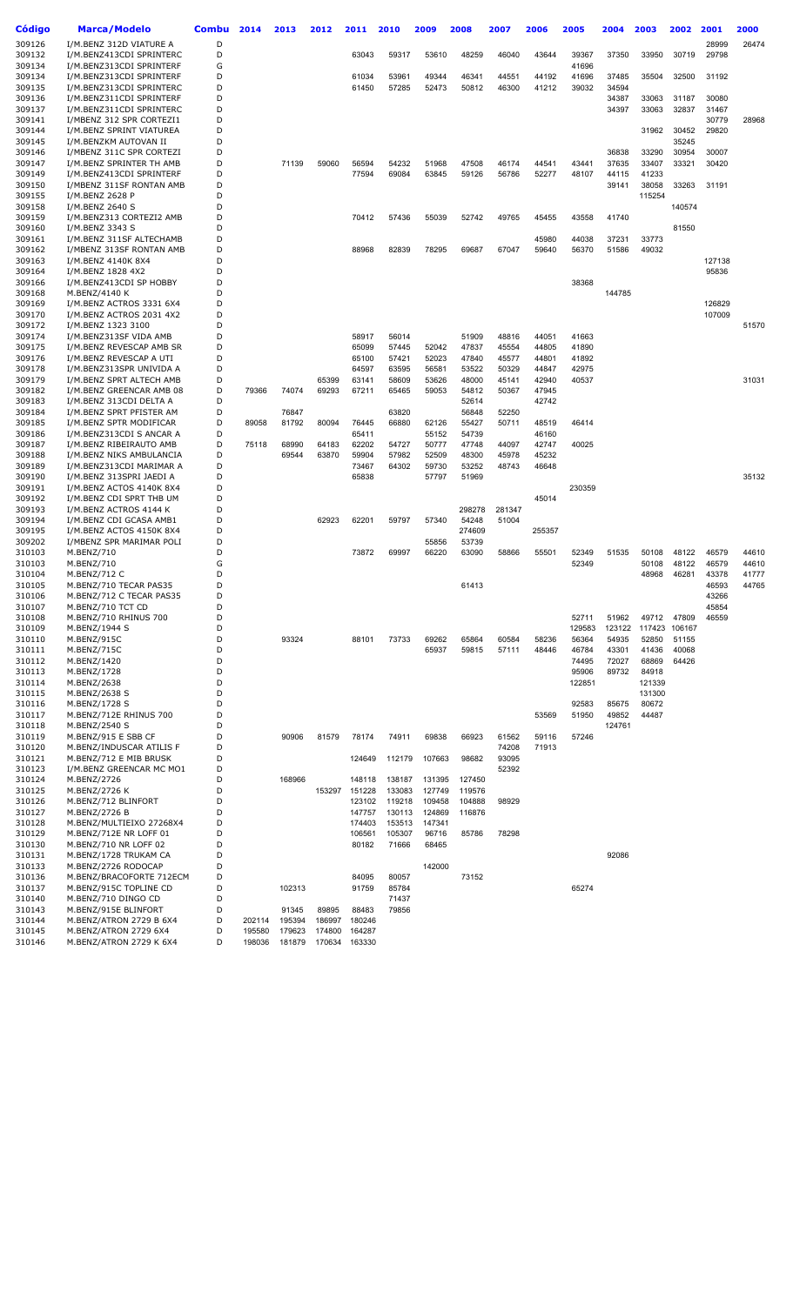| Código           | <b>Marca/Modelo</b>                                  | Combu  | 2014   | 2013            | 2012            | 2011             | 2010             | 2009            | 2008           | 2007           | 2006           | 2005           | 2004           | 2003           | 2002           | 2001           | 2000           |
|------------------|------------------------------------------------------|--------|--------|-----------------|-----------------|------------------|------------------|-----------------|----------------|----------------|----------------|----------------|----------------|----------------|----------------|----------------|----------------|
| 309126           | I/M.BENZ 312D VIATURE A                              | D      |        |                 |                 |                  |                  |                 |                |                |                |                |                |                |                | 28999          | 26474          |
| 309132           | I/M.BENZ413CDI SPRINTERC                             | D      |        |                 |                 | 63043            | 59317            | 53610           | 48259          | 46040          | 43644          | 39367          | 37350          | 33950          | 30719          | 29798          |                |
| 309134           | I/M.BENZ313CDI SPRINTERF                             | G      |        |                 |                 |                  |                  |                 |                |                |                | 41696          |                |                |                |                |                |
| 309134           | I/M.BENZ313CDI SPRINTERF                             | D      |        |                 |                 | 61034            | 53961            | 49344           | 46341          | 44551          | 44192          | 41696          | 37485          | 35504          | 32500          | 31192          |                |
| 309135           | I/M.BENZ313CDI SPRINTERC                             | D      |        |                 |                 | 61450            | 57285            | 52473           | 50812          | 46300          | 41212          | 39032          | 34594          |                |                |                |                |
| 309136           | I/M.BENZ311CDI SPRINTERF                             | D      |        |                 |                 |                  |                  |                 |                |                |                |                | 34387          | 33063          | 31187          | 30080          |                |
| 309137           | I/M.BENZ311CDI SPRINTERC                             | D      |        |                 |                 |                  |                  |                 |                |                |                |                | 34397          | 33063          | 32837          | 31467          |                |
| 309141<br>309144 | I/MBENZ 312 SPR CORTEZI1                             | D<br>D |        |                 |                 |                  |                  |                 |                |                |                |                |                | 31962          | 30452          | 30779<br>29820 | 28968          |
| 309145           | I/M.BENZ SPRINT VIATUREA<br>I/M.BENZKM AUTOVAN II    | D      |        |                 |                 |                  |                  |                 |                |                |                |                |                |                | 35245          |                |                |
| 309146           | I/MBENZ 311C SPR CORTEZI                             | D      |        |                 |                 |                  |                  |                 |                |                |                |                | 36838          | 33290          | 30954          | 30007          |                |
| 309147           | I/M.BENZ SPRINTER TH AMB                             | D      |        | 71139           | 59060           | 56594            | 54232            | 51968           | 47508          | 46174          | 44541          | 43441          | 37635          | 33407          | 33321          | 30420          |                |
| 309149           | I/M.BENZ413CDI SPRINTERF                             | D      |        |                 |                 | 77594            | 69084            | 63845           | 59126          | 56786          | 52277          | 48107          | 44115          | 41233          |                |                |                |
| 309150           | I/MBENZ 311SF RONTAN AMB                             | D      |        |                 |                 |                  |                  |                 |                |                |                |                | 39141          | 38058          | 33263          | 31191          |                |
| 309155           | I/M.BENZ 2628 P                                      | D      |        |                 |                 |                  |                  |                 |                |                |                |                |                | 115254         |                |                |                |
| 309158<br>309159 | I/M.BENZ 2640 S<br>I/M.BENZ313 CORTEZI2 AMB          | D<br>D |        |                 |                 | 70412            | 57436            | 55039           | 52742          | 49765          | 45455          | 43558          | 41740          |                | 140574         |                |                |
| 309160           | I/M.BENZ 3343 S                                      | D      |        |                 |                 |                  |                  |                 |                |                |                |                |                |                | 81550          |                |                |
| 309161           | I/M.BENZ 311SF ALTECHAMB                             | D      |        |                 |                 |                  |                  |                 |                |                | 45980          | 44038          | 37231          | 33773          |                |                |                |
| 309162           | I/MBENZ 313SF RONTAN AMB                             | D      |        |                 |                 | 88968            | 82839            | 78295           | 69687          | 67047          | 59640          | 56370          | 51586          | 49032          |                |                |                |
| 309163           | I/M.BENZ 4140K 8X4                                   | D      |        |                 |                 |                  |                  |                 |                |                |                |                |                |                |                | 127138         |                |
| 309164           | I/M.BENZ 1828 4X2                                    | D      |        |                 |                 |                  |                  |                 |                |                |                |                |                |                |                | 95836          |                |
| 309166           | I/M.BENZ413CDI SP HOBBY                              | D      |        |                 |                 |                  |                  |                 |                |                |                | 38368          |                |                |                |                |                |
| 309168<br>309169 | M.BENZ/4140 K<br>I/M.BENZ ACTROS 3331 6X4            | D<br>D |        |                 |                 |                  |                  |                 |                |                |                |                | 144785         |                |                | 126829         |                |
| 309170           | I/M.BENZ ACTROS 2031 4X2                             | D      |        |                 |                 |                  |                  |                 |                |                |                |                |                |                |                | 107009         |                |
| 309172           | I/M.BENZ 1323 3100                                   | D      |        |                 |                 |                  |                  |                 |                |                |                |                |                |                |                |                | 51570          |
| 309174           | I/M.BENZ313SF VIDA AMB                               | D      |        |                 |                 | 58917            | 56014            |                 | 51909          | 48816          | 44051          | 41663          |                |                |                |                |                |
| 309175           | I/M.BENZ REVESCAP AMB SR                             | D      |        |                 |                 | 65099            | 57445            | 52042           | 47837          | 45554          | 44805          | 41890          |                |                |                |                |                |
| 309176           | I/M.BENZ REVESCAP A UTI                              | D      |        |                 |                 | 65100            | 57421            | 52023           | 47840          | 45577          | 44801          | 41892          |                |                |                |                |                |
| 309178           | I/M.BENZ313SPR UNIVIDA A                             | D      |        |                 |                 | 64597            | 63595            | 56581           | 53522          | 50329          | 44847          | 42975          |                |                |                |                |                |
| 309179           | I/M.BENZ SPRT ALTECH AMB<br>I/M.BENZ GREENCAR AMB 08 | D<br>D |        |                 | 65399           | 63141            | 58609            | 53626           | 48000          | 45141          | 42940          | 40537          |                |                |                |                | 31031          |
| 309182<br>309183 | I/M.BENZ 313CDI DELTA A                              | D      | 79366  | 74074           | 69293           | 67211            | 65465            | 59053           | 54812<br>52614 | 50367          | 47945<br>42742 |                |                |                |                |                |                |
| 309184           | I/M.BENZ SPRT PFISTER AM                             | D      |        | 76847           |                 |                  | 63820            |                 | 56848          | 52250          |                |                |                |                |                |                |                |
| 309185           | I/M.BENZ SPTR MODIFICAR                              | D      | 89058  | 81792           | 80094           | 76445            | 66880            | 62126           | 55427          | 50711          | 48519          | 46414          |                |                |                |                |                |
| 309186           | I/M.BENZ313CDI S ANCAR A                             | D      |        |                 |                 | 65411            |                  | 55152           | 54739          |                | 46160          |                |                |                |                |                |                |
| 309187           | I/M.BENZ RIBEIRAUTO AMB                              | D      | 75118  | 68990           | 64183           | 62202            | 54727            | 50777           | 47748          | 44097          | 42747          | 40025          |                |                |                |                |                |
| 309188           | I/M.BENZ NIKS AMBULANCIA                             | D      |        | 69544           | 63870           | 59904            | 57982            | 52509           | 48300          | 45978          | 45232          |                |                |                |                |                |                |
| 309189           | I/M.BENZ313CDI MARIMAR A                             | D<br>D |        |                 |                 | 73467            | 64302            | 59730           | 53252          | 48743          | 46648          |                |                |                |                |                |                |
| 309190<br>309191 | I/M.BENZ 313SPRI JAEDI A<br>I/M.BENZ ACTOS 4140K 8X4 | D      |        |                 |                 | 65838            |                  | 57797           | 51969          |                |                | 230359         |                |                |                |                | 35132          |
| 309192           | I/M.BENZ CDI SPRT THB UM                             | D      |        |                 |                 |                  |                  |                 |                |                | 45014          |                |                |                |                |                |                |
| 309193           | I/M.BENZ ACTROS 4144 K                               | D      |        |                 |                 |                  |                  |                 | 298278         | 281347         |                |                |                |                |                |                |                |
| 309194           | I/M.BENZ CDI GCASA AMB1                              | D      |        |                 | 62923           | 62201            | 59797            | 57340           | 54248          | 51004          |                |                |                |                |                |                |                |
| 309195           | I/M.BENZ ACTOS 4150K 8X4                             | D      |        |                 |                 |                  |                  |                 | 274609         |                | 255357         |                |                |                |                |                |                |
| 309202           | I/MBENZ SPR MARIMAR POLI                             | D      |        |                 |                 |                  |                  | 55856           | 53739          |                |                |                |                |                |                |                |                |
| 310103           | M.BENZ/710                                           | D<br>G |        |                 |                 | 73872            | 69997            | 66220           | 63090          | 58866          | 55501          | 52349          | 51535          | 50108          | 48122          | 46579          | 44610          |
| 310103<br>310104 | M.BENZ/710<br>M.BENZ/712 C                           | D      |        |                 |                 |                  |                  |                 |                |                |                | 52349          |                | 50108<br>48968 | 48122<br>46281 | 46579<br>43378 | 44610<br>41777 |
| 310105           | M.BENZ/710 TECAR PAS35                               | D      |        |                 |                 |                  |                  |                 | 61413          |                |                |                |                |                |                | 46593          | 44765          |
| 310106           | M.BENZ/712 C TECAR PAS35                             | D      |        |                 |                 |                  |                  |                 |                |                |                |                |                |                |                | 43266          |                |
| 310107           | M.BENZ/710 TCT CD                                    | D      |        |                 |                 |                  |                  |                 |                |                |                |                |                |                |                | 45854          |                |
| 310108           | M.BENZ/710 RHINUS 700                                | D      |        |                 |                 |                  |                  |                 |                |                |                | 52711          | 51962          | 49712          | 47809          | 46559          |                |
| 310109           | M.BENZ/1944 S                                        | D      |        |                 |                 |                  |                  |                 |                |                |                | 129583         | 123122         | 117423         | 106167         |                |                |
| 310110<br>310111 | M.BENZ/915C<br>M.BENZ/715C                           | D<br>D |        | 93324           |                 | 88101            | 73733            | 69262<br>65937  | 65864<br>59815 | 60584<br>57111 | 58236<br>48446 | 56364<br>46784 | 54935<br>43301 | 52850<br>41436 | 51155<br>40068 |                |                |
| 310112           | M.BENZ/1420                                          | D      |        |                 |                 |                  |                  |                 |                |                |                | 74495          | 72027          | 68869          | 64426          |                |                |
| 310113           | M.BENZ/1728                                          | D      |        |                 |                 |                  |                  |                 |                |                |                | 95906          | 89732          | 84918          |                |                |                |
| 310114           | M.BENZ/2638                                          | D      |        |                 |                 |                  |                  |                 |                |                |                | 122851         |                | 121339         |                |                |                |
| 310115           | M.BENZ/2638 S                                        | D      |        |                 |                 |                  |                  |                 |                |                |                |                |                | 131300         |                |                |                |
| 310116           | M.BENZ/1728 S                                        | D      |        |                 |                 |                  |                  |                 |                |                |                | 92583          | 85675          | 80672          |                |                |                |
| 310117           | M.BENZ/712E RHINUS 700                               | D      |        |                 |                 |                  |                  |                 |                |                | 53569          | 51950          | 49852          | 44487          |                |                |                |
| 310118           | M.BENZ/2540 S                                        | D<br>D |        |                 |                 |                  |                  |                 |                |                |                |                | 124761         |                |                |                |                |
| 310119<br>310120 | M.BENZ/915 E SBB CF<br>M.BENZ/INDUSCAR ATILIS F      | D      |        | 90906           | 81579           | 78174            | 74911            | 69838           | 66923          | 61562<br>74208 | 59116<br>71913 | 57246          |                |                |                |                |                |
| 310121           | M.BENZ/712 E MIB BRUSK                               | D      |        |                 |                 | 124649           | 112179           | 107663          | 98682          | 93095          |                |                |                |                |                |                |                |
| 310123           | I/M.BENZ GREENCAR MC MO1                             | D      |        |                 |                 |                  |                  |                 |                | 52392          |                |                |                |                |                |                |                |
| 310124           | M.BENZ/2726                                          | D      |        | 168966          |                 | 148118           | 138187           | 131395          | 127450         |                |                |                |                |                |                |                |                |
| 310125           | M.BENZ/2726 K                                        | D      |        |                 | 153297          | 151228           | 133083           | 127749          | 119576         |                |                |                |                |                |                |                |                |
| 310126           | M.BENZ/712 BLINFORT                                  | D      |        |                 |                 | 123102           | 119218           | 109458          | 104888         | 98929          |                |                |                |                |                |                |                |
| 310127           | M.BENZ/2726 B                                        | D      |        |                 |                 | 147757           | 130113           | 124869          | 116876         |                |                |                |                |                |                |                |                |
| 310128<br>310129 | M.BENZ/MULTIEIXO 27268X4<br>M.BENZ/712E NR LOFF 01   | D<br>D |        |                 |                 | 174403<br>106561 | 153513<br>105307 | 147341<br>96716 | 85786          | 78298          |                |                |                |                |                |                |                |
| 310130           | M.BENZ/710 NR LOFF 02                                | D      |        |                 |                 | 80182            | 71666            | 68465           |                |                |                |                |                |                |                |                |                |
| 310131           | M.BENZ/1728 TRUKAM CA                                | D      |        |                 |                 |                  |                  |                 |                |                |                |                | 92086          |                |                |                |                |
| 310133           | M.BENZ/2726 RODOCAP                                  | D      |        |                 |                 |                  |                  | 142000          |                |                |                |                |                |                |                |                |                |
| 310136           | M.BENZ/BRACOFORTE 712ECM                             | D      |        |                 |                 | 84095            | 80057            |                 | 73152          |                |                |                |                |                |                |                |                |
| 310137           | M.BENZ/915C TOPLINE CD                               | D      |        | 102313          |                 | 91759            | 85784            |                 |                |                |                | 65274          |                |                |                |                |                |
| 310140           | M.BENZ/710 DINGO CD                                  | D      |        |                 |                 |                  | 71437            |                 |                |                |                |                |                |                |                |                |                |
| 310143<br>310144 | M.BENZ/915E BLINFORT<br>M.BENZ/ATRON 2729 B 6X4      | D<br>D | 202114 | 91345<br>195394 | 89895<br>186997 | 88483<br>180246  | 79856            |                 |                |                |                |                |                |                |                |                |                |
| 310145           | M.BENZ/ATRON 2729 6X4                                | D      | 195580 | 179623          | 174800          | 164287           |                  |                 |                |                |                |                |                |                |                |                |                |
| 310146           | M.BENZ/ATRON 2729 K 6X4                              | D      | 198036 | 181879          | 170634          | 163330           |                  |                 |                |                |                |                |                |                |                |                |                |
|                  |                                                      |        |        |                 |                 |                  |                  |                 |                |                |                |                |                |                |                |                |                |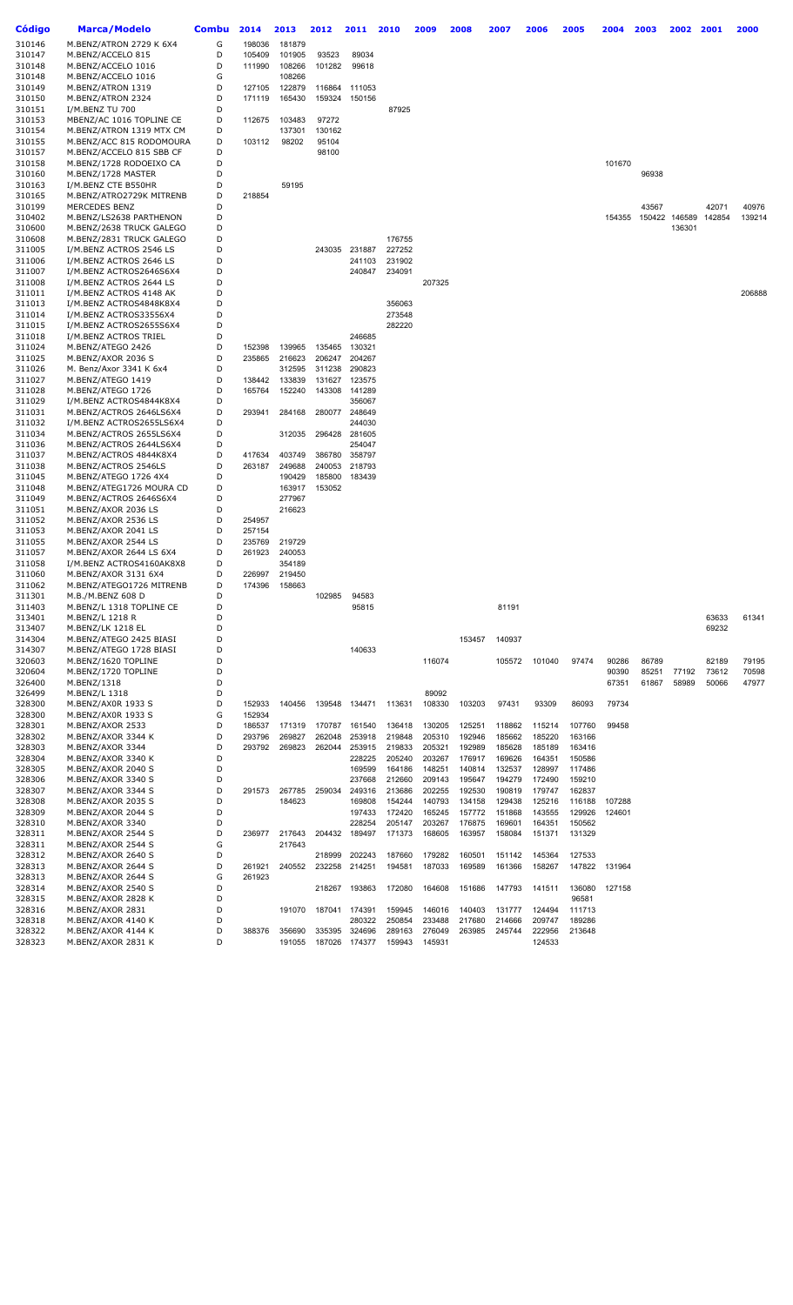| Código           | Marca/Modelo                                       | <b>Combu</b> | 2014             | 2013             | 2012   | 2011             | 2010             | 2009             | 2008             | 2007             | 2006             | 2005             | 2004   | 2003  | 2002          | 2001   | 2000   |
|------------------|----------------------------------------------------|--------------|------------------|------------------|--------|------------------|------------------|------------------|------------------|------------------|------------------|------------------|--------|-------|---------------|--------|--------|
| 310146           | M.BENZ/ATRON 2729 K 6X4                            | G            | 198036           | 181879           |        |                  |                  |                  |                  |                  |                  |                  |        |       |               |        |        |
| 310147           | M.BENZ/ACCELO 815                                  | D            | 105409           | 101905           | 93523  | 89034            |                  |                  |                  |                  |                  |                  |        |       |               |        |        |
| 310148           | M.BENZ/ACCELO 1016                                 | D            | 111990           | 108266           | 101282 | 99618            |                  |                  |                  |                  |                  |                  |        |       |               |        |        |
| 310148           | M.BENZ/ACCELO 1016                                 | G            |                  | 108266           |        |                  |                  |                  |                  |                  |                  |                  |        |       |               |        |        |
| 310149           | M.BENZ/ATRON 1319                                  | D            | 127105           | 122879           |        | 116864 111053    |                  |                  |                  |                  |                  |                  |        |       |               |        |        |
| 310150           | M.BENZ/ATRON 2324                                  | D            | 171119           | 165430           |        | 159324 150156    |                  |                  |                  |                  |                  |                  |        |       |               |        |        |
| 310151           | I/M.BENZ TU 700                                    | D            |                  |                  |        |                  | 87925            |                  |                  |                  |                  |                  |        |       |               |        |        |
| 310153           | MBENZ/AC 1016 TOPLINE CE                           | D            | 112675           | 103483           | 97272  |                  |                  |                  |                  |                  |                  |                  |        |       |               |        |        |
| 310154           | M.BENZ/ATRON 1319 MTX CM                           | D            |                  | 137301           | 130162 |                  |                  |                  |                  |                  |                  |                  |        |       |               |        |        |
| 310155           | M.BENZ/ACC 815 RODOMOURA                           | D            | 103112           | 98202            | 95104  |                  |                  |                  |                  |                  |                  |                  |        |       |               |        |        |
| 310157           | M.BENZ/ACCELO 815 SBB CF                           | D            |                  |                  | 98100  |                  |                  |                  |                  |                  |                  |                  |        |       |               |        |        |
| 310158           | M.BENZ/1728 RODOEIXO CA                            | D            |                  |                  |        |                  |                  |                  |                  |                  |                  |                  | 101670 |       |               |        |        |
| 310160           | M.BENZ/1728 MASTER                                 | D            |                  |                  |        |                  |                  |                  |                  |                  |                  |                  |        | 96938 |               |        |        |
| 310163           | I/M.BENZ CTE B550HR                                | D            |                  | 59195            |        |                  |                  |                  |                  |                  |                  |                  |        |       |               |        |        |
| 310165           | M.BENZ/ATRO2729K MITRENB                           | D            | 218854           |                  |        |                  |                  |                  |                  |                  |                  |                  |        |       |               |        |        |
| 310199           | MERCEDES BENZ                                      | D            |                  |                  |        |                  |                  |                  |                  |                  |                  |                  |        | 43567 |               | 42071  | 40976  |
| 310402           | M.BENZ/LS2638 PARTHENON                            | D            |                  |                  |        |                  |                  |                  |                  |                  |                  |                  | 154355 |       | 150422 146589 | 142854 | 139214 |
| 310600           | M.BENZ/2638 TRUCK GALEGO                           | D            |                  |                  |        |                  |                  |                  |                  |                  |                  |                  |        |       | 136301        |        |        |
| 310608           | M.BENZ/2831 TRUCK GALEGO                           | D            |                  |                  |        |                  | 176755           |                  |                  |                  |                  |                  |        |       |               |        |        |
| 311005           | I/M.BENZ ACTROS 2546 LS                            | D            |                  |                  |        | 243035 231887    | 227252           |                  |                  |                  |                  |                  |        |       |               |        |        |
| 311006           | I/M.BENZ ACTROS 2646 LS                            | D<br>D       |                  |                  |        | 241103           | 231902<br>234091 |                  |                  |                  |                  |                  |        |       |               |        |        |
| 311007           | I/M.BENZ ACTROS2646S6X4                            | D            |                  |                  |        | 240847           |                  |                  |                  |                  |                  |                  |        |       |               |        |        |
| 311008<br>311011 | I/M.BENZ ACTROS 2644 LS<br>I/M.BENZ ACTROS 4148 AK | D            |                  |                  |        |                  |                  | 207325           |                  |                  |                  |                  |        |       |               |        | 206888 |
| 311013           | I/M.BENZ ACTROS4848K8X4                            | D            |                  |                  |        |                  | 356063           |                  |                  |                  |                  |                  |        |       |               |        |        |
| 311014           | I/M.BENZ ACTROS33556X4                             | D            |                  |                  |        |                  | 273548           |                  |                  |                  |                  |                  |        |       |               |        |        |
| 311015           | I/M.BENZ ACTROS2655S6X4                            | D            |                  |                  |        |                  | 282220           |                  |                  |                  |                  |                  |        |       |               |        |        |
| 311018           | I/M.BENZ ACTROS TRIEL                              | D            |                  |                  |        | 246685           |                  |                  |                  |                  |                  |                  |        |       |               |        |        |
| 311024           | M.BENZ/ATEGO 2426                                  | D            | 152398           | 139965           | 135465 | 130321           |                  |                  |                  |                  |                  |                  |        |       |               |        |        |
| 311025           | M.BENZ/AXOR 2036 S                                 | D            | 235865           | 216623           |        | 206247 204267    |                  |                  |                  |                  |                  |                  |        |       |               |        |        |
| 311026           | M. Benz/Axor 3341 K 6x4                            | D            |                  | 312595           |        | 311238 290823    |                  |                  |                  |                  |                  |                  |        |       |               |        |        |
| 311027           | M.BENZ/ATEGO 1419                                  | D            | 138442           | 133839           |        | 131627 123575    |                  |                  |                  |                  |                  |                  |        |       |               |        |        |
| 311028           | M.BENZ/ATEGO 1726                                  | D            | 165764           | 152240           | 143308 | 141289           |                  |                  |                  |                  |                  |                  |        |       |               |        |        |
| 311029           | I/M.BENZ ACTROS4844K8X4                            | D            |                  |                  |        | 356067           |                  |                  |                  |                  |                  |                  |        |       |               |        |        |
| 311031           | M.BENZ/ACTROS 2646LS6X4                            | D            | 293941           | 284168           | 280077 | 248649           |                  |                  |                  |                  |                  |                  |        |       |               |        |        |
| 311032           | I/M.BENZ ACTROS2655LS6X4                           | D            |                  |                  |        | 244030           |                  |                  |                  |                  |                  |                  |        |       |               |        |        |
| 311034           | M.BENZ/ACTROS 2655LS6X4                            | D            |                  | 312035           |        | 296428 281605    |                  |                  |                  |                  |                  |                  |        |       |               |        |        |
| 311036           | M.BENZ/ACTROS 2644LS6X4                            | D            |                  |                  |        | 254047           |                  |                  |                  |                  |                  |                  |        |       |               |        |        |
| 311037           | M.BENZ/ACTROS 4844K8X4                             | D            | 417634           | 403749           | 386780 | 358797           |                  |                  |                  |                  |                  |                  |        |       |               |        |        |
| 311038           | M.BENZ/ACTROS 2546LS                               | D            | 263187           | 249688           |        | 240053 218793    |                  |                  |                  |                  |                  |                  |        |       |               |        |        |
| 311045           | M.BENZ/ATEGO 1726 4X4                              | D            |                  | 190429           |        | 185800 183439    |                  |                  |                  |                  |                  |                  |        |       |               |        |        |
| 311048           | M.BENZ/ATEG1726 MOURA CD                           | D            |                  | 163917           | 153052 |                  |                  |                  |                  |                  |                  |                  |        |       |               |        |        |
| 311049           | M.BENZ/ACTROS 2646S6X4                             | D            |                  | 277967           |        |                  |                  |                  |                  |                  |                  |                  |        |       |               |        |        |
| 311051           | M.BENZ/AXOR 2036 LS                                | D            |                  | 216623           |        |                  |                  |                  |                  |                  |                  |                  |        |       |               |        |        |
| 311052           | M.BENZ/AXOR 2536 LS                                | D<br>D       | 254957           |                  |        |                  |                  |                  |                  |                  |                  |                  |        |       |               |        |        |
| 311053<br>311055 | M.BENZ/AXOR 2041 LS<br>M.BENZ/AXOR 2544 LS         | D            | 257154           |                  |        |                  |                  |                  |                  |                  |                  |                  |        |       |               |        |        |
| 311057           | M.BENZ/AXOR 2644 LS 6X4                            | D            | 235769<br>261923 | 219729<br>240053 |        |                  |                  |                  |                  |                  |                  |                  |        |       |               |        |        |
| 311058           | I/M.BENZ ACTROS4160AK8X8                           | D            |                  | 354189           |        |                  |                  |                  |                  |                  |                  |                  |        |       |               |        |        |
| 311060           | M.BENZ/AXOR 3131 6X4                               | D            | 226997           | 219450           |        |                  |                  |                  |                  |                  |                  |                  |        |       |               |        |        |
| 311062           | M.BENZ/ATEGO1726 MITRENB                           | D            | 174396           | 158663           |        |                  |                  |                  |                  |                  |                  |                  |        |       |               |        |        |
| 311301           | M.B./M.BENZ 608 D                                  | D            |                  |                  | 102985 | 94583            |                  |                  |                  |                  |                  |                  |        |       |               |        |        |
| 311403           | M.BENZ/L 1318 TOPLINE CE                           | D            |                  |                  |        | 95815            |                  |                  |                  | 81191            |                  |                  |        |       |               |        |        |
| 313401           | M.BENZ/L 1218 R                                    | D            |                  |                  |        |                  |                  |                  |                  |                  |                  |                  |        |       |               | 63633  | 61341  |
| 313407           | M.BENZ/LK 1218 EL                                  | D            |                  |                  |        |                  |                  |                  |                  |                  |                  |                  |        |       |               | 69232  |        |
| 314304           | M.BENZ/ATEGO 2425 BIASI                            | D            |                  |                  |        |                  |                  |                  | 153457           | 140937           |                  |                  |        |       |               |        |        |
| 314307           | M.BENZ/ATEGO 1728 BIASI                            | D            |                  |                  |        | 140633           |                  |                  |                  |                  |                  |                  |        |       |               |        |        |
| 320603           | M.BENZ/1620 TOPLINE                                | D            |                  |                  |        |                  |                  | 116074           |                  | 105572           | 101040           | 97474            | 90286  | 86789 |               | 82189  | 79195  |
| 320604           | M.BENZ/1720 TOPLINE                                | D            |                  |                  |        |                  |                  |                  |                  |                  |                  |                  | 90390  | 85251 | 77192         | 73612  | 70598  |
| 326400           | M.BENZ/1318                                        | D            |                  |                  |        |                  |                  |                  |                  |                  |                  |                  | 67351  | 61867 | 58989         | 50066  | 47977  |
| 326499           | M.BENZ/L 1318                                      | D            |                  |                  |        |                  |                  | 89092            |                  |                  |                  |                  |        |       |               |        |        |
| 328300           | M.BENZ/AX0R 1933 S                                 | D            | 152933           | 140456           | 139548 | 134471           | 113631           | 108330           | 103203           | 97431            | 93309            | 86093            | 79734  |       |               |        |        |
| 328300           | M.BENZ/AX0R 1933 S                                 | G            | 152934           |                  |        |                  |                  |                  |                  |                  |                  |                  |        |       |               |        |        |
| 328301           | M.BENZ/AXOR 2533                                   | D            | 186537           | 171319           | 170787 | 161540           | 136418           | 130205           | 125251           | 118862           | 115214           | 107760           | 99458  |       |               |        |        |
| 328302           | M.BENZ/AXOR 3344 K                                 | D<br>D       | 293796           | 269827           | 262048 | 253918           | 219848           | 205310           | 192946           | 185662           | 185220           | 163166           |        |       |               |        |        |
| 328303<br>328304 | M.BENZ/AXOR 3344<br>M.BENZ/AXOR 3340 K             | D            | 293792           | 269823           | 262044 | 253915<br>228225 | 219833<br>205240 | 205321<br>203267 | 192989<br>176917 | 185628<br>169626 | 185189<br>164351 | 163416<br>150586 |        |       |               |        |        |
| 328305           | M.BENZ/AXOR 2040 S                                 | D            |                  |                  |        | 169599           | 164186           | 148251           | 140814           | 132537           | 128997           | 117486           |        |       |               |        |        |
| 328306           | M.BENZ/AXOR 3340 S                                 | D            |                  |                  |        | 237668           | 212660           | 209143           | 195647           | 194279           | 172490           | 159210           |        |       |               |        |        |
| 328307           | M.BENZ/AXOR 3344 S                                 | D            | 291573           | 267785           | 259034 | 249316           | 213686           | 202255           | 192530           | 190819           | 179747           | 162837           |        |       |               |        |        |
| 328308           | M.BENZ/AXOR 2035 S                                 | D            |                  | 184623           |        | 169808           | 154244           | 140793           | 134158           | 129438           | 125216           | 116188           | 107288 |       |               |        |        |
| 328309           | M.BENZ/AXOR 2044 S                                 | D            |                  |                  |        | 197433           | 172420           | 165245           | 157772           | 151868           | 143555           | 129926           | 124601 |       |               |        |        |
| 328310           | M.BENZ/AXOR 3340                                   | D            |                  |                  |        | 228254           | 205147           | 203267           | 176875           | 169601           | 164351           | 150562           |        |       |               |        |        |
| 328311           | M.BENZ/AXOR 2544 S                                 | D            | 236977           | 217643           | 204432 | 189497           | 171373           | 168605           | 163957           | 158084           | 151371           | 131329           |        |       |               |        |        |
| 328311           | M.BENZ/AXOR 2544 S                                 | G            |                  | 217643           |        |                  |                  |                  |                  |                  |                  |                  |        |       |               |        |        |
| 328312           | M.BENZ/AXOR 2640 S                                 | D            |                  |                  | 218999 | 202243           | 187660           | 179282           | 160501           | 151142           | 145364           | 127533           |        |       |               |        |        |
| 328313           | M.BENZ/AXOR 2644 S                                 | D            | 261921           | 240552           | 232258 | 214251           | 194581           | 187033           | 169589           | 161366           | 158267           | 147822           | 131964 |       |               |        |        |
| 328313           | M.BENZ/AXOR 2644 S                                 | G            | 261923           |                  |        |                  |                  |                  |                  |                  |                  |                  |        |       |               |        |        |
| 328314           | M.BENZ/AXOR 2540 S                                 | D            |                  |                  | 218267 | 193863           | 172080           | 164608           | 151686           | 147793           | 141511           | 136080           | 127158 |       |               |        |        |
| 328315           | M.BENZ/AXOR 2828 K                                 | D            |                  |                  |        |                  |                  |                  |                  |                  |                  | 96581            |        |       |               |        |        |
| 328316           | M.BENZ/AXOR 2831                                   | D            |                  | 191070           | 187041 | 174391           | 159945           | 146016           | 140403           | 131777           | 124494           | 111713           |        |       |               |        |        |
| 328318           | M.BENZ/AXOR 4140 K                                 | D            |                  |                  |        | 280322           | 250854           | 233488           | 217680           | 214666           | 209747           | 189286           |        |       |               |        |        |
| 328322           | M.BENZ/AXOR 4144 K                                 | D            | 388376           | 356690           | 335395 | 324696           | 289163           | 276049           | 263985           | 245744           | 222956           | 213648           |        |       |               |        |        |
| 328323           | M.BENZ/AXOR 2831 K                                 | D            |                  | 191055           |        | 187026 174377    | 159943           | 145931           |                  |                  | 124533           |                  |        |       |               |        |        |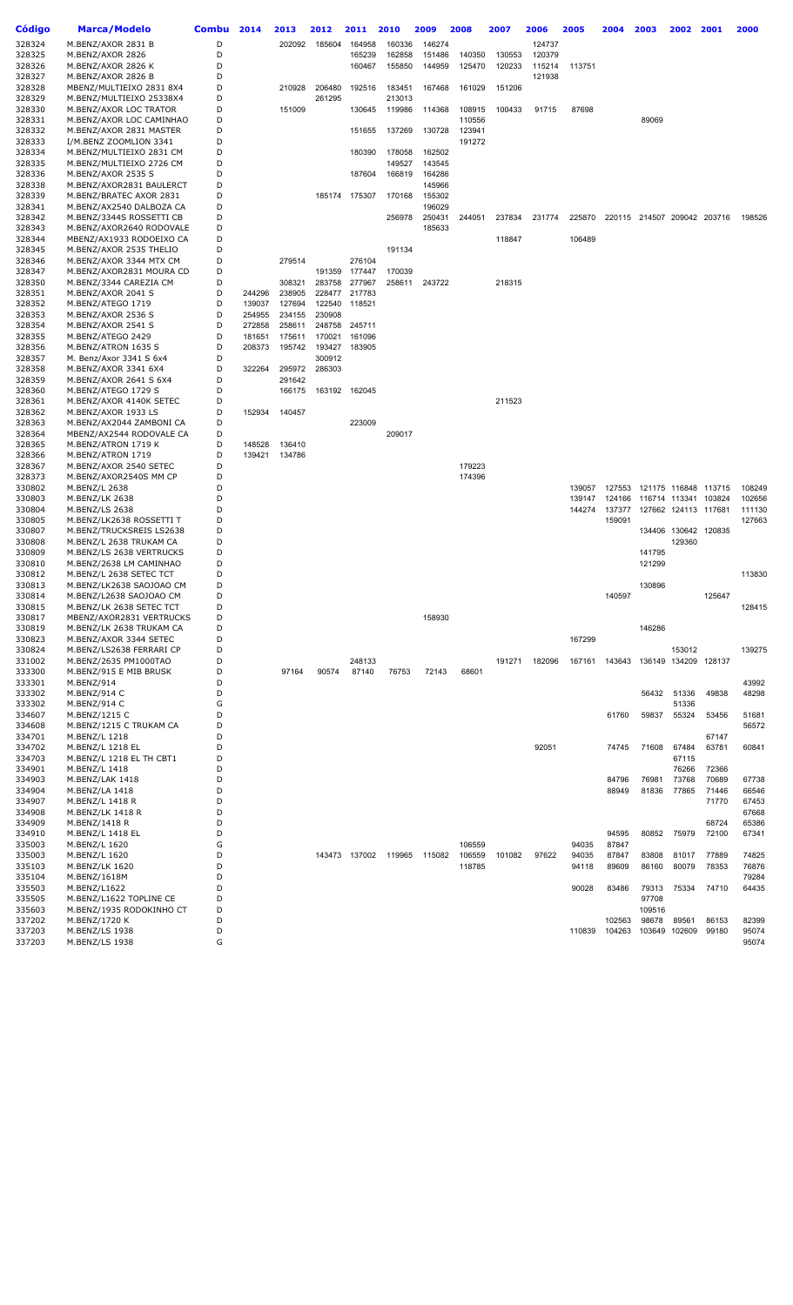| Código           | <b>Marca/Modelo</b>                                | <b>Combu</b> | 2014             | 2013             | 2012             | 2011             | 2010   | 2009   | 2008   | 2007   | 2006   | 2005             | 2004             | 2003                        | 2002                 | 2001           | 2000             |
|------------------|----------------------------------------------------|--------------|------------------|------------------|------------------|------------------|--------|--------|--------|--------|--------|------------------|------------------|-----------------------------|----------------------|----------------|------------------|
| 328324           | M.BENZ/AXOR 2831 B                                 | D            |                  | 202092           | 185604           | 164958           | 160336 | 146274 |        |        | 124737 |                  |                  |                             |                      |                |                  |
| 328325           | M.BENZ/AXOR 2826                                   | D            |                  |                  |                  | 165239           | 162858 | 151486 | 140350 | 130553 | 120379 |                  |                  |                             |                      |                |                  |
| 328326           | M.BENZ/AXOR 2826 K                                 | D            |                  |                  |                  | 160467           | 155850 | 144959 | 125470 | 120233 | 115214 | 113751           |                  |                             |                      |                |                  |
| 328327           | M.BENZ/AXOR 2826 B                                 | D            |                  |                  |                  |                  |        |        |        |        | 121938 |                  |                  |                             |                      |                |                  |
| 328328           | MBENZ/MULTIEIXO 2831 8X4                           | D            |                  | 210928           | 206480           | 192516           | 183451 | 167468 | 161029 | 151206 |        |                  |                  |                             |                      |                |                  |
| 328329           | M.BENZ/MULTIEIXO 25338X4                           | D            |                  |                  | 261295           |                  | 213013 |        |        |        |        |                  |                  |                             |                      |                |                  |
| 328330           | M.BENZ/AXOR LOC TRATOR                             | D            |                  | 151009           |                  | 130645           | 119986 | 114368 | 108915 | 100433 | 91715  | 87698            |                  |                             |                      |                |                  |
| 328331           | M.BENZ/AXOR LOC CAMINHAO                           | D            |                  |                  |                  |                  |        |        | 110556 |        |        |                  |                  | 89069                       |                      |                |                  |
| 328332<br>328333 | M.BENZ/AXOR 2831 MASTER                            | D<br>D       |                  |                  |                  | 151655           | 137269 | 130728 | 123941 |        |        |                  |                  |                             |                      |                |                  |
| 328334           | I/M.BENZ ZOOMLION 3341<br>M.BENZ/MULTIEIXO 2831 CM | D            |                  |                  |                  | 180390           | 178058 | 162502 | 191272 |        |        |                  |                  |                             |                      |                |                  |
| 328335           | M.BENZ/MULTIEIXO 2726 CM                           | D            |                  |                  |                  |                  | 149527 | 143545 |        |        |        |                  |                  |                             |                      |                |                  |
| 328336           | M.BENZ/AXOR 2535 S                                 | D            |                  |                  |                  | 187604           | 166819 | 164286 |        |        |        |                  |                  |                             |                      |                |                  |
| 328338           | M.BENZ/AXOR2831 BAULERCT                           | D            |                  |                  |                  |                  |        | 145966 |        |        |        |                  |                  |                             |                      |                |                  |
| 328339           | M.BENZ/BRATEC AXOR 2831                            | D            |                  |                  |                  | 185174 175307    | 170168 | 155302 |        |        |        |                  |                  |                             |                      |                |                  |
| 328341           | M.BENZ/AX2540 DALBOZA CA                           | D            |                  |                  |                  |                  |        | 196029 |        |        |        |                  |                  |                             |                      |                |                  |
| 328342           | M.BENZ/3344S ROSSETTI CB                           | D            |                  |                  |                  |                  | 256978 | 250431 | 244051 | 237834 | 231774 | 225870           |                  | 220115 214507 209042 203716 |                      |                | 198526           |
| 328343           | M.BENZ/AXOR2640 RODOVALE                           | D            |                  |                  |                  |                  |        | 185633 |        |        |        |                  |                  |                             |                      |                |                  |
| 328344           | MBENZ/AX1933 RODOEIXO CA                           | D            |                  |                  |                  |                  |        |        |        | 118847 |        | 106489           |                  |                             |                      |                |                  |
| 328345           | M.BENZ/AXOR 2535 THELIO                            | D            |                  |                  |                  |                  | 191134 |        |        |        |        |                  |                  |                             |                      |                |                  |
| 328346           | M.BENZ/AXOR 3344 MTX CM                            | D            |                  | 279514           |                  | 276104           |        |        |        |        |        |                  |                  |                             |                      |                |                  |
| 328347           | M.BENZ/AXOR2831 MOURA CD                           | D            |                  |                  | 191359           | 177447           | 170039 |        |        |        |        |                  |                  |                             |                      |                |                  |
| 328350           | M.BENZ/3344 CAREZIA CM                             | D            |                  | 308321           | 283758           | 277967           | 258611 | 243722 |        | 218315 |        |                  |                  |                             |                      |                |                  |
| 328351           | M.BENZ/AXOR 2041 S                                 | D            | 244296           | 238905           |                  | 228477 217783    |        |        |        |        |        |                  |                  |                             |                      |                |                  |
| 328352           | M.BENZ/ATEGO 1719                                  | D            | 139037           | 127694           |                  | 122540 118521    |        |        |        |        |        |                  |                  |                             |                      |                |                  |
| 328353           | M.BENZ/AXOR 2536 S                                 | D<br>D       | 254955           | 234155           | 230908           |                  |        |        |        |        |        |                  |                  |                             |                      |                |                  |
| 328354<br>328355 | M.BENZ/AXOR 2541 S<br>M.BENZ/ATEGO 2429            | D            | 272858<br>181651 | 258611<br>175611 | 248758<br>170021 | 245711<br>161096 |        |        |        |        |        |                  |                  |                             |                      |                |                  |
| 328356           | M.BENZ/ATRON 1635 S                                | D            | 208373           | 195742           | 193427           | 183905           |        |        |        |        |        |                  |                  |                             |                      |                |                  |
| 328357           | M. Benz/Axor 3341 S 6x4                            | D            |                  |                  | 300912           |                  |        |        |        |        |        |                  |                  |                             |                      |                |                  |
| 328358           | M.BENZ/AXOR 3341 6X4                               | D            | 322264           | 295972           | 286303           |                  |        |        |        |        |        |                  |                  |                             |                      |                |                  |
| 328359           | M.BENZ/AXOR 2641 S 6X4                             | D            |                  | 291642           |                  |                  |        |        |        |        |        |                  |                  |                             |                      |                |                  |
| 328360           | M.BENZ/ATEGO 1729 S                                | D            |                  | 166175           | 163192           | 162045           |        |        |        |        |        |                  |                  |                             |                      |                |                  |
| 328361           | M.BENZ/AXOR 4140K SETEC                            | D            |                  |                  |                  |                  |        |        |        | 211523 |        |                  |                  |                             |                      |                |                  |
| 328362           | M.BENZ/AXOR 1933 LS                                | D            | 152934           | 140457           |                  |                  |        |        |        |        |        |                  |                  |                             |                      |                |                  |
| 328363           | M.BENZ/AX2044 ZAMBONI CA                           | D            |                  |                  |                  | 223009           |        |        |        |        |        |                  |                  |                             |                      |                |                  |
| 328364           | MBENZ/AX2544 RODOVALE CA                           | D            |                  |                  |                  |                  | 209017 |        |        |        |        |                  |                  |                             |                      |                |                  |
| 328365           | M.BENZ/ATRON 1719 K                                | D            | 148528           | 136410           |                  |                  |        |        |        |        |        |                  |                  |                             |                      |                |                  |
| 328366           | M.BENZ/ATRON 1719                                  | D            | 139421           | 134786           |                  |                  |        |        |        |        |        |                  |                  |                             |                      |                |                  |
| 328367           | M.BENZ/AXOR 2540 SETEC                             | D            |                  |                  |                  |                  |        |        | 179223 |        |        |                  |                  |                             |                      |                |                  |
| 328373           | M.BENZ/AXOR2540S MM CP                             | D            |                  |                  |                  |                  |        |        | 174396 |        |        |                  |                  |                             |                      |                |                  |
| 330802           | M.BENZ/L 2638                                      | D<br>D       |                  |                  |                  |                  |        |        |        |        |        | 139057           | 127553           | 121175 116848               |                      | 113715         | 108249           |
| 330803           | M.BENZ/LK 2638                                     | D            |                  |                  |                  |                  |        |        |        |        |        | 139147<br>144274 | 124166<br>137377 | 116714 113341               | 127662 124113 117681 | 103824         | 102656<br>111130 |
| 330804<br>330805 | M.BENZ/LS 2638<br>M.BENZ/LK2638 ROSSETTI T         | D            |                  |                  |                  |                  |        |        |        |        |        |                  | 159091           |                             |                      |                | 127663           |
| 330807           | M.BENZ/TRUCKSREIS LS2638                           | D            |                  |                  |                  |                  |        |        |        |        |        |                  |                  |                             | 134406 130642 120835 |                |                  |
| 330808           | M.BENZ/L 2638 TRUKAM CA                            | D            |                  |                  |                  |                  |        |        |        |        |        |                  |                  |                             | 129360               |                |                  |
| 330809           | M.BENZ/LS 2638 VERTRUCKS                           | D            |                  |                  |                  |                  |        |        |        |        |        |                  |                  | 141795                      |                      |                |                  |
| 330810           | M.BENZ/2638 LM CAMINHAO                            | D            |                  |                  |                  |                  |        |        |        |        |        |                  |                  | 121299                      |                      |                |                  |
| 330812           | M.BENZ/L 2638 SETEC TCT                            | D            |                  |                  |                  |                  |        |        |        |        |        |                  |                  |                             |                      |                | 113830           |
| 330813           | M.BENZ/LK2638 SAOJOAO CM                           | D            |                  |                  |                  |                  |        |        |        |        |        |                  |                  | 130896                      |                      |                |                  |
| 330814           | M.BENZ/L2638 SAOJOAO CM                            | D            |                  |                  |                  |                  |        |        |        |        |        |                  | 140597           |                             |                      | 125647         |                  |
| 330815           | M.BENZ/LK 2638 SETEC TCT                           | D            |                  |                  |                  |                  |        |        |        |        |        |                  |                  |                             |                      |                | 128415           |
| 330817           | MBENZ/AXOR2831 VERTRUCKS                           | D            |                  |                  |                  |                  |        | 158930 |        |        |        |                  |                  |                             |                      |                |                  |
| 330819           | M.BENZ/LK 2638 TRUKAM CA                           | D            |                  |                  |                  |                  |        |        |        |        |        |                  |                  | 146286                      |                      |                |                  |
| 330823           | M.BENZ/AXOR 3344 SETEC                             | D            |                  |                  |                  |                  |        |        |        |        |        | 167299           |                  |                             |                      |                |                  |
| 330824           | M.BENZ/LS2638 FERRARI CP                           | D<br>D       |                  |                  |                  |                  |        |        |        |        |        |                  |                  | 136149 134209 128137        | 153012               |                | 139275           |
| 331002<br>333300 | M.BENZ/2635 PM1000TAO<br>M.BENZ/915 E MIB BRUSK    | D            |                  | 97164            | 90574            | 248133<br>87140  | 76753  | 72143  | 68601  | 191271 | 182096 | 167161           | 143643           |                             |                      |                |                  |
| 333301           | M.BENZ/914                                         | D            |                  |                  |                  |                  |        |        |        |        |        |                  |                  |                             |                      |                | 43992            |
| 333302           | M.BENZ/914 C                                       | D            |                  |                  |                  |                  |        |        |        |        |        |                  |                  | 56432                       | 51336                | 49838          | 48298            |
| 333302           | M.BENZ/914 C                                       | G            |                  |                  |                  |                  |        |        |        |        |        |                  |                  |                             | 51336                |                |                  |
| 334607           | M.BENZ/1215 C                                      | D            |                  |                  |                  |                  |        |        |        |        |        |                  | 61760            | 59837                       | 55324                | 53456          | 51681            |
| 334608           | M.BENZ/1215 C TRUKAM CA                            | D            |                  |                  |                  |                  |        |        |        |        |        |                  |                  |                             |                      |                | 56572            |
| 334701           | M.BENZ/L 1218                                      | D            |                  |                  |                  |                  |        |        |        |        |        |                  |                  |                             |                      | 67147          |                  |
| 334702           | M.BENZ/L 1218 EL                                   | D            |                  |                  |                  |                  |        |        |        |        | 92051  |                  | 74745            | 71608                       | 67484                | 63781          | 60841            |
| 334703           | M.BENZ/L 1218 EL TH CBT1                           | D            |                  |                  |                  |                  |        |        |        |        |        |                  |                  |                             | 67115                |                |                  |
| 334901           | M.BENZ/L 1418                                      | D            |                  |                  |                  |                  |        |        |        |        |        |                  |                  |                             | 76266                | 72366          |                  |
| 334903           | M.BENZ/LAK 1418                                    | D            |                  |                  |                  |                  |        |        |        |        |        |                  | 84796            | 76981                       | 73768                | 70689          | 67738            |
| 334904           | M.BENZ/LA 1418                                     | D            |                  |                  |                  |                  |        |        |        |        |        |                  | 88949            | 81836                       | 77865                | 71446          | 66546            |
| 334907           | M.BENZ/L 1418 R                                    | D            |                  |                  |                  |                  |        |        |        |        |        |                  |                  |                             |                      | 71770          | 67453            |
| 334908           | M.BENZ/LK 1418 R                                   | D            |                  |                  |                  |                  |        |        |        |        |        |                  |                  |                             |                      |                | 67668            |
| 334909<br>334910 | M.BENZ/1418 R<br>M.BENZ/L 1418 EL                  | D<br>D       |                  |                  |                  |                  |        |        |        |        |        |                  | 94595            | 80852                       | 75979                | 68724<br>72100 | 65386<br>67341   |
| 335003           | M.BENZ/L 1620                                      | G            |                  |                  |                  |                  |        |        | 106559 |        |        | 94035            | 87847            |                             |                      |                |                  |
| 335003           | M.BENZ/L 1620                                      | D            |                  |                  |                  | 143473 137002    | 119965 | 115082 | 106559 | 101082 | 97622  | 94035            | 87847            | 83808                       | 81017                | 77889          | 74825            |
| 335103           | M.BENZ/LK 1620                                     | D            |                  |                  |                  |                  |        |        | 118785 |        |        | 94118            | 89609            | 86160                       | 80079                | 78353          | 76876            |
| 335104           | M.BENZ/1618M                                       | D            |                  |                  |                  |                  |        |        |        |        |        |                  |                  |                             |                      |                | 79284            |
| 335503           | M.BENZ/L1622                                       | D            |                  |                  |                  |                  |        |        |        |        |        | 90028            | 83486            | 79313                       | 75334                | 74710          | 64435            |
| 335505           | M.BENZ/L1622 TOPLINE CE                            | D            |                  |                  |                  |                  |        |        |        |        |        |                  |                  | 97708                       |                      |                |                  |
| 335603           | M.BENZ/1935 RODOKINHO CT                           | D            |                  |                  |                  |                  |        |        |        |        |        |                  |                  | 109516                      |                      |                |                  |
| 337202           | M.BENZ/1720 K                                      | D            |                  |                  |                  |                  |        |        |        |        |        |                  | 102563           | 98678                       | 89561                | 86153          | 82399            |
| 337203           | M.BENZ/LS 1938                                     | D            |                  |                  |                  |                  |        |        |        |        |        | 110839           | 104263           | 103649                      | 102609               | 99180          | 95074            |
| 337203           | M.BENZ/LS 1938                                     | G            |                  |                  |                  |                  |        |        |        |        |        |                  |                  |                             |                      |                | 95074            |
|                  |                                                    |              |                  |                  |                  |                  |        |        |        |        |        |                  |                  |                             |                      |                |                  |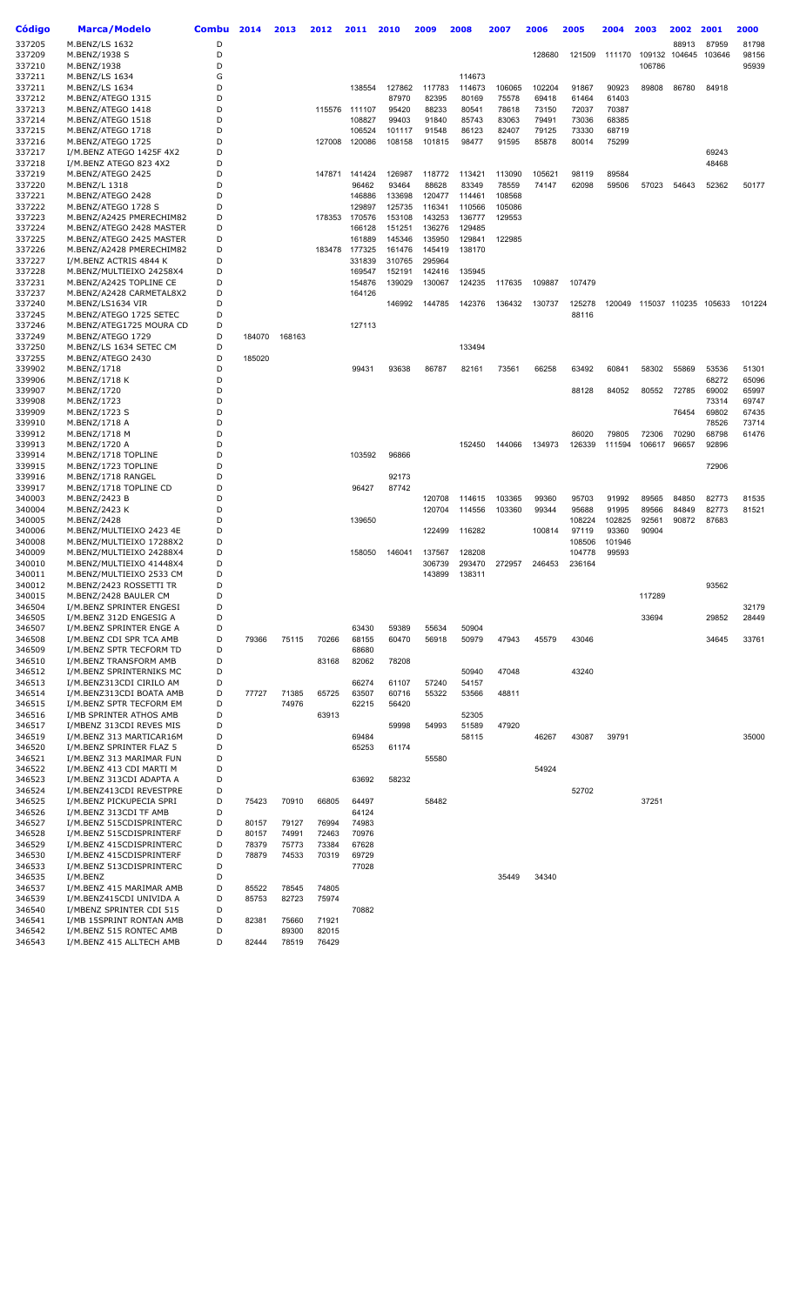| Código           | <b>Marca/Modelo</b>                                  | <b>Combu</b> | 2014   | 2013   | 2012   | 2011             | 2010           | 2009           | 2008           | 2007   | 2006   | 2005            | 2004            | 2003           | 2002           | 2001           | 2000   |
|------------------|------------------------------------------------------|--------------|--------|--------|--------|------------------|----------------|----------------|----------------|--------|--------|-----------------|-----------------|----------------|----------------|----------------|--------|
| 337205           | M.BENZ/LS 1632                                       | D            |        |        |        |                  |                |                |                |        |        |                 |                 |                | 88913          | 87959          | 81798  |
| 337209           | M.BENZ/1938 S                                        | D            |        |        |        |                  |                |                |                |        | 128680 | 121509          | 111170          | 109132         | 104645         | 103646         | 98156  |
| 337210           | M.BENZ/1938                                          | D            |        |        |        |                  |                |                |                |        |        |                 |                 | 106786         |                |                | 95939  |
| 337211           | M.BENZ/LS 1634                                       | G            |        |        |        |                  |                |                | 114673         |        |        |                 |                 |                |                |                |        |
| 337211           | M.BENZ/LS 1634                                       | D            |        |        |        | 138554           | 127862         | 117783         | 114673         | 106065 | 102204 | 91867           | 90923           | 89808          | 86780          | 84918          |        |
| 337212           | M.BENZ/ATEGO 1315                                    | D            |        |        |        |                  | 87970          | 82395          | 80169          | 75578  | 69418  | 61464           | 61403           |                |                |                |        |
| 337213           | M.BENZ/ATEGO 1418                                    | D            |        |        |        | 115576 111107    | 95420          | 88233          | 80541          | 78618  | 73150  | 72037           | 70387           |                |                |                |        |
| 337214           | M.BENZ/ATEGO 1518                                    | D            |        |        |        | 108827           | 99403          | 91840          | 85743          | 83063  | 79491  | 73036           | 68385           |                |                |                |        |
| 337215           | M.BENZ/ATEGO 1718                                    | D            |        |        |        | 106524           | 101117         | 91548          | 86123          | 82407  | 79125  | 73330           | 68719           |                |                |                |        |
| 337216           | M.BENZ/ATEGO 1725                                    | D            |        |        | 127008 | 120086           | 108158         | 101815         | 98477          | 91595  | 85878  | 80014           | 75299           |                |                |                |        |
| 337217           | I/M.BENZ ATEGO 1425F 4X2                             | D            |        |        |        |                  |                |                |                |        |        |                 |                 |                |                | 69243          |        |
| 337218           | I/M.BENZ ATEGO 823 4X2                               | D            |        |        |        |                  |                |                |                |        |        |                 |                 |                |                | 48468          |        |
| 337219           | M.BENZ/ATEGO 2425                                    | D            |        |        |        | 147871 141424    | 126987         | 118772         | 113421         | 113090 | 105621 | 98119           | 89584           |                |                |                |        |
| 337220           | M.BENZ/L 1318                                        | D            |        |        |        | 96462            | 93464          | 88628          | 83349          | 78559  | 74147  | 62098           | 59506           | 57023          | 54643          | 52362          | 50177  |
| 337221           | M.BENZ/ATEGO 2428                                    | D            |        |        |        | 146886           | 133698         | 120477         | 114461         | 108568 |        |                 |                 |                |                |                |        |
| 337222           | M.BENZ/ATEGO 1728 S                                  | D            |        |        |        | 129897           | 125735         | 116341         | 110566         | 105086 |        |                 |                 |                |                |                |        |
| 337223           | M.BENZ/A2425 PMERECHIM82                             | D            |        |        |        | 178353 170576    | 153108         | 143253         | 136777         | 129553 |        |                 |                 |                |                |                |        |
| 337224           | M.BENZ/ATEGO 2428 MASTER                             | D            |        |        |        | 166128           | 151251         | 136276         | 129485         |        |        |                 |                 |                |                |                |        |
| 337225           | M.BENZ/ATEGO 2425 MASTER                             | D            |        |        |        | 161889           | 145346         | 135950         | 129841         | 122985 |        |                 |                 |                |                |                |        |
| 337226           | M.BENZ/A2428 PMERECHIM82                             | D            |        |        |        | 183478 177325    | 161476         | 145419         | 138170         |        |        |                 |                 |                |                |                |        |
| 337227           | I/M.BENZ ACTRIS 4844 K                               | D<br>D       |        |        |        | 331839           | 310765         | 295964         |                |        |        |                 |                 |                |                |                |        |
| 337228           | M.BENZ/MULTIEIXO 24258X4                             | D            |        |        |        | 169547           | 152191         | 142416         | 135945         |        |        |                 |                 |                |                |                |        |
| 337231<br>337237 | M.BENZ/A2425 TOPLINE CE<br>M.BENZ/A2428 CARMETAL8X2  | D            |        |        |        | 154876<br>164126 | 139029         | 130067         | 124235         | 117635 | 109887 | 107479          |                 |                |                |                |        |
| 337240           | M.BENZ/LS1634 VIR                                    | D            |        |        |        |                  | 146992         | 144785         | 142376         | 136432 | 130737 | 125278          | 120049          |                | 115037 110235  | 105633         | 101224 |
| 337245           | M.BENZ/ATEGO 1725 SETEC                              | D            |        |        |        |                  |                |                |                |        |        | 88116           |                 |                |                |                |        |
| 337246           | M.BENZ/ATEG1725 MOURA CD                             | D            |        |        |        | 127113           |                |                |                |        |        |                 |                 |                |                |                |        |
| 337249           | M.BENZ/ATEGO 1729                                    | D            | 184070 | 168163 |        |                  |                |                |                |        |        |                 |                 |                |                |                |        |
| 337250           | M.BENZ/LS 1634 SETEC CM                              | D            |        |        |        |                  |                |                | 133494         |        |        |                 |                 |                |                |                |        |
| 337255           | M.BENZ/ATEGO 2430                                    | D            | 185020 |        |        |                  |                |                |                |        |        |                 |                 |                |                |                |        |
| 339902           | M.BENZ/1718                                          | D            |        |        |        | 99431            | 93638          | 86787          | 82161          | 73561  | 66258  | 63492           | 60841           | 58302          | 55869          | 53536          | 51301  |
| 339906           | M.BENZ/1718 K                                        | D            |        |        |        |                  |                |                |                |        |        |                 |                 |                |                | 68272          | 65096  |
| 339907           | M.BENZ/1720                                          | D            |        |        |        |                  |                |                |                |        |        | 88128           | 84052           | 80552          | 72785          | 69002          | 65997  |
| 339908           | M.BENZ/1723                                          | D            |        |        |        |                  |                |                |                |        |        |                 |                 |                |                | 73314          | 69747  |
| 339909           | M.BENZ/1723 S                                        | D            |        |        |        |                  |                |                |                |        |        |                 |                 |                | 76454          | 69802          | 67435  |
| 339910           | M.BENZ/1718 A                                        | D            |        |        |        |                  |                |                |                |        |        |                 |                 |                |                | 78526          | 73714  |
| 339912           | M.BENZ/1718 M                                        | D            |        |        |        |                  |                |                |                |        |        | 86020           | 79805           | 72306          | 70290          | 68798          | 61476  |
| 339913           | M.BENZ/1720 A                                        | D            |        |        |        |                  |                |                | 152450         | 144066 | 134973 | 126339          | 111594          | 106617         | 96657          | 92896          |        |
| 339914           | M.BENZ/1718 TOPLINE                                  | D            |        |        |        | 103592           | 96866          |                |                |        |        |                 |                 |                |                |                |        |
| 339915           | M.BENZ/1723 TOPLINE                                  | D            |        |        |        |                  |                |                |                |        |        |                 |                 |                |                | 72906          |        |
| 339916           | M.BENZ/1718 RANGEL                                   | D            |        |        |        |                  | 92173          |                |                |        |        |                 |                 |                |                |                |        |
| 339917           | M.BENZ/1718 TOPLINE CD                               | D            |        |        |        | 96427            | 87742          |                |                |        |        |                 |                 |                |                |                |        |
| 340003           | M.BENZ/2423 B                                        | D<br>D       |        |        |        |                  |                | 120708         | 114615         | 103365 | 99360  | 95703           | 91992           | 89565          | 84850          | 82773<br>82773 | 81535  |
| 340004<br>340005 | M.BENZ/2423 K<br>M.BENZ/2428                         | D            |        |        |        | 139650           |                | 120704         | 114556         | 103360 | 99344  | 95688<br>108224 | 91995<br>102825 | 89566<br>92561 | 84849<br>90872 | 87683          | 81521  |
| 340006           | M.BENZ/MULTIEIXO 2423 4E                             | D            |        |        |        |                  |                | 122499         | 116282         |        | 100814 | 97119           | 93360           | 90904          |                |                |        |
| 340008           | M.BENZ/MULTIEIXO 17288X2                             | D            |        |        |        |                  |                |                |                |        |        | 108506          | 101946          |                |                |                |        |
| 340009           | M.BENZ/MULTIEIXO 24288X4                             | D            |        |        |        | 158050           | 146041         | 137567         | 128208         |        |        | 104778          | 99593           |                |                |                |        |
| 340010           | M.BENZ/MULTIEIXO 41448X4                             | D            |        |        |        |                  |                | 306739         | 293470         | 272957 | 246453 | 236164          |                 |                |                |                |        |
| 340011           | M.BENZ/MULTIEIXO 2533 CM                             | D            |        |        |        |                  |                | 143899         | 138311         |        |        |                 |                 |                |                |                |        |
| 340012           | M.BENZ/2423 ROSSETTI TR                              | D            |        |        |        |                  |                |                |                |        |        |                 |                 |                |                | 93562          |        |
| 340015           | M.BENZ/2428 BAULER CM                                | D            |        |        |        |                  |                |                |                |        |        |                 |                 | 117289         |                |                |        |
| 346504           | I/M.BENZ SPRINTER ENGESI                             | D            |        |        |        |                  |                |                |                |        |        |                 |                 |                |                |                | 32179  |
| 346505           | I/M.BENZ 312D ENGESIG A                              | D            |        |        |        |                  |                |                |                |        |        |                 |                 | 33694          |                | 29852          | 28449  |
| 346507           | I/M.BENZ SPRINTER ENGE A                             | D            |        |        |        | 63430            | 59389          | 55634          | 50904          |        |        |                 |                 |                |                |                |        |
| 346508           | I/M.BENZ CDI SPR TCA AMB                             | D            | 79366  | 75115  | 70266  | 68155            | 60470          | 56918          | 50979          | 47943  | 45579  | 43046           |                 |                |                | 34645          | 33761  |
| 346509           | I/M.BENZ SPTR TECFORM TD                             | D            |        |        |        | 68680            |                |                |                |        |        |                 |                 |                |                |                |        |
| 346510           | I/M.BENZ TRANSFORM AMB                               | D            |        |        | 83168  | 82062            | 78208          |                |                |        |        |                 |                 |                |                |                |        |
| 346512           | I/M.BENZ SPRINTERNIKS MC                             | D            |        |        |        |                  |                |                | 50940          | 47048  |        | 43240           |                 |                |                |                |        |
| 346513<br>346514 | I/M.BENZ313CDI CIRILO AM<br>I/M.BENZ313CDI BOATA AMB | D<br>D       | 77727  | 71385  | 65725  | 66274<br>63507   | 61107<br>60716 | 57240<br>55322 | 54157<br>53566 | 48811  |        |                 |                 |                |                |                |        |
| 346515           | I/M.BENZ SPTR TECFORM EM                             | D            |        | 74976  |        | 62215            | 56420          |                |                |        |        |                 |                 |                |                |                |        |
| 346516           | I/MB SPRINTER ATHOS AMB                              | D            |        |        | 63913  |                  |                |                | 52305          |        |        |                 |                 |                |                |                |        |
| 346517           | I/MBENZ 313CDI REVES MIS                             | D            |        |        |        |                  | 59998          | 54993          | 51589          | 47920  |        |                 |                 |                |                |                |        |
| 346519           | I/M.BENZ 313 MARTICAR16M                             | D            |        |        |        | 69484            |                |                | 58115          |        | 46267  | 43087           | 39791           |                |                |                | 35000  |
| 346520           | I/M.BENZ SPRINTER FLAZ 5                             | D            |        |        |        | 65253            | 61174          |                |                |        |        |                 |                 |                |                |                |        |
| 346521           | I/M.BENZ 313 MARIMAR FUN                             | D            |        |        |        |                  |                | 55580          |                |        |        |                 |                 |                |                |                |        |
| 346522           | I/M.BENZ 413 CDI MARTI M                             | D            |        |        |        |                  |                |                |                |        | 54924  |                 |                 |                |                |                |        |
| 346523           | I/M.BENZ 313CDI ADAPTA A                             | D            |        |        |        | 63692            | 58232          |                |                |        |        |                 |                 |                |                |                |        |
| 346524           | I/M.BENZ413CDI REVESTPRE                             | D            |        |        |        |                  |                |                |                |        |        | 52702           |                 |                |                |                |        |
| 346525           | I/M.BENZ PICKUPECIA SPRI                             | D            | 75423  | 70910  | 66805  | 64497            |                | 58482          |                |        |        |                 |                 | 37251          |                |                |        |
| 346526           | I/M.BENZ 313CDI TF AMB                               | D            |        |        |        | 64124            |                |                |                |        |        |                 |                 |                |                |                |        |
| 346527           | I/M.BENZ 515CDISPRINTERC                             | D            | 80157  | 79127  | 76994  | 74983            |                |                |                |        |        |                 |                 |                |                |                |        |
| 346528           | I/M.BENZ 515CDISPRINTERF                             | D            | 80157  | 74991  | 72463  | 70976            |                |                |                |        |        |                 |                 |                |                |                |        |
| 346529           | I/M.BENZ 415CDISPRINTERC                             | D            | 78379  | 75773  | 73384  | 67628            |                |                |                |        |        |                 |                 |                |                |                |        |
| 346530           | I/M.BENZ 415CDISPRINTERF                             | D            | 78879  | 74533  | 70319  | 69729            |                |                |                |        |        |                 |                 |                |                |                |        |
| 346533           | I/M.BENZ 513CDISPRINTERC                             | D            |        |        |        | 77028            |                |                |                |        |        |                 |                 |                |                |                |        |
| 346535           | I/M.BENZ                                             | D            |        |        |        |                  |                |                |                | 35449  | 34340  |                 |                 |                |                |                |        |
| 346537           | I/M.BENZ 415 MARIMAR AMB                             | D            | 85522  | 78545  | 74805  |                  |                |                |                |        |        |                 |                 |                |                |                |        |
| 346539           | I/M.BENZ415CDI UNIVIDA A                             | D            | 85753  | 82723  | 75974  |                  |                |                |                |        |        |                 |                 |                |                |                |        |
| 346540<br>346541 | I/MBENZ SPRINTER CDI 515<br>I/MB 15SPRINT RONTAN AMB | D<br>D       | 82381  | 75660  | 71921  | 70882            |                |                |                |        |        |                 |                 |                |                |                |        |
| 346542           | I/M.BENZ 515 RONTEC AMB                              | D            |        | 89300  | 82015  |                  |                |                |                |        |        |                 |                 |                |                |                |        |
| 346543           | I/M.BENZ 415 ALLTECH AMB                             | D            | 82444  | 78519  | 76429  |                  |                |                |                |        |        |                 |                 |                |                |                |        |
|                  |                                                      |              |        |        |        |                  |                |                |                |        |        |                 |                 |                |                |                |        |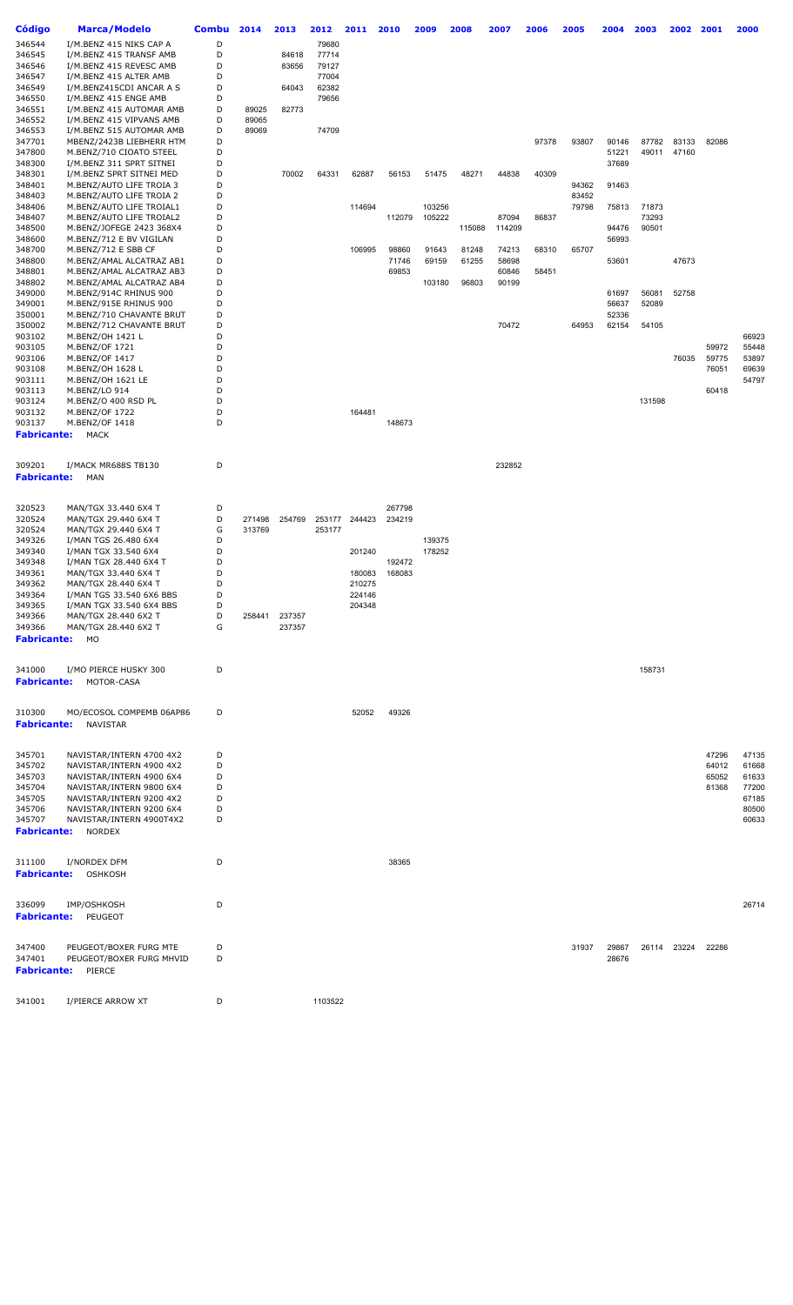| Código             | <b>Marca/Modelo</b>                                  | <b>Combu</b> | 2014   | 2013   | 2012    | 2011   | 2010           | 2009           | 2008           | 2007           | 2006  | 2005  | 2004           | 2003   | 2002        | 2001  | 2000           |
|--------------------|------------------------------------------------------|--------------|--------|--------|---------|--------|----------------|----------------|----------------|----------------|-------|-------|----------------|--------|-------------|-------|----------------|
| 346544             | I/M.BENZ 415 NIKS CAP A                              | D            |        |        | 79680   |        |                |                |                |                |       |       |                |        |             |       |                |
| 346545             | I/M.BENZ 415 TRANSF AMB                              | D            |        | 84618  | 77714   |        |                |                |                |                |       |       |                |        |             |       |                |
| 346546             | I/M.BENZ 415 REVESC AMB                              | D            |        | 83656  | 79127   |        |                |                |                |                |       |       |                |        |             |       |                |
| 346547             | I/M.BENZ 415 ALTER AMB                               | D            |        |        | 77004   |        |                |                |                |                |       |       |                |        |             |       |                |
| 346549             | I/M.BENZ415CDI ANCAR A S                             | D            |        | 64043  | 62382   |        |                |                |                |                |       |       |                |        |             |       |                |
| 346550             | I/M.BENZ 415 ENGE AMB                                | D            |        |        | 79656   |        |                |                |                |                |       |       |                |        |             |       |                |
| 346551             | I/M.BENZ 415 AUTOMAR AMB                             | D            | 89025  | 82773  |         |        |                |                |                |                |       |       |                |        |             |       |                |
| 346552             | I/M.BENZ 415 VIPVANS AMB                             | D            | 89065  |        |         |        |                |                |                |                |       |       |                |        |             |       |                |
| 346553<br>347701   | I/M.BENZ 515 AUTOMAR AMB<br>MBENZ/2423B LIEBHERR HTM | D<br>D       | 89069  |        | 74709   |        |                |                |                |                | 97378 | 93807 | 90146          | 87782  | 83133       | 82086 |                |
| 347800             | M.BENZ/710 CIOATO STEEL                              | D            |        |        |         |        |                |                |                |                |       |       | 51221          |        | 49011 47160 |       |                |
| 348300             | I/M.BENZ 311 SPRT SITNEI                             | D            |        |        |         |        |                |                |                |                |       |       | 37689          |        |             |       |                |
| 348301             | I/M.BENZ SPRT SITNEI MED                             | D            |        | 70002  | 64331   | 62887  | 56153          | 51475          | 48271          | 44838          | 40309 |       |                |        |             |       |                |
| 348401             | M.BENZ/AUTO LIFE TROIA 3                             | D            |        |        |         |        |                |                |                |                |       | 94362 | 91463          |        |             |       |                |
| 348403             | M.BENZ/AUTO LIFE TROIA 2                             | D            |        |        |         |        |                |                |                |                |       | 83452 |                |        |             |       |                |
| 348406             | M.BENZ/AUTO LIFE TROIAL1                             | D            |        |        |         | 114694 |                | 103256         |                |                |       | 79798 | 75813          | 71873  |             |       |                |
| 348407             | M.BENZ/AUTO LIFE TROIAL2                             | D            |        |        |         |        | 112079         | 105222         |                | 87094          | 86837 |       |                | 73293  |             |       |                |
| 348500             | M.BENZ/JOFEGE 2423 368X4                             | D            |        |        |         |        |                |                | 115088         | 114209         |       |       | 94476          | 90501  |             |       |                |
| 348600<br>348700   | M.BENZ/712 E BV VIGILAN                              | D<br>D       |        |        |         | 106995 |                |                |                |                |       | 65707 | 56993          |        |             |       |                |
| 348800             | M.BENZ/712 E SBB CF<br>M.BENZ/AMAL ALCATRAZ AB1      | D            |        |        |         |        | 98860<br>71746 | 91643<br>69159 | 81248<br>61255 | 74213<br>58698 | 68310 |       | 53601          |        | 47673       |       |                |
| 348801             | M.BENZ/AMAL ALCATRAZ AB3                             | D            |        |        |         |        | 69853          |                |                | 60846          | 58451 |       |                |        |             |       |                |
| 348802             | M.BENZ/AMAL ALCATRAZ AB4                             | D            |        |        |         |        |                | 103180         | 96803          | 90199          |       |       |                |        |             |       |                |
| 349000             | M.BENZ/914C RHINUS 900                               | D            |        |        |         |        |                |                |                |                |       |       | 61697          | 56081  | 52758       |       |                |
| 349001             | M.BENZ/915E RHINUS 900                               | D            |        |        |         |        |                |                |                |                |       |       | 56637          | 52089  |             |       |                |
| 350001             | M.BENZ/710 CHAVANTE BRUT                             | D            |        |        |         |        |                |                |                |                |       |       | 52336          |        |             |       |                |
| 350002             | M.BENZ/712 CHAVANTE BRUT                             | D            |        |        |         |        |                |                |                | 70472          |       | 64953 | 62154          | 54105  |             |       |                |
| 903102             | M.BENZ/OH 1421 L                                     | D            |        |        |         |        |                |                |                |                |       |       |                |        |             |       | 66923          |
| 903105             | M.BENZ/OF 1721                                       | D            |        |        |         |        |                |                |                |                |       |       |                |        |             | 59972 | 55448          |
| 903106             | M.BENZ/OF 1417                                       | D<br>D       |        |        |         |        |                |                |                |                |       |       |                |        | 76035       | 59775 | 53897          |
| 903108<br>903111   | M.BENZ/OH 1628 L<br>M.BENZ/OH 1621 LE                | D            |        |        |         |        |                |                |                |                |       |       |                |        |             | 76051 | 69639<br>54797 |
| 903113             | M.BENZ/LO 914                                        | D            |        |        |         |        |                |                |                |                |       |       |                |        |             | 60418 |                |
| 903124             | M.BENZ/O 400 RSD PL                                  | D            |        |        |         |        |                |                |                |                |       |       |                | 131598 |             |       |                |
| 903132             | M.BENZ/OF 1722                                       | D            |        |        |         | 164481 |                |                |                |                |       |       |                |        |             |       |                |
| 903137             | M.BENZ/OF 1418                                       | D            |        |        |         |        | 148673         |                |                |                |       |       |                |        |             |       |                |
| <b>Fabricante:</b> | <b>MACK</b>                                          |              |        |        |         |        |                |                |                |                |       |       |                |        |             |       |                |
|                    |                                                      |              |        |        |         |        |                |                |                |                |       |       |                |        |             |       |                |
| 309201             | I/MACK MR688S TB130                                  | D            |        |        |         |        |                |                |                | 232852         |       |       |                |        |             |       |                |
| <b>Fabricante:</b> | MAN                                                  |              |        |        |         |        |                |                |                |                |       |       |                |        |             |       |                |
|                    |                                                      |              |        |        |         |        |                |                |                |                |       |       |                |        |             |       |                |
|                    |                                                      |              |        |        |         |        |                |                |                |                |       |       |                |        |             |       |                |
| 320523             | MAN/TGX 33.440 6X4 T                                 | D            |        |        |         |        | 267798         |                |                |                |       |       |                |        |             |       |                |
| 320524             | MAN/TGX 29.440 6X4 T                                 | D            | 271498 | 254769 | 253177  | 244423 | 234219         |                |                |                |       |       |                |        |             |       |                |
| 320524<br>349326   | MAN/TGX 29.440 6X4 T<br>I/MAN TGS 26.480 6X4         | G<br>D       | 313769 |        | 253177  |        |                | 139375         |                |                |       |       |                |        |             |       |                |
| 349340             | I/MAN TGX 33.540 6X4                                 | D            |        |        |         | 201240 |                | 178252         |                |                |       |       |                |        |             |       |                |
| 349348             | I/MAN TGX 28.440 6X4 T                               | D            |        |        |         |        | 192472         |                |                |                |       |       |                |        |             |       |                |
| 349361             | MAN/TGX 33.440 6X4 T                                 | D            |        |        |         | 180083 | 168083         |                |                |                |       |       |                |        |             |       |                |
| 349362             | MAN/TGX 28.440 6X4 T                                 | D            |        |        |         | 210275 |                |                |                |                |       |       |                |        |             |       |                |
| 349364             | I/MAN TGS 33.540 6X6 BBS                             | D            |        |        |         | 224146 |                |                |                |                |       |       |                |        |             |       |                |
| 349365             | I/MAN TGX 33.540 6X4 BBS                             | D            |        |        |         | 204348 |                |                |                |                |       |       |                |        |             |       |                |
| 349366             | MAN/TGX 28.440 6X2 T                                 | D            | 258441 | 237357 |         |        |                |                |                |                |       |       |                |        |             |       |                |
| 349366             | MAN/TGX 28.440 6X2 T                                 | G            |        | 237357 |         |        |                |                |                |                |       |       |                |        |             |       |                |
| <b>Fabricante:</b> | MO                                                   |              |        |        |         |        |                |                |                |                |       |       |                |        |             |       |                |
|                    |                                                      |              |        |        |         |        |                |                |                |                |       |       |                |        |             |       |                |
| 341000             | I/MO PIERCE HUSKY 300                                | D            |        |        |         |        |                |                |                |                |       |       |                | 158731 |             |       |                |
| <b>Fabricante:</b> | MOTOR-CASA                                           |              |        |        |         |        |                |                |                |                |       |       |                |        |             |       |                |
|                    |                                                      |              |        |        |         |        |                |                |                |                |       |       |                |        |             |       |                |
| 310300             | MO/ECOSOL COMPEMB 06AP86                             | D            |        |        |         | 52052  | 49326          |                |                |                |       |       |                |        |             |       |                |
| <b>Fabricante:</b> | NAVISTAR                                             |              |        |        |         |        |                |                |                |                |       |       |                |        |             |       |                |
|                    |                                                      |              |        |        |         |        |                |                |                |                |       |       |                |        |             |       |                |
|                    |                                                      |              |        |        |         |        |                |                |                |                |       |       |                |        |             |       |                |
| 345701             | NAVISTAR/INTERN 4700 4X2                             | D            |        |        |         |        |                |                |                |                |       |       |                |        |             | 47296 | 47135          |
| 345702             | NAVISTAR/INTERN 4900 4X2                             | D            |        |        |         |        |                |                |                |                |       |       |                |        |             | 64012 | 61668          |
| 345703             | NAVISTAR/INTERN 4900 6X4                             | D            |        |        |         |        |                |                |                |                |       |       |                |        |             | 65052 | 61633          |
| 345704             | NAVISTAR/INTERN 9800 6X4                             | D            |        |        |         |        |                |                |                |                |       |       |                |        |             | 81368 | 77200          |
| 345705<br>345706   | NAVISTAR/INTERN 9200 4X2<br>NAVISTAR/INTERN 9200 6X4 | D<br>D       |        |        |         |        |                |                |                |                |       |       |                |        |             |       | 67185<br>80500 |
| 345707             | NAVISTAR/INTERN 4900T4X2                             | D            |        |        |         |        |                |                |                |                |       |       |                |        |             |       | 60633          |
| <b>Fabricante:</b> | <b>NORDEX</b>                                        |              |        |        |         |        |                |                |                |                |       |       |                |        |             |       |                |
|                    |                                                      |              |        |        |         |        |                |                |                |                |       |       |                |        |             |       |                |
|                    |                                                      |              |        |        |         |        |                |                |                |                |       |       |                |        |             |       |                |
| 311100             | I/NORDEX DFM                                         | D            |        |        |         |        | 38365          |                |                |                |       |       |                |        |             |       |                |
| <b>Fabricante:</b> | OSHKOSH                                              |              |        |        |         |        |                |                |                |                |       |       |                |        |             |       |                |
|                    |                                                      |              |        |        |         |        |                |                |                |                |       |       |                |        |             |       |                |
| 336099             | IMP/OSHKOSH                                          | D            |        |        |         |        |                |                |                |                |       |       |                |        |             |       | 26714          |
| <b>Fabricante:</b> | PEUGEOT                                              |              |        |        |         |        |                |                |                |                |       |       |                |        |             |       |                |
|                    |                                                      |              |        |        |         |        |                |                |                |                |       |       |                |        |             |       |                |
|                    |                                                      |              |        |        |         |        |                |                |                |                |       |       |                |        |             |       |                |
| 347400<br>347401   | PEUGEOT/BOXER FURG MTE<br>PEUGEOT/BOXER FURG MHVID   | D<br>D       |        |        |         |        |                |                |                |                |       | 31937 | 29867<br>28676 | 26114  | 23224       | 22286 |                |
|                    | PIERCE                                               |              |        |        |         |        |                |                |                |                |       |       |                |        |             |       |                |
| <b>Fabricante:</b> |                                                      |              |        |        |         |        |                |                |                |                |       |       |                |        |             |       |                |
|                    |                                                      |              |        |        |         |        |                |                |                |                |       |       |                |        |             |       |                |
| 341001             | I/PIERCE ARROW XT                                    | D            |        |        | 1103522 |        |                |                |                |                |       |       |                |        |             |       |                |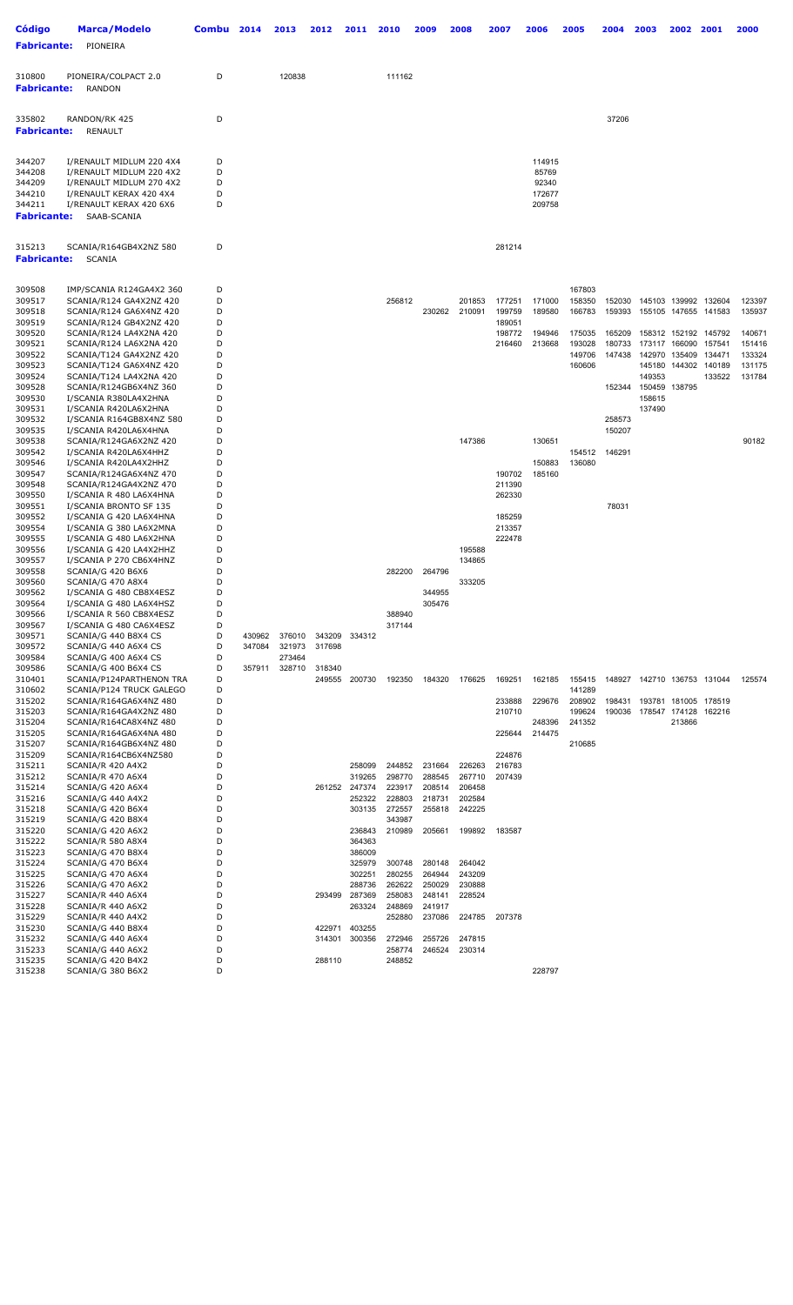| <b>Código</b><br><b>Fabricante:</b> | <b>Marca/Modelo</b><br>PIONEIRA                      | Combu  | 2014   | 2013   | 2012   | 2011             | 2010             | 2009             | 2008             | 2007             | 2006             | 2005             | 2004             | 2003                        | 2002                           | 2001             | 2000             |
|-------------------------------------|------------------------------------------------------|--------|--------|--------|--------|------------------|------------------|------------------|------------------|------------------|------------------|------------------|------------------|-----------------------------|--------------------------------|------------------|------------------|
| 310800<br><b>Fabricante:</b>        | PIONEIRA/COLPACT 2.0<br><b>RANDON</b>                | D      |        | 120838 |        |                  | 111162           |                  |                  |                  |                  |                  |                  |                             |                                |                  |                  |
| 335802<br><b>Fabricante:</b>        | RANDON/RK 425<br><b>RENAULT</b>                      | D      |        |        |        |                  |                  |                  |                  |                  |                  |                  | 37206            |                             |                                |                  |                  |
| 344207                              | I/RENAULT MIDLUM 220 4X4                             | D      |        |        |        |                  |                  |                  |                  |                  | 114915           |                  |                  |                             |                                |                  |                  |
| 344208<br>344209                    | I/RENAULT MIDLUM 220 4X2<br>I/RENAULT MIDLUM 270 4X2 | D<br>D |        |        |        |                  |                  |                  |                  |                  | 85769<br>92340   |                  |                  |                             |                                |                  |                  |
| 344210                              | I/RENAULT KERAX 420 4X4                              | D      |        |        |        |                  |                  |                  |                  |                  | 172677           |                  |                  |                             |                                |                  |                  |
| 344211<br><b>Fabricante:</b>        | I/RENAULT KERAX 420 6X6<br>SAAB-SCANIA               | D      |        |        |        |                  |                  |                  |                  |                  | 209758           |                  |                  |                             |                                |                  |                  |
| 315213<br><b>Fabricante:</b>        | SCANIA/R164GB4X2NZ 580<br><b>SCANIA</b>              | D      |        |        |        |                  |                  |                  |                  | 281214           |                  |                  |                  |                             |                                |                  |                  |
| 309508<br>309517                    | IMP/SCANIA R124GA4X2 360<br>SCANIA/R124 GA4X2NZ 420  | D<br>D |        |        |        |                  | 256812           |                  | 201853           | 177251           | 171000           | 167803<br>158350 | 152030           |                             | 145103 139992                  | 132604           | 123397           |
| 309518                              | SCANIA/R124 GA6X4NZ 420                              | D      |        |        |        |                  |                  | 230262           | 210091           | 199759           | 189580           | 166783           | 159393           | 155105                      | 147655                         | 141583           | 135937           |
| 309519                              | SCANIA/R124 GB4X2NZ 420                              | D      |        |        |        |                  |                  |                  |                  | 189051           |                  |                  |                  |                             |                                |                  |                  |
| 309520<br>309521                    | SCANIA/R124 LA4X2NA 420<br>SCANIA/R124 LA6X2NA 420   | D<br>D |        |        |        |                  |                  |                  |                  | 198772<br>216460 | 194946<br>213668 | 175035<br>193028 | 165209<br>180733 |                             | 158312 152192<br>173117 166090 | 145792<br>157541 | 140671<br>151416 |
| 309522                              | SCANIA/T124 GA4X2NZ 420                              | D      |        |        |        |                  |                  |                  |                  |                  |                  | 149706           | 147438           |                             | 142970 135409                  | 134471           | 133324           |
| 309523                              | SCANIA/T124 GA6X4NZ 420                              | D      |        |        |        |                  |                  |                  |                  |                  |                  | 160606           |                  |                             | 145180 144302                  | 140189           | 131175           |
| 309524<br>309528                    | SCANIA/T124 LA4X2NA 420<br>SCANIA/R124GB6X4NZ 360    | D<br>D |        |        |        |                  |                  |                  |                  |                  |                  |                  | 152344           | 149353<br>150459 138795     |                                | 133522           | 131784           |
| 309530                              | I/SCANIA R380LA4X2HNA                                | D      |        |        |        |                  |                  |                  |                  |                  |                  |                  |                  | 158615                      |                                |                  |                  |
| 309531                              | I/SCANIA R420LA6X2HNA                                | D      |        |        |        |                  |                  |                  |                  |                  |                  |                  |                  | 137490                      |                                |                  |                  |
| 309532<br>309535                    | I/SCANIA R164GB8X4NZ 580<br>I/SCANIA R420LA6X4HNA    | D<br>D |        |        |        |                  |                  |                  |                  |                  |                  |                  | 258573<br>150207 |                             |                                |                  |                  |
| 309538                              | SCANIA/R124GA6X2NZ 420                               | D      |        |        |        |                  |                  |                  | 147386           |                  | 130651           |                  |                  |                             |                                |                  | 90182            |
| 309542                              | I/SCANIA R420LA6X4HHZ                                | D      |        |        |        |                  |                  |                  |                  |                  |                  | 154512           | 146291           |                             |                                |                  |                  |
| 309546<br>309547                    | I/SCANIA R420LA4X2HHZ<br>SCANIA/R124GA6X4NZ 470      | D<br>D |        |        |        |                  |                  |                  |                  | 190702           | 150883<br>185160 | 136080           |                  |                             |                                |                  |                  |
| 309548                              | SCANIA/R124GA4X2NZ 470                               | D      |        |        |        |                  |                  |                  |                  | 211390           |                  |                  |                  |                             |                                |                  |                  |
| 309550                              | I/SCANIA R 480 LA6X4HNA                              | D<br>D |        |        |        |                  |                  |                  |                  | 262330           |                  |                  |                  |                             |                                |                  |                  |
| 309551<br>309552                    | I/SCANIA BRONTO SF 135<br>I/SCANIA G 420 LA6X4HNA    | D      |        |        |        |                  |                  |                  |                  | 185259           |                  |                  | 78031            |                             |                                |                  |                  |
| 309554                              | I/SCANIA G 380 LA6X2MNA                              | D      |        |        |        |                  |                  |                  |                  | 213357           |                  |                  |                  |                             |                                |                  |                  |
| 309555                              | I/SCANIA G 480 LA6X2HNA                              | D<br>D |        |        |        |                  |                  |                  |                  | 222478           |                  |                  |                  |                             |                                |                  |                  |
| 309556<br>309557                    | I/SCANIA G 420 LA4X2HHZ<br>I/SCANIA P 270 CB6X4HNZ   | D      |        |        |        |                  |                  |                  | 195588<br>134865 |                  |                  |                  |                  |                             |                                |                  |                  |
| 309558                              | SCANIA/G 420 B6X6                                    | D      |        |        |        |                  | 282200           | 264796           |                  |                  |                  |                  |                  |                             |                                |                  |                  |
| 309560<br>309562                    | SCANIA/G 470 A8X4<br>I/SCANIA G 480 CB8X4ESZ         | D<br>D |        |        |        |                  |                  | 344955           | 333205           |                  |                  |                  |                  |                             |                                |                  |                  |
| 309564                              | I/SCANIA G 480 LA6X4HSZ                              | D      |        |        |        |                  |                  | 305476           |                  |                  |                  |                  |                  |                             |                                |                  |                  |
| 309566                              | I/SCANIA R 560 CB8X4ESZ                              | D      |        |        |        |                  | 388940           |                  |                  |                  |                  |                  |                  |                             |                                |                  |                  |
| 309567<br>309571                    | I/SCANIA G 480 CA6X4ESZ<br>SCANIA/G 440 B8X4 CS      | D<br>D | 430962 | 376010 | 343209 | 334312           | 317144           |                  |                  |                  |                  |                  |                  |                             |                                |                  |                  |
| 309572                              | SCANIA/G 440 A6X4 CS                                 | D      | 347084 | 321973 | 317698 |                  |                  |                  |                  |                  |                  |                  |                  |                             |                                |                  |                  |
| 309584                              | SCANIA/G 400 A6X4 CS                                 | D      |        | 273464 |        |                  |                  |                  |                  |                  |                  |                  |                  |                             |                                |                  |                  |
| 309586<br>310401                    | SCANIA/G 400 B6X4 CS<br>SCANIA/P124PARTHENON TRA     | D<br>D | 357911 | 328710 | 318340 | 249555 200730    | 192350           | 184320           | 176625           | 169251           | 162185           | 155415           |                  | 148927 142710 136753 131044 |                                |                  | 125574           |
| 310602                              | SCANIA/P124 TRUCK GALEGO                             | D      |        |        |        |                  |                  |                  |                  |                  |                  | 141289           |                  |                             |                                |                  |                  |
| 315202                              | SCANIA/R164GA6X4NZ 480                               | D      |        |        |        |                  |                  |                  |                  | 233888           | 229676           | 208902           | 198431           |                             | 193781 181005 178519           |                  |                  |
| 315203<br>315204                    | SCANIA/R164GA4X2NZ 480<br>SCANIA/R164CA8X4NZ 480     | D<br>D |        |        |        |                  |                  |                  |                  | 210710           | 248396           | 199624<br>241352 | 190036           | 178547 174128 162216        | 213866                         |                  |                  |
| 315205                              | SCANIA/R164GA6X4NA 480                               | D      |        |        |        |                  |                  |                  |                  | 225644           | 214475           |                  |                  |                             |                                |                  |                  |
| 315207                              | SCANIA/R164GB6X4NZ 480                               | D      |        |        |        |                  |                  |                  |                  |                  |                  | 210685           |                  |                             |                                |                  |                  |
| 315209<br>315211                    | SCANIA/R164CB6X4NZ580<br>SCANIA/R 420 A4X2           | D<br>D |        |        |        | 258099           | 244852           | 231664           | 226263           | 224876<br>216783 |                  |                  |                  |                             |                                |                  |                  |
| 315212                              | SCANIA/R 470 A6X4                                    | D      |        |        |        | 319265           | 298770           | 288545           | 267710           | 207439           |                  |                  |                  |                             |                                |                  |                  |
| 315214                              | SCANIA/G 420 A6X4                                    | D      |        |        |        | 261252 247374    | 223917           | 208514           | 206458           |                  |                  |                  |                  |                             |                                |                  |                  |
| 315216<br>315218                    | SCANIA/G 440 A4X2<br>SCANIA/G 420 B6X4               | D<br>D |        |        |        | 252322<br>303135 | 228803<br>272557 | 218731<br>255818 | 202584<br>242225 |                  |                  |                  |                  |                             |                                |                  |                  |
| 315219                              | SCANIA/G 420 B8X4                                    | D      |        |        |        |                  | 343987           |                  |                  |                  |                  |                  |                  |                             |                                |                  |                  |
| 315220<br>315222                    | SCANIA/G 420 A6X2                                    | D      |        |        |        | 236843           | 210989           | 205661           | 199892           | 183587           |                  |                  |                  |                             |                                |                  |                  |
| 315223                              | SCANIA/R 580 A8X4<br>SCANIA/G 470 B8X4               | D<br>D |        |        |        | 364363<br>386009 |                  |                  |                  |                  |                  |                  |                  |                             |                                |                  |                  |
| 315224                              | SCANIA/G 470 B6X4                                    | D      |        |        |        | 325979           | 300748           | 280148           | 264042           |                  |                  |                  |                  |                             |                                |                  |                  |
| 315225<br>315226                    | SCANIA/G 470 A6X4<br>SCANIA/G 470 A6X2               | D<br>D |        |        |        | 302251<br>288736 | 280255<br>262622 | 264944<br>250029 | 243209<br>230888 |                  |                  |                  |                  |                             |                                |                  |                  |
| 315227                              | SCANIA/R 440 A6X4                                    | D      |        |        | 293499 | 287369           | 258083           | 248141           | 228524           |                  |                  |                  |                  |                             |                                |                  |                  |
| 315228                              | SCANIA/R 440 A6X2                                    | D      |        |        |        | 263324           | 248869           | 241917           |                  |                  |                  |                  |                  |                             |                                |                  |                  |
| 315229<br>315230                    | SCANIA/R 440 A4X2<br>SCANIA/G 440 B8X4               | D<br>D |        |        | 422971 | 403255           | 252880           | 237086           | 224785           | 207378           |                  |                  |                  |                             |                                |                  |                  |
| 315232                              | SCANIA/G 440 A6X4                                    | D      |        |        | 314301 | 300356           | 272946           | 255726           | 247815           |                  |                  |                  |                  |                             |                                |                  |                  |
| 315233                              | SCANIA/G 440 A6X2                                    | D      |        |        |        |                  | 258774           | 246524           | 230314           |                  |                  |                  |                  |                             |                                |                  |                  |
| 315235<br>315238                    | SCANIA/G 420 B4X2<br>SCANIA/G 380 B6X2               | D<br>D |        |        | 288110 |                  | 248852           |                  |                  |                  | 228797           |                  |                  |                             |                                |                  |                  |
|                                     |                                                      |        |        |        |        |                  |                  |                  |                  |                  |                  |                  |                  |                             |                                |                  |                  |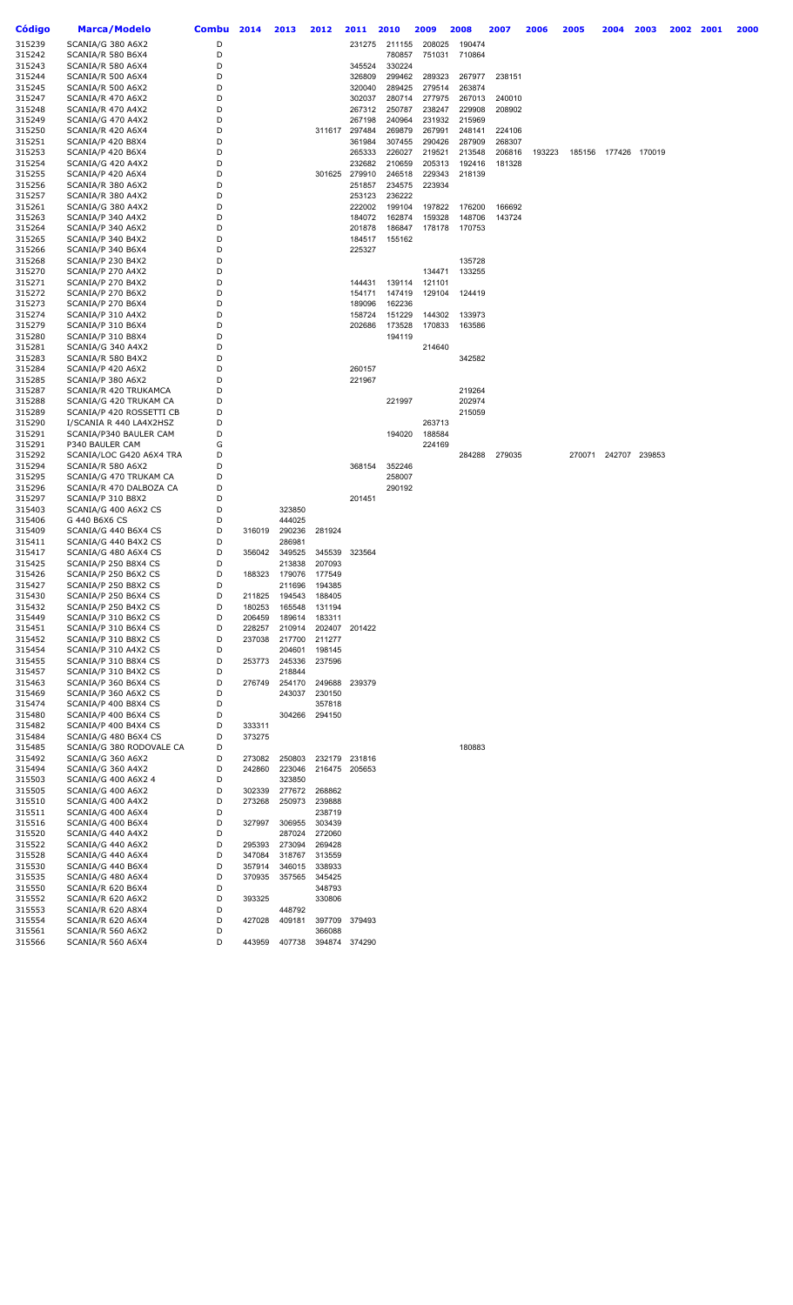| Código           | Marca/Modelo                           | <b>Combu</b> | 2014             | 2013             | 2012                 | 2011          | 2010          | 2009   | 2008   | 2007   | 2006   | 2005   | 2004                 | 2003          | 2002 | 2001 | 2000 |
|------------------|----------------------------------------|--------------|------------------|------------------|----------------------|---------------|---------------|--------|--------|--------|--------|--------|----------------------|---------------|------|------|------|
| 315239           | SCANIA/G 380 A6X2                      | D            |                  |                  |                      |               | 231275 211155 | 208025 | 190474 |        |        |        |                      |               |      |      |      |
| 315242           | SCANIA/R 580 B6X4                      | D            |                  |                  |                      |               | 780857        | 751031 | 710864 |        |        |        |                      |               |      |      |      |
| 315243           | SCANIA/R 580 A6X4                      | D            |                  |                  |                      | 345524        | 330224        |        |        |        |        |        |                      |               |      |      |      |
| 315244           | SCANIA/R 500 A6X4                      | D            |                  |                  |                      | 326809        | 299462        | 289323 | 267977 | 238151 |        |        |                      |               |      |      |      |
| 315245           | SCANIA/R 500 A6X2                      | D            |                  |                  |                      | 320040        | 289425        | 279514 | 263874 |        |        |        |                      |               |      |      |      |
| 315247           | SCANIA/R 470 A6X2                      | D            |                  |                  |                      | 302037        | 280714        | 277975 | 267013 | 240010 |        |        |                      |               |      |      |      |
| 315248           | SCANIA/R 470 A4X2                      | D            |                  |                  |                      | 267312        | 250787        | 238247 | 229908 | 208902 |        |        |                      |               |      |      |      |
| 315249           | SCANIA/G 470 A4X2                      | D            |                  |                  |                      | 267198        | 240964        | 231932 | 215969 |        |        |        |                      |               |      |      |      |
| 315250           | SCANIA/R 420 A6X4                      | D            |                  |                  |                      | 311617 297484 | 269879        | 267991 | 248141 | 224106 |        |        |                      |               |      |      |      |
| 315251           | SCANIA/P 420 B8X4                      | D            |                  |                  |                      | 361984        | 307455        | 290426 | 287909 | 268307 |        |        |                      |               |      |      |      |
| 315253           | SCANIA/P 420 B6X4                      | D            |                  |                  |                      | 265333        | 226027        | 219521 | 213548 | 206816 | 193223 |        | 185156 177426 170019 |               |      |      |      |
| 315254           | SCANIA/G 420 A4X2                      | D            |                  |                  |                      | 232682        | 210659        | 205313 | 192416 | 181328 |        |        |                      |               |      |      |      |
| 315255           | SCANIA/P 420 A6X4                      | D            |                  |                  |                      | 301625 279910 | 246518        | 229343 | 218139 |        |        |        |                      |               |      |      |      |
| 315256           | SCANIA/R 380 A6X2                      | D            |                  |                  |                      | 251857        | 234575        | 223934 |        |        |        |        |                      |               |      |      |      |
| 315257           | SCANIA/R 380 A4X2                      | D            |                  |                  |                      | 253123        | 236222        |        |        |        |        |        |                      |               |      |      |      |
| 315261           | SCANIA/G 380 A4X2                      | D            |                  |                  |                      | 222002        | 199104        | 197822 | 176200 | 166692 |        |        |                      |               |      |      |      |
| 315263           | SCANIA/P 340 A4X2                      | D            |                  |                  |                      | 184072        | 162874        | 159328 | 148706 | 143724 |        |        |                      |               |      |      |      |
| 315264           | SCANIA/P 340 A6X2                      | D            |                  |                  |                      | 201878        | 186847        | 178178 | 170753 |        |        |        |                      |               |      |      |      |
|                  |                                        | D            |                  |                  |                      |               |               |        |        |        |        |        |                      |               |      |      |      |
| 315265           | SCANIA/P 340 B4X2                      |              |                  |                  |                      | 184517        | 155162        |        |        |        |        |        |                      |               |      |      |      |
| 315266           | SCANIA/P 340 B6X4                      | D            |                  |                  |                      | 225327        |               |        |        |        |        |        |                      |               |      |      |      |
| 315268           | SCANIA/P 230 B4X2                      | D            |                  |                  |                      |               |               |        | 135728 |        |        |        |                      |               |      |      |      |
| 315270           | SCANIA/P 270 A4X2                      | D            |                  |                  |                      |               |               | 134471 | 133255 |        |        |        |                      |               |      |      |      |
| 315271           | SCANIA/P 270 B4X2                      | D            |                  |                  |                      | 144431        | 139114        | 121101 |        |        |        |        |                      |               |      |      |      |
| 315272           | SCANIA/P 270 B6X2                      | D            |                  |                  |                      | 154171        | 147419        | 129104 | 124419 |        |        |        |                      |               |      |      |      |
| 315273           | SCANIA/P 270 B6X4                      | D            |                  |                  |                      | 189096        | 162236        |        |        |        |        |        |                      |               |      |      |      |
| 315274           | SCANIA/P 310 A4X2                      | D            |                  |                  |                      | 158724        | 151229        | 144302 | 133973 |        |        |        |                      |               |      |      |      |
| 315279           | SCANIA/P 310 B6X4                      | D            |                  |                  |                      | 202686        | 173528        | 170833 | 163586 |        |        |        |                      |               |      |      |      |
| 315280           | SCANIA/P 310 B8X4                      | D            |                  |                  |                      |               | 194119        |        |        |        |        |        |                      |               |      |      |      |
| 315281           | SCANIA/G 340 A4X2                      | D            |                  |                  |                      |               |               | 214640 |        |        |        |        |                      |               |      |      |      |
| 315283           | SCANIA/R 580 B4X2                      | D            |                  |                  |                      |               |               |        | 342582 |        |        |        |                      |               |      |      |      |
| 315284           | SCANIA/P 420 A6X2                      | D            |                  |                  |                      | 260157        |               |        |        |        |        |        |                      |               |      |      |      |
| 315285           | SCANIA/P 380 A6X2                      | D            |                  |                  |                      | 221967        |               |        |        |        |        |        |                      |               |      |      |      |
| 315287           | SCANIA/R 420 TRUKAMCA                  | D            |                  |                  |                      |               |               |        | 219264 |        |        |        |                      |               |      |      |      |
| 315288           | SCANIA/G 420 TRUKAM CA                 | D            |                  |                  |                      |               | 221997        |        | 202974 |        |        |        |                      |               |      |      |      |
| 315289           | SCANIA/P 420 ROSSETTI CB               | D            |                  |                  |                      |               |               |        | 215059 |        |        |        |                      |               |      |      |      |
| 315290           | I/SCANIA R 440 LA4X2HSZ                | D            |                  |                  |                      |               |               | 263713 |        |        |        |        |                      |               |      |      |      |
| 315291           | SCANIA/P340 BAULER CAM                 | D            |                  |                  |                      |               | 194020        | 188584 |        |        |        |        |                      |               |      |      |      |
| 315291           | P340 BAULER CAM                        | G            |                  |                  |                      |               |               | 224169 |        |        |        |        |                      |               |      |      |      |
| 315292           | SCANIA/LOC G420 A6X4 TRA               | D            |                  |                  |                      |               |               |        | 284288 | 279035 |        | 270071 |                      | 242707 239853 |      |      |      |
| 315294           | SCANIA/R 580 A6X2                      | D            |                  |                  |                      | 368154        | 352246        |        |        |        |        |        |                      |               |      |      |      |
| 315295           | SCANIA/G 470 TRUKAM CA                 | D            |                  |                  |                      |               | 258007        |        |        |        |        |        |                      |               |      |      |      |
| 315296           | SCANIA/R 470 DALBOZA CA                | D            |                  |                  |                      |               | 290192        |        |        |        |        |        |                      |               |      |      |      |
| 315297           | SCANIA/P 310 B8X2                      | D            |                  |                  |                      | 201451        |               |        |        |        |        |        |                      |               |      |      |      |
| 315403           | SCANIA/G 400 A6X2 CS                   | D            |                  | 323850           |                      |               |               |        |        |        |        |        |                      |               |      |      |      |
| 315406           | G 440 B6X6 CS                          | D            |                  | 444025           |                      |               |               |        |        |        |        |        |                      |               |      |      |      |
| 315409           | SCANIA/G 440 B6X4 CS                   | D            | 316019           | 290236           | 281924               |               |               |        |        |        |        |        |                      |               |      |      |      |
| 315411           | SCANIA/G 440 B4X2 CS                   | D            |                  | 286981           |                      |               |               |        |        |        |        |        |                      |               |      |      |      |
| 315417           | SCANIA/G 480 A6X4 CS                   | D            | 356042           | 349525           | 345539               | 323564        |               |        |        |        |        |        |                      |               |      |      |      |
| 315425           | SCANIA/P 250 B8X4 CS                   | D            |                  | 213838           | 207093               |               |               |        |        |        |        |        |                      |               |      |      |      |
| 315426           | SCANIA/P 250 B6X2 CS                   | D            | 188323           | 179076           | 177549               |               |               |        |        |        |        |        |                      |               |      |      |      |
| 315427           | SCANIA/P 250 B8X2 CS                   | D            |                  | 211696           | 194385               |               |               |        |        |        |        |        |                      |               |      |      |      |
| 315430           | SCANIA/P 250 B6X4 CS                   | D            | 211825           |                  | 194543 188405        |               |               |        |        |        |        |        |                      |               |      |      |      |
| 315432           | SCANIA/P 250 B4X2 CS                   | D            | 180253           | 165548           | 131194               |               |               |        |        |        |        |        |                      |               |      |      |      |
| 315449           | SCANIA/P 310 B6X2 CS                   | D            | 206459           |                  | 189614 183311        |               |               |        |        |        |        |        |                      |               |      |      |      |
| 315451           | SCANIA/P 310 B6X4 CS                   | D            | 228257           | 210914           |                      | 202407 201422 |               |        |        |        |        |        |                      |               |      |      |      |
| 315452           | SCANIA/P 310 B8X2 CS                   | D            | 237038           | 217700           | 211277               |               |               |        |        |        |        |        |                      |               |      |      |      |
| 315454           | SCANIA/P 310 A4X2 CS                   | D            |                  | 204601           | 198145               |               |               |        |        |        |        |        |                      |               |      |      |      |
| 315455           | SCANIA/P 310 B8X4 CS                   | D            | 253773           | 245336           | 237596               |               |               |        |        |        |        |        |                      |               |      |      |      |
| 315457           | SCANIA/P 310 B4X2 CS                   | D            |                  | 218844           |                      |               |               |        |        |        |        |        |                      |               |      |      |      |
| 315463           | SCANIA/P 360 B6X4 CS                   | D            | 276749           | 254170           | 249688               | 239379        |               |        |        |        |        |        |                      |               |      |      |      |
| 315469           | SCANIA/P 360 A6X2 CS                   | D            |                  | 243037           | 230150               |               |               |        |        |        |        |        |                      |               |      |      |      |
| 315474           | SCANIA/P 400 B8X4 CS                   | D            |                  |                  | 357818               |               |               |        |        |        |        |        |                      |               |      |      |      |
| 315480           | SCANIA/P 400 B6X4 CS                   | D            |                  |                  | 304266 294150        |               |               |        |        |        |        |        |                      |               |      |      |      |
| 315482           | SCANIA/P 400 B4X4 CS                   | D            | 333311           |                  |                      |               |               |        |        |        |        |        |                      |               |      |      |      |
| 315484           | SCANIA/G 480 B6X4 CS                   | D            | 373275           |                  |                      |               |               |        |        |        |        |        |                      |               |      |      |      |
| 315485           | SCANIA/G 380 RODOVALE CA               | D            |                  |                  |                      |               |               |        | 180883 |        |        |        |                      |               |      |      |      |
| 315492           | SCANIA/G 360 A6X2                      | D            | 273082           | 250803           |                      | 232179 231816 |               |        |        |        |        |        |                      |               |      |      |      |
| 315494           | SCANIA/G 360 A4X2                      | D            | 242860           | 223046           |                      | 216475 205653 |               |        |        |        |        |        |                      |               |      |      |      |
| 315503           | SCANIA/G 400 A6X2 4                    | D            |                  | 323850           |                      |               |               |        |        |        |        |        |                      |               |      |      |      |
| 315505           | SCANIA/G 400 A6X2                      | D            | 302339           |                  | 277672 268862        |               |               |        |        |        |        |        |                      |               |      |      |      |
| 315510           | SCANIA/G 400 A4X2                      | D            | 273268           | 250973           | 239888               |               |               |        |        |        |        |        |                      |               |      |      |      |
| 315511           | SCANIA/G 400 A6X4                      | D            |                  |                  | 238719               |               |               |        |        |        |        |        |                      |               |      |      |      |
| 315516           | SCANIA/G 400 B6X4                      | D            | 327997           | 306955           | 303439               |               |               |        |        |        |        |        |                      |               |      |      |      |
| 315520           | SCANIA/G 440 A4X2                      | D            |                  | 287024           | 272060               |               |               |        |        |        |        |        |                      |               |      |      |      |
| 315522           | SCANIA/G 440 A6X2                      | D            | 295393           | 273094           | 269428               |               |               |        |        |        |        |        |                      |               |      |      |      |
|                  |                                        | D            |                  |                  |                      |               |               |        |        |        |        |        |                      |               |      |      |      |
| 315528<br>315530 | SCANIA/G 440 A6X4<br>SCANIA/G 440 B6X4 | D            | 347084<br>357914 | 318767<br>346015 | 313559               |               |               |        |        |        |        |        |                      |               |      |      |      |
| 315535           | SCANIA/G 480 A6X4                      | D            | 370935           | 357565           | 338933               |               |               |        |        |        |        |        |                      |               |      |      |      |
|                  |                                        | D            |                  |                  | 345425               |               |               |        |        |        |        |        |                      |               |      |      |      |
| 315550           | SCANIA/R 620 B6X4<br>SCANIA/R 620 A6X2 | D            | 393325           |                  | 348793               |               |               |        |        |        |        |        |                      |               |      |      |      |
| 315552<br>315553 | SCANIA/R 620 A8X4                      | D            |                  | 448792           | 330806               |               |               |        |        |        |        |        |                      |               |      |      |      |
| 315554           | SCANIA/R 620 A6X4                      | D            | 427028           | 409181           |                      | 397709 379493 |               |        |        |        |        |        |                      |               |      |      |      |
| 315561           | SCANIA/R 560 A6X2                      | D            |                  |                  | 366088               |               |               |        |        |        |        |        |                      |               |      |      |      |
| 315566           | SCANIA/R 560 A6X4                      | D            | 443959           |                  | 407738 394874 374290 |               |               |        |        |        |        |        |                      |               |      |      |      |
|                  |                                        |              |                  |                  |                      |               |               |        |        |        |        |        |                      |               |      |      |      |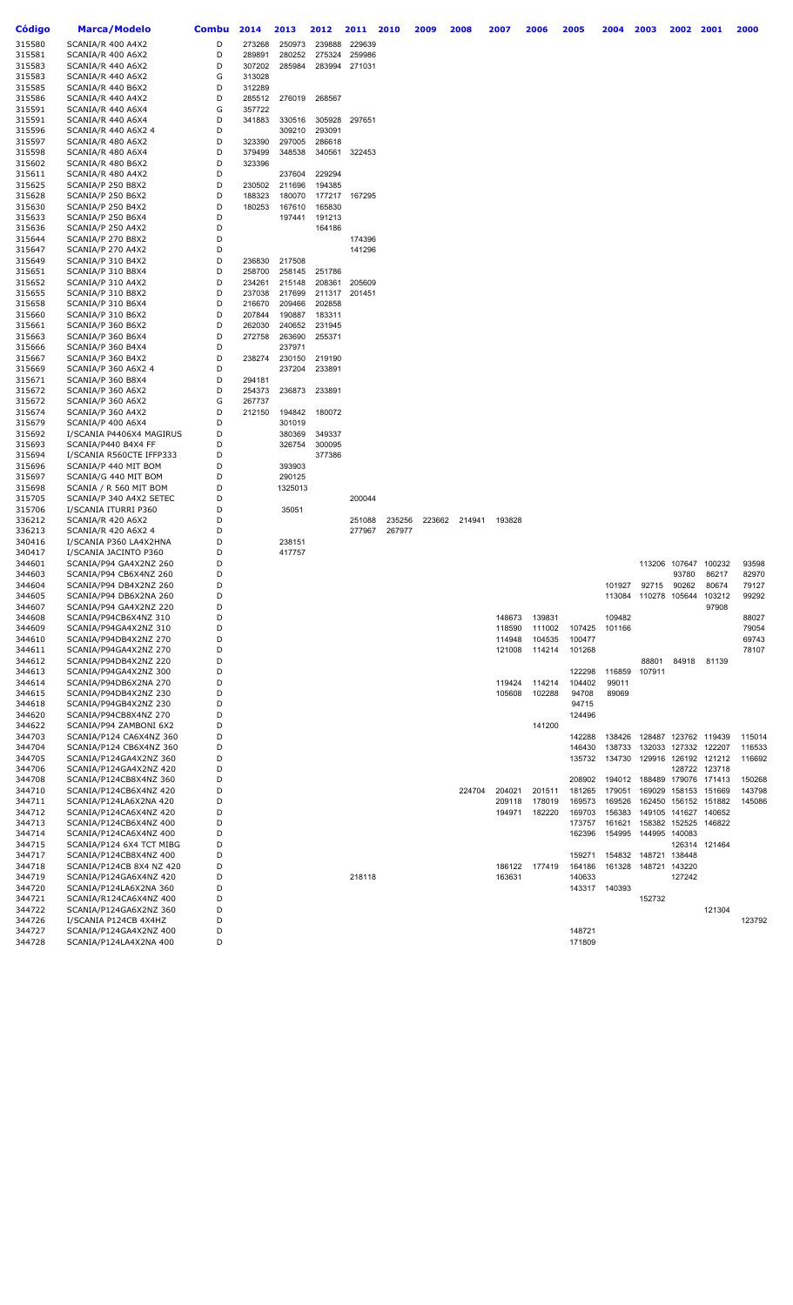| Código           | <b>Marca/Modelo</b>                            | <b>Combu</b> | 2014             | 2013             | 2012   | 2011          | 2010   | 2009   | 2008   | 2007   | 2006   | 2005   | 2004   | 2003                        | 2002 2001            |                      | 2000           |
|------------------|------------------------------------------------|--------------|------------------|------------------|--------|---------------|--------|--------|--------|--------|--------|--------|--------|-----------------------------|----------------------|----------------------|----------------|
| 315580           | SCANIA/R 400 A4X2                              | D            | 273268           | 250973           | 239888 | 229639        |        |        |        |        |        |        |        |                             |                      |                      |                |
| 315581           | SCANIA/R 400 A6X2                              | D            | 289891           | 280252           | 275324 | 259986        |        |        |        |        |        |        |        |                             |                      |                      |                |
| 315583           | SCANIA/R 440 A6X2                              | D            | 307202           | 285984           |        | 283994 271031 |        |        |        |        |        |        |        |                             |                      |                      |                |
| 315583           | SCANIA/R 440 A6X2                              | G            | 313028           |                  |        |               |        |        |        |        |        |        |        |                             |                      |                      |                |
| 315585           | SCANIA/R 440 B6X2                              | D            | 312289           |                  |        |               |        |        |        |        |        |        |        |                             |                      |                      |                |
| 315586           | SCANIA/R 440 A4X2                              | D            | 285512           | 276019           | 268567 |               |        |        |        |        |        |        |        |                             |                      |                      |                |
| 315591           | SCANIA/R 440 A6X4                              | G            | 357722           |                  |        |               |        |        |        |        |        |        |        |                             |                      |                      |                |
| 315591           | SCANIA/R 440 A6X4                              | D            | 341883           | 330516           | 305928 | 297651        |        |        |        |        |        |        |        |                             |                      |                      |                |
| 315596           | SCANIA/R 440 A6X2 4                            | D            |                  | 309210           | 293091 |               |        |        |        |        |        |        |        |                             |                      |                      |                |
| 315597           | SCANIA/R 480 A6X2                              | D            | 323390           | 297005           | 286618 |               |        |        |        |        |        |        |        |                             |                      |                      |                |
| 315598           | SCANIA/R 480 A6X4                              | D            | 379499           | 348538           | 340561 | 322453        |        |        |        |        |        |        |        |                             |                      |                      |                |
| 315602           | SCANIA/R 480 B6X2                              | D            | 323396           |                  |        |               |        |        |        |        |        |        |        |                             |                      |                      |                |
| 315611           | SCANIA/R 480 A4X2                              | D            |                  | 237604           | 229294 |               |        |        |        |        |        |        |        |                             |                      |                      |                |
| 315625           | SCANIA/P 250 B8X2                              | D            | 230502           | 211696           | 194385 |               |        |        |        |        |        |        |        |                             |                      |                      |                |
| 315628           | SCANIA/P 250 B6X2                              | D            | 188323           | 180070           | 177217 | 167295        |        |        |        |        |        |        |        |                             |                      |                      |                |
| 315630           | SCANIA/P 250 B4X2                              | D            | 180253           | 167610           | 165830 |               |        |        |        |        |        |        |        |                             |                      |                      |                |
| 315633           | SCANIA/P 250 B6X4                              | D            |                  | 197441           | 191213 |               |        |        |        |        |        |        |        |                             |                      |                      |                |
| 315636           | SCANIA/P 250 A4X2                              | D            |                  |                  | 164186 |               |        |        |        |        |        |        |        |                             |                      |                      |                |
| 315644           | SCANIA/P 270 B8X2                              | D            |                  |                  |        | 174396        |        |        |        |        |        |        |        |                             |                      |                      |                |
| 315647           | SCANIA/P 270 A4X2                              | D            |                  |                  |        | 141296        |        |        |        |        |        |        |        |                             |                      |                      |                |
| 315649           | SCANIA/P 310 B4X2                              | D            | 236830           | 217508<br>258145 |        |               |        |        |        |        |        |        |        |                             |                      |                      |                |
| 315651           | SCANIA/P 310 B8X4<br>SCANIA/P 310 A4X2         | D            | 258700           |                  | 251786 | 205609        |        |        |        |        |        |        |        |                             |                      |                      |                |
| 315652           |                                                | D<br>D       | 234261           | 215148           | 208361 |               |        |        |        |        |        |        |        |                             |                      |                      |                |
| 315655<br>315658 | SCANIA/P 310 B8X2<br>SCANIA/P 310 B6X4         | D            | 237038<br>216670 | 217699<br>209466 | 202858 | 211317 201451 |        |        |        |        |        |        |        |                             |                      |                      |                |
| 315660           | SCANIA/P 310 B6X2                              | D            | 207844           | 190887           | 183311 |               |        |        |        |        |        |        |        |                             |                      |                      |                |
| 315661           | SCANIA/P 360 B6X2                              | D            | 262030           | 240652           | 231945 |               |        |        |        |        |        |        |        |                             |                      |                      |                |
| 315663           | SCANIA/P 360 B6X4                              | D            | 272758           | 263690           | 255371 |               |        |        |        |        |        |        |        |                             |                      |                      |                |
| 315666           | SCANIA/P 360 B4X4                              | D            |                  | 237971           |        |               |        |        |        |        |        |        |        |                             |                      |                      |                |
| 315667           | SCANIA/P 360 B4X2                              | D            | 238274           | 230150           | 219190 |               |        |        |        |        |        |        |        |                             |                      |                      |                |
| 315669           | SCANIA/P 360 A6X2 4                            | D            |                  | 237204           | 233891 |               |        |        |        |        |        |        |        |                             |                      |                      |                |
| 315671           | SCANIA/P 360 B8X4                              | D            | 294181           |                  |        |               |        |        |        |        |        |        |        |                             |                      |                      |                |
| 315672           | SCANIA/P 360 A6X2                              | D            | 254373           | 236873           | 233891 |               |        |        |        |        |        |        |        |                             |                      |                      |                |
| 315672           | SCANIA/P 360 A6X2                              | G            | 267737           |                  |        |               |        |        |        |        |        |        |        |                             |                      |                      |                |
| 315674           | SCANIA/P 360 A4X2                              | D            | 212150           | 194842           | 180072 |               |        |        |        |        |        |        |        |                             |                      |                      |                |
| 315679           | SCANIA/P 400 A6X4                              | D            |                  | 301019           |        |               |        |        |        |        |        |        |        |                             |                      |                      |                |
| 315692           | I/SCANIA P4406X4 MAGIRUS                       | D            |                  | 380369           | 349337 |               |        |        |        |        |        |        |        |                             |                      |                      |                |
| 315693           | SCANIA/P440 B4X4 FF                            | D            |                  | 326754           | 300095 |               |        |        |        |        |        |        |        |                             |                      |                      |                |
| 315694           | I/SCANIA R560CTE IFFP333                       | D            |                  |                  | 377386 |               |        |        |        |        |        |        |        |                             |                      |                      |                |
| 315696           | SCANIA/P 440 MIT BOM                           | D            |                  | 393903           |        |               |        |        |        |        |        |        |        |                             |                      |                      |                |
| 315697           | SCANIA/G 440 MIT BOM                           | D            |                  | 290125           |        |               |        |        |        |        |        |        |        |                             |                      |                      |                |
| 315698           | SCANIA / R 560 MIT BOM                         | D            |                  | 1325013          |        |               |        |        |        |        |        |        |        |                             |                      |                      |                |
| 315705           | SCANIA/P 340 A4X2 SETEC                        | D            |                  |                  |        | 200044        |        |        |        |        |        |        |        |                             |                      |                      |                |
| 315706           | I/SCANIA ITURRI P360                           | D            |                  | 35051            |        |               |        |        |        |        |        |        |        |                             |                      |                      |                |
| 336212           | SCANIA/R 420 A6X2                              | D            |                  |                  |        | 251088        | 235256 | 223662 | 214941 | 193828 |        |        |        |                             |                      |                      |                |
| 336213           | SCANIA/R 420 A6X2 4                            | D            |                  |                  |        | 277967        | 267977 |        |        |        |        |        |        |                             |                      |                      |                |
| 340416           | I/SCANIA P360 LA4X2HNA                         | D            |                  | 238151           |        |               |        |        |        |        |        |        |        |                             |                      |                      |                |
| 340417           | I/SCANIA JACINTO P360                          | D            |                  | 417757           |        |               |        |        |        |        |        |        |        |                             |                      |                      |                |
| 344601           | SCANIA/P94 GA4X2NZ 260                         | D            |                  |                  |        |               |        |        |        |        |        |        |        |                             | 113206 107647 100232 |                      | 93598          |
| 344603           | SCANIA/P94 CB6X4NZ 260                         | D            |                  |                  |        |               |        |        |        |        |        |        |        |                             | 93780                | 86217                | 82970          |
| 344604           | SCANIA/P94 DB4X2NZ 260                         | D            |                  |                  |        |               |        |        |        |        |        |        | 101927 | 92715                       | 90262                | 80674                | 79127          |
| 344605           | SCANIA/P94 DB6X2NA 260                         | D            |                  |                  |        |               |        |        |        |        |        |        |        | 113084 110278 105644 103212 |                      |                      | 99292          |
| 344607           | SCANIA/P94 GA4X2NZ 220                         | D            |                  |                  |        |               |        |        |        |        |        |        |        |                             |                      | 97908                |                |
| 344608           | SCANIA/P94CB6X4NZ 310                          | D            |                  |                  |        |               |        |        |        | 148673 | 139831 |        | 109482 |                             |                      |                      | 88027          |
| 344609           | SCANIA/P94GA4X2NZ 310                          | D            |                  |                  |        |               |        |        |        | 118590 | 111002 | 107425 | 101166 |                             |                      |                      | 79054          |
| 344610           | SCANIA/P94DB4X2NZ 270                          | D<br>D       |                  |                  |        |               |        |        |        | 114948 | 104535 | 100477 |        |                             |                      |                      | 69743<br>78107 |
| 344611           | SCANIA/P94GA4X2NZ 270                          | D            |                  |                  |        |               |        |        |        | 121008 | 114214 | 101268 |        |                             |                      |                      |                |
| 344612<br>344613 | SCANIA/P94DB4X2NZ 220<br>SCANIA/P94GA4X2NZ 300 | D            |                  |                  |        |               |        |        |        |        |        | 122298 | 116859 | 88801<br>107911             | 84918                | 81139                |                |
| 344614           | SCANIA/P94DB6X2NA 270                          | D            |                  |                  |        |               |        |        |        | 119424 | 114214 | 104402 | 99011  |                             |                      |                      |                |
| 344615           | SCANIA/P94DB4X2NZ 230                          | D            |                  |                  |        |               |        |        |        | 105608 | 102288 | 94708  | 89069  |                             |                      |                      |                |
| 344618           | SCANIA/P94GB4X2NZ 230                          | D            |                  |                  |        |               |        |        |        |        |        | 94715  |        |                             |                      |                      |                |
| 344620           | SCANIA/P94CB8X4NZ 270                          | D            |                  |                  |        |               |        |        |        |        |        | 124496 |        |                             |                      |                      |                |
| 344622           | SCANIA/P94 ZAMBONI 6X2                         | D            |                  |                  |        |               |        |        |        |        | 141200 |        |        |                             |                      |                      |                |
| 344703           | SCANIA/P124 CA6X4NZ 360                        | D            |                  |                  |        |               |        |        |        |        |        | 142288 | 138426 | 128487 123762 119439        |                      |                      | 115014         |
| 344704           | SCANIA/P124 CB6X4NZ 360                        | D            |                  |                  |        |               |        |        |        |        |        | 146430 | 138733 | 132033 127332               |                      | 122207               | 116533         |
| 344705           | SCANIA/P124GA4X2NZ 360                         | D            |                  |                  |        |               |        |        |        |        |        | 135732 | 134730 |                             |                      | 129916 126192 121212 | 116692         |
| 344706           | SCANIA/P124GA4X2NZ 420                         | D            |                  |                  |        |               |        |        |        |        |        |        |        |                             | 128722               | 123718               |                |
| 344708           | SCANIA/P124CB8X4NZ 360                         | D            |                  |                  |        |               |        |        |        |        |        | 208902 | 194012 | 188489 179076 171413        |                      |                      | 150268         |
| 344710           | SCANIA/P124CB6X4NZ 420                         | D            |                  |                  |        |               |        |        | 224704 | 204021 | 201511 | 181265 | 179051 |                             | 169029 158153        | 151669               | 143798         |
| 344711           | SCANIA/P124LA6X2NA 420                         | D            |                  |                  |        |               |        |        |        | 209118 | 178019 | 169573 | 169526 |                             | 162450 156152        | 151882               | 145086         |
| 344712           | SCANIA/P124CA6X4NZ 420                         | D            |                  |                  |        |               |        |        |        | 194971 | 182220 | 169703 | 156383 |                             | 149105 141627 140652 |                      |                |
| 344713           | SCANIA/P124CB6X4NZ 400                         | D            |                  |                  |        |               |        |        |        |        |        | 173757 | 161621 | 158382 152525               |                      | 146822               |                |
| 344714           | SCANIA/P124CA6X4NZ 400                         | D            |                  |                  |        |               |        |        |        |        |        | 162396 | 154995 | 144995 140083               |                      |                      |                |
| 344715           | SCANIA/P124 6X4 TCT MIBG                       | D            |                  |                  |        |               |        |        |        |        |        |        |        |                             |                      | 126314 121464        |                |
| 344717           | SCANIA/P124CB8X4NZ 400                         | D            |                  |                  |        |               |        |        |        |        |        | 159271 | 154832 | 148721 138448               |                      |                      |                |
| 344718           | SCANIA/P124CB 8X4 NZ 420                       | D            |                  |                  |        |               |        |        |        | 186122 | 177419 | 164186 | 161328 | 148721 143220               |                      |                      |                |
| 344719           | SCANIA/P124GA6X4NZ 420                         | D            |                  |                  |        | 218118        |        |        |        | 163631 |        | 140633 |        |                             | 127242               |                      |                |
| 344720           | SCANIA/P124LA6X2NA 360                         | D            |                  |                  |        |               |        |        |        |        |        | 143317 | 140393 |                             |                      |                      |                |
| 344721           | SCANIA/R124CA6X4NZ 400                         | D            |                  |                  |        |               |        |        |        |        |        |        |        | 152732                      |                      |                      |                |
| 344722           | SCANIA/P124GA6X2NZ 360                         | D            |                  |                  |        |               |        |        |        |        |        |        |        |                             |                      | 121304               |                |
| 344726           | I/SCANIA P124CB 4X4HZ                          | D            |                  |                  |        |               |        |        |        |        |        |        |        |                             |                      |                      | 123792         |
| 344727           | SCANIA/P124GA4X2NZ 400                         | D            |                  |                  |        |               |        |        |        |        |        | 148721 |        |                             |                      |                      |                |
| 344728           | SCANIA/P124LA4X2NA 400                         | D            |                  |                  |        |               |        |        |        |        |        | 171809 |        |                             |                      |                      |                |
|                  |                                                |              |                  |                  |        |               |        |        |        |        |        |        |        |                             |                      |                      |                |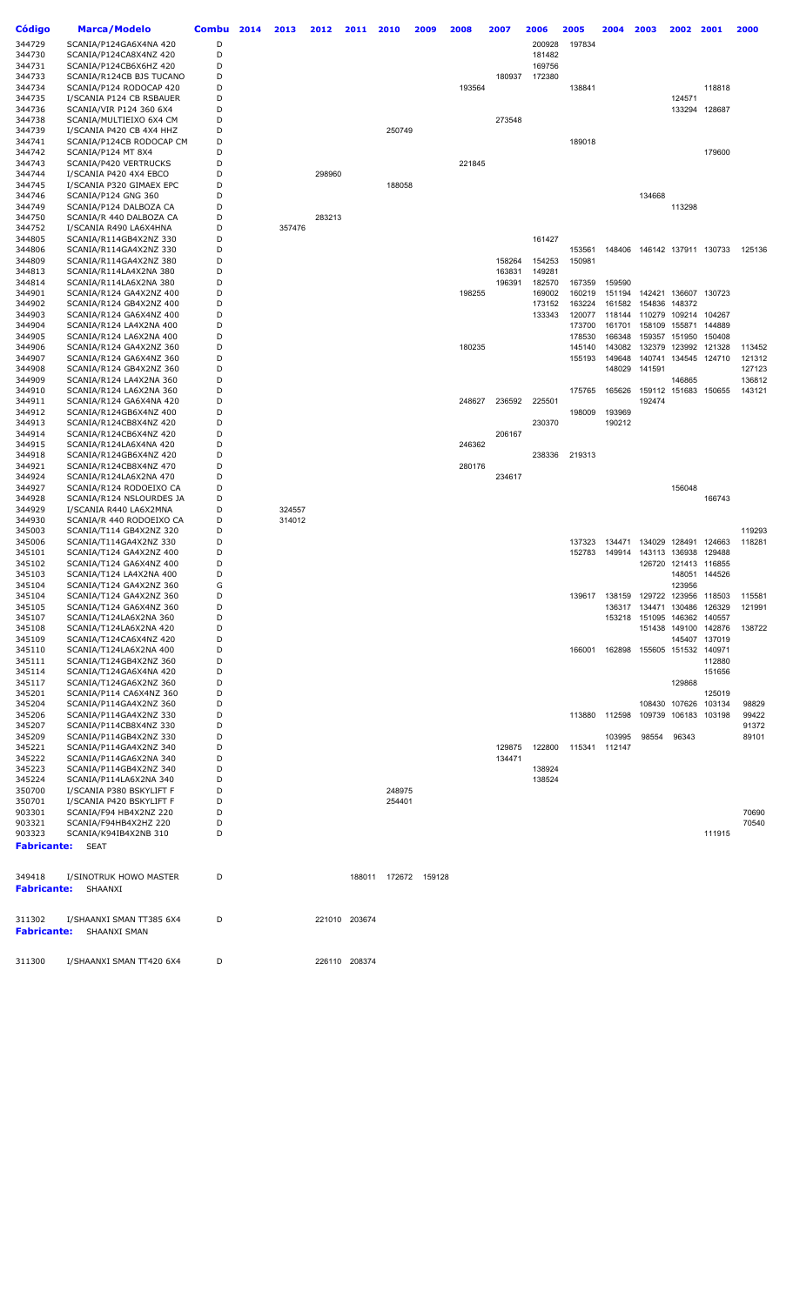| Código                | Marca/Modelo                                        | Combu  | 2014 | 2013   | 2012   | 2011          | 2010                 | 2009 | 2008   | 2007   | 2006   | 2005             | 2004   | 2003                        | 2002             | 2001                        | 2000                                      |
|-----------------------|-----------------------------------------------------|--------|------|--------|--------|---------------|----------------------|------|--------|--------|--------|------------------|--------|-----------------------------|------------------|-----------------------------|-------------------------------------------|
| 344729                | SCANIA/P124GA6X4NA 420                              | D      |      |        |        |               |                      |      |        |        | 200928 | 197834           |        |                             |                  |                             |                                           |
| 344730                | SCANIA/P124CA8X4NZ 420                              | D      |      |        |        |               |                      |      |        |        | 181482 |                  |        |                             |                  |                             |                                           |
| 344731                | SCANIA/P124CB6X6HZ 420                              | D      |      |        |        |               |                      |      |        |        | 169756 |                  |        |                             |                  |                             |                                           |
| 344733                | SCANIA/R124CB BJS TUCANO                            | D      |      |        |        |               |                      |      |        | 180937 | 172380 |                  |        |                             |                  |                             |                                           |
| 344734                | SCANIA/P124 RODOCAP 420                             | D<br>D |      |        |        |               |                      |      | 193564 |        |        | 138841           |        |                             |                  | 118818                      |                                           |
| 344735<br>344736      | I/SCANIA P124 CB RSBAUER<br>SCANIA/VIR P124 360 6X4 | D      |      |        |        |               |                      |      |        |        |        |                  |        |                             | 124571<br>133294 | 128687                      |                                           |
| 344738                | SCANIA/MULTIEIXO 6X4 CM                             | D      |      |        |        |               |                      |      |        | 273548 |        |                  |        |                             |                  |                             |                                           |
| 344739                | I/SCANIA P420 CB 4X4 HHZ                            | D      |      |        |        |               | 250749               |      |        |        |        |                  |        |                             |                  |                             |                                           |
| 344741                | SCANIA/P124CB RODOCAP CM                            | D      |      |        |        |               |                      |      |        |        |        | 189018           |        |                             |                  |                             |                                           |
| 344742                | SCANIA/P124 MT 8X4                                  | D      |      |        |        |               |                      |      |        |        |        |                  |        |                             |                  | 179600                      |                                           |
| 344743                | SCANIA/P420 VERTRUCKS                               | D      |      |        |        |               |                      |      | 221845 |        |        |                  |        |                             |                  |                             |                                           |
| 344744                | I/SCANIA P420 4X4 EBCO                              | D      |      |        | 298960 |               |                      |      |        |        |        |                  |        |                             |                  |                             |                                           |
| 344745                | I/SCANIA P320 GIMAEX EPC                            | D      |      |        |        |               | 188058               |      |        |        |        |                  |        |                             |                  |                             |                                           |
| 344746                | SCANIA/P124 GNG 360                                 | D      |      |        |        |               |                      |      |        |        |        |                  |        | 134668                      |                  |                             |                                           |
| 344749                | SCANIA/P124 DALBOZA CA                              | D      |      |        |        |               |                      |      |        |        |        |                  |        |                             | 113298           |                             |                                           |
| 344750                | SCANIA/R 440 DALBOZA CA                             | D      |      |        | 283213 |               |                      |      |        |        |        |                  |        |                             |                  |                             |                                           |
| 344752                | I/SCANIA R490 LA6X4HNA                              | D      |      | 357476 |        |               |                      |      |        |        |        |                  |        |                             |                  |                             |                                           |
| 344805                | SCANIA/R114GB4X2NZ 330                              | D<br>D |      |        |        |               |                      |      |        |        | 161427 |                  |        |                             |                  |                             | 125136                                    |
| 344806<br>344809      | SCANIA/R114GA4X2NZ 330<br>SCANIA/R114GA4X2NZ 380    | D      |      |        |        |               |                      |      |        | 158264 | 154253 | 153561<br>150981 |        |                             |                  | 148406 146142 137911 130733 |                                           |
| 344813                | SCANIA/R114LA4X2NA 380                              | D      |      |        |        |               |                      |      |        | 163831 | 149281 |                  |        |                             |                  |                             |                                           |
| 344814                | SCANIA/R114LA6X2NA 380                              | D      |      |        |        |               |                      |      |        | 196391 | 182570 | 167359           | 159590 |                             |                  |                             |                                           |
| 344901                | SCANIA/R124 GA4X2NZ 400                             | D      |      |        |        |               |                      |      | 198255 |        | 169002 | 160219           | 151194 |                             |                  | 142421 136607 130723        |                                           |
| 344902                | SCANIA/R124 GB4X2NZ 400                             | D      |      |        |        |               |                      |      |        |        | 173152 | 163224           | 161582 | 154836                      | 148372           |                             |                                           |
| 344903                | SCANIA/R124 GA6X4NZ 400                             | D      |      |        |        |               |                      |      |        |        | 133343 | 120077           | 118144 | 110279 109214 104267        |                  |                             |                                           |
| 344904                | SCANIA/R124 LA4X2NA 400                             | D      |      |        |        |               |                      |      |        |        |        | 173700           | 161701 | 158109                      | 155871           | 144889                      |                                           |
| 344905                | SCANIA/R124 LA6X2NA 400                             | D      |      |        |        |               |                      |      |        |        |        | 178530           | 166348 |                             | 159357 151950    | 150408                      |                                           |
| 344906                | SCANIA/R124 GA4X2NZ 360                             | D      |      |        |        |               |                      |      | 180235 |        |        | 145140           | 143082 | 132379                      |                  | 123992 121328               | 113452                                    |
| 344907                | SCANIA/R124 GA6X4NZ 360                             | D      |      |        |        |               |                      |      |        |        |        | 155193           | 149648 | 140741                      |                  | 134545 124710               | 121312                                    |
| 344908                | SCANIA/R124 GB4X2NZ 360                             | D      |      |        |        |               |                      |      |        |        |        |                  | 148029 | 141591                      |                  |                             | 127123                                    |
| 344909                | SCANIA/R124 LA4X2NA 360                             | D      |      |        |        |               |                      |      |        |        |        |                  |        |                             | 146865           |                             | 136812                                    |
| 344910                | SCANIA/R124 LA6X2NA 360                             | D<br>D |      |        |        |               |                      |      |        |        |        | 175765           | 165626 |                             | 159112 151683    | 150655                      | 143121                                    |
| 344911<br>344912      | SCANIA/R124 GA6X4NA 420<br>SCANIA/R124GB6X4NZ 400   | D      |      |        |        |               |                      |      | 248627 | 236592 | 225501 | 198009           | 193969 | 192474                      |                  |                             |                                           |
| 344913                | SCANIA/R124CB8X4NZ 420                              | D      |      |        |        |               |                      |      |        |        | 230370 |                  | 190212 |                             |                  |                             |                                           |
| 344914                | SCANIA/R124CB6X4NZ 420                              | D      |      |        |        |               |                      |      |        | 206167 |        |                  |        |                             |                  |                             |                                           |
| 344915                | SCANIA/R124LA6X4NA 420                              | D      |      |        |        |               |                      |      | 246362 |        |        |                  |        |                             |                  |                             |                                           |
| 344918                | SCANIA/R124GB6X4NZ 420                              | D      |      |        |        |               |                      |      |        |        | 238336 | 219313           |        |                             |                  |                             |                                           |
| 344921                | SCANIA/R124CB8X4NZ 470                              | D      |      |        |        |               |                      |      | 280176 |        |        |                  |        |                             |                  |                             |                                           |
| 344924                | SCANIA/R124LA6X2NA 470                              | D      |      |        |        |               |                      |      |        | 234617 |        |                  |        |                             |                  |                             |                                           |
| 344927                | SCANIA/R124 RODOEIXO CA                             | D      |      |        |        |               |                      |      |        |        |        |                  |        |                             | 156048           |                             |                                           |
| 344928                | SCANIA/R124 NSLOURDES JA                            | D      |      |        |        |               |                      |      |        |        |        |                  |        |                             |                  | 166743                      |                                           |
| 344929                | I/SCANIA R440 LA6X2MNA                              | D      |      | 324557 |        |               |                      |      |        |        |        |                  |        |                             |                  |                             |                                           |
| 344930                | SCANIA/R 440 RODOEIXO CA                            | D      |      | 314012 |        |               |                      |      |        |        |        |                  |        |                             |                  |                             |                                           |
| 345003                | SCANIA/T114 GB4X2NZ 320                             | D      |      |        |        |               |                      |      |        |        |        |                  |        |                             |                  |                             | 119293                                    |
| 345006                | SCANIA/T114GA4X2NZ 330<br>SCANIA/T124 GA4X2NZ 400   | D<br>D |      |        |        |               |                      |      |        |        |        | 137323           | 134471 | 134029                      | 128491           | 124663<br>129488            | 118281                                    |
| 345101<br>345102      | SCANIA/T124 GA6X4NZ 400                             | D      |      |        |        |               |                      |      |        |        |        | 152783           | 149914 | 143113 136938               |                  | 126720 121413 116855        |                                           |
| 345103                | SCANIA/T124 LA4X2NA 400                             | D      |      |        |        |               |                      |      |        |        |        |                  |        |                             |                  | 148051 144526               |                                           |
| 345104                | SCANIA/T124 GA4X2NZ 360                             | G      |      |        |        |               |                      |      |        |        |        |                  |        |                             | 123956           |                             |                                           |
| 345104                | SCANIA/T124 GA4X2NZ 360                             | D      |      |        |        |               |                      |      |        |        |        |                  |        |                             |                  |                             | 139617 138159 129722 123956 118503 115581 |
| 345105                | SCANIA/T124 GA6X4NZ 360                             | D      |      |        |        |               |                      |      |        |        |        |                  |        | 136317 134471 130486 126329 |                  |                             | 121991                                    |
| 345107                | SCANIA/T124LA6X2NA 360                              | D      |      |        |        |               |                      |      |        |        |        |                  |        | 153218 151095 146362 140557 |                  |                             |                                           |
| 345108                | SCANIA/T124LA6X2NA 420                              | D      |      |        |        |               |                      |      |        |        |        |                  |        |                             |                  | 151438 149100 142876        | 138722                                    |
| 345109                | SCANIA/T124CA6X4NZ 420                              | D      |      |        |        |               |                      |      |        |        |        |                  |        |                             |                  | 145407 137019               |                                           |
| 345110                | SCANIA/T124LA6X2NA 400                              | D      |      |        |        |               |                      |      |        |        |        | 166001           |        | 162898 155605 151532 140971 |                  |                             |                                           |
| 345111                | SCANIA/T124GB4X2NZ 360                              | D      |      |        |        |               |                      |      |        |        |        |                  |        |                             |                  | 112880                      |                                           |
| 345114                | SCANIA/T124GA6X4NA 420                              | D      |      |        |        |               |                      |      |        |        |        |                  |        |                             |                  | 151656                      |                                           |
| 345117<br>345201      | SCANIA/T124GA6X2NZ 360<br>SCANIA/P114 CA6X4NZ 360   | D<br>D |      |        |        |               |                      |      |        |        |        |                  |        |                             | 129868           | 125019                      |                                           |
| 345204                | SCANIA/P114GA4X2NZ 360                              | D      |      |        |        |               |                      |      |        |        |        |                  |        |                             |                  | 108430 107626 103134        | 98829                                     |
| 345206                | SCANIA/P114GA4X2NZ 330                              | D      |      |        |        |               |                      |      |        |        |        | 113880           | 112598 |                             | 109739 106183    | 103198                      | 99422                                     |
| 345207                | SCANIA/P114CB8X4NZ 330                              | D      |      |        |        |               |                      |      |        |        |        |                  |        |                             |                  |                             | 91372                                     |
| 345209                | SCANIA/P114GB4X2NZ 330                              | D      |      |        |        |               |                      |      |        |        |        |                  | 103995 | 98554                       | 96343            |                             | 89101                                     |
| 345221                | SCANIA/P114GA4X2NZ 340                              | D      |      |        |        |               |                      |      |        | 129875 | 122800 | 115341 112147    |        |                             |                  |                             |                                           |
| 345222                | SCANIA/P114GA6X2NA 340                              | D      |      |        |        |               |                      |      |        | 134471 |        |                  |        |                             |                  |                             |                                           |
| 345223                | SCANIA/P114GB4X2NZ 340                              | D      |      |        |        |               |                      |      |        |        | 138924 |                  |        |                             |                  |                             |                                           |
| 345224                | SCANIA/P114LA6X2NA 340                              | D      |      |        |        |               |                      |      |        |        | 138524 |                  |        |                             |                  |                             |                                           |
| 350700                | I/SCANIA P380 BSKYLIFT F                            | D      |      |        |        |               | 248975               |      |        |        |        |                  |        |                             |                  |                             |                                           |
| 350701                | I/SCANIA P420 BSKYLIFT F                            | D      |      |        |        |               | 254401               |      |        |        |        |                  |        |                             |                  |                             |                                           |
| 903301                | SCANIA/F94 HB4X2NZ 220                              | D      |      |        |        |               |                      |      |        |        |        |                  |        |                             |                  |                             | 70690                                     |
| 903321<br>903323      | SCANIA/F94HB4X2HZ 220<br>SCANIA/K94IB4X2NB 310      | D<br>D |      |        |        |               |                      |      |        |        |        |                  |        |                             |                  | 111915                      | 70540                                     |
| Fabricante:           | SEAT                                                |        |      |        |        |               |                      |      |        |        |        |                  |        |                             |                  |                             |                                           |
|                       |                                                     |        |      |        |        |               |                      |      |        |        |        |                  |        |                             |                  |                             |                                           |
| 349418<br>Fabricante: | I/SINOTRUK HOWO MASTER<br>SHAANXI                   | D      |      |        |        |               | 188011 172672 159128 |      |        |        |        |                  |        |                             |                  |                             |                                           |
| 311302                | I/SHAANXI SMAN TT385 6X4                            | D      |      |        |        | 221010 203674 |                      |      |        |        |        |                  |        |                             |                  |                             |                                           |
| Fabricante:           | SHAANXI SMAN                                        |        |      |        |        |               |                      |      |        |        |        |                  |        |                             |                  |                             |                                           |
| 311300                | I/SHAANXI SMAN TT420 6X4                            | D      |      |        |        | 226110 208374 |                      |      |        |        |        |                  |        |                             |                  |                             |                                           |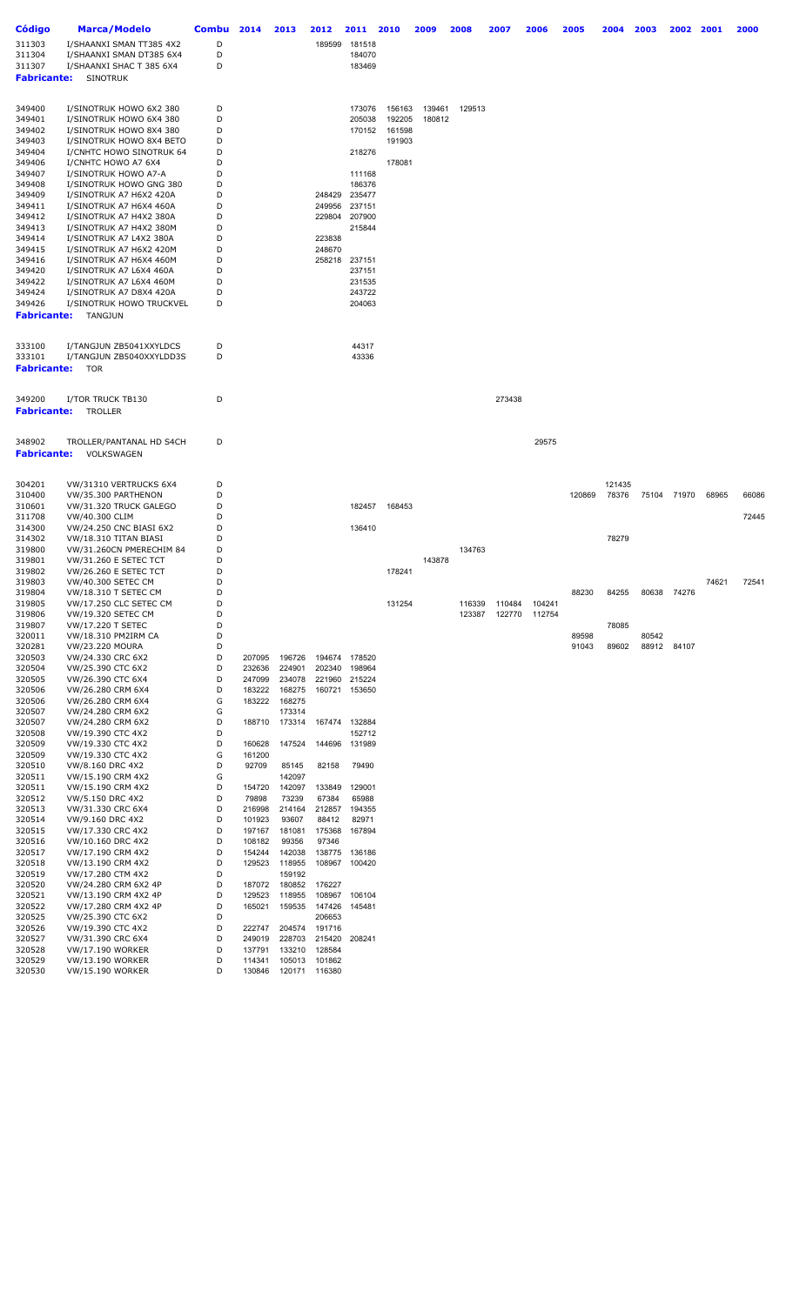| <b>Código</b>      | <b>Marca/Modelo</b>                                      | <b>Combu</b> | 2014             | 2013             | 2012             | 2011             | 2010   | 2009   | 2008   | 2007   | 2006   | 2005   | 2004            | 2003  | 2002        | 2001  | 2000  |
|--------------------|----------------------------------------------------------|--------------|------------------|------------------|------------------|------------------|--------|--------|--------|--------|--------|--------|-----------------|-------|-------------|-------|-------|
| 311303             | I/SHAANXI SMAN TT385 4X2                                 | D            |                  |                  | 189599           | 181518           |        |        |        |        |        |        |                 |       |             |       |       |
| 311304             | I/SHAANXI SMAN DT385 6X4                                 | D            |                  |                  |                  | 184070           |        |        |        |        |        |        |                 |       |             |       |       |
| 311307             | I/SHAANXI SHAC T 385 6X4                                 | D            |                  |                  |                  | 183469           |        |        |        |        |        |        |                 |       |             |       |       |
| <b>Fabricante:</b> | <b>SINOTRUK</b>                                          |              |                  |                  |                  |                  |        |        |        |        |        |        |                 |       |             |       |       |
|                    |                                                          |              |                  |                  |                  |                  |        |        |        |        |        |        |                 |       |             |       |       |
| 349400             | I/SINOTRUK HOWO 6X2 380                                  | D            |                  |                  |                  | 173076           | 156163 | 139461 | 129513 |        |        |        |                 |       |             |       |       |
| 349401             | I/SINOTRUK HOWO 6X4 380                                  | D            |                  |                  |                  | 205038           | 192205 | 180812 |        |        |        |        |                 |       |             |       |       |
| 349402             | I/SINOTRUK HOWO 8X4 380                                  | D            |                  |                  |                  | 170152           | 161598 |        |        |        |        |        |                 |       |             |       |       |
| 349403<br>349404   | I/SINOTRUK HOWO 8X4 BETO<br>I/CNHTC HOWO SINOTRUK 64     | D<br>D       |                  |                  |                  | 218276           | 191903 |        |        |        |        |        |                 |       |             |       |       |
| 349406             | I/CNHTC HOWO A7 6X4                                      | D            |                  |                  |                  |                  | 178081 |        |        |        |        |        |                 |       |             |       |       |
| 349407             | I/SINOTRUK HOWO A7-A                                     | D            |                  |                  |                  | 111168           |        |        |        |        |        |        |                 |       |             |       |       |
| 349408             | I/SINOTRUK HOWO GNG 380                                  | D            |                  |                  |                  | 186376           |        |        |        |        |        |        |                 |       |             |       |       |
| 349409             | I/SINOTRUK A7 H6X2 420A                                  | D            |                  |                  |                  | 248429 235477    |        |        |        |        |        |        |                 |       |             |       |       |
| 349411<br>349412   | I/SINOTRUK A7 H6X4 460A                                  | D<br>D       |                  |                  | 249956<br>229804 | 237151<br>207900 |        |        |        |        |        |        |                 |       |             |       |       |
| 349413             | I/SINOTRUK A7 H4X2 380A<br>I/SINOTRUK A7 H4X2 380M       | D            |                  |                  |                  | 215844           |        |        |        |        |        |        |                 |       |             |       |       |
| 349414             | I/SINOTRUK A7 L4X2 380A                                  | D            |                  |                  | 223838           |                  |        |        |        |        |        |        |                 |       |             |       |       |
| 349415             | I/SINOTRUK A7 H6X2 420M                                  | D            |                  |                  | 248670           |                  |        |        |        |        |        |        |                 |       |             |       |       |
| 349416             | I/SINOTRUK A7 H6X4 460M                                  | D            |                  |                  | 258218           | 237151           |        |        |        |        |        |        |                 |       |             |       |       |
| 349420             | I/SINOTRUK A7 L6X4 460A                                  | D            |                  |                  |                  | 237151           |        |        |        |        |        |        |                 |       |             |       |       |
| 349422<br>349424   | I/SINOTRUK A7 L6X4 460M<br>I/SINOTRUK A7 D8X4 420A       | D<br>D       |                  |                  |                  | 231535<br>243722 |        |        |        |        |        |        |                 |       |             |       |       |
| 349426             | I/SINOTRUK HOWO TRUCKVEL                                 | D            |                  |                  |                  | 204063           |        |        |        |        |        |        |                 |       |             |       |       |
| <b>Fabricante:</b> | TANGJUN                                                  |              |                  |                  |                  |                  |        |        |        |        |        |        |                 |       |             |       |       |
|                    |                                                          |              |                  |                  |                  |                  |        |        |        |        |        |        |                 |       |             |       |       |
| 333100             | I/TANGJUN ZB5041XXYLDCS                                  | D            |                  |                  |                  | 44317            |        |        |        |        |        |        |                 |       |             |       |       |
| 333101             | I/TANGJUN ZB5040XXYLDD3S                                 | D            |                  |                  |                  | 43336            |        |        |        |        |        |        |                 |       |             |       |       |
| <b>Fabricante:</b> | <b>TOR</b>                                               |              |                  |                  |                  |                  |        |        |        |        |        |        |                 |       |             |       |       |
|                    |                                                          |              |                  |                  |                  |                  |        |        |        |        |        |        |                 |       |             |       |       |
| 349200             | I/TOR TRUCK TB130                                        | D            |                  |                  |                  |                  |        |        |        | 273438 |        |        |                 |       |             |       |       |
| <b>Fabricante:</b> | TROLLER                                                  |              |                  |                  |                  |                  |        |        |        |        |        |        |                 |       |             |       |       |
|                    |                                                          |              |                  |                  |                  |                  |        |        |        |        |        |        |                 |       |             |       |       |
| 348902             | TROLLER/PANTANAL HD S4CH                                 | D            |                  |                  |                  |                  |        |        |        |        | 29575  |        |                 |       |             |       |       |
| <b>Fabricante:</b> | VOLKSWAGEN                                               |              |                  |                  |                  |                  |        |        |        |        |        |        |                 |       |             |       |       |
|                    |                                                          |              |                  |                  |                  |                  |        |        |        |        |        |        |                 |       |             |       |       |
|                    |                                                          |              |                  |                  |                  |                  |        |        |        |        |        |        |                 |       |             |       |       |
| 304201<br>310400   | VW/31310 VERTRUCKS 6X4<br>VW/35.300 PARTHENON            | D<br>D       |                  |                  |                  |                  |        |        |        |        |        | 120869 | 121435<br>78376 | 75104 | 71970       | 68965 | 66086 |
| 310601             | VW/31.320 TRUCK GALEGO                                   | D            |                  |                  |                  | 182457           | 168453 |        |        |        |        |        |                 |       |             |       |       |
| 311708             | VW/40.300 CLIM                                           | D            |                  |                  |                  |                  |        |        |        |        |        |        |                 |       |             |       | 72445 |
| 314300             | VW/24.250 CNC BIASI 6X2                                  | D            |                  |                  |                  | 136410           |        |        |        |        |        |        |                 |       |             |       |       |
| 314302             | VW/18.310 TITAN BIASI                                    | D            |                  |                  |                  |                  |        |        |        |        |        |        | 78279           |       |             |       |       |
| 319800<br>319801   | VW/31.260CN PMERECHIM 84<br><b>VW/31.260 E SETEC TCT</b> | D<br>D       |                  |                  |                  |                  |        | 143878 | 134763 |        |        |        |                 |       |             |       |       |
| 319802             | <b>VW/26.260 E SETEC TCT</b>                             | D            |                  |                  |                  |                  | 178241 |        |        |        |        |        |                 |       |             |       |       |
| 319803             | VW/40.300 SETEC CM                                       | D            |                  |                  |                  |                  |        |        |        |        |        |        |                 |       |             | 74621 | 72541 |
| 319804             | VW/18.310 T SETEC CM                                     | D            |                  |                  |                  |                  |        |        |        |        |        | 88230  | 84255           |       | 80638 74276 |       |       |
| 319805             | VW/17.250 CLC SETEC CM                                   | D            |                  |                  |                  |                  | 131254 |        | 116339 | 110484 | 104241 |        |                 |       |             |       |       |
| 319806<br>319807   | VW/19.320 SETEC CM<br>VW/17.220 T SETEC                  | D<br>D       |                  |                  |                  |                  |        |        | 123387 | 122770 | 112754 |        | 78085           |       |             |       |       |
| 320011             | VW/18.310 PM2IRM CA                                      | D            |                  |                  |                  |                  |        |        |        |        |        | 89598  |                 | 80542 |             |       |       |
| 320281             | <b>VW/23.220 MOURA</b>                                   | D            |                  |                  |                  |                  |        |        |        |        |        | 91043  | 89602           |       | 88912 84107 |       |       |
| 320503             | VW/24.330 CRC 6X2                                        | D            | 207095           | 196726           |                  | 194674 178520    |        |        |        |        |        |        |                 |       |             |       |       |
| 320504             | VW/25.390 CTC 6X2                                        | D<br>D       | 232636           | 224901           | 202340           | 198964           |        |        |        |        |        |        |                 |       |             |       |       |
| 320505<br>320506   | VW/26.390 CTC 6X4<br>VW/26.280 CRM 6X4                   | D            | 247099<br>183222 | 234078<br>168275 | 221960<br>160721 | 215224<br>153650 |        |        |        |        |        |        |                 |       |             |       |       |
| 320506             | VW/26.280 CRM 6X4                                        | G            | 183222           | 168275           |                  |                  |        |        |        |        |        |        |                 |       |             |       |       |
| 320507             | VW/24.280 CRM 6X2                                        | G            |                  | 173314           |                  |                  |        |        |        |        |        |        |                 |       |             |       |       |
| 320507             | VW/24.280 CRM 6X2                                        | D            | 188710           | 173314           |                  | 167474 132884    |        |        |        |        |        |        |                 |       |             |       |       |
| 320508             | VW/19.390 CTC 4X2                                        | D            |                  |                  |                  | 152712           |        |        |        |        |        |        |                 |       |             |       |       |
| 320509<br>320509   | VW/19.330 CTC 4X2<br>VW/19.330 CTC 4X2                   | D<br>G       | 160628<br>161200 | 147524           | 144696           | 131989           |        |        |        |        |        |        |                 |       |             |       |       |
| 320510             | VW/8.160 DRC 4X2                                         | D            | 92709            | 85145            | 82158            | 79490            |        |        |        |        |        |        |                 |       |             |       |       |
| 320511             | VW/15.190 CRM 4X2                                        | G            |                  | 142097           |                  |                  |        |        |        |        |        |        |                 |       |             |       |       |
| 320511             | VW/15.190 CRM 4X2                                        | D            | 154720           | 142097           | 133849           | 129001           |        |        |        |        |        |        |                 |       |             |       |       |
| 320512             | VW/5.150 DRC 4X2                                         | D            | 79898            | 73239            | 67384            | 65988            |        |        |        |        |        |        |                 |       |             |       |       |
| 320513<br>320514   | VW/31.330 CRC 6X4<br>VW/9.160 DRC 4X2                    | D<br>D       | 216998<br>101923 | 214164<br>93607  | 212857<br>88412  | 194355<br>82971  |        |        |        |        |        |        |                 |       |             |       |       |
| 320515             | VW/17.330 CRC 4X2                                        | D            | 197167           | 181081           | 175368           | 167894           |        |        |        |        |        |        |                 |       |             |       |       |
| 320516             | VW/10.160 DRC 4X2                                        | D            | 108182           | 99356            | 97346            |                  |        |        |        |        |        |        |                 |       |             |       |       |
| 320517             | VW/17.190 CRM 4X2                                        | D            | 154244           | 142038           | 138775           | 136186           |        |        |        |        |        |        |                 |       |             |       |       |
| 320518             | VW/13.190 CRM 4X2                                        | D            | 129523           | 118955           | 108967           | 100420           |        |        |        |        |        |        |                 |       |             |       |       |
| 320519<br>320520   | VW/17.280 CTM 4X2<br>VW/24.280 CRM 6X2 4P                | D<br>D       | 187072           | 159192<br>180852 | 176227           |                  |        |        |        |        |        |        |                 |       |             |       |       |
| 320521             | VW/13.190 CRM 4X2 4P                                     | D            | 129523           | 118955           | 108967           | 106104           |        |        |        |        |        |        |                 |       |             |       |       |
| 320522             | VW/17.280 CRM 4X2 4P                                     | D            | 165021           | 159535           | 147426           | 145481           |        |        |        |        |        |        |                 |       |             |       |       |
| 320525             | VW/25.390 CTC 6X2                                        | D            |                  |                  | 206653           |                  |        |        |        |        |        |        |                 |       |             |       |       |
| 320526             | VW/19.390 CTC 4X2                                        | D            | 222747           | 204574           | 191716           |                  |        |        |        |        |        |        |                 |       |             |       |       |
| 320527<br>320528   | VW/31.390 CRC 6X4<br><b>VW/17.190 WORKER</b>             | D<br>D       | 249019<br>137791 | 228703<br>133210 | 215420<br>128584 | 208241           |        |        |        |        |        |        |                 |       |             |       |       |
| 320529             | <b>VW/13.190 WORKER</b>                                  | D            | 114341           | 105013           | 101862           |                  |        |        |        |        |        |        |                 |       |             |       |       |
| 320530             | <b>VW/15.190 WORKER</b>                                  | D            | 130846           | 120171           | 116380           |                  |        |        |        |        |        |        |                 |       |             |       |       |
|                    |                                                          |              |                  |                  |                  |                  |        |        |        |        |        |        |                 |       |             |       |       |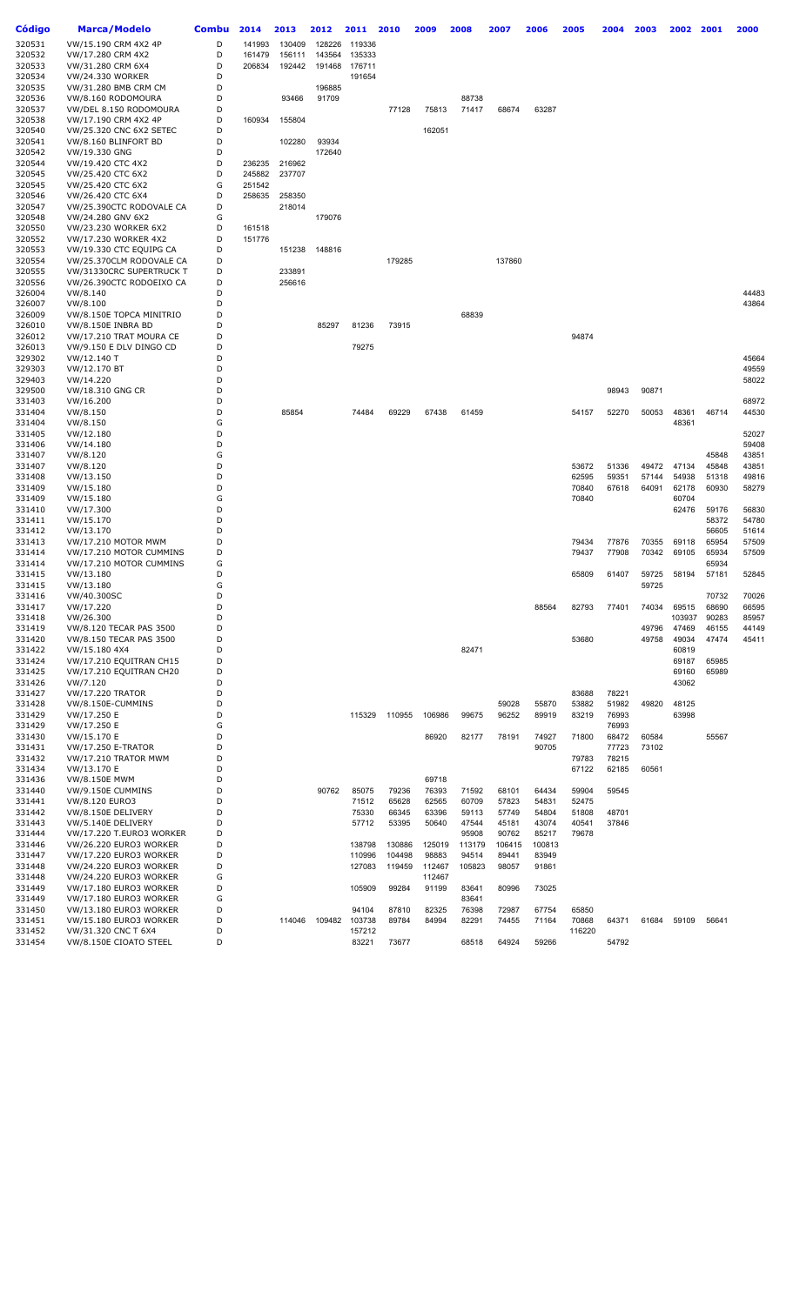| Código           | Marca/Modelo                                     | <b>Combu</b> | 2014   | 2013   | 2012   | 2011   | 2010   | 2009   | 2008           | 2007   | 2006   | 2005   | 2004  | 2003  | 2002   | 2001           | 2000           |
|------------------|--------------------------------------------------|--------------|--------|--------|--------|--------|--------|--------|----------------|--------|--------|--------|-------|-------|--------|----------------|----------------|
| 320531           | VW/15.190 CRM 4X2 4P                             | D            | 141993 | 130409 | 128226 | 119336 |        |        |                |        |        |        |       |       |        |                |                |
| 320532           | VW/17.280 CRM 4X2                                | D            | 161479 | 156111 | 143564 | 135333 |        |        |                |        |        |        |       |       |        |                |                |
| 320533           | VW/31.280 CRM 6X4                                | D            | 206834 | 192442 | 191468 | 176711 |        |        |                |        |        |        |       |       |        |                |                |
| 320534           | <b>VW/24.330 WORKER</b>                          | D            |        |        |        | 191654 |        |        |                |        |        |        |       |       |        |                |                |
| 320535           | VW/31.280 BMB CRM CM                             | D            |        |        | 196885 |        |        |        |                |        |        |        |       |       |        |                |                |
| 320536           | VW/8.160 RODOMOURA                               | D            |        | 93466  | 91709  |        |        |        | 88738          |        |        |        |       |       |        |                |                |
| 320537           | VW/DEL 8.150 RODOMOURA                           | D            |        |        |        |        | 77128  | 75813  | 71417          | 68674  | 63287  |        |       |       |        |                |                |
| 320538<br>320540 | VW/17.190 CRM 4X2 4P                             | D<br>D       | 160934 | 155804 |        |        |        | 162051 |                |        |        |        |       |       |        |                |                |
| 320541           | VW/25.320 CNC 6X2 SETEC<br>VW/8.160 BLINFORT BD  | D            |        | 102280 | 93934  |        |        |        |                |        |        |        |       |       |        |                |                |
| 320542           | VW/19.330 GNG                                    | D            |        |        | 172640 |        |        |        |                |        |        |        |       |       |        |                |                |
| 320544           | VW/19.420 CTC 4X2                                | D            | 236235 | 216962 |        |        |        |        |                |        |        |        |       |       |        |                |                |
| 320545           | VW/25.420 CTC 6X2                                | D            | 245882 | 237707 |        |        |        |        |                |        |        |        |       |       |        |                |                |
| 320545           | VW/25.420 CTC 6X2                                | G            | 251542 |        |        |        |        |        |                |        |        |        |       |       |        |                |                |
| 320546           | VW/26.420 CTC 6X4                                | D            | 258635 | 258350 |        |        |        |        |                |        |        |        |       |       |        |                |                |
| 320547           | VW/25.390CTC RODOVALE CA                         | D            |        | 218014 |        |        |        |        |                |        |        |        |       |       |        |                |                |
| 320548           | VW/24.280 GNV 6X2                                | G            |        |        | 179076 |        |        |        |                |        |        |        |       |       |        |                |                |
| 320550           | VW/23.230 WORKER 6X2                             | D            | 161518 |        |        |        |        |        |                |        |        |        |       |       |        |                |                |
| 320552           | VW/17.230 WORKER 4X2                             | D            | 151776 |        |        |        |        |        |                |        |        |        |       |       |        |                |                |
| 320553           | VW/19.330 CTC EQUIPG CA                          | D            |        | 151238 | 148816 |        |        |        |                |        |        |        |       |       |        |                |                |
| 320554           | VW/25.370CLM RODOVALE CA                         | D            |        |        |        |        | 179285 |        |                | 137860 |        |        |       |       |        |                |                |
| 320555           | VW/31330CRC SUPERTRUCK T                         | D            |        | 233891 |        |        |        |        |                |        |        |        |       |       |        |                |                |
| 320556           | VW/26.390CTC RODOEIXO CA                         | D            |        | 256616 |        |        |        |        |                |        |        |        |       |       |        |                |                |
| 326004           | VW/8.140                                         | D            |        |        |        |        |        |        |                |        |        |        |       |       |        |                | 44483          |
| 326007<br>326009 | VW/8.100                                         | D<br>D       |        |        |        |        |        |        |                |        |        |        |       |       |        |                | 43864          |
| 326010           | VW/8.150E TOPCA MINITRIO<br>VW/8.150E INBRA BD   | D            |        |        | 85297  | 81236  | 73915  |        | 68839          |        |        |        |       |       |        |                |                |
| 326012           | VW/17.210 TRAT MOURA CE                          | D            |        |        |        |        |        |        |                |        |        | 94874  |       |       |        |                |                |
| 326013           | VW/9.150 E DLV DINGO CD                          | D            |        |        |        | 79275  |        |        |                |        |        |        |       |       |        |                |                |
| 329302           | VW/12.140 T                                      | D            |        |        |        |        |        |        |                |        |        |        |       |       |        |                | 45664          |
| 329303           | VW/12.170 BT                                     | D            |        |        |        |        |        |        |                |        |        |        |       |       |        |                | 49559          |
| 329403           | VW/14.220                                        | D            |        |        |        |        |        |        |                |        |        |        |       |       |        |                | 58022          |
| 329500           | VW/18.310 GNG CR                                 | D            |        |        |        |        |        |        |                |        |        |        | 98943 | 90871 |        |                |                |
| 331403           | VW/16.200                                        | D            |        |        |        |        |        |        |                |        |        |        |       |       |        |                | 68972          |
| 331404           | VW/8.150                                         | D            |        | 85854  |        | 74484  | 69229  | 67438  | 61459          |        |        | 54157  | 52270 | 50053 | 48361  | 46714          | 44530          |
| 331404           | VW/8.150                                         | G            |        |        |        |        |        |        |                |        |        |        |       |       | 48361  |                |                |
| 331405           | VW/12.180                                        | D            |        |        |        |        |        |        |                |        |        |        |       |       |        |                | 52027          |
| 331406           | VW/14.180                                        | D            |        |        |        |        |        |        |                |        |        |        |       |       |        |                | 59408          |
| 331407           | VW/8.120                                         | G            |        |        |        |        |        |        |                |        |        |        |       |       |        | 45848          | 43851          |
| 331407           | VW/8.120                                         | D            |        |        |        |        |        |        |                |        |        | 53672  | 51336 | 49472 | 47134  | 45848          | 43851          |
| 331408           | VW/13.150                                        | D            |        |        |        |        |        |        |                |        |        | 62595  | 59351 | 57144 | 54938  | 51318          | 49816          |
| 331409           | VW/15.180                                        | D            |        |        |        |        |        |        |                |        |        | 70840  | 67618 | 64091 | 62178  | 60930          | 58279          |
| 331409           | VW/15.180                                        | G            |        |        |        |        |        |        |                |        |        | 70840  |       |       | 60704  |                |                |
| 331410           | VW/17.300                                        | D<br>D       |        |        |        |        |        |        |                |        |        |        |       |       | 62476  | 59176<br>58372 | 56830<br>54780 |
| 331411<br>331412 | VW/15.170<br>VW/13.170                           | D            |        |        |        |        |        |        |                |        |        |        |       |       |        | 56605          | 51614          |
| 331413           | VW/17.210 MOTOR MWM                              | D            |        |        |        |        |        |        |                |        |        | 79434  | 77876 | 70355 | 69118  | 65954          | 57509          |
| 331414           | VW/17.210 MOTOR CUMMINS                          | D            |        |        |        |        |        |        |                |        |        | 79437  | 77908 | 70342 | 69105  | 65934          | 57509          |
| 331414           | VW/17.210 MOTOR CUMMINS                          | G            |        |        |        |        |        |        |                |        |        |        |       |       |        | 65934          |                |
| 331415           | VW/13.180                                        | D            |        |        |        |        |        |        |                |        |        | 65809  | 61407 | 59725 | 58194  | 57181          | 52845          |
| 331415           | VW/13.180                                        | G            |        |        |        |        |        |        |                |        |        |        |       | 59725 |        |                |                |
| 331416           | VW/40.300SC                                      | D            |        |        |        |        |        |        |                |        |        |        |       |       |        | 70732          | 70026          |
| 331417           | VW/17.220                                        | D            |        |        |        |        |        |        |                |        | 88564  | 82793  | 77401 | 74034 | 69515  | 68690          | 66595          |
| 331418           | VW/26.300                                        | D            |        |        |        |        |        |        |                |        |        |        |       |       | 103937 | 90283          | 85957          |
| 331419           | VW/8.120 TECAR PAS 3500                          | D            |        |        |        |        |        |        |                |        |        |        |       | 49796 | 47469  | 46155          | 44149          |
| 331420           | VW/8.150 TECAR PAS 3500                          | D            |        |        |        |        |        |        |                |        |        | 53680  |       | 49758 | 49034  | 47474          | 45411          |
| 331422           | VW/15.180 4X4                                    | D            |        |        |        |        |        |        | 82471          |        |        |        |       |       | 60819  |                |                |
| 331424           | VW/17.210 EQUITRAN CH15                          | D            |        |        |        |        |        |        |                |        |        |        |       |       | 69187  | 65985          |                |
| 331425           | VW/17.210 EQUITRAN CH20                          | D<br>D       |        |        |        |        |        |        |                |        |        |        |       |       | 69160  | 65989          |                |
| 331426<br>331427 | VW/7.120<br><b>VW/17.220 TRATOR</b>              | D            |        |        |        |        |        |        |                |        |        | 83688  | 78221 |       | 43062  |                |                |
| 331428           | VW/8.150E-CUMMINS                                | D            |        |        |        |        |        |        |                | 59028  | 55870  | 53882  | 51982 | 49820 | 48125  |                |                |
| 331429           | VW/17.250 E                                      | D            |        |        |        | 115329 | 110955 | 106986 | 99675          | 96252  | 89919  | 83219  | 76993 |       | 63998  |                |                |
| 331429           | VW/17.250 E                                      | G            |        |        |        |        |        |        |                |        |        |        | 76993 |       |        |                |                |
| 331430           | VW/15.170 E                                      | D            |        |        |        |        |        | 86920  | 82177          | 78191  | 74927  | 71800  | 68472 | 60584 |        | 55567          |                |
| 331431           | VW/17.250 E-TRATOR                               | D            |        |        |        |        |        |        |                |        | 90705  |        | 77723 | 73102 |        |                |                |
| 331432           | VW/17.210 TRATOR MWM                             | D            |        |        |        |        |        |        |                |        |        | 79783  | 78215 |       |        |                |                |
| 331434           | VW/13.170 E                                      | D            |        |        |        |        |        |        |                |        |        | 67122  | 62185 | 60561 |        |                |                |
| 331436           | <b>VW/8.150E MWM</b>                             | D            |        |        |        |        |        | 69718  |                |        |        |        |       |       |        |                |                |
| 331440           | VW/9.150E CUMMINS                                | D            |        |        | 90762  | 85075  | 79236  | 76393  | 71592          | 68101  | 64434  | 59904  | 59545 |       |        |                |                |
| 331441           | VW/8.120 EURO3                                   | D            |        |        |        | 71512  | 65628  | 62565  | 60709          | 57823  | 54831  | 52475  |       |       |        |                |                |
| 331442           | VW/8.150E DELIVERY                               | D            |        |        |        | 75330  | 66345  | 63396  | 59113          | 57749  | 54804  | 51808  | 48701 |       |        |                |                |
| 331443           | VW/5.140E DELIVERY                               | D            |        |        |        | 57712  | 53395  | 50640  | 47544          | 45181  | 43074  | 40541  | 37846 |       |        |                |                |
| 331444           | VW/17.220 T.EURO3 WORKER                         | D            |        |        |        |        |        |        | 95908          | 90762  | 85217  | 79678  |       |       |        |                |                |
| 331446           | VW/26.220 EURO3 WORKER                           | D            |        |        |        | 138798 | 130886 | 125019 | 113179         | 106415 | 100813 |        |       |       |        |                |                |
| 331447           | VW/17.220 EURO3 WORKER                           | D            |        |        |        | 110996 | 104498 | 98883  | 94514          | 89441  | 83949  |        |       |       |        |                |                |
| 331448           | VW/24.220 EURO3 WORKER                           | D            |        |        |        | 127083 | 119459 | 112467 | 105823         | 98057  | 91861  |        |       |       |        |                |                |
| 331448           | VW/24.220 EURO3 WORKER                           | G            |        |        |        |        |        | 112467 |                |        |        |        |       |       |        |                |                |
| 331449           | VW/17.180 EURO3 WORKER                           | D            |        |        |        | 105909 | 99284  | 91199  | 83641          | 80996  | 73025  |        |       |       |        |                |                |
| 331449<br>331450 | VW/17.180 EURO3 WORKER<br>VW/13.180 EURO3 WORKER | G<br>D       |        |        |        | 94104  | 87810  | 82325  | 83641<br>76398 | 72987  | 67754  | 65850  |       |       |        |                |                |
| 331451           | VW/15.180 EURO3 WORKER                           | D            |        | 114046 | 109482 | 103738 | 89784  | 84994  | 82291          | 74455  | 71164  | 70868  | 64371 | 61684 | 59109  | 56641          |                |
| 331452           | VW/31.320 CNC T 6X4                              | D            |        |        |        | 157212 |        |        |                |        |        | 116220 |       |       |        |                |                |
| 331454           | VW/8.150E CIOATO STEEL                           | D            |        |        |        | 83221  | 73677  |        | 68518          | 64924  | 59266  |        | 54792 |       |        |                |                |
|                  |                                                  |              |        |        |        |        |        |        |                |        |        |        |       |       |        |                |                |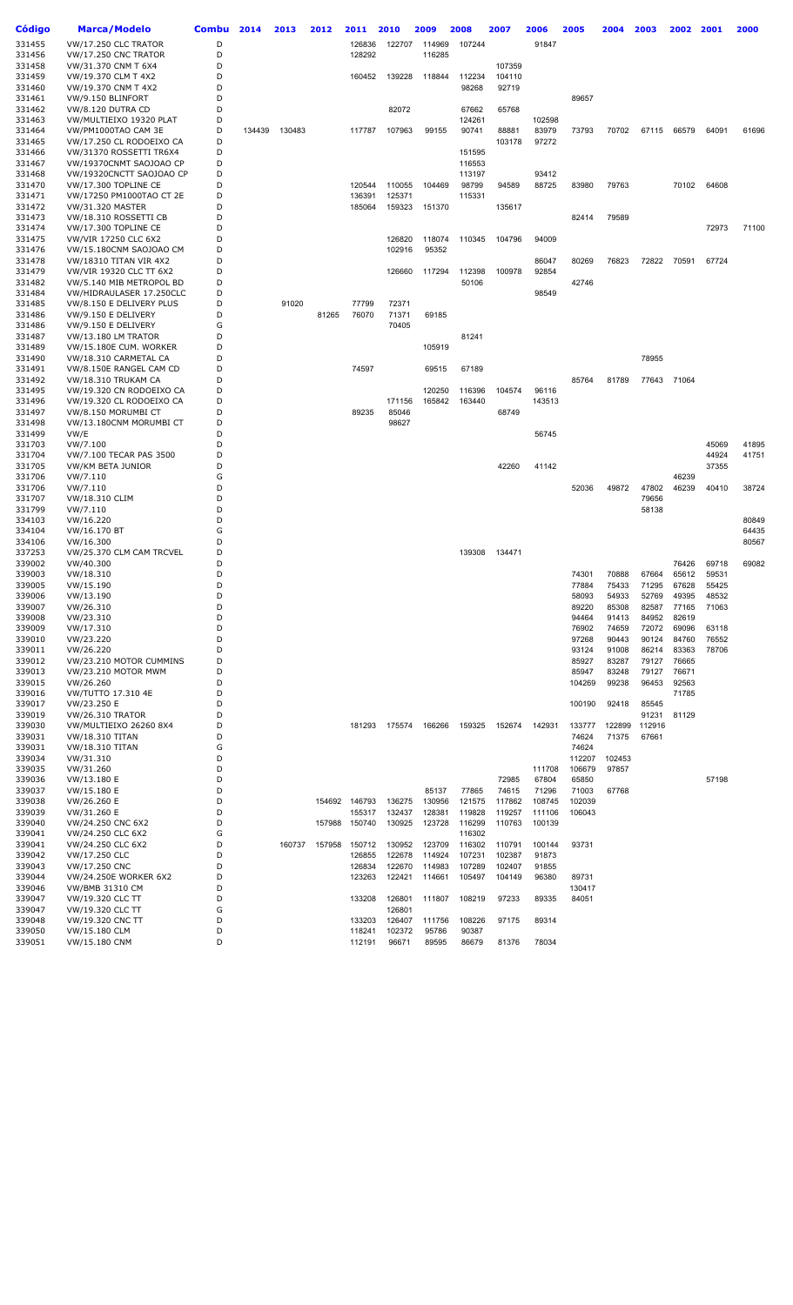| Código           | <b>Marca/Modelo</b>                                  | <b>Combu</b> | 2014   | 2013   | 2012  | 2011          | 2010   | 2009             | 2008             | 2007   | 2006   | 2005   | 2004   | 2003   | 2002  | 2001  | 2000  |
|------------------|------------------------------------------------------|--------------|--------|--------|-------|---------------|--------|------------------|------------------|--------|--------|--------|--------|--------|-------|-------|-------|
|                  |                                                      |              |        |        |       |               |        |                  |                  |        |        |        |        |        |       |       |       |
| 331455           | <b>VW/17.250 CLC TRATOR</b>                          | D<br>D       |        |        |       | 126836        | 122707 | 114969           | 107244           |        | 91847  |        |        |        |       |       |       |
| 331456           | <b>VW/17.250 CNC TRATOR</b>                          |              |        |        |       | 128292        |        | 116285           |                  |        |        |        |        |        |       |       |       |
| 331458           | VW/31.370 CNM T 6X4                                  | D            |        |        |       |               |        |                  |                  | 107359 |        |        |        |        |       |       |       |
| 331459           | VW/19.370 CLM T 4X2                                  | D            |        |        |       | 160452        | 139228 | 118844           | 112234           | 104110 |        |        |        |        |       |       |       |
| 331460           | VW/19.370 CNM T 4X2                                  | D            |        |        |       |               |        |                  | 98268            | 92719  |        |        |        |        |       |       |       |
| 331461           | VW/9.150 BLINFORT                                    | D            |        |        |       |               |        |                  |                  |        |        | 89657  |        |        |       |       |       |
| 331462           | VW/8.120 DUTRA CD                                    | D            |        |        |       |               | 82072  |                  | 67662            | 65768  |        |        |        |        |       |       |       |
| 331463           | VW/MULTIEIXO 19320 PLAT                              | D            |        |        |       |               |        |                  | 124261           |        | 102598 |        |        |        |       |       |       |
| 331464           | VW/PM1000TAO CAM 3E                                  | D            | 134439 | 130483 |       | 117787        | 107963 | 99155            | 90741            | 88881  | 83979  | 73793  | 70702  | 67115  | 66579 | 64091 | 61696 |
| 331465           | VW/17.250 CL RODOEIXO CA                             | D            |        |        |       |               |        |                  |                  | 103178 | 97272  |        |        |        |       |       |       |
| 331466           | VW/31370 ROSSETTI TR6X4                              | D            |        |        |       |               |        |                  | 151595           |        |        |        |        |        |       |       |       |
| 331467           | VW/19370CNMT SAOJOAO CP                              | D            |        |        |       |               |        |                  | 116553           |        |        |        |        |        |       |       |       |
| 331468           | VW/19320CNCTT SAOJOAO CP                             | D            |        |        |       |               |        |                  | 113197           |        | 93412  |        |        |        |       |       |       |
| 331470           | VW/17.300 TOPLINE CE                                 | D            |        |        |       | 120544        | 110055 | 104469           | 98799            | 94589  | 88725  | 83980  | 79763  |        | 70102 | 64608 |       |
| 331471           | VW/17250 PM1000TAO CT 2E                             | D            |        |        |       | 136391        | 125371 |                  | 115331           |        |        |        |        |        |       |       |       |
| 331472           | <b>VW/31.320 MASTER</b>                              | D            |        |        |       | 185064        | 159323 | 151370           |                  | 135617 |        |        |        |        |       |       |       |
| 331473           | VW/18.310 ROSSETTI CB                                | D            |        |        |       |               |        |                  |                  |        |        | 82414  | 79589  |        |       |       |       |
| 331474           | VW/17.300 TOPLINE CE                                 | D            |        |        |       |               |        |                  |                  |        |        |        |        |        |       | 72973 | 71100 |
| 331475           | VW/VIR 17250 CLC 6X2                                 | D            |        |        |       |               | 126820 | 118074           | 110345           | 104796 | 94009  |        |        |        |       |       |       |
| 331476           | VW/15.180CNM SAOJOAO CM                              | D            |        |        |       |               | 102916 | 95352            |                  |        |        |        |        |        |       |       |       |
| 331478           | VW/18310 TITAN VIR 4X2                               | D            |        |        |       |               |        |                  |                  |        | 86047  | 80269  | 76823  | 72822  | 70591 | 67724 |       |
| 331479           | VW/VIR 19320 CLC TT 6X2                              | D            |        |        |       |               | 126660 | 117294           | 112398           | 100978 | 92854  |        |        |        |       |       |       |
| 331482           | VW/5.140 MIB METROPOL BD                             | D            |        |        |       |               |        |                  | 50106            |        |        | 42746  |        |        |       |       |       |
| 331484           | VW/HIDRAULASER 17.250CLC<br>VW/8.150 E DELIVERY PLUS | D<br>D       |        | 91020  |       |               |        |                  |                  |        | 98549  |        |        |        |       |       |       |
| 331485<br>331486 |                                                      | D            |        |        |       | 77799         | 72371  |                  |                  |        |        |        |        |        |       |       |       |
| 331486           | VW/9.150 E DELIVERY                                  | G            |        |        | 81265 | 76070         | 71371  | 69185            |                  |        |        |        |        |        |       |       |       |
| 331487           | VW/9.150 E DELIVERY                                  | D            |        |        |       |               | 70405  |                  | 81241            |        |        |        |        |        |       |       |       |
|                  | VW/13.180 LM TRATOR                                  | D            |        |        |       |               |        |                  |                  |        |        |        |        |        |       |       |       |
| 331489           | VW/15.180E CUM. WORKER                               | D            |        |        |       |               |        | 105919           |                  |        |        |        |        | 78955  |       |       |       |
| 331490           | VW/18.310 CARMETAL CA                                | D            |        |        |       |               |        |                  |                  |        |        |        |        |        |       |       |       |
| 331491<br>331492 | VW/8.150E RANGEL CAM CD<br>VW/18.310 TRUKAM CA       | D            |        |        |       | 74597         |        | 69515            | 67189            |        |        | 85764  | 81789  | 77643  | 71064 |       |       |
| 331495           |                                                      | D            |        |        |       |               |        |                  |                  |        |        |        |        |        |       |       |       |
| 331496           | VW/19.320 CN RODOEIXO CA                             | D            |        |        |       |               | 171156 | 120250<br>165842 | 116396<br>163440 | 104574 | 96116  |        |        |        |       |       |       |
| 331497           | VW/19.320 CL RODOEIXO CA<br>VW/8.150 MORUMBI CT      | D            |        |        |       | 89235         | 85046  |                  |                  | 68749  | 143513 |        |        |        |       |       |       |
| 331498           | VW/13.180CNM MORUMBI CT                              | D            |        |        |       |               | 98627  |                  |                  |        |        |        |        |        |       |       |       |
| 331499           | VW/E                                                 | D            |        |        |       |               |        |                  |                  |        | 56745  |        |        |        |       |       |       |
| 331703           | VW/7.100                                             | D            |        |        |       |               |        |                  |                  |        |        |        |        |        |       | 45069 | 41895 |
| 331704           | VW/7.100 TECAR PAS 3500                              | D            |        |        |       |               |        |                  |                  |        |        |        |        |        |       | 44924 | 41751 |
| 331705           | VW/KM BETA JUNIOR                                    | D            |        |        |       |               |        |                  |                  | 42260  | 41142  |        |        |        |       | 37355 |       |
| 331706           | VW/7.110                                             | G            |        |        |       |               |        |                  |                  |        |        |        |        |        | 46239 |       |       |
| 331706           | VW/7.110                                             | D            |        |        |       |               |        |                  |                  |        |        | 52036  | 49872  | 47802  | 46239 | 40410 | 38724 |
| 331707           | VW/18.310 CLIM                                       | D            |        |        |       |               |        |                  |                  |        |        |        |        | 79656  |       |       |       |
| 331799           | VW/7.110                                             | D            |        |        |       |               |        |                  |                  |        |        |        |        | 58138  |       |       |       |
| 334103           | VW/16.220                                            | D            |        |        |       |               |        |                  |                  |        |        |        |        |        |       |       | 80849 |
| 334104           | VW/16.170 BT                                         | G            |        |        |       |               |        |                  |                  |        |        |        |        |        |       |       | 64435 |
| 334106           | VW/16.300                                            | D            |        |        |       |               |        |                  |                  |        |        |        |        |        |       |       | 80567 |
| 337253           | VW/25.370 CLM CAM TRCVEL                             | D            |        |        |       |               |        |                  | 139308           | 134471 |        |        |        |        |       |       |       |
| 339002           | VW/40.300                                            | D            |        |        |       |               |        |                  |                  |        |        |        |        |        | 76426 | 69718 | 69082 |
| 339003           | VW/18.310                                            | D            |        |        |       |               |        |                  |                  |        |        | 74301  | 70888  | 67664  | 65612 | 59531 |       |
| 339005           | VW/15.190                                            | D            |        |        |       |               |        |                  |                  |        |        | 77884  | 75433  | 71295  | 67628 | 55425 |       |
| 339006           | VW/13.190                                            | D            |        |        |       |               |        |                  |                  |        |        | 58093  | 54933  | 52769  | 49395 | 48532 |       |
| 339007           | VW/26.310                                            | D            |        |        |       |               |        |                  |                  |        |        | 89220  | 85308  | 82587  | 77165 | 71063 |       |
| 339008           | VW/23.310                                            | D            |        |        |       |               |        |                  |                  |        |        | 94464  | 91413  | 84952  | 82619 |       |       |
| 339009           | VW/17.310                                            | D            |        |        |       |               |        |                  |                  |        |        | 76902  | 74659  | 72072  | 69096 | 63118 |       |
| 339010           | VW/23.220                                            | D            |        |        |       |               |        |                  |                  |        |        | 97268  | 90443  | 90124  | 84760 | 76552 |       |
| 339011           | VW/26.220                                            | D            |        |        |       |               |        |                  |                  |        |        | 93124  | 91008  | 86214  | 83363 | 78706 |       |
| 339012           | VW/23.210 MOTOR CUMMINS                              | D            |        |        |       |               |        |                  |                  |        |        | 85927  | 83287  | 79127  | 76665 |       |       |
| 339013           | VW/23.210 MOTOR MWM                                  | D            |        |        |       |               |        |                  |                  |        |        | 85947  | 83248  | 79127  | 76671 |       |       |
| 339015           | VW/26.260                                            | D            |        |        |       |               |        |                  |                  |        |        | 104269 | 99238  | 96453  | 92563 |       |       |
| 339016           | VW/TUTTO 17.310 4E                                   | D            |        |        |       |               |        |                  |                  |        |        |        |        |        | 71785 |       |       |
| 339017           | VW/23.250 E                                          | D            |        |        |       |               |        |                  |                  |        |        | 100190 | 92418  | 85545  |       |       |       |
| 339019           | <b>VW/26.310 TRATOR</b>                              | D            |        |        |       |               |        |                  |                  |        |        |        |        | 91231  | 81129 |       |       |
| 339030           | VW/MULTIEIXO 26260 8X4                               | D            |        |        |       | 181293        | 175574 | 166266           | 159325           | 152674 | 142931 | 133777 | 122899 | 112916 |       |       |       |
| 339031           | <b>VW/18.310 TITAN</b>                               | D            |        |        |       |               |        |                  |                  |        |        | 74624  | 71375  | 67661  |       |       |       |
| 339031           | <b>VW/18.310 TITAN</b>                               | G            |        |        |       |               |        |                  |                  |        |        | 74624  |        |        |       |       |       |
| 339034           | VW/31.310                                            | D            |        |        |       |               |        |                  |                  |        |        | 112207 | 102453 |        |       |       |       |
| 339035           | VW/31.260                                            | D            |        |        |       |               |        |                  |                  |        | 111708 | 106679 | 97857  |        |       |       |       |
| 339036           | VW/13.180 E                                          | D            |        |        |       |               |        |                  |                  | 72985  | 67804  | 65850  |        |        |       | 57198 |       |
| 339037           | VW/15.180 E                                          | D            |        |        |       |               |        | 85137            | 77865            | 74615  | 71296  | 71003  | 67768  |        |       |       |       |
| 339038           | VW/26.260 E                                          | D            |        |        |       | 154692 146793 | 136275 | 130956           | 121575           | 117862 | 108745 | 102039 |        |        |       |       |       |
| 339039           | VW/31.260 E                                          | D            |        |        |       | 155317        | 132437 | 128381           | 119828           | 119257 | 111106 | 106043 |        |        |       |       |       |
| 339040           | VW/24.250 CNC 6X2                                    | D            |        |        |       | 157988 150740 | 130925 | 123728           | 116299           | 110763 | 100139 |        |        |        |       |       |       |
| 339041           | VW/24.250 CLC 6X2                                    | G            |        |        |       |               |        |                  | 116302           |        |        |        |        |        |       |       |       |
| 339041           | VW/24.250 CLC 6X2                                    | D            |        | 160737 |       | 157958 150712 | 130952 | 123709           | 116302           | 110791 | 100144 | 93731  |        |        |       |       |       |
| 339042           | VW/17.250 CLC                                        | D            |        |        |       | 126855        | 122678 | 114924           | 107231           | 102387 | 91873  |        |        |        |       |       |       |
| 339043           | VW/17.250 CNC                                        | D            |        |        |       | 126834        | 122670 | 114983           | 107289           | 102407 | 91855  |        |        |        |       |       |       |
| 339044           | VW/24.250E WORKER 6X2                                | D            |        |        |       | 123263        | 122421 | 114661           | 105497           | 104149 | 96380  | 89731  |        |        |       |       |       |
| 339046           | <b>VW/BMB 31310 CM</b>                               | D            |        |        |       |               |        |                  |                  |        |        | 130417 |        |        |       |       |       |
| 339047           | VW/19.320 CLC TT                                     | D            |        |        |       | 133208        | 126801 | 111807           | 108219           | 97233  | 89335  | 84051  |        |        |       |       |       |
| 339047           | VW/19.320 CLC TT                                     | G            |        |        |       |               | 126801 |                  |                  |        |        |        |        |        |       |       |       |
| 339048           | VW/19.320 CNC TT                                     | D            |        |        |       | 133203        | 126407 | 111756           | 108226           | 97175  | 89314  |        |        |        |       |       |       |
| 339050           | VW/15.180 CLM                                        | D            |        |        |       | 118241        | 102372 | 95786            | 90387            |        |        |        |        |        |       |       |       |
| 339051           | VW/15.180 CNM                                        | D            |        |        |       | 112191        | 96671  | 89595            | 86679            | 81376  | 78034  |        |        |        |       |       |       |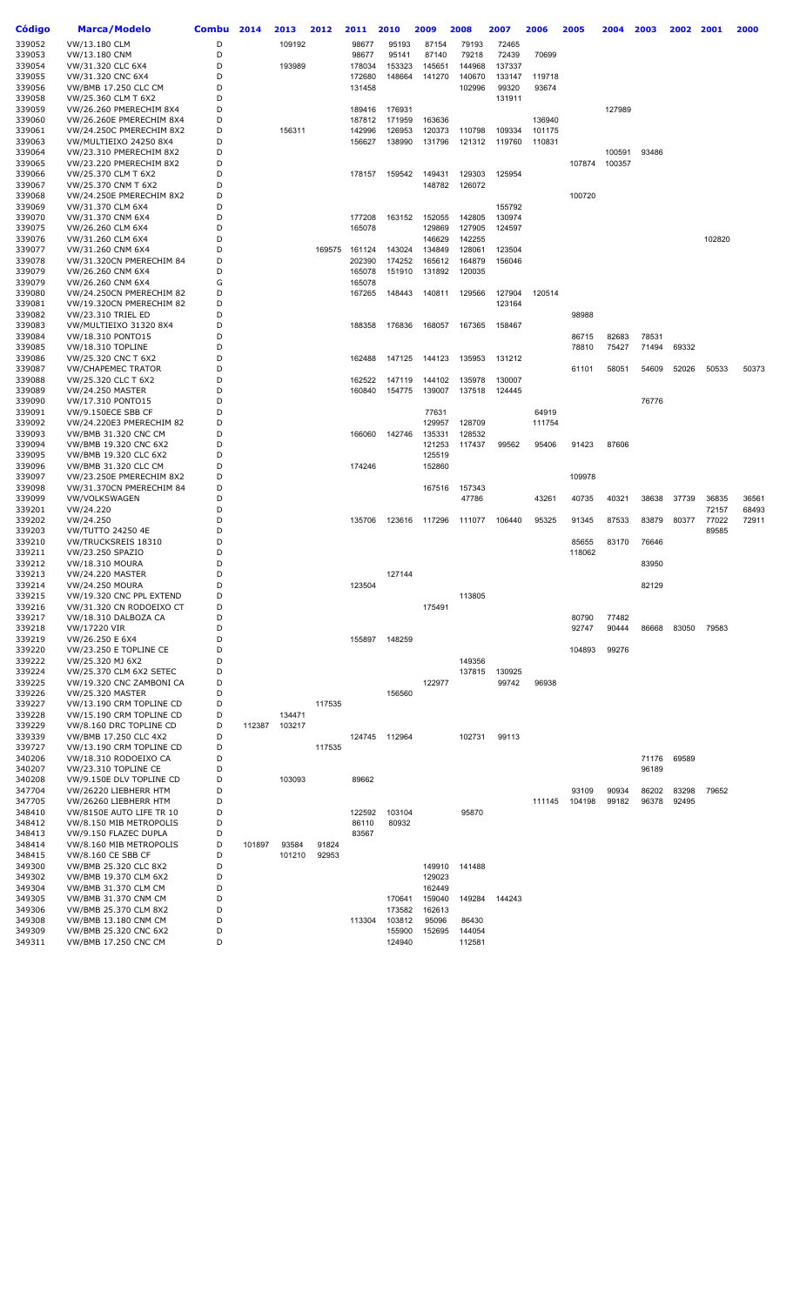| Código           | Marca/Modelo                                  | <b>Combu</b> | 2014   | 2013   | 2012   | 2011             | 2010   | 2009             | 2008             | 2007   | 2006   | 2005   | 2004   | 2003  | 2002  | 2001   | 2000  |
|------------------|-----------------------------------------------|--------------|--------|--------|--------|------------------|--------|------------------|------------------|--------|--------|--------|--------|-------|-------|--------|-------|
| 339052           | VW/13.180 CLM                                 | D            |        | 109192 |        | 98677            | 95193  | 87154            | 79193            | 72465  |        |        |        |       |       |        |       |
| 339053           | VW/13.180 CNM                                 | D            |        |        |        | 98677            | 95141  | 87140            | 79218            | 72439  | 70699  |        |        |       |       |        |       |
| 339054           | VW/31.320 CLC 6X4                             | D            |        | 193989 |        | 178034           | 153323 | 145651           | 144968           | 137337 |        |        |        |       |       |        |       |
| 339055           | VW/31.320 CNC 6X4                             | D            |        |        |        | 172680           | 148664 | 141270           | 140670           | 133147 | 119718 |        |        |       |       |        |       |
| 339056           | VW/BMB 17.250 CLC CM                          | D            |        |        |        | 131458           |        |                  | 102996           | 99320  | 93674  |        |        |       |       |        |       |
| 339058           | VW/25.360 CLM T 6X2                           | D            |        |        |        |                  |        |                  |                  | 131911 |        |        |        |       |       |        |       |
| 339059           | VW/26.260 PMERECHIM 8X4                       | D            |        |        |        | 189416           | 176931 |                  |                  |        |        |        | 127989 |       |       |        |       |
| 339060           | VW/26.260E PMERECHIM 8X4                      | D            |        |        |        | 187812           | 171959 | 163636           |                  |        | 136940 |        |        |       |       |        |       |
| 339061           | VW/24.250C PMERECHIM 8X2                      | D            |        | 156311 |        | 142996           | 126953 | 120373           | 110798           | 109334 | 101175 |        |        |       |       |        |       |
| 339063           | VW/MULTIEIXO 24250 8X4                        | D            |        |        |        | 156627           | 138990 | 131796           | 121312           | 119760 | 110831 |        |        |       |       |        |       |
| 339064           | VW/23.310 PMERECHIM 8X2                       | D            |        |        |        |                  |        |                  |                  |        |        |        | 100591 | 93486 |       |        |       |
| 339065           | VW/23.220 PMERECHIM 8X2                       | D            |        |        |        |                  |        |                  |                  |        |        | 107874 | 100357 |       |       |        |       |
| 339066           | VW/25.370 CLM T 6X2                           | D            |        |        |        | 178157           | 159542 | 149431           | 129303           | 125954 |        |        |        |       |       |        |       |
| 339067           | VW/25.370 CNM T 6X2                           | D            |        |        |        |                  |        | 148782           | 126072           |        |        |        |        |       |       |        |       |
| 339068           | VW/24.250E PMERECHIM 8X2                      | D            |        |        |        |                  |        |                  |                  |        |        | 100720 |        |       |       |        |       |
| 339069           | VW/31.370 CLM 6X4                             | D            |        |        |        |                  |        |                  |                  | 155792 |        |        |        |       |       |        |       |
| 339070           | VW/31.370 CNM 6X4                             | D            |        |        |        | 177208           | 163152 | 152055           | 142805           | 130974 |        |        |        |       |       |        |       |
| 339075           | VW/26.260 CLM 6X4                             | D            |        |        |        | 165078           |        | 129869           | 127905           | 124597 |        |        |        |       |       |        |       |
| 339076           | VW/31.260 CLM 6X4                             | D<br>D       |        |        |        |                  |        | 146629           | 142255           |        |        |        |        |       |       | 102820 |       |
| 339077<br>339078 | VW/31.260 CNM 6X4                             | D            |        |        | 169575 | 161124           | 143024 | 134849           | 128061           | 123504 |        |        |        |       |       |        |       |
| 339079           | VW/31.320CN PMERECHIM 84                      | D            |        |        |        | 202390           | 174252 | 165612<br>131892 | 164879<br>120035 | 156046 |        |        |        |       |       |        |       |
| 339079           | VW/26.260 CNM 6X4                             |              |        |        |        | 165078           | 151910 |                  |                  |        |        |        |        |       |       |        |       |
| 339080           | VW/26.260 CNM 6X4<br>VW/24.250CN PMERECHIM 82 | G<br>D       |        |        |        | 165078<br>167265 | 148443 | 140811           | 129566           | 127904 | 120514 |        |        |       |       |        |       |
| 339081           | VW/19.320CN PMERECHIM 82                      | D            |        |        |        |                  |        |                  |                  | 123164 |        |        |        |       |       |        |       |
| 339082           | VW/23.310 TRIEL ED                            | D            |        |        |        |                  |        |                  |                  |        |        | 98988  |        |       |       |        |       |
| 339083           | VW/MULTIEIXO 31320 8X4                        | D            |        |        |        | 188358           | 176836 | 168057           | 167365           | 158467 |        |        |        |       |       |        |       |
| 339084           | VW/18.310 PONTO15                             | D            |        |        |        |                  |        |                  |                  |        |        | 86715  | 82683  | 78531 |       |        |       |
| 339085           | VW/18.310 TOPLINE                             | D            |        |        |        |                  |        |                  |                  |        |        | 78810  | 75427  | 71494 | 69332 |        |       |
| 339086           | VW/25.320 CNC T 6X2                           | D            |        |        |        | 162488           | 147125 | 144123           | 135953           | 131212 |        |        |        |       |       |        |       |
| 339087           | <b>VW/CHAPEMEC TRATOR</b>                     | D            |        |        |        |                  |        |                  |                  |        |        | 61101  | 58051  | 54609 | 52026 | 50533  | 50373 |
| 339088           | VW/25.320 CLC T 6X2                           | D            |        |        |        | 162522           | 147119 | 144102           | 135978           | 130007 |        |        |        |       |       |        |       |
| 339089           | <b>VW/24.250 MASTER</b>                       | D            |        |        |        | 160840           | 154775 | 139007           | 137518           | 124445 |        |        |        |       |       |        |       |
| 339090           | VW/17.310 PONTO15                             | D            |        |        |        |                  |        |                  |                  |        |        |        |        | 76776 |       |        |       |
| 339091           | VW/9.150ECE SBB CF                            | D            |        |        |        |                  |        | 77631            |                  |        | 64919  |        |        |       |       |        |       |
| 339092           | VW/24.220E3 PMERECHIM 82                      | D            |        |        |        |                  |        | 129957           | 128709           |        | 111754 |        |        |       |       |        |       |
| 339093           | <b>VW/BMB 31.320 CNC CM</b>                   | D            |        |        |        | 166060           | 142746 | 135331           | 128532           |        |        |        |        |       |       |        |       |
| 339094           | VW/BMB 19.320 CNC 6X2                         | D            |        |        |        |                  |        | 121253           | 117437           | 99562  | 95406  | 91423  | 87606  |       |       |        |       |
| 339095           | VW/BMB 19.320 CLC 6X2                         | D            |        |        |        |                  |        | 125519           |                  |        |        |        |        |       |       |        |       |
| 339096           | VW/BMB 31.320 CLC CM                          | D            |        |        |        | 174246           |        | 152860           |                  |        |        |        |        |       |       |        |       |
| 339097           | VW/23.250E PMERECHIM 8X2                      | D            |        |        |        |                  |        |                  |                  |        |        | 109978 |        |       |       |        |       |
| 339098           | VW/31.370CN PMERECHIM 84                      | D            |        |        |        |                  |        | 167516           | 157343           |        |        |        |        |       |       |        |       |
| 339099           | VW/VOLKSWAGEN                                 | D            |        |        |        |                  |        |                  | 47786            |        | 43261  | 40735  | 40321  | 38638 | 37739 | 36835  | 36561 |
| 339201           | VW/24.220                                     | D            |        |        |        |                  |        |                  |                  |        |        |        |        |       |       | 72157  | 68493 |
| 339202           | VW/24.250                                     | D            |        |        |        | 135706           | 123616 | 117296           | 111077           | 106440 | 95325  | 91345  | 87533  | 83879 | 80377 | 77022  | 72911 |
| 339203           | <b>VW/TUTTO 24250 4E</b>                      | D            |        |        |        |                  |        |                  |                  |        |        |        |        |       |       | 89585  |       |
| 339210           | VW/TRUCKSREIS 18310                           | D            |        |        |        |                  |        |                  |                  |        |        | 85655  | 83170  | 76646 |       |        |       |
| 339211           | VW/23.250 SPAZIO                              | D            |        |        |        |                  |        |                  |                  |        |        | 118062 |        |       |       |        |       |
| 339212           | <b>VW/18.310 MOURA</b>                        | D            |        |        |        |                  |        |                  |                  |        |        |        |        | 83950 |       |        |       |
| 339213           | <b>VW/24.220 MASTER</b>                       | D            |        |        |        |                  | 127144 |                  |                  |        |        |        |        |       |       |        |       |
| 339214           | <b>VW/24.250 MOURA</b>                        | D            |        |        |        | 123504           |        |                  |                  |        |        |        |        | 82129 |       |        |       |
| 339215           | VW/19.320 CNC PPL EXTEND                      | D            |        |        |        |                  |        |                  | 113805           |        |        |        |        |       |       |        |       |
| 339216           | VW/31.320 CN RODOEIXO CT                      |              |        |        |        |                  |        | 175491           |                  |        |        |        |        |       |       |        |       |
| 339217           | VW/18.310 DALBOZA CA                          | D            |        |        |        |                  |        |                  |                  |        |        | 80790  | 77482  |       |       |        |       |
| 339218           | VW/17220 VIR                                  | D            |        |        |        |                  |        |                  |                  |        |        | 92747  | 90444  | 86668 | 83050 | 79583  |       |
| 339219           | VW/26.250 E 6X4                               | D            |        |        |        | 155897           | 148259 |                  |                  |        |        |        |        |       |       |        |       |
| 339220           | VW/23.250 E TOPLINE CE                        | D            |        |        |        |                  |        |                  |                  |        |        | 104893 | 99276  |       |       |        |       |
| 339222           | VW/25.320 MJ 6X2                              | D            |        |        |        |                  |        |                  | 149356           |        |        |        |        |       |       |        |       |
| 339224           | VW/25.370 CLM 6X2 SETEC                       | D            |        |        |        |                  |        |                  | 137815           | 130925 |        |        |        |       |       |        |       |
| 339225           | VW/19.320 CNC ZAMBONI CA                      | D            |        |        |        |                  |        | 122977           |                  | 99742  | 96938  |        |        |       |       |        |       |
| 339226           | <b>VW/25.320 MASTER</b>                       | D            |        |        |        |                  | 156560 |                  |                  |        |        |        |        |       |       |        |       |
| 339227           | VW/13.190 CRM TOPLINE CD                      | D            |        |        | 117535 |                  |        |                  |                  |        |        |        |        |       |       |        |       |
| 339228           | VW/15.190 CRM TOPLINE CD                      | D            |        | 134471 |        |                  |        |                  |                  |        |        |        |        |       |       |        |       |
| 339229           | VW/8.160 DRC TOPLINE CD                       | D            | 112387 | 103217 |        |                  |        |                  |                  |        |        |        |        |       |       |        |       |
| 339339           | VW/BMB 17.250 CLC 4X2                         | D            |        |        |        | 124745           | 112964 |                  | 102731           | 99113  |        |        |        |       |       |        |       |
| 339727           | VW/13.190 CRM TOPLINE CD                      | D            |        |        | 117535 |                  |        |                  |                  |        |        |        |        |       |       |        |       |
| 340206           | VW/18.310 RODOEIXO CA                         | D            |        |        |        |                  |        |                  |                  |        |        |        |        | 71176 | 69589 |        |       |
| 340207           | VW/23.310 TOPLINE CE                          | D            |        |        |        |                  |        |                  |                  |        |        |        |        | 96189 |       |        |       |
| 340208           | VW/9.150E DLV TOPLINE CD                      | D            |        | 103093 |        | 89662            |        |                  |                  |        |        |        |        |       |       |        |       |
| 347704           | VW/26220 LIEBHERR HTM                         | D            |        |        |        |                  |        |                  |                  |        |        | 93109  | 90934  | 86202 | 83298 | 79652  |       |
| 347705           | VW/26260 LIEBHERR HTM                         | D            |        |        |        |                  |        |                  |                  |        | 111145 | 104198 | 99182  | 96378 | 92495 |        |       |
| 348410           | VW/8150E AUTO LIFE TR 10                      | D            |        |        |        | 122592           | 103104 |                  | 95870            |        |        |        |        |       |       |        |       |
| 348412           | VW/8.150 MIB METROPOLIS                       | D            |        |        |        | 86110            | 80932  |                  |                  |        |        |        |        |       |       |        |       |
| 348413           | VW/9.150 FLAZEC DUPLA                         | D            |        |        |        | 83567            |        |                  |                  |        |        |        |        |       |       |        |       |
| 348414           | VW/8.160 MIB METROPOLIS                       | D            | 101897 | 93584  | 91824  |                  |        |                  |                  |        |        |        |        |       |       |        |       |
| 348415           | VW/8.160 CE SBB CF                            | D            |        | 101210 | 92953  |                  |        |                  |                  |        |        |        |        |       |       |        |       |
| 349300           | VW/BMB 25.320 CLC 8X2                         | D            |        |        |        |                  |        | 149910           | 141488           |        |        |        |        |       |       |        |       |
| 349302           | VW/BMB 19.370 CLM 6X2                         | D            |        |        |        |                  |        | 129023           |                  |        |        |        |        |       |       |        |       |
| 349304           | VW/BMB 31.370 CLM CM                          | D            |        |        |        |                  |        | 162449           |                  |        |        |        |        |       |       |        |       |
| 349305           | <b>VW/BMB 31.370 CNM CM</b>                   | D            |        |        |        |                  | 170641 | 159040           | 149284           | 144243 |        |        |        |       |       |        |       |
| 349306           | VW/BMB 25.370 CLM 8X2                         | D            |        |        |        |                  | 173582 | 162613           |                  |        |        |        |        |       |       |        |       |
| 349308           | <b>VW/BMB 13.180 CNM CM</b>                   | D            |        |        |        | 113304           | 103812 | 95096            | 86430            |        |        |        |        |       |       |        |       |
| 349309           | VW/BMB 25.320 CNC 6X2                         | D            |        |        |        |                  | 155900 | 152695           | 144054           |        |        |        |        |       |       |        |       |
| 349311           | <b>VW/BMB 17.250 CNC CM</b>                   | D            |        |        |        |                  | 124940 |                  | 112581           |        |        |        |        |       |       |        |       |
|                  |                                               |              |        |        |        |                  |        |                  |                  |        |        |        |        |       |       |        |       |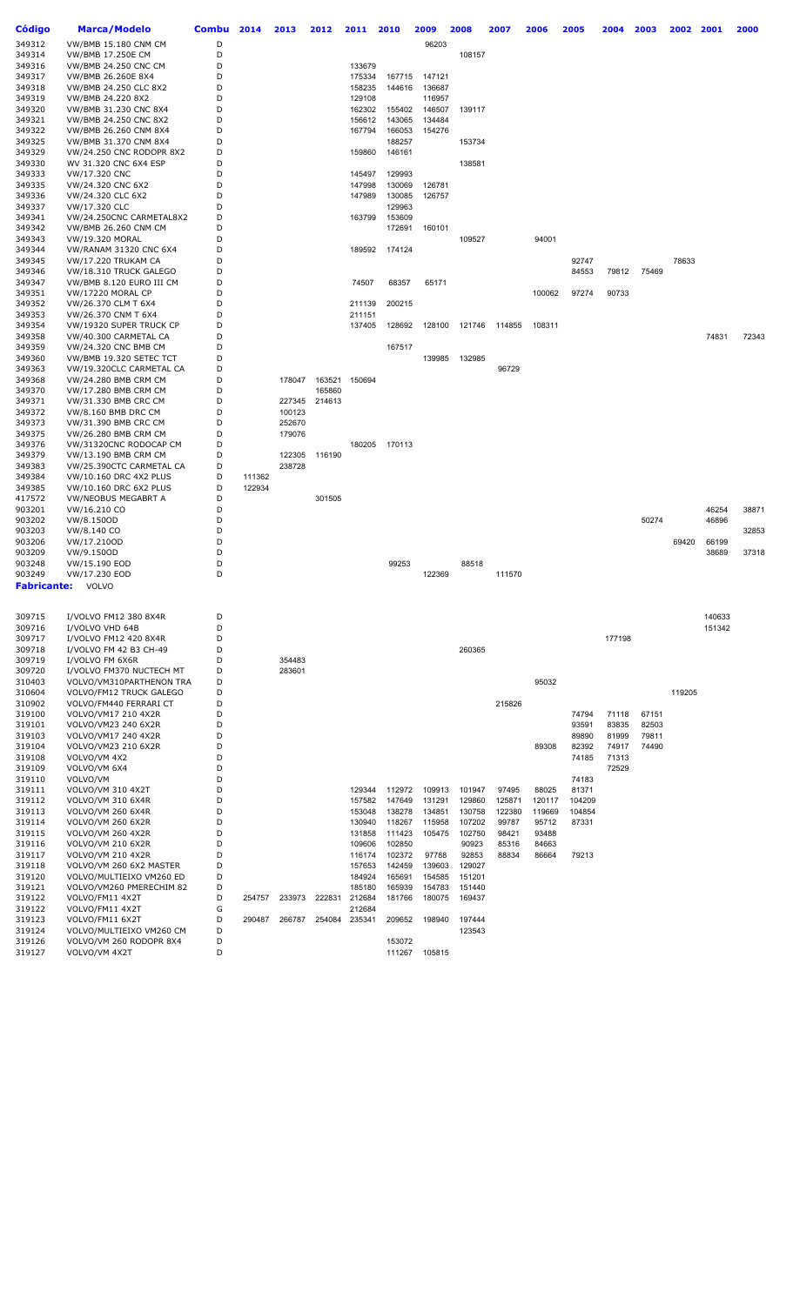| Código      | Marca/Modelo                | <b>Combu</b> | 2014   | 2013   | 2012   | 2011   | 2010   | 2009          | 2008   | 2007   | 2006   | 2005   | 2004   | 2003  | 2002   | 2001   | 2000  |
|-------------|-----------------------------|--------------|--------|--------|--------|--------|--------|---------------|--------|--------|--------|--------|--------|-------|--------|--------|-------|
|             |                             | D            |        |        |        |        |        |               |        |        |        |        |        |       |        |        |       |
| 349312      | <b>VW/BMB 15.180 CNM CM</b> |              |        |        |        |        |        | 96203         |        |        |        |        |        |       |        |        |       |
| 349314      | <b>VW/BMB 17.250E CM</b>    | D            |        |        |        |        |        |               | 108157 |        |        |        |        |       |        |        |       |
| 349316      | <b>VW/BMB 24.250 CNC CM</b> | D            |        |        |        | 133679 |        |               |        |        |        |        |        |       |        |        |       |
| 349317      | VW/BMB 26.260E 8X4          | D            |        |        |        | 175334 | 167715 | 147121        |        |        |        |        |        |       |        |        |       |
| 349318      | VW/BMB 24.250 CLC 8X2       | D            |        |        |        | 158235 | 144616 | 136687        |        |        |        |        |        |       |        |        |       |
| 349319      | VW/BMB 24.220 8X2           | D            |        |        |        | 129108 |        | 116957        |        |        |        |        |        |       |        |        |       |
| 349320      | VW/BMB 31.230 CNC 8X4       | D            |        |        |        | 162302 | 155402 | 146507        | 139117 |        |        |        |        |       |        |        |       |
| 349321      | VW/BMB 24.250 CNC 8X2       | D            |        |        |        | 156612 | 143065 | 134484        |        |        |        |        |        |       |        |        |       |
| 349322      | VW/BMB 26.260 CNM 8X4       | D            |        |        |        | 167794 | 166053 | 154276        |        |        |        |        |        |       |        |        |       |
| 349325      | VW/BMB 31.370 CNM 8X4       | D            |        |        |        |        | 188257 |               | 153734 |        |        |        |        |       |        |        |       |
| 349329      | VW/24.250 CNC RODOPR 8X2    | D            |        |        |        | 159860 | 146161 |               |        |        |        |        |        |       |        |        |       |
| 349330      | WV 31.320 CNC 6X4 ESP       | D            |        |        |        |        |        |               | 138581 |        |        |        |        |       |        |        |       |
| 349333      | VW/17.320 CNC               | D            |        |        |        | 145497 | 129993 |               |        |        |        |        |        |       |        |        |       |
| 349335      | VW/24.320 CNC 6X2           | D            |        |        |        | 147998 | 130069 | 126781        |        |        |        |        |        |       |        |        |       |
| 349336      | VW/24.320 CLC 6X2           | D            |        |        |        | 147989 | 130085 | 126757        |        |        |        |        |        |       |        |        |       |
| 349337      | VW/17.320 CLC               | D            |        |        |        |        | 129963 |               |        |        |        |        |        |       |        |        |       |
| 349341      | VW/24.250CNC CARMETAL8X2    | D            |        |        |        | 163799 | 153609 |               |        |        |        |        |        |       |        |        |       |
| 349342      | <b>VW/BMB 26.260 CNM CM</b> | D            |        |        |        |        | 172691 | 160101        |        |        |        |        |        |       |        |        |       |
| 349343      | VW/19.320 MORAL             | D            |        |        |        |        |        |               | 109527 |        | 94001  |        |        |       |        |        |       |
| 349344      | VW/RANAM 31320 CNC 6X4      | D            |        |        |        | 189592 | 174124 |               |        |        |        |        |        |       |        |        |       |
| 349345      | VW/17.220 TRUKAM CA         | D            |        |        |        |        |        |               |        |        |        | 92747  |        |       | 78633  |        |       |
| 349346      | VW/18.310 TRUCK GALEGO      | D            |        |        |        |        |        |               |        |        |        | 84553  | 79812  | 75469 |        |        |       |
| 349347      | VW/BMB 8.120 EURO III CM    | D            |        |        |        | 74507  | 68357  | 65171         |        |        |        |        |        |       |        |        |       |
| 349351      | <b>VW/17220 MORAL CP</b>    | D            |        |        |        |        |        |               |        |        | 100062 | 97274  | 90733  |       |        |        |       |
| 349352      | VW/26.370 CLM T 6X4         | D            |        |        |        | 211139 | 200215 |               |        |        |        |        |        |       |        |        |       |
| 349353      | VW/26.370 CNM T 6X4         | D            |        |        |        | 211151 |        |               |        |        |        |        |        |       |        |        |       |
| 349354      | VW/19320 SUPER TRUCK CP     | D            |        |        |        | 137405 | 128692 | 128100        | 121746 | 114855 | 108311 |        |        |       |        |        |       |
| 349358      | VW/40.300 CARMETAL CA       | D            |        |        |        |        |        |               |        |        |        |        |        |       |        | 74831  | 72343 |
| 349359      | VW/24.320 CNC BMB CM        | D            |        |        |        |        | 167517 |               |        |        |        |        |        |       |        |        |       |
| 349360      | VW/BMB 19.320 SETEC TCT     | D            |        |        |        |        |        | 139985        | 132985 |        |        |        |        |       |        |        |       |
| 349363      | VW/19.320CLC CARMETAL CA    | D            |        |        |        |        |        |               |        | 96729  |        |        |        |       |        |        |       |
| 349368      | VW/24.280 BMB CRM CM        | D            |        | 178047 | 163521 | 150694 |        |               |        |        |        |        |        |       |        |        |       |
| 349370      | VW/17.280 BMB CRM CM        | D            |        |        | 165860 |        |        |               |        |        |        |        |        |       |        |        |       |
| 349371      | VW/31.330 BMB CRC CM        | D            |        | 227345 | 214613 |        |        |               |        |        |        |        |        |       |        |        |       |
| 349372      | VW/8.160 BMB DRC CM         | D            |        | 100123 |        |        |        |               |        |        |        |        |        |       |        |        |       |
| 349373      | VW/31.390 BMB CRC CM        | D            |        | 252670 |        |        |        |               |        |        |        |        |        |       |        |        |       |
| 349375      | VW/26.280 BMB CRM CM        | D            |        | 179076 |        |        |        |               |        |        |        |        |        |       |        |        |       |
| 349376      | VW/31320CNC RODOCAP CM      | D            |        |        |        | 180205 | 170113 |               |        |        |        |        |        |       |        |        |       |
| 349379      | VW/13.190 BMB CRM CM        | D            |        | 122305 | 116190 |        |        |               |        |        |        |        |        |       |        |        |       |
| 349383      | VW/25.390CTC CARMETAL CA    | D            |        | 238728 |        |        |        |               |        |        |        |        |        |       |        |        |       |
| 349384      | VW/10.160 DRC 4X2 PLUS      | D            | 111362 |        |        |        |        |               |        |        |        |        |        |       |        |        |       |
| 349385      | VW/10.160 DRC 6X2 PLUS      | D            | 122934 |        |        |        |        |               |        |        |        |        |        |       |        |        |       |
| 417572      | <b>VW/NEOBUS MEGABRT A</b>  | D            |        |        | 301505 |        |        |               |        |        |        |        |        |       |        |        |       |
| 903201      | VW/16.210 CO                | D            |        |        |        |        |        |               |        |        |        |        |        |       |        | 46254  | 38871 |
| 903202      | VW/8.150OD                  | D            |        |        |        |        |        |               |        |        |        |        |        | 50274 |        | 46896  |       |
| 903203      | VW/8.140 CO                 | D            |        |        |        |        |        |               |        |        |        |        |        |       |        |        | 32853 |
| 903206      | VW/17.210OD                 | D            |        |        |        |        |        |               |        |        |        |        |        |       | 69420  | 66199  |       |
| 903209      | VW/9.150OD                  | D            |        |        |        |        |        |               |        |        |        |        |        |       |        | 38689  | 37318 |
| 903248      | VW/15.190 EOD               | D            |        |        |        |        | 99253  |               | 88518  |        |        |        |        |       |        |        |       |
| 903249      | VW/17.230 EOD               | D            |        |        |        |        |        | 122369        |        | 111570 |        |        |        |       |        |        |       |
| Fabricante: | VOLVO                       |              |        |        |        |        |        |               |        |        |        |        |        |       |        |        |       |
|             |                             |              |        |        |        |        |        |               |        |        |        |        |        |       |        |        |       |
| 309715      | I/VOLVO FM12 380 8X4R       | D            |        |        |        |        |        |               |        |        |        |        |        |       |        | 140633 |       |
| 309716      | I/VOLVO VHD 64B             | D            |        |        |        |        |        |               |        |        |        |        |        |       |        | 151342 |       |
| 309717      | I/VOLVO FM12 420 8X4R       | D            |        |        |        |        |        |               |        |        |        |        | 177198 |       |        |        |       |
| 309718      | I/VOLVO FM 42 B3 CH-49      | D            |        |        |        |        |        |               | 260365 |        |        |        |        |       |        |        |       |
| 309719      | I/VOLVO FM 6X6R             | D            |        | 354483 |        |        |        |               |        |        |        |        |        |       |        |        |       |
| 309720      | I/VOLVO FM370 NUCTECH MT    | D            |        | 283601 |        |        |        |               |        |        |        |        |        |       |        |        |       |
| 310403      | VOLVO/VM310PARTHENON TRA    | D            |        |        |        |        |        |               |        |        | 95032  |        |        |       |        |        |       |
| 310604      | VOLVO/FM12 TRUCK GALEGO     | D            |        |        |        |        |        |               |        |        |        |        |        |       | 119205 |        |       |
| 310902      | VOLVO/FM440 FERRARI CT      | D            |        |        |        |        |        |               |        | 215826 |        |        |        |       |        |        |       |
| 319100      | VOLVO/VM17 210 4X2R         | D            |        |        |        |        |        |               |        |        |        | 74794  | 71118  | 67151 |        |        |       |
| 319101      | VOLVO/VM23 240 6X2R         | D            |        |        |        |        |        |               |        |        |        | 93591  | 83835  | 82503 |        |        |       |
| 319103      | VOLVO/VM17 240 4X2R         | D            |        |        |        |        |        |               |        |        |        | 89890  | 81999  | 79811 |        |        |       |
| 319104      | VOLVO/VM23 210 6X2R         | D            |        |        |        |        |        |               |        |        | 89308  | 82392  | 74917  | 74490 |        |        |       |
| 319108      | VOLVO/VM 4X2                | D            |        |        |        |        |        |               |        |        |        | 74185  | 71313  |       |        |        |       |
| 319109      | VOLVO/VM 6X4                | D            |        |        |        |        |        |               |        |        |        |        | 72529  |       |        |        |       |
| 319110      | VOLVO/VM                    | D            |        |        |        |        |        |               |        |        |        | 74183  |        |       |        |        |       |
| 319111      | VOLVO/VM 310 4X2T           | D            |        |        |        | 129344 | 112972 | 109913        | 101947 | 97495  | 88025  | 81371  |        |       |        |        |       |
| 319112      | VOLVO/VM 310 6X4R           | D            |        |        |        | 157582 | 147649 | 131291        | 129860 | 125871 | 120117 | 104209 |        |       |        |        |       |
| 319113      | VOLVO/VM 260 6X4R           | D            |        |        |        | 153048 | 138278 | 134851        | 130758 | 122380 | 119669 | 104854 |        |       |        |        |       |
| 319114      | VOLVO/VM 260 6X2R           | D            |        |        |        | 130940 | 118267 | 115958        | 107202 | 99787  | 95712  | 87331  |        |       |        |        |       |
| 319115      | <b>VOLVO/VM 260 4X2R</b>    | D            |        |        |        | 131858 | 111423 | 105475        | 102750 | 98421  | 93488  |        |        |       |        |        |       |
| 319116      | VOLVO/VM 210 6X2R           | D            |        |        |        | 109606 | 102850 |               | 90923  | 85316  | 84663  |        |        |       |        |        |       |
| 319117      | VOLVO/VM 210 4X2R           | D            |        |        |        | 116174 | 102372 | 97788         | 92853  | 88834  | 86664  | 79213  |        |       |        |        |       |
| 319118      | VOLVO/VM 260 6X2 MASTER     | D            |        |        |        | 157653 | 142459 | 139603        | 129027 |        |        |        |        |       |        |        |       |
| 319120      | VOLVO/MULTIEIXO VM260 ED    | D            |        |        |        | 184924 | 165691 | 154585        | 151201 |        |        |        |        |       |        |        |       |
| 319121      | VOLVO/VM260 PMERECHIM 82    | D            |        |        |        | 185180 | 165939 | 154783        | 151440 |        |        |        |        |       |        |        |       |
| 319122      | VOLVO/FM11 4X2T             | D            | 254757 | 233973 | 222831 | 212684 | 181766 | 180075        | 169437 |        |        |        |        |       |        |        |       |
| 319122      | VOLVO/FM11 4X2T             | G            |        |        |        | 212684 |        |               |        |        |        |        |        |       |        |        |       |
| 319123      | VOLVO/FM11 6X2T             | D            | 290487 | 266787 | 254084 | 235341 | 209652 | 198940        | 197444 |        |        |        |        |       |        |        |       |
| 319124      | VOLVO/MULTIEIXO VM260 CM    | D            |        |        |        |        |        |               | 123543 |        |        |        |        |       |        |        |       |
| 319126      | VOLVO/VM 260 RODOPR 8X4     | D            |        |        |        |        | 153072 |               |        |        |        |        |        |       |        |        |       |
| 319127      | VOLVO/VM 4X2T               | D            |        |        |        |        |        | 111267 105815 |        |        |        |        |        |       |        |        |       |
|             |                             |              |        |        |        |        |        |               |        |        |        |        |        |       |        |        |       |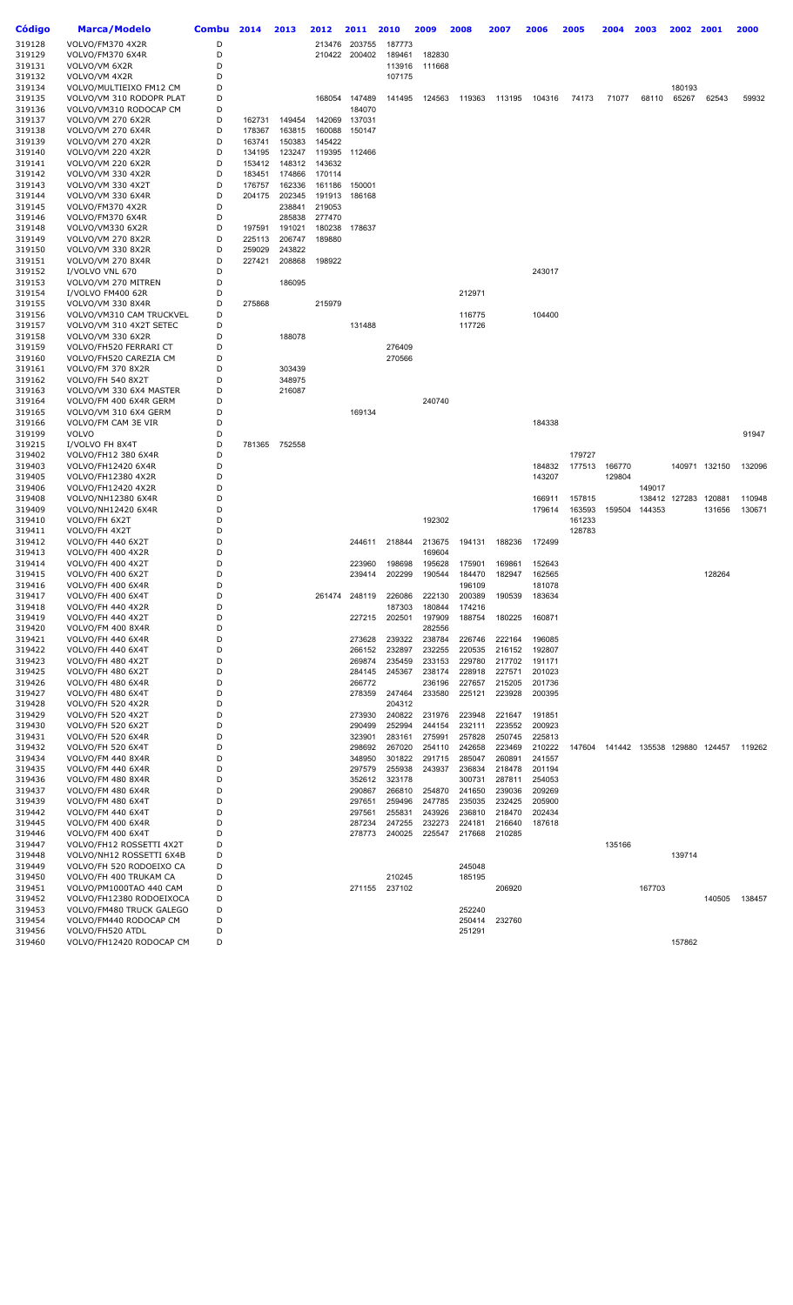| Código           | Marca/Modelo                                        | <b>Combu</b> | 2014   | 2013          | 2012   | 2011          | 2010                 | 2009   | 2008   | 2007   | 2006   | 2005   | 2004   | 2003                        | 2002            | 2001   | 2000   |
|------------------|-----------------------------------------------------|--------------|--------|---------------|--------|---------------|----------------------|--------|--------|--------|--------|--------|--------|-----------------------------|-----------------|--------|--------|
|                  |                                                     |              |        |               |        |               |                      |        |        |        |        |        |        |                             |                 |        |        |
| 319128           | VOLVO/FM370 4X2R                                    | D            |        |               | 213476 | 203755        | 187773               |        |        |        |        |        |        |                             |                 |        |        |
| 319129           | VOLVO/FM370 6X4R                                    | D            |        |               |        | 210422 200402 | 189461               | 182830 |        |        |        |        |        |                             |                 |        |        |
| 319131           | VOLVO/VM 6X2R                                       | D            |        |               |        |               | 113916               | 111668 |        |        |        |        |        |                             |                 |        |        |
| 319132           | VOLVO/VM 4X2R                                       | D            |        |               |        |               | 107175               |        |        |        |        |        |        |                             |                 |        |        |
| 319134           | VOLVO/MULTIEIXO FM12 CM<br>VOLVO/VM 310 RODOPR PLAT | D<br>D       |        |               | 168054 | 147489        | 141495               | 124563 | 119363 | 113195 | 104316 | 74173  | 71077  | 68110                       | 180193<br>65267 | 62543  | 59932  |
| 319135<br>319136 | VOLVO/VM310 RODOCAP CM                              | D            |        |               |        | 184070        |                      |        |        |        |        |        |        |                             |                 |        |        |
| 319137           | VOLVO/VM 270 6X2R                                   | D            | 162731 | 149454        | 142069 | 137031        |                      |        |        |        |        |        |        |                             |                 |        |        |
| 319138           | VOLVO/VM 270 6X4R                                   | D            | 178367 | 163815        | 160088 | 150147        |                      |        |        |        |        |        |        |                             |                 |        |        |
| 319139           | VOLVO/VM 270 4X2R                                   | D            | 163741 | 150383        | 145422 |               |                      |        |        |        |        |        |        |                             |                 |        |        |
| 319140           | VOLVO/VM 220 4X2R                                   | D            | 134195 | 123247        | 119395 | 112466        |                      |        |        |        |        |        |        |                             |                 |        |        |
| 319141           | <b>VOLVO/VM 220 6X2R</b>                            | D            | 153412 | 148312        | 143632 |               |                      |        |        |        |        |        |        |                             |                 |        |        |
| 319142           | VOLVO/VM 330 4X2R                                   | D            | 183451 | 174866        | 170114 |               |                      |        |        |        |        |        |        |                             |                 |        |        |
| 319143           | VOLVO/VM 330 4X2T                                   | D            | 176757 | 162336        | 161186 | 150001        |                      |        |        |        |        |        |        |                             |                 |        |        |
| 319144           | VOLVO/VM 330 6X4R                                   | D            | 204175 | 202345        | 191913 | 186168        |                      |        |        |        |        |        |        |                             |                 |        |        |
| 319145           | VOLVO/FM370 4X2R                                    | D            |        | 238841        | 219053 |               |                      |        |        |        |        |        |        |                             |                 |        |        |
| 319146           | VOLVO/FM370 6X4R                                    | D            |        | 285838        | 277470 |               |                      |        |        |        |        |        |        |                             |                 |        |        |
| 319148           | VOLVO/VM330 6X2R                                    | D            | 197591 | 191021        | 180238 | 178637        |                      |        |        |        |        |        |        |                             |                 |        |        |
| 319149           | <b>VOLVO/VM 270 8X2R</b>                            | D            | 225113 | 206747        | 189880 |               |                      |        |        |        |        |        |        |                             |                 |        |        |
| 319150           | VOLVO/VM 330 8X2R                                   | D            | 259029 | 243822        |        |               |                      |        |        |        |        |        |        |                             |                 |        |        |
| 319151           | <b>VOLVO/VM 270 8X4R</b>                            | D            | 227421 | 208868        | 198922 |               |                      |        |        |        |        |        |        |                             |                 |        |        |
| 319152           | I/VOLVO VNL 670                                     | D            |        |               |        |               |                      |        |        |        | 243017 |        |        |                             |                 |        |        |
| 319153           | VOLVO/VM 270 MITREN                                 | D            |        | 186095        |        |               |                      |        |        |        |        |        |        |                             |                 |        |        |
| 319154           | I/VOLVO FM400 62R                                   | D            |        |               |        |               |                      |        | 212971 |        |        |        |        |                             |                 |        |        |
| 319155           | VOLVO/VM 330 8X4R                                   | D            | 275868 |               | 215979 |               |                      |        |        |        |        |        |        |                             |                 |        |        |
| 319156           | VOLVO/VM310 CAM TRUCKVEL                            | D            |        |               |        |               |                      |        | 116775 |        | 104400 |        |        |                             |                 |        |        |
| 319157           | VOLVO/VM 310 4X2T SETEC                             | D            |        |               |        | 131488        |                      |        | 117726 |        |        |        |        |                             |                 |        |        |
| 319158           | VOLVO/VM 330 6X2R                                   | D            |        | 188078        |        |               |                      |        |        |        |        |        |        |                             |                 |        |        |
| 319159           | VOLVO/FH520 FERRARI CT                              | D            |        |               |        |               | 276409               |        |        |        |        |        |        |                             |                 |        |        |
| 319160           | VOLVO/FH520 CAREZIA CM                              | D            |        |               |        |               | 270566               |        |        |        |        |        |        |                             |                 |        |        |
| 319161           | VOLVO/FM 370 8X2R                                   | D            |        | 303439        |        |               |                      |        |        |        |        |        |        |                             |                 |        |        |
| 319162           | VOLVO/FH 540 8X2T                                   | D            |        | 348975        |        |               |                      |        |        |        |        |        |        |                             |                 |        |        |
| 319163           | VOLVO/VM 330 6X4 MASTER                             | D            |        | 216087        |        |               |                      |        |        |        |        |        |        |                             |                 |        |        |
| 319164           | VOLVO/FM 400 6X4R GERM                              | D            |        |               |        |               |                      | 240740 |        |        |        |        |        |                             |                 |        |        |
| 319165           | VOLVO/VM 310 6X4 GERM                               | D            |        |               |        | 169134        |                      |        |        |        |        |        |        |                             |                 |        |        |
| 319166           | VOLVO/FM CAM 3E VIR                                 | D            |        |               |        |               |                      |        |        |        | 184338 |        |        |                             |                 |        |        |
| 319199           | <b>VOLVO</b>                                        | D<br>D       |        |               |        |               |                      |        |        |        |        |        |        |                             |                 |        | 91947  |
| 319215<br>319402 | I/VOLVO FH 8X4T<br>VOLVO/FH12 380 6X4R              | D            |        | 781365 752558 |        |               |                      |        |        |        |        | 179727 |        |                             |                 |        |        |
| 319403           | VOLVO/FH12420 6X4R                                  | D            |        |               |        |               |                      |        |        |        | 184832 | 177513 | 166770 |                             | 140971          | 132150 | 132096 |
| 319405           | VOLVO/FH12380 4X2R                                  | D            |        |               |        |               |                      |        |        |        | 143207 |        | 129804 |                             |                 |        |        |
| 319406           | VOLVO/FH12420 4X2R                                  | D            |        |               |        |               |                      |        |        |        |        |        |        | 149017                      |                 |        |        |
| 319408           | VOLVO/NH12380 6X4R                                  | D            |        |               |        |               |                      |        |        |        | 166911 | 157815 |        |                             | 138412 127283   | 120881 | 110948 |
| 319409           | VOLVO/NH12420 6X4R                                  | D            |        |               |        |               |                      |        |        |        | 179614 | 163593 | 159504 | 144353                      |                 | 131656 | 130671 |
| 319410           | VOLVO/FH 6X2T                                       | D            |        |               |        |               |                      | 192302 |        |        |        | 161233 |        |                             |                 |        |        |
| 319411           | VOLVO/FH 4X2T                                       | D            |        |               |        |               |                      |        |        |        |        | 128783 |        |                             |                 |        |        |
| 319412           | VOLVO/FH 440 6X2T                                   | D            |        |               |        | 244611        | 218844               | 213675 | 194131 | 188236 | 172499 |        |        |                             |                 |        |        |
| 319413           | VOLVO/FH 400 4X2R                                   | D            |        |               |        |               |                      | 169604 |        |        |        |        |        |                             |                 |        |        |
| 319414           | VOLVO/FH 400 4X2T                                   | D            |        |               |        | 223960        | 198698               | 195628 | 175901 | 169861 | 152643 |        |        |                             |                 |        |        |
| 319415           | VOLVO/FH 400 6X2T                                   | D            |        |               |        | 239414        | 202299               | 190544 | 184470 | 182947 | 162565 |        |        |                             |                 | 128264 |        |
| 319416           | VOLVO/FH 400 6X4R                                   | D            |        |               |        |               |                      |        | 196109 |        | 181078 |        |        |                             |                 |        |        |
| 319417           | VOLVO/FH 400 6X4T                                   | D            |        |               |        |               | 261474 248119 226086 | 222130 | 200389 | 190539 | 183634 |        |        |                             |                 |        |        |
| 319418           | VOLVO/FH 440 4X2R                                   | D            |        |               |        |               | 187303               | 180844 | 174216 |        |        |        |        |                             |                 |        |        |
| 319419           | VOLVO/FH 440 4X2T                                   | D            |        |               |        | 227215        | 202501               | 197909 | 188754 | 180225 | 160871 |        |        |                             |                 |        |        |
| 319420           | VOLVO/FM 400 8X4R                                   | D            |        |               |        |               |                      | 282556 |        |        |        |        |        |                             |                 |        |        |
| 319421           | VOLVO/FH 440 6X4R                                   | D            |        |               |        | 273628        | 239322               | 238784 | 226746 | 222164 | 196085 |        |        |                             |                 |        |        |
| 319422           | VOLVO/FH 440 6X4T                                   | D            |        |               |        | 266152        | 232897               | 232255 | 220535 | 216152 | 192807 |        |        |                             |                 |        |        |
| 319423           | VOLVO/FH 480 4X2T                                   | D            |        |               |        | 269874        | 235459               | 233153 | 229780 | 217702 | 191171 |        |        |                             |                 |        |        |
| 319425           | VOLVO/FH 480 6X2T                                   | D            |        |               |        | 284145        | 245367               | 238174 | 228918 | 227571 | 201023 |        |        |                             |                 |        |        |
| 319426           | VOLVO/FH 480 6X4R                                   | D<br>D       |        |               |        | 266772        |                      | 236196 | 227657 | 215205 | 201736 |        |        |                             |                 |        |        |
| 319427           | VOLVO/FH 480 6X4T                                   | D            |        |               |        | 278359        | 247464               | 233580 | 225121 | 223928 | 200395 |        |        |                             |                 |        |        |
| 319428<br>319429 | VOLVO/FH 520 4X2R<br>VOLVO/FH 520 4X2T              | D            |        |               |        | 273930        | 204312<br>240822     | 231976 | 223948 | 221647 | 191851 |        |        |                             |                 |        |        |
| 319430           | VOLVO/FH 520 6X2T                                   | D            |        |               |        | 290499        | 252994               | 244154 | 232111 | 223552 | 200923 |        |        |                             |                 |        |        |
| 319431           | VOLVO/FH 520 6X4R                                   | D            |        |               |        | 323901        | 283161               | 275991 | 257828 | 250745 | 225813 |        |        |                             |                 |        |        |
| 319432           | VOLVO/FH 520 6X4T                                   | D            |        |               |        | 298692        | 267020               | 254110 | 242658 | 223469 | 210222 | 147604 |        | 141442 135538 129880 124457 |                 |        | 119262 |
| 319434           | VOLVO/FM 440 8X4R                                   | D            |        |               |        | 348950        | 301822               | 291715 | 285047 | 260891 | 241557 |        |        |                             |                 |        |        |
| 319435           | VOLVO/FM 440 6X4R                                   | D            |        |               |        | 297579        | 255938               | 243937 | 236834 | 218478 | 201194 |        |        |                             |                 |        |        |
| 319436           | VOLVO/FM 480 8X4R                                   | D            |        |               |        | 352612        | 323178               |        | 300731 | 287811 | 254053 |        |        |                             |                 |        |        |
| 319437           | VOLVO/FM 480 6X4R                                   | D            |        |               |        | 290867        | 266810               | 254870 | 241650 | 239036 | 209269 |        |        |                             |                 |        |        |
| 319439           | VOLVO/FM 480 6X4T                                   | D            |        |               |        | 297651        | 259496               | 247785 | 235035 | 232425 | 205900 |        |        |                             |                 |        |        |
| 319442           | VOLVO/FM 440 6X4T                                   | D            |        |               |        | 297561        | 255831               | 243926 | 236810 | 218470 | 202434 |        |        |                             |                 |        |        |
| 319445           | VOLVO/FM 400 6X4R                                   | D            |        |               |        | 287234        | 247255               | 232273 | 224181 | 216640 | 187618 |        |        |                             |                 |        |        |
| 319446           | VOLVO/FM 400 6X4T                                   | D            |        |               |        | 278773        | 240025               | 225547 | 217668 | 210285 |        |        |        |                             |                 |        |        |
| 319447           | VOLVO/FH12 ROSSETTI 4X2T                            | D            |        |               |        |               |                      |        |        |        |        |        | 135166 |                             |                 |        |        |
| 319448           | VOLVO/NH12 ROSSETTI 6X4B                            | D            |        |               |        |               |                      |        |        |        |        |        |        |                             | 139714          |        |        |
| 319449           | VOLVO/FH 520 RODOEIXO CA                            | D            |        |               |        |               |                      |        | 245048 |        |        |        |        |                             |                 |        |        |
| 319450           | VOLVO/FH 400 TRUKAM CA                              | D            |        |               |        |               | 210245               |        | 185195 |        |        |        |        |                             |                 |        |        |
| 319451           | VOLVO/PM1000TAO 440 CAM                             | D            |        |               |        | 271155        | 237102               |        |        | 206920 |        |        |        | 167703                      |                 |        |        |
| 319452           | VOLVO/FH12380 RODOEIXOCA                            | D            |        |               |        |               |                      |        |        |        |        |        |        |                             |                 | 140505 | 138457 |
| 319453           | VOLVO/FM480 TRUCK GALEGO                            | D            |        |               |        |               |                      |        | 252240 |        |        |        |        |                             |                 |        |        |
| 319454           | VOLVO/FM440 RODOCAP CM                              | D            |        |               |        |               |                      |        | 250414 | 232760 |        |        |        |                             |                 |        |        |
| 319456           | VOLVO/FH520 ATDL                                    | D            |        |               |        |               |                      |        | 251291 |        |        |        |        |                             |                 |        |        |
| 319460           | VOLVO/FH12420 RODOCAP CM                            | D            |        |               |        |               |                      |        |        |        |        |        |        |                             | 157862          |        |        |